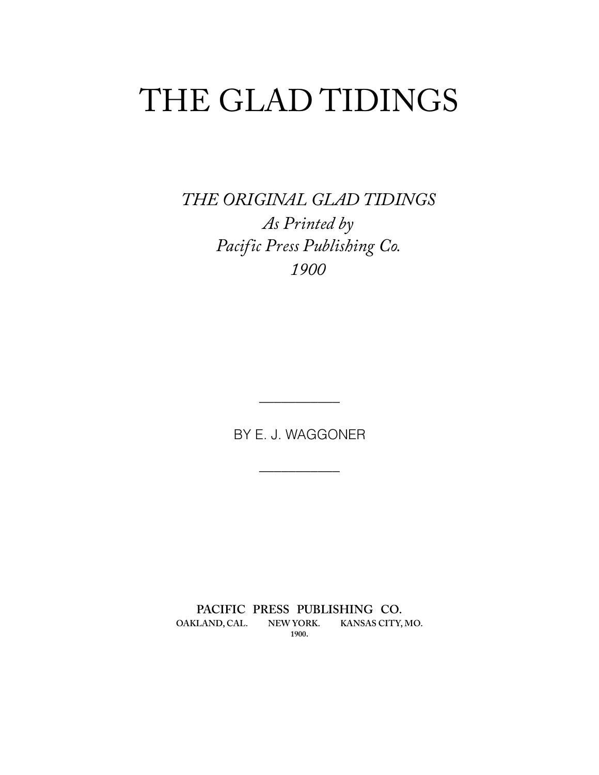# <span id="page-0-0"></span>THE GLAD TIDINGS

*THE ORIGINAL GLAD TIDINGS As Printed by Pacific Press Publishing Co. 1900* 

BY E. J. WAGGONER

**\_\_\_\_\_\_\_\_\_\_\_** 

**\_\_\_\_\_\_\_\_\_\_\_** 

**PACIFIC PRESS PUBLISHING CO. OAKLAND, CAL. NEW YORK. KANSAS CITY, MO. 1900.**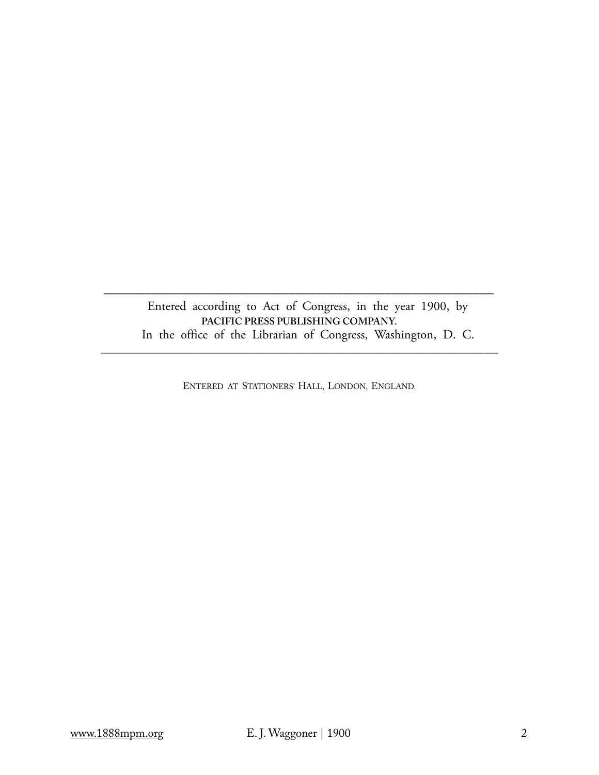Entered according to Act of Congress, in the year 1900, by **PACIFIC PRESS PUBLISHING COMPANY.**  In the office of the Librarian of Congress, Washington, D. C.

\_\_\_\_\_\_\_\_\_\_\_\_\_\_\_\_\_\_\_\_\_\_\_\_\_\_\_\_\_\_\_\_\_\_\_\_\_\_\_\_\_\_\_\_\_\_\_\_\_\_\_\_\_\_\_\_\_

ENTERED AT STATIONERS' HALL, LONDON, ENGLAND.

—————————————————————————————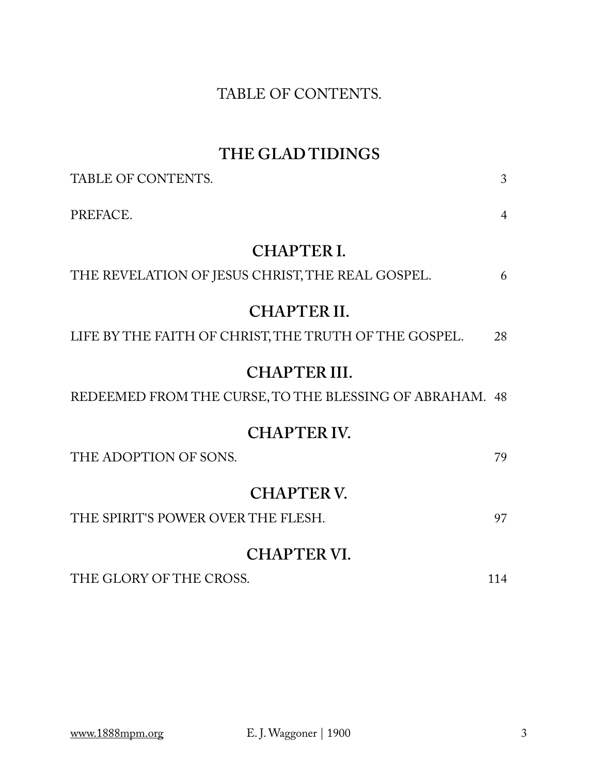# TABLE OF CONTENTS.

# **THE GLAD TIDINGS**

| TABLE OF CONTENTS.                                      | 3              |
|---------------------------------------------------------|----------------|
| PREFACE.                                                | $\overline{4}$ |
| <b>CHAPTER I.</b>                                       |                |
| THE REVELATION OF JESUS CHRIST, THE REAL GOSPEL.        | 6              |
| <b>CHAPTER II.</b>                                      |                |
| LIFE BY THE FAITH OF CHRIST, THE TRUTH OF THE GOSPEL.   | 28             |
| CHAPTER III.                                            |                |
| REDEEMED FROM THE CURSE, TO THE BLESSING OF ABRAHAM. 48 |                |
| <b>CHAPTER IV.</b>                                      |                |
| THE ADOPTION OF SONS.                                   | 79             |
| <b>CHAPTER V.</b>                                       |                |
| THE SPIRIT'S POWER OVER THE FLESH.                      | 97             |
| <b>CHAPTER VI.</b>                                      |                |
| THE GLORY OF THE CROSS.                                 | 114            |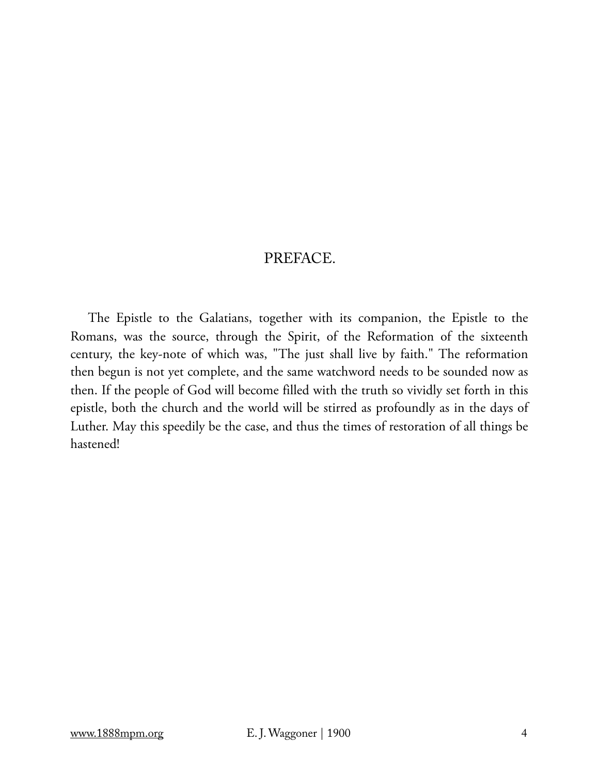# PREFACE.

The Epistle to the Galatians, together with its companion, the Epistle to the Romans, was the source, through the Spirit, of the Reformation of the sixteenth century, the key-note of which was, "The just shall live by faith." The reformation then begun is not yet complete, and the same watchword needs to be sounded now as then. If the people of God will become filled with the truth so vividly set forth in this epistle, both the church and the world will be stirred as profoundly as in the days of Luther. May this speedily be the case, and thus the times of restoration of all things be hastened!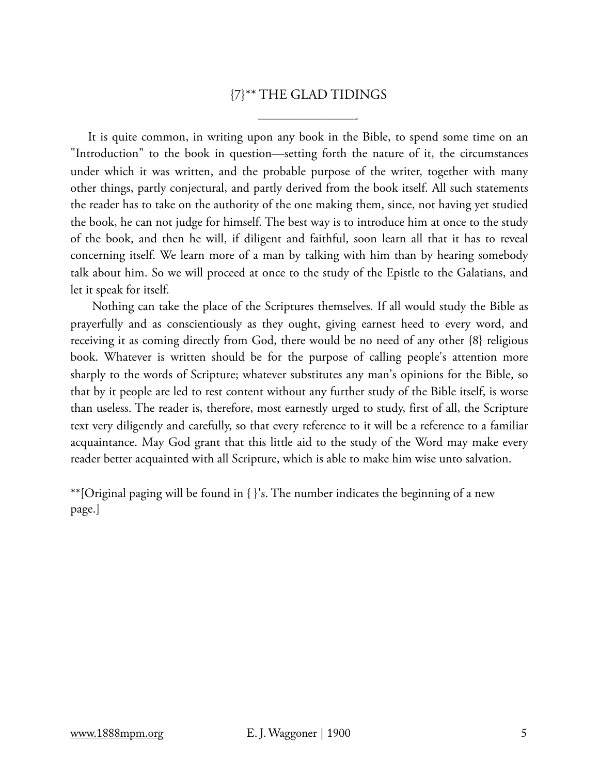# {7}\*\* THE GLAD TIDINGS

———————-

It is quite common, in writing upon any book in the Bible, to spend some time on an "Introduction" to the book in question—setting forth the nature of it, the circumstances under which it was written, and the probable purpose of the writer, together with many other things, partly conjectural, and partly derived from the book itself. All such statements the reader has to take on the authority of the one making them, since, not having yet studied the book, he can not judge for himself. The best way is to introduce him at once to the study of the book, and then he will, if diligent and faithful, soon learn all that it has to reveal concerning itself. We learn more of a man by talking with him than by hearing somebody talk about him. So we will proceed at once to the study of the Epistle to the Galatians, and let it speak for itself.

 Nothing can take the place of the Scriptures themselves. If all would study the Bible as prayerfully and as conscientiously as they ought, giving earnest heed to every word, and receiving it as coming directly from God, there would be no need of any other {8} religious book. Whatever is written should be for the purpose of calling people's attention more sharply to the words of Scripture; whatever substitutes any man's opinions for the Bible, so that by it people are led to rest content without any further study of the Bible itself, is worse than useless. The reader is, therefore, most earnestly urged to study, first of all, the Scripture text very diligently and carefully, so that every reference to it will be a reference to a familiar acquaintance. May God grant that this little aid to the study of the Word may make every reader better acquainted with all Scripture, which is able to make him wise unto salvation.

\*\*[Original paging will be found in { }'s. The number indicates the beginning of a new page.]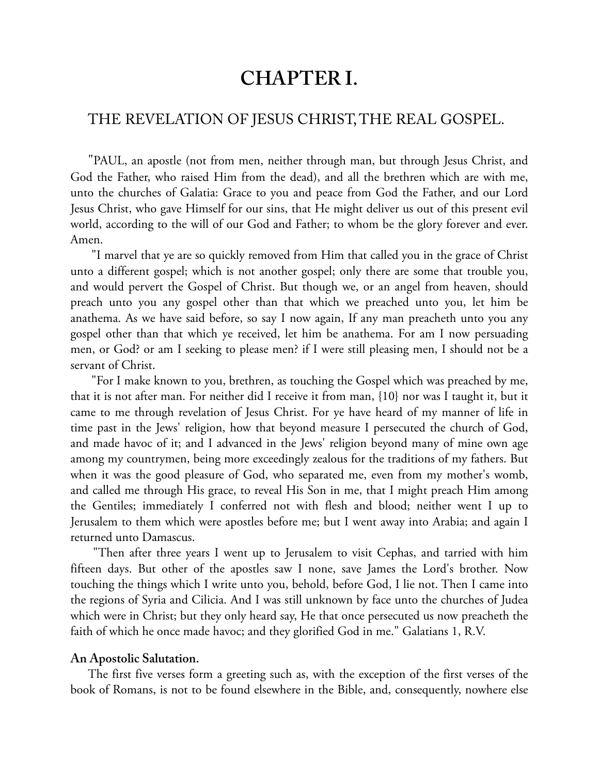# **CHAPTER I.**

# THE REVELATION OF JESUS CHRIST, THE REAL GOSPEL.

"PAUL, an apostle (not from men, neither through man, but through Jesus Christ, and God the Father, who raised Him from the dead), and all the brethren which are with me, unto the churches of Galatia: Grace to you and peace from God the Father, and our Lord Jesus Christ, who gave Himself for our sins, that He might deliver us out of this present evil world, according to the will of our God and Father; to whom be the glory forever and ever. Amen.

 "I marvel that ye are so quickly removed from Him that called you in the grace of Christ unto a different gospel; which is not another gospel; only there are some that trouble you, and would pervert the Gospel of Christ. But though we, or an angel from heaven, should preach unto you any gospel other than that which we preached unto you, let him be anathema. As we have said before, so say I now again, If any man preacheth unto you any gospel other than that which ye received, let him be anathema. For am I now persuading men, or God? or am I seeking to please men? if I were still pleasing men, I should not be a servant of Christ.

 "For I make known to you, brethren, as touching the Gospel which was preached by me, that it is not after man. For neither did I receive it from man, {10} nor was I taught it, but it came to me through revelation of Jesus Christ. For ye have heard of my manner of life in time past in the Jews' religion, how that beyond measure I persecuted the church of God, and made havoc of it; and I advanced in the Jews' religion beyond many of mine own age among my countrymen, being more exceedingly zealous for the traditions of my fathers. But when it was the good pleasure of God, who separated me, even from my mother's womb, and called me through His grace, to reveal His Son in me, that I might preach Him among the Gentiles; immediately I conferred not with flesh and blood; neither went I up to Jerusalem to them which were apostles before me; but I went away into Arabia; and again I returned unto Damascus.

 "Then after three years I went up to Jerusalem to visit Cephas, and tarried with him fifteen days. But other of the apostles saw I none, save James the Lord's brother. Now touching the things which I write unto you, behold, before God, I lie not. Then I came into the regions of Syria and Cilicia. And I was still unknown by face unto the churches of Judea which were in Christ; but they only heard say, He that once persecuted us now preacheth the faith of which he once made havoc; and they glorified God in me." Galatians 1, R.V.

#### **An Apostolic Salutation.**

The first five verses form a greeting such as, with the exception of the first verses of the book of Romans, is not to be found elsewhere in the Bible, and, consequently, nowhere else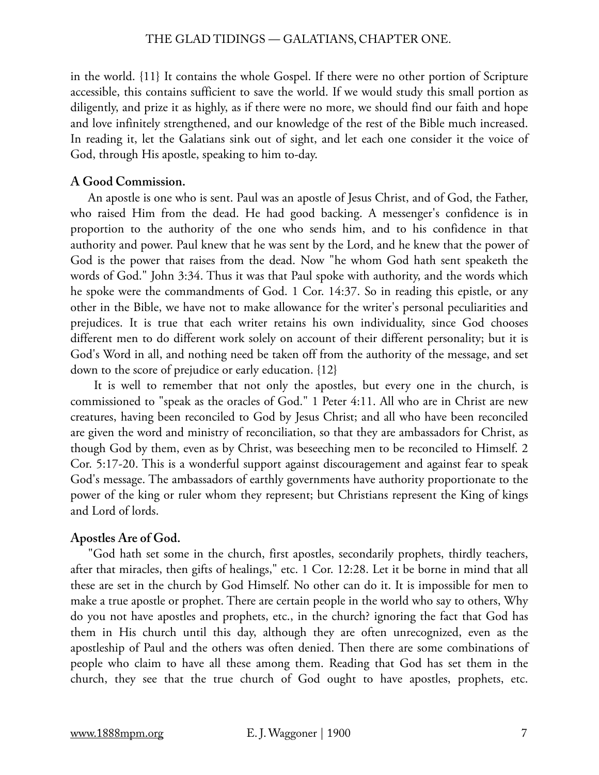in the world. {11} It contains the whole Gospel. If there were no other portion of Scripture accessible, this contains sufficient to save the world. If we would study this small portion as diligently, and prize it as highly, as if there were no more, we should find our faith and hope and love infinitely strengthened, and our knowledge of the rest of the Bible much increased. In reading it, let the Galatians sink out of sight, and let each one consider it the voice of God, through His apostle, speaking to him to-day.

#### **A Good Commission.**

An apostle is one who is sent. Paul was an apostle of Jesus Christ, and of God, the Father, who raised Him from the dead. He had good backing. A messenger's confidence is in proportion to the authority of the one who sends him, and to his confidence in that authority and power. Paul knew that he was sent by the Lord, and he knew that the power of God is the power that raises from the dead. Now "he whom God hath sent speaketh the words of God." John 3:34. Thus it was that Paul spoke with authority, and the words which he spoke were the commandments of God. 1 Cor. 14:37. So in reading this epistle, or any other in the Bible, we have not to make allowance for the writer's personal peculiarities and prejudices. It is true that each writer retains his own individuality, since God chooses different men to do different work solely on account of their different personality; but it is God's Word in all, and nothing need be taken off from the authority of the message, and set down to the score of prejudice or early education. {12}

 It is well to remember that not only the apostles, but every one in the church, is commissioned to "speak as the oracles of God." 1 Peter 4:11. All who are in Christ are new creatures, having been reconciled to God by Jesus Christ; and all who have been reconciled are given the word and ministry of reconciliation, so that they are ambassadors for Christ, as though God by them, even as by Christ, was beseeching men to be reconciled to Himself. 2 Cor. 5:17-20. This is a wonderful support against discouragement and against fear to speak God's message. The ambassadors of earthly governments have authority proportionate to the power of the king or ruler whom they represent; but Christians represent the King of kings and Lord of lords.

#### **Apostles Are of God.**

"God hath set some in the church, first apostles, secondarily prophets, thirdly teachers, after that miracles, then gifts of healings," etc. 1 Cor. 12:28. Let it be borne in mind that all these are set in the church by God Himself. No other can do it. It is impossible for men to make a true apostle or prophet. There are certain people in the world who say to others, Why do you not have apostles and prophets, etc., in the church? ignoring the fact that God has them in His church until this day, although they are often unrecognized, even as the apostleship of Paul and the others was often denied. Then there are some combinations of people who claim to have all these among them. Reading that God has set them in the church, they see that the true church of God ought to have apostles, prophets, etc.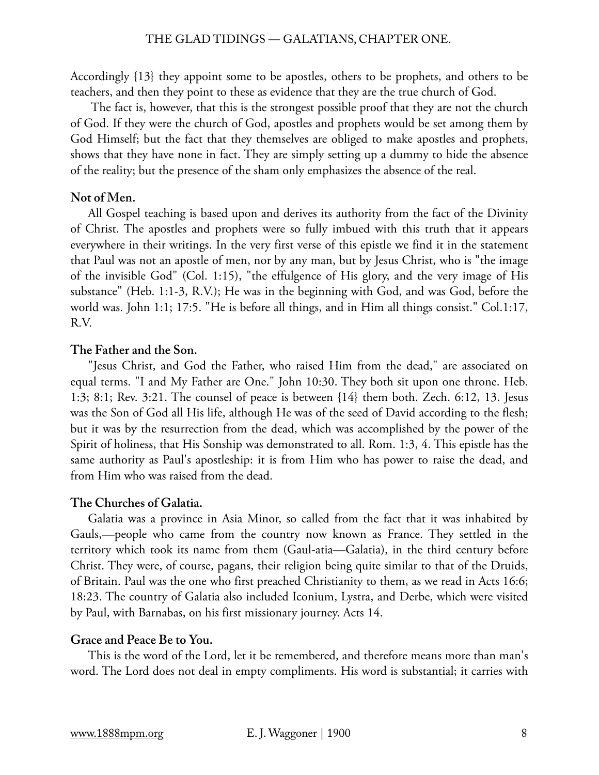Accordingly {13} they appoint some to be apostles, others to be prophets, and others to be teachers, and then they point to these as evidence that they are the true church of God.

 The fact is, however, that this is the strongest possible proof that they are not the church of God. If they were the church of God, apostles and prophets would be set among them by God Himself; but the fact that they themselves are obliged to make apostles and prophets, shows that they have none in fact. They are simply setting up a dummy to hide the absence of the reality; but the presence of the sham only emphasizes the absence of the real.

# **Not of Men.**

All Gospel teaching is based upon and derives its authority from the fact of the Divinity of Christ. The apostles and prophets were so fully imbued with this truth that it appears everywhere in their writings. In the very first verse of this epistle we find it in the statement that Paul was not an apostle of men, nor by any man, but by Jesus Christ, who is "the image of the invisible God" (Col. 1:15), "the effulgence of His glory, and the very image of His substance" (Heb. 1:1-3, R.V.); He was in the beginning with God, and was God, before the world was. John 1:1; 17:5. "He is before all things, and in Him all things consist." Col.1:17, R.V.

# **The Father and the Son.**

"Jesus Christ, and God the Father, who raised Him from the dead," are associated on equal terms. "I and My Father are One." John 10:30. They both sit upon one throne. Heb. 1:3; 8:1; Rev. 3:21. The counsel of peace is between {14} them both. Zech. 6:12, 13. Jesus was the Son of God all His life, although He was of the seed of David according to the flesh; but it was by the resurrection from the dead, which was accomplished by the power of the Spirit of holiness, that His Sonship was demonstrated to all. Rom. 1:3, 4. This epistle has the same authority as Paul's apostleship: it is from Him who has power to raise the dead, and from Him who was raised from the dead.

# **The Churches of Galatia.**

Galatia was a province in Asia Minor, so called from the fact that it was inhabited by Gauls,—people who came from the country now known as France. They settled in the territory which took its name from them (Gaul-atia—Galatia), in the third century before Christ. They were, of course, pagans, their religion being quite similar to that of the Druids, of Britain. Paul was the one who first preached Christianity to them, as we read in Acts 16:6; 18:23. The country of Galatia also included Iconium, Lystra, and Derbe, which were visited by Paul, with Barnabas, on his first missionary journey. Acts 14.

# **Grace and Peace Be to You.**

This is the word of the Lord, let it be remembered, and therefore means more than man's word. The Lord does not deal in empty compliments. His word is substantial; it carries with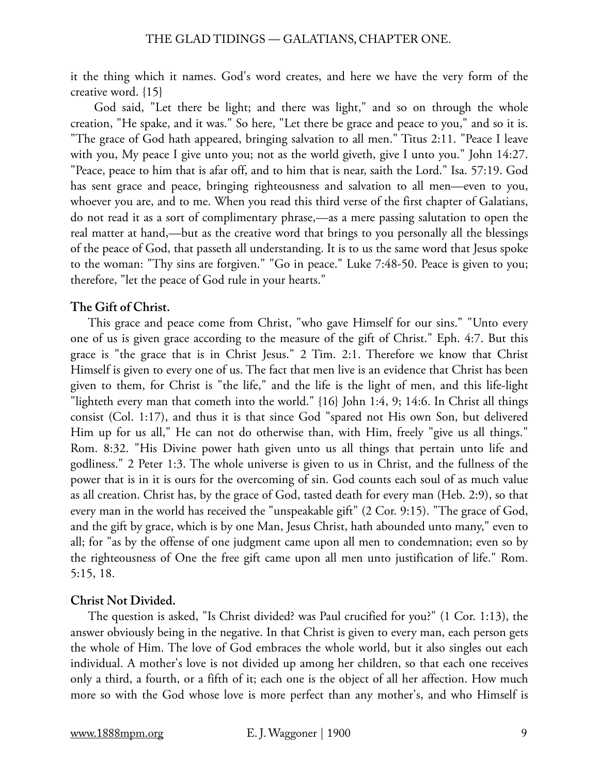it the thing which it names. God's word creates, and here we have the very form of the creative word. {15}

 God said, "Let there be light; and there was light," and so on through the whole creation, "He spake, and it was." So here, "Let there be grace and peace to you," and so it is. "The grace of God hath appeared, bringing salvation to all men." Titus 2:11. "Peace I leave with you, My peace I give unto you; not as the world giveth, give I unto you." John 14:27. "Peace, peace to him that is afar off, and to him that is near, saith the Lord." Isa. 57:19. God has sent grace and peace, bringing righteousness and salvation to all men—even to you, whoever you are, and to me. When you read this third verse of the first chapter of Galatians, do not read it as a sort of complimentary phrase,—as a mere passing salutation to open the real matter at hand,—but as the creative word that brings to you personally all the blessings of the peace of God, that passeth all understanding. It is to us the same word that Jesus spoke to the woman: "Thy sins are forgiven." "Go in peace." Luke 7:48-50. Peace is given to you; therefore, "let the peace of God rule in your hearts."

# **The Gift of Christ.**

This grace and peace come from Christ, "who gave Himself for our sins." "Unto every one of us is given grace according to the measure of the gift of Christ." Eph. 4:7. But this grace is "the grace that is in Christ Jesus." 2 Tim. 2:1. Therefore we know that Christ Himself is given to every one of us. The fact that men live is an evidence that Christ has been given to them, for Christ is "the life," and the life is the light of men, and this life-light "lighteth every man that cometh into the world." {16} John 1:4, 9; 14:6. In Christ all things consist (Col. 1:17), and thus it is that since God "spared not His own Son, but delivered Him up for us all," He can not do otherwise than, with Him, freely "give us all things." Rom. 8:32. "His Divine power hath given unto us all things that pertain unto life and godliness." 2 Peter 1:3. The whole universe is given to us in Christ, and the fullness of the power that is in it is ours for the overcoming of sin. God counts each soul of as much value as all creation. Christ has, by the grace of God, tasted death for every man (Heb. 2:9), so that every man in the world has received the "unspeakable gift" (2 Cor. 9:15). "The grace of God, and the gift by grace, which is by one Man, Jesus Christ, hath abounded unto many," even to all; for "as by the offense of one judgment came upon all men to condemnation; even so by the righteousness of One the free gift came upon all men unto justification of life." Rom. 5:15, 18.

# **Christ Not Divided.**

The question is asked, "Is Christ divided? was Paul crucified for you?" (1 Cor. 1:13), the answer obviously being in the negative. In that Christ is given to every man, each person gets the whole of Him. The love of God embraces the whole world, but it also singles out each individual. A mother's love is not divided up among her children, so that each one receives only a third, a fourth, or a fifth of it; each one is the object of all her affection. How much more so with the God whose love is more perfect than any mother's, and who Himself is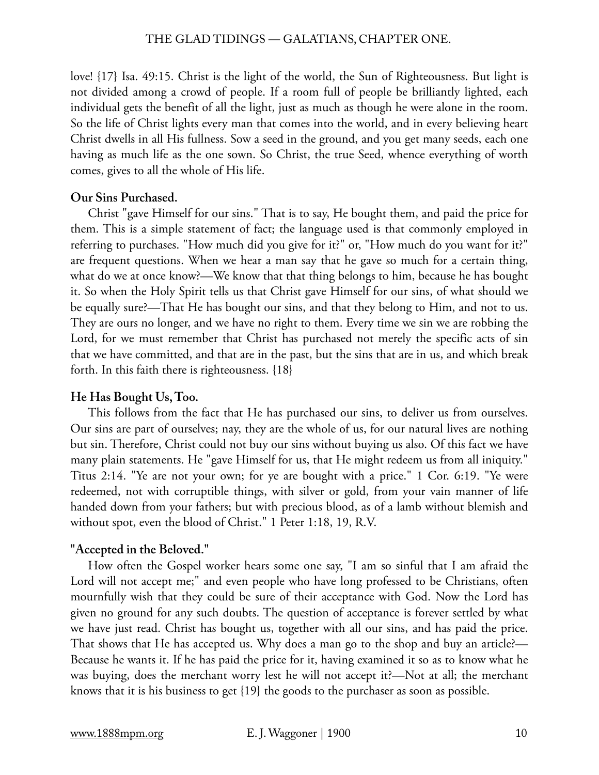#### THE GLAD TIDINGS — GALATIANS, CHAPTER ONE.

love! {17} Isa. 49:15. Christ is the light of the world, the Sun of Righteousness. But light is not divided among a crowd of people. If a room full of people be brilliantly lighted, each individual gets the benefit of all the light, just as much as though he were alone in the room. So the life of Christ lights every man that comes into the world, and in every believing heart Christ dwells in all His fullness. Sow a seed in the ground, and you get many seeds, each one having as much life as the one sown. So Christ, the true Seed, whence everything of worth comes, gives to all the whole of His life.

#### **Our Sins Purchased.**

Christ "gave Himself for our sins." That is to say, He bought them, and paid the price for them. This is a simple statement of fact; the language used is that commonly employed in referring to purchases. "How much did you give for it?" or, "How much do you want for it?" are frequent questions. When we hear a man say that he gave so much for a certain thing, what do we at once know?—We know that that thing belongs to him, because he has bought it. So when the Holy Spirit tells us that Christ gave Himself for our sins, of what should we be equally sure?—That He has bought our sins, and that they belong to Him, and not to us. They are ours no longer, and we have no right to them. Every time we sin we are robbing the Lord, for we must remember that Christ has purchased not merely the specific acts of sin that we have committed, and that are in the past, but the sins that are in us, and which break forth. In this faith there is righteousness. {18}

#### **He Has Bought Us, Too.**

This follows from the fact that He has purchased our sins, to deliver us from ourselves. Our sins are part of ourselves; nay, they are the whole of us, for our natural lives are nothing but sin. Therefore, Christ could not buy our sins without buying us also. Of this fact we have many plain statements. He "gave Himself for us, that He might redeem us from all iniquity." Titus 2:14. "Ye are not your own; for ye are bought with a price." 1 Cor. 6:19. "Ye were redeemed, not with corruptible things, with silver or gold, from your vain manner of life handed down from your fathers; but with precious blood, as of a lamb without blemish and without spot, even the blood of Christ." 1 Peter 1:18, 19, R.V.

#### **"Accepted in the Beloved."**

How often the Gospel worker hears some one say, "I am so sinful that I am afraid the Lord will not accept me;" and even people who have long professed to be Christians, often mournfully wish that they could be sure of their acceptance with God. Now the Lord has given no ground for any such doubts. The question of acceptance is forever settled by what we have just read. Christ has bought us, together with all our sins, and has paid the price. That shows that He has accepted us. Why does a man go to the shop and buy an article?— Because he wants it. If he has paid the price for it, having examined it so as to know what he was buying, does the merchant worry lest he will not accept it?—Not at all; the merchant knows that it is his business to get {19} the goods to the purchaser as soon as possible.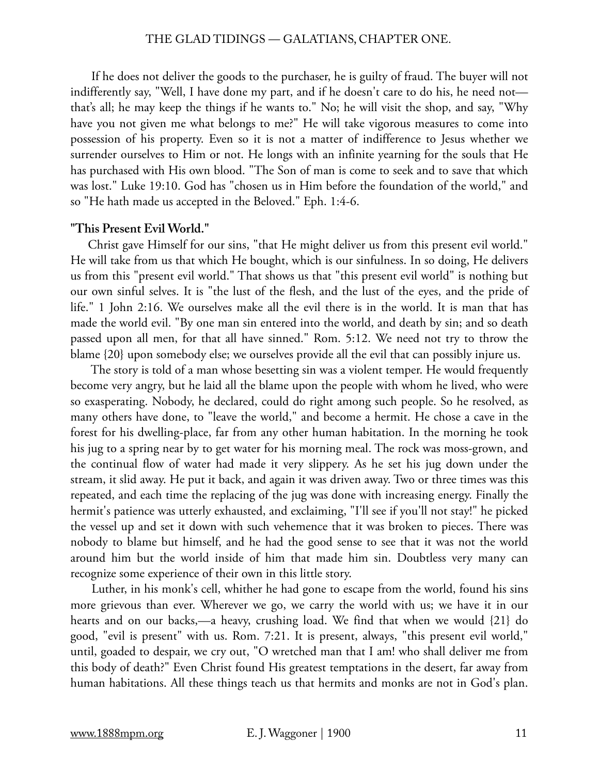#### THE GLAD TIDINGS — GALATIANS, CHAPTER ONE.

 If he does not deliver the goods to the purchaser, he is guilty of fraud. The buyer will not indifferently say, "Well, I have done my part, and if he doesn't care to do his, he need not that's all; he may keep the things if he wants to." No; he will visit the shop, and say, "Why have you not given me what belongs to me?" He will take vigorous measures to come into possession of his property. Even so it is not a matter of indifference to Jesus whether we surrender ourselves to Him or not. He longs with an infinite yearning for the souls that He has purchased with His own blood. "The Son of man is come to seek and to save that which was lost." Luke 19:10. God has "chosen us in Him before the foundation of the world," and so "He hath made us accepted in the Beloved." Eph. 1:4-6.

#### **"This Present Evil World."**

Christ gave Himself for our sins, "that He might deliver us from this present evil world." He will take from us that which He bought, which is our sinfulness. In so doing, He delivers us from this "present evil world." That shows us that "this present evil world" is nothing but our own sinful selves. It is "the lust of the flesh, and the lust of the eyes, and the pride of life." 1 John 2:16. We ourselves make all the evil there is in the world. It is man that has made the world evil. "By one man sin entered into the world, and death by sin; and so death passed upon all men, for that all have sinned." Rom. 5:12. We need not try to throw the blame {20} upon somebody else; we ourselves provide all the evil that can possibly injure us.

 The story is told of a man whose besetting sin was a violent temper. He would frequently become very angry, but he laid all the blame upon the people with whom he lived, who were so exasperating. Nobody, he declared, could do right among such people. So he resolved, as many others have done, to "leave the world," and become a hermit. He chose a cave in the forest for his dwelling-place, far from any other human habitation. In the morning he took his jug to a spring near by to get water for his morning meal. The rock was moss-grown, and the continual flow of water had made it very slippery. As he set his jug down under the stream, it slid away. He put it back, and again it was driven away. Two or three times was this repeated, and each time the replacing of the jug was done with increasing energy. Finally the hermit's patience was utterly exhausted, and exclaiming, "I'll see if you'll not stay!" he picked the vessel up and set it down with such vehemence that it was broken to pieces. There was nobody to blame but himself, and he had the good sense to see that it was not the world around him but the world inside of him that made him sin. Doubtless very many can recognize some experience of their own in this little story.

 Luther, in his monk's cell, whither he had gone to escape from the world, found his sins more grievous than ever. Wherever we go, we carry the world with us; we have it in our hearts and on our backs,—a heavy, crushing load. We find that when we would {21} do good, "evil is present" with us. Rom. 7:21. It is present, always, "this present evil world," until, goaded to despair, we cry out, "O wretched man that I am! who shall deliver me from this body of death?" Even Christ found His greatest temptations in the desert, far away from human habitations. All these things teach us that hermits and monks are not in God's plan.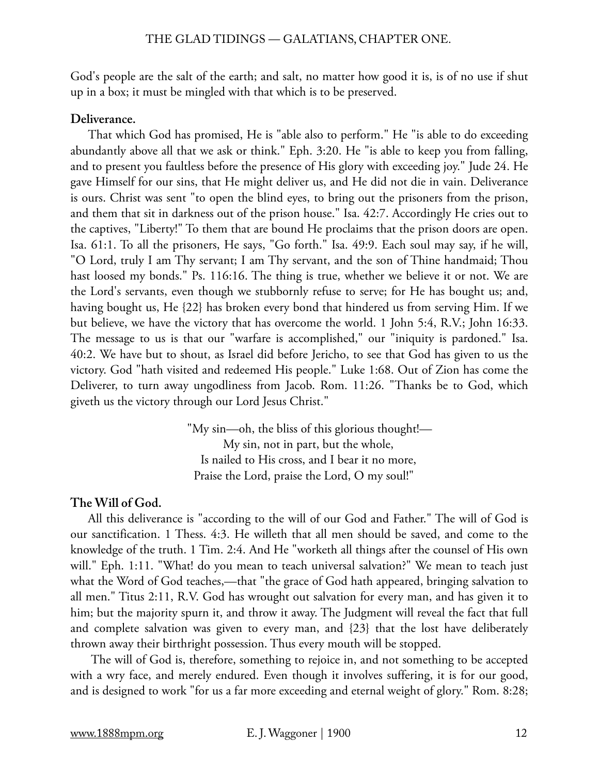God's people are the salt of the earth; and salt, no matter how good it is, is of no use if shut up in a box; it must be mingled with that which is to be preserved.

# **Deliverance.**

That which God has promised, He is "able also to perform." He "is able to do exceeding abundantly above all that we ask or think." Eph. 3:20. He "is able to keep you from falling, and to present you faultless before the presence of His glory with exceeding joy." Jude 24. He gave Himself for our sins, that He might deliver us, and He did not die in vain. Deliverance is ours. Christ was sent "to open the blind eyes, to bring out the prisoners from the prison, and them that sit in darkness out of the prison house." Isa. 42:7. Accordingly He cries out to the captives, "Liberty!" To them that are bound He proclaims that the prison doors are open. Isa. 61:1. To all the prisoners, He says, "Go forth." Isa. 49:9. Each soul may say, if he will, "O Lord, truly I am Thy servant; I am Thy servant, and the son of Thine handmaid; Thou hast loosed my bonds." Ps. 116:16. The thing is true, whether we believe it or not. We are the Lord's servants, even though we stubbornly refuse to serve; for He has bought us; and, having bought us, He {22} has broken every bond that hindered us from serving Him. If we but believe, we have the victory that has overcome the world. 1 John 5:4, R.V.; John 16:33. The message to us is that our "warfare is accomplished," our "iniquity is pardoned." Isa. 40:2. We have but to shout, as Israel did before Jericho, to see that God has given to us the victory. God "hath visited and redeemed His people." Luke 1:68. Out of Zion has come the Deliverer, to turn away ungodliness from Jacob. Rom. 11:26. "Thanks be to God, which giveth us the victory through our Lord Jesus Christ."

> "My sin—oh, the bliss of this glorious thought!— My sin, not in part, but the whole, Is nailed to His cross, and I bear it no more, Praise the Lord, praise the Lord, O my soul!"

# **The Will of God.**

All this deliverance is "according to the will of our God and Father." The will of God is our sanctification. 1 Thess. 4:3. He willeth that all men should be saved, and come to the knowledge of the truth. 1 Tim. 2:4. And He "worketh all things after the counsel of His own will." Eph. 1:11. "What! do you mean to teach universal salvation?" We mean to teach just what the Word of God teaches,—that "the grace of God hath appeared, bringing salvation to all men." Titus 2:11, R.V. God has wrought out salvation for every man, and has given it to him; but the majority spurn it, and throw it away. The Judgment will reveal the fact that full and complete salvation was given to every man, and {23} that the lost have deliberately thrown away their birthright possession. Thus every mouth will be stopped.

 The will of God is, therefore, something to rejoice in, and not something to be accepted with a wry face, and merely endured. Even though it involves suffering, it is for our good, and is designed to work "for us a far more exceeding and eternal weight of glory." Rom. 8:28;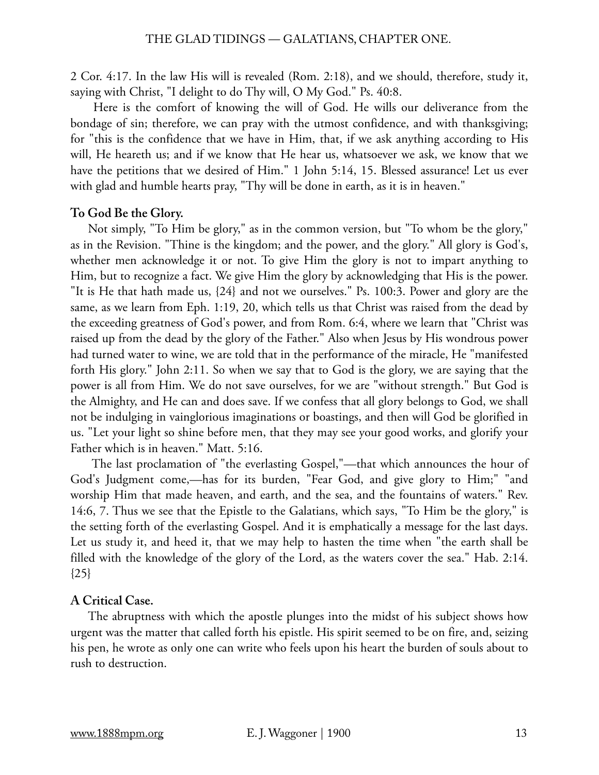2 Cor. 4:17. In the law His will is revealed (Rom. 2:18), and we should, therefore, study it, saying with Christ, "I delight to do Thy will, O My God." Ps. 40:8.

 Here is the comfort of knowing the will of God. He wills our deliverance from the bondage of sin; therefore, we can pray with the utmost confidence, and with thanksgiving; for "this is the confidence that we have in Him, that, if we ask anything according to His will, He heareth us; and if we know that He hear us, whatsoever we ask, we know that we have the petitions that we desired of Him." 1 John 5:14, 15. Blessed assurance! Let us ever with glad and humble hearts pray, "Thy will be done in earth, as it is in heaven."

# **To God Be the Glory.**

Not simply, "To Him be glory," as in the common version, but "To whom be the glory," as in the Revision. "Thine is the kingdom; and the power, and the glory." All glory is God's, whether men acknowledge it or not. To give Him the glory is not to impart anything to Him, but to recognize a fact. We give Him the glory by acknowledging that His is the power. "It is He that hath made us, {24} and not we ourselves." Ps. 100:3. Power and glory are the same, as we learn from Eph. 1:19, 20, which tells us that Christ was raised from the dead by the exceeding greatness of God's power, and from Rom. 6:4, where we learn that "Christ was raised up from the dead by the glory of the Father." Also when Jesus by His wondrous power had turned water to wine, we are told that in the performance of the miracle, He "manifested forth His glory." John 2:11. So when we say that to God is the glory, we are saying that the power is all from Him. We do not save ourselves, for we are "without strength." But God is the Almighty, and He can and does save. If we confess that all glory belongs to God, we shall not be indulging in vainglorious imaginations or boastings, and then will God be glorified in us. "Let your light so shine before men, that they may see your good works, and glorify your Father which is in heaven." Matt. 5:16.

 The last proclamation of "the everlasting Gospel,"—that which announces the hour of God's Judgment come,—has for its burden, "Fear God, and give glory to Him;" "and worship Him that made heaven, and earth, and the sea, and the fountains of waters." Rev. 14:6, 7. Thus we see that the Epistle to the Galatians, which says, "To Him be the glory," is the setting forth of the everlasting Gospel. And it is emphatically a message for the last days. Let us study it, and heed it, that we may help to hasten the time when "the earth shall be filled with the knowledge of the glory of the Lord, as the waters cover the sea." Hab. 2:14.  ${25}$ 

#### **A Critical Case.**

The abruptness with which the apostle plunges into the midst of his subject shows how urgent was the matter that called forth his epistle. His spirit seemed to be on fire, and, seizing his pen, he wrote as only one can write who feels upon his heart the burden of souls about to rush to destruction.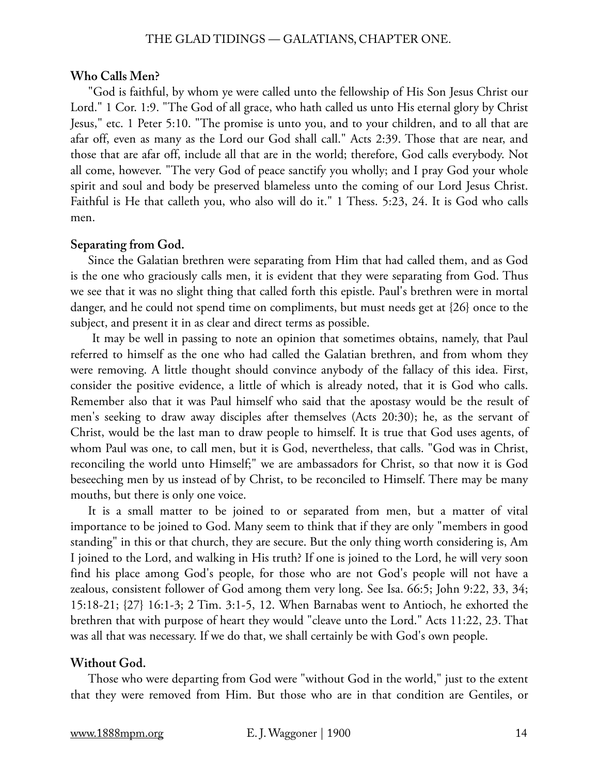#### **Who Calls Men?**

"God is faithful, by whom ye were called unto the fellowship of His Son Jesus Christ our Lord." 1 Cor. 1:9. "The God of all grace, who hath called us unto His eternal glory by Christ Jesus," etc. 1 Peter 5:10. "The promise is unto you, and to your children, and to all that are afar off, even as many as the Lord our God shall call." Acts 2:39. Those that are near, and those that are afar off, include all that are in the world; therefore, God calls everybody. Not all come, however. "The very God of peace sanctify you wholly; and I pray God your whole spirit and soul and body be preserved blameless unto the coming of our Lord Jesus Christ. Faithful is He that calleth you, who also will do it." 1 Thess. 5:23, 24. It is God who calls men.

#### **Separating from God.**

Since the Galatian brethren were separating from Him that had called them, and as God is the one who graciously calls men, it is evident that they were separating from God. Thus we see that it was no slight thing that called forth this epistle. Paul's brethren were in mortal danger, and he could not spend time on compliments, but must needs get at {26} once to the subject, and present it in as clear and direct terms as possible.

 It may be well in passing to note an opinion that sometimes obtains, namely, that Paul referred to himself as the one who had called the Galatian brethren, and from whom they were removing. A little thought should convince anybody of the fallacy of this idea. First, consider the positive evidence, a little of which is already noted, that it is God who calls. Remember also that it was Paul himself who said that the apostasy would be the result of men's seeking to draw away disciples after themselves (Acts 20:30); he, as the servant of Christ, would be the last man to draw people to himself. It is true that God uses agents, of whom Paul was one, to call men, but it is God, nevertheless, that calls. "God was in Christ, reconciling the world unto Himself;" we are ambassadors for Christ, so that now it is God beseeching men by us instead of by Christ, to be reconciled to Himself. There may be many mouths, but there is only one voice.

It is a small matter to be joined to or separated from men, but a matter of vital importance to be joined to God. Many seem to think that if they are only "members in good standing" in this or that church, they are secure. But the only thing worth considering is, Am I joined to the Lord, and walking in His truth? If one is joined to the Lord, he will very soon find his place among God's people, for those who are not God's people will not have a zealous, consistent follower of God among them very long. See Isa. 66:5; John 9:22, 33, 34; 15:18-21; {27} 16:1-3; 2 Tim. 3:1-5, 12. When Barnabas went to Antioch, he exhorted the brethren that with purpose of heart they would "cleave unto the Lord." Acts 11:22, 23. That was all that was necessary. If we do that, we shall certainly be with God's own people.

#### **Without God.**

Those who were departing from God were "without God in the world," just to the extent that they were removed from Him. But those who are in that condition are Gentiles, or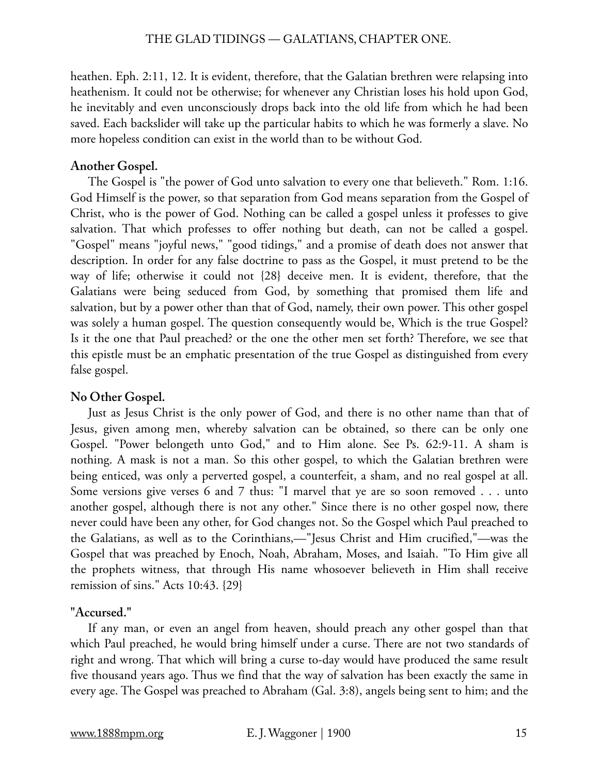heathen. Eph. 2:11, 12. It is evident, therefore, that the Galatian brethren were relapsing into heathenism. It could not be otherwise; for whenever any Christian loses his hold upon God, he inevitably and even unconsciously drops back into the old life from which he had been saved. Each backslider will take up the particular habits to which he was formerly a slave. No more hopeless condition can exist in the world than to be without God.

# **Another Gospel.**

The Gospel is "the power of God unto salvation to every one that believeth." Rom. 1:16. God Himself is the power, so that separation from God means separation from the Gospel of Christ, who is the power of God. Nothing can be called a gospel unless it professes to give salvation. That which professes to offer nothing but death, can not be called a gospel. "Gospel" means "joyful news," "good tidings," and a promise of death does not answer that description. In order for any false doctrine to pass as the Gospel, it must pretend to be the way of life; otherwise it could not {28} deceive men. It is evident, therefore, that the Galatians were being seduced from God, by something that promised them life and salvation, but by a power other than that of God, namely, their own power. This other gospel was solely a human gospel. The question consequently would be, Which is the true Gospel? Is it the one that Paul preached? or the one the other men set forth? Therefore, we see that this epistle must be an emphatic presentation of the true Gospel as distinguished from every false gospel.

# **No Other Gospel.**

Just as Jesus Christ is the only power of God, and there is no other name than that of Jesus, given among men, whereby salvation can be obtained, so there can be only one Gospel. "Power belongeth unto God," and to Him alone. See Ps. 62:9-11. A sham is nothing. A mask is not a man. So this other gospel, to which the Galatian brethren were being enticed, was only a perverted gospel, a counterfeit, a sham, and no real gospel at all. Some versions give verses 6 and 7 thus: "I marvel that ye are so soon removed . . . unto another gospel, although there is not any other." Since there is no other gospel now, there never could have been any other, for God changes not. So the Gospel which Paul preached to the Galatians, as well as to the Corinthians,—"Jesus Christ and Him crucified,"—was the Gospel that was preached by Enoch, Noah, Abraham, Moses, and Isaiah. "To Him give all the prophets witness, that through His name whosoever believeth in Him shall receive remission of sins." Acts 10:43. {29}

# **"Accursed."**

If any man, or even an angel from heaven, should preach any other gospel than that which Paul preached, he would bring himself under a curse. There are not two standards of right and wrong. That which will bring a curse to-day would have produced the same result five thousand years ago. Thus we find that the way of salvation has been exactly the same in every age. The Gospel was preached to Abraham (Gal. 3:8), angels being sent to him; and the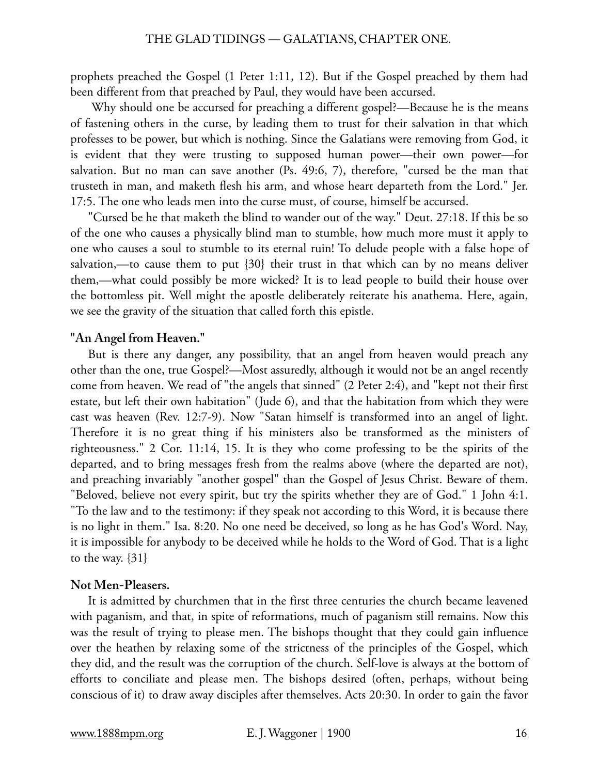prophets preached the Gospel (1 Peter 1:11, 12). But if the Gospel preached by them had been different from that preached by Paul, they would have been accursed.

 Why should one be accursed for preaching a different gospel?—Because he is the means of fastening others in the curse, by leading them to trust for their salvation in that which professes to be power, but which is nothing. Since the Galatians were removing from God, it is evident that they were trusting to supposed human power—their own power—for salvation. But no man can save another (Ps. 49:6, 7), therefore, "cursed be the man that trusteth in man, and maketh flesh his arm, and whose heart departeth from the Lord." Jer. 17:5. The one who leads men into the curse must, of course, himself be accursed.

"Cursed be he that maketh the blind to wander out of the way." Deut. 27:18. If this be so of the one who causes a physically blind man to stumble, how much more must it apply to one who causes a soul to stumble to its eternal ruin! To delude people with a false hope of salvation,—to cause them to put  $\{30\}$  their trust in that which can by no means deliver them,—what could possibly be more wicked? It is to lead people to build their house over the bottomless pit. Well might the apostle deliberately reiterate his anathema. Here, again, we see the gravity of the situation that called forth this epistle.

# **"An Angel from Heaven."**

But is there any danger, any possibility, that an angel from heaven would preach any other than the one, true Gospel?—Most assuredly, although it would not be an angel recently come from heaven. We read of "the angels that sinned" (2 Peter 2:4), and "kept not their first estate, but left their own habitation" (Jude 6), and that the habitation from which they were cast was heaven (Rev. 12:7-9). Now "Satan himself is transformed into an angel of light. Therefore it is no great thing if his ministers also be transformed as the ministers of righteousness." 2 Cor. 11:14, 15. It is they who come professing to be the spirits of the departed, and to bring messages fresh from the realms above (where the departed are not), and preaching invariably "another gospel" than the Gospel of Jesus Christ. Beware of them. "Beloved, believe not every spirit, but try the spirits whether they are of God." 1 John 4:1. "To the law and to the testimony: if they speak not according to this Word, it is because there is no light in them." Isa. 8:20. No one need be deceived, so long as he has God's Word. Nay, it is impossible for anybody to be deceived while he holds to the Word of God. That is a light to the way.  $\{31\}$ 

#### **Not Men-Pleasers.**

It is admitted by churchmen that in the first three centuries the church became leavened with paganism, and that, in spite of reformations, much of paganism still remains. Now this was the result of trying to please men. The bishops thought that they could gain influence over the heathen by relaxing some of the strictness of the principles of the Gospel, which they did, and the result was the corruption of the church. Self-love is always at the bottom of efforts to conciliate and please men. The bishops desired (often, perhaps, without being conscious of it) to draw away disciples after themselves. Acts 20:30. In order to gain the favor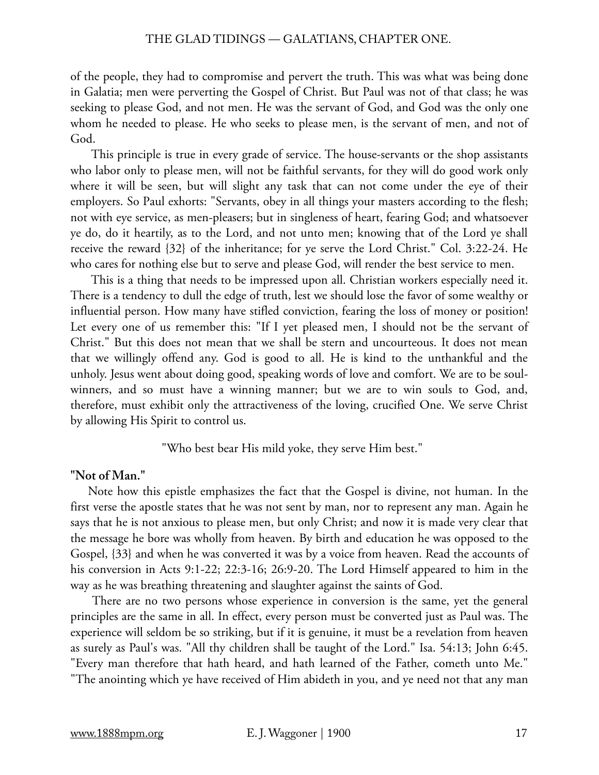of the people, they had to compromise and pervert the truth. This was what was being done in Galatia; men were perverting the Gospel of Christ. But Paul was not of that class; he was seeking to please God, and not men. He was the servant of God, and God was the only one whom he needed to please. He who seeks to please men, is the servant of men, and not of God.

 This principle is true in every grade of service. The house-servants or the shop assistants who labor only to please men, will not be faithful servants, for they will do good work only where it will be seen, but will slight any task that can not come under the eye of their employers. So Paul exhorts: "Servants, obey in all things your masters according to the flesh; not with eye service, as men-pleasers; but in singleness of heart, fearing God; and whatsoever ye do, do it heartily, as to the Lord, and not unto men; knowing that of the Lord ye shall receive the reward {32} of the inheritance; for ye serve the Lord Christ." Col. 3:22-24. He who cares for nothing else but to serve and please God, will render the best service to men.

 This is a thing that needs to be impressed upon all. Christian workers especially need it. There is a tendency to dull the edge of truth, lest we should lose the favor of some wealthy or influential person. How many have stifled conviction, fearing the loss of money or position! Let every one of us remember this: "If I yet pleased men, I should not be the servant of Christ." But this does not mean that we shall be stern and uncourteous. It does not mean that we willingly offend any. God is good to all. He is kind to the unthankful and the unholy. Jesus went about doing good, speaking words of love and comfort. We are to be soulwinners, and so must have a winning manner; but we are to win souls to God, and, therefore, must exhibit only the attractiveness of the loving, crucified One. We serve Christ by allowing His Spirit to control us.

"Who best bear His mild yoke, they serve Him best."

#### **"Not of Man."**

Note how this epistle emphasizes the fact that the Gospel is divine, not human. In the first verse the apostle states that he was not sent by man, nor to represent any man. Again he says that he is not anxious to please men, but only Christ; and now it is made very clear that the message he bore was wholly from heaven. By birth and education he was opposed to the Gospel, {33} and when he was converted it was by a voice from heaven. Read the accounts of his conversion in Acts 9:1-22; 22:3-16; 26:9-20. The Lord Himself appeared to him in the way as he was breathing threatening and slaughter against the saints of God.

 There are no two persons whose experience in conversion is the same, yet the general principles are the same in all. In effect, every person must be converted just as Paul was. The experience will seldom be so striking, but if it is genuine, it must be a revelation from heaven as surely as Paul's was. "All thy children shall be taught of the Lord." Isa. 54:13; John 6:45. "Every man therefore that hath heard, and hath learned of the Father, cometh unto Me." "The anointing which ye have received of Him abideth in you, and ye need not that any man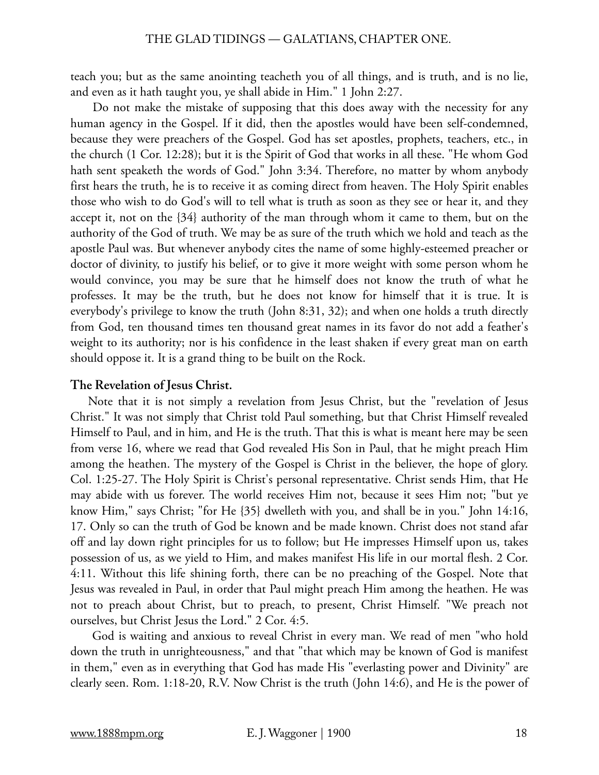teach you; but as the same anointing teacheth you of all things, and is truth, and is no lie, and even as it hath taught you, ye shall abide in Him." 1 John 2:27.

 Do not make the mistake of supposing that this does away with the necessity for any human agency in the Gospel. If it did, then the apostles would have been self-condemned, because they were preachers of the Gospel. God has set apostles, prophets, teachers, etc., in the church (1 Cor. 12:28); but it is the Spirit of God that works in all these. "He whom God hath sent speaketh the words of God." John 3:34. Therefore, no matter by whom anybody first hears the truth, he is to receive it as coming direct from heaven. The Holy Spirit enables those who wish to do God's will to tell what is truth as soon as they see or hear it, and they accept it, not on the {34} authority of the man through whom it came to them, but on the authority of the God of truth. We may be as sure of the truth which we hold and teach as the apostle Paul was. But whenever anybody cites the name of some highly-esteemed preacher or doctor of divinity, to justify his belief, or to give it more weight with some person whom he would convince, you may be sure that he himself does not know the truth of what he professes. It may be the truth, but he does not know for himself that it is true. It is everybody's privilege to know the truth (John 8:31, 32); and when one holds a truth directly from God, ten thousand times ten thousand great names in its favor do not add a feather's weight to its authority; nor is his confidence in the least shaken if every great man on earth should oppose it. It is a grand thing to be built on the Rock.

### **The Revelation of Jesus Christ.**

Note that it is not simply a revelation from Jesus Christ, but the "revelation of Jesus Christ." It was not simply that Christ told Paul something, but that Christ Himself revealed Himself to Paul, and in him, and He is the truth. That this is what is meant here may be seen from verse 16, where we read that God revealed His Son in Paul, that he might preach Him among the heathen. The mystery of the Gospel is Christ in the believer, the hope of glory. Col. 1:25-27. The Holy Spirit is Christ's personal representative. Christ sends Him, that He may abide with us forever. The world receives Him not, because it sees Him not; "but ye know Him," says Christ; "for He {35} dwelleth with you, and shall be in you." John 14:16, 17. Only so can the truth of God be known and be made known. Christ does not stand afar off and lay down right principles for us to follow; but He impresses Himself upon us, takes possession of us, as we yield to Him, and makes manifest His life in our mortal flesh. 2 Cor. 4:11. Without this life shining forth, there can be no preaching of the Gospel. Note that Jesus was revealed in Paul, in order that Paul might preach Him among the heathen. He was not to preach about Christ, but to preach, to present, Christ Himself. "We preach not ourselves, but Christ Jesus the Lord." 2 Cor. 4:5.

 God is waiting and anxious to reveal Christ in every man. We read of men "who hold down the truth in unrighteousness," and that "that which may be known of God is manifest in them," even as in everything that God has made His "everlasting power and Divinity" are clearly seen. Rom. 1:18-20, R.V. Now Christ is the truth (John 14:6), and He is the power of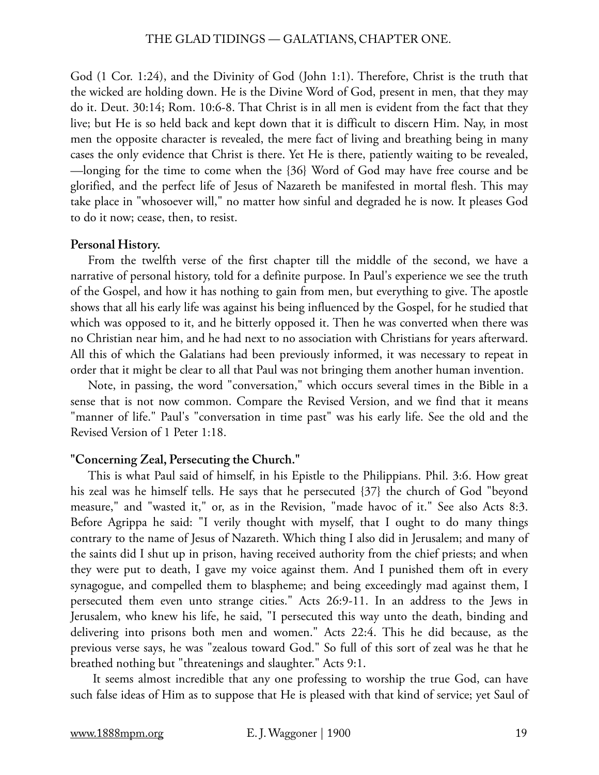#### THE GLAD TIDINGS — GALATIANS, CHAPTER ONE.

God (1 Cor. 1:24), and the Divinity of God (John 1:1). Therefore, Christ is the truth that the wicked are holding down. He is the Divine Word of God, present in men, that they may do it. Deut. 30:14; Rom. 10:6-8. That Christ is in all men is evident from the fact that they live; but He is so held back and kept down that it is difficult to discern Him. Nay, in most men the opposite character is revealed, the mere fact of living and breathing being in many cases the only evidence that Christ is there. Yet He is there, patiently waiting to be revealed, —longing for the time to come when the {36} Word of God may have free course and be glorified, and the perfect life of Jesus of Nazareth be manifested in mortal flesh. This may take place in "whosoever will," no matter how sinful and degraded he is now. It pleases God to do it now; cease, then, to resist.

#### **Personal History.**

From the twelfth verse of the first chapter till the middle of the second, we have a narrative of personal history, told for a definite purpose. In Paul's experience we see the truth of the Gospel, and how it has nothing to gain from men, but everything to give. The apostle shows that all his early life was against his being influenced by the Gospel, for he studied that which was opposed to it, and he bitterly opposed it. Then he was converted when there was no Christian near him, and he had next to no association with Christians for years afterward. All this of which the Galatians had been previously informed, it was necessary to repeat in order that it might be clear to all that Paul was not bringing them another human invention.

Note, in passing, the word "conversation," which occurs several times in the Bible in a sense that is not now common. Compare the Revised Version, and we find that it means "manner of life." Paul's "conversation in time past" was his early life. See the old and the Revised Version of 1 Peter 1:18.

#### **"Concerning Zeal, Persecuting the Church."**

This is what Paul said of himself, in his Epistle to the Philippians. Phil. 3:6. How great his zeal was he himself tells. He says that he persecuted {37} the church of God "beyond measure," and "wasted it," or, as in the Revision, "made havoc of it." See also Acts 8:3. Before Agrippa he said: "I verily thought with myself, that I ought to do many things contrary to the name of Jesus of Nazareth. Which thing I also did in Jerusalem; and many of the saints did I shut up in prison, having received authority from the chief priests; and when they were put to death, I gave my voice against them. And I punished them oft in every synagogue, and compelled them to blaspheme; and being exceedingly mad against them, I persecuted them even unto strange cities." Acts 26:9-11. In an address to the Jews in Jerusalem, who knew his life, he said, "I persecuted this way unto the death, binding and delivering into prisons both men and women." Acts 22:4. This he did because, as the previous verse says, he was "zealous toward God." So full of this sort of zeal was he that he breathed nothing but "threatenings and slaughter." Acts 9:1.

 It seems almost incredible that any one professing to worship the true God, can have such false ideas of Him as to suppose that He is pleased with that kind of service; yet Saul of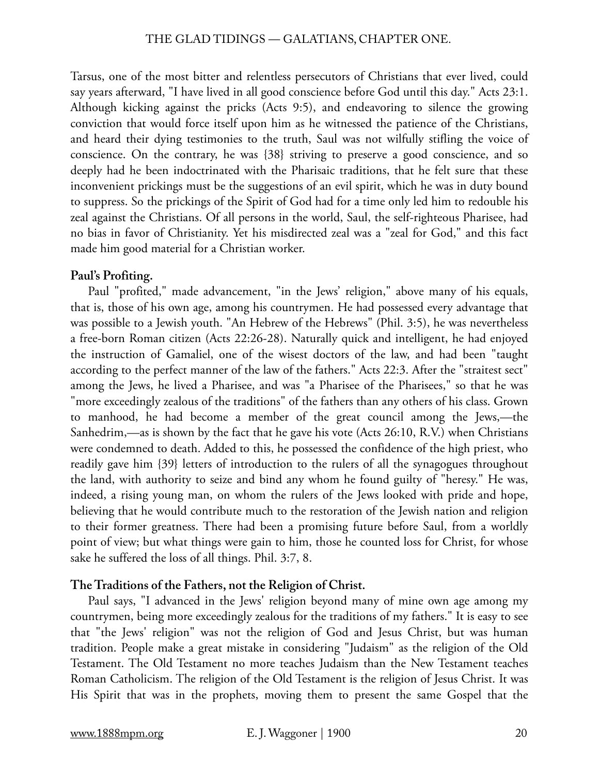Tarsus, one of the most bitter and relentless persecutors of Christians that ever lived, could say years afterward, "I have lived in all good conscience before God until this day." Acts 23:1. Although kicking against the pricks (Acts 9:5), and endeavoring to silence the growing conviction that would force itself upon him as he witnessed the patience of the Christians, and heard their dying testimonies to the truth, Saul was not wilfully stifling the voice of conscience. On the contrary, he was {38} striving to preserve a good conscience, and so deeply had he been indoctrinated with the Pharisaic traditions, that he felt sure that these inconvenient prickings must be the suggestions of an evil spirit, which he was in duty bound to suppress. So the prickings of the Spirit of God had for a time only led him to redouble his zeal against the Christians. Of all persons in the world, Saul, the self-righteous Pharisee, had no bias in favor of Christianity. Yet his misdirected zeal was a "zeal for God," and this fact made him good material for a Christian worker.

# **Paul's Profiting.**

Paul "profited," made advancement, "in the Jews' religion," above many of his equals, that is, those of his own age, among his countrymen. He had possessed every advantage that was possible to a Jewish youth. "An Hebrew of the Hebrews" (Phil. 3:5), he was nevertheless a free-born Roman citizen (Acts 22:26-28). Naturally quick and intelligent, he had enjoyed the instruction of Gamaliel, one of the wisest doctors of the law, and had been "taught according to the perfect manner of the law of the fathers." Acts 22:3. After the "straitest sect" among the Jews, he lived a Pharisee, and was "a Pharisee of the Pharisees," so that he was "more exceedingly zealous of the traditions" of the fathers than any others of his class. Grown to manhood, he had become a member of the great council among the Jews,—the Sanhedrim,—as is shown by the fact that he gave his vote (Acts 26:10, R.V.) when Christians were condemned to death. Added to this, he possessed the confidence of the high priest, who readily gave him {39} letters of introduction to the rulers of all the synagogues throughout the land, with authority to seize and bind any whom he found guilty of "heresy." He was, indeed, a rising young man, on whom the rulers of the Jews looked with pride and hope, believing that he would contribute much to the restoration of the Jewish nation and religion to their former greatness. There had been a promising future before Saul, from a worldly point of view; but what things were gain to him, those he counted loss for Christ, for whose sake he suffered the loss of all things. Phil. 3:7, 8.

# **The Traditions of the Fathers, not the Religion of Christ.**

Paul says, "I advanced in the Jews' religion beyond many of mine own age among my countrymen, being more exceedingly zealous for the traditions of my fathers." It is easy to see that "the Jews' religion" was not the religion of God and Jesus Christ, but was human tradition. People make a great mistake in considering "Judaism" as the religion of the Old Testament. The Old Testament no more teaches Judaism than the New Testament teaches Roman Catholicism. The religion of the Old Testament is the religion of Jesus Christ. It was His Spirit that was in the prophets, moving them to present the same Gospel that the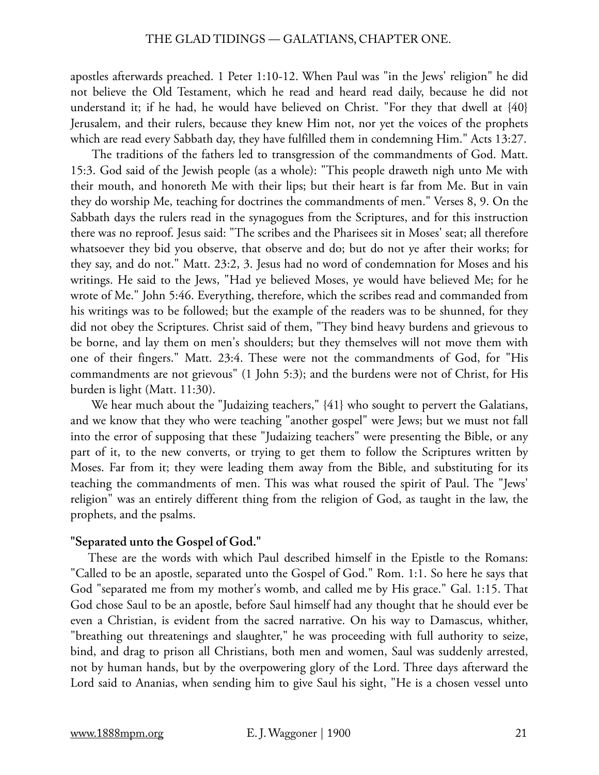apostles afterwards preached. 1 Peter 1:10-12. When Paul was "in the Jews' religion" he did not believe the Old Testament, which he read and heard read daily, because he did not understand it; if he had, he would have believed on Christ. "For they that dwell at {40} Jerusalem, and their rulers, because they knew Him not, nor yet the voices of the prophets which are read every Sabbath day, they have fulfilled them in condemning Him." Acts 13:27.

 The traditions of the fathers led to transgression of the commandments of God. Matt. 15:3. God said of the Jewish people (as a whole): "This people draweth nigh unto Me with their mouth, and honoreth Me with their lips; but their heart is far from Me. But in vain they do worship Me, teaching for doctrines the commandments of men." Verses 8, 9. On the Sabbath days the rulers read in the synagogues from the Scriptures, and for this instruction there was no reproof. Jesus said: "The scribes and the Pharisees sit in Moses' seat; all therefore whatsoever they bid you observe, that observe and do; but do not ye after their works; for they say, and do not." Matt. 23:2, 3. Jesus had no word of condemnation for Moses and his writings. He said to the Jews, "Had ye believed Moses, ye would have believed Me; for he wrote of Me." John 5:46. Everything, therefore, which the scribes read and commanded from his writings was to be followed; but the example of the readers was to be shunned, for they did not obey the Scriptures. Christ said of them, "They bind heavy burdens and grievous to be borne, and lay them on men's shoulders; but they themselves will not move them with one of their fingers." Matt. 23:4. These were not the commandments of God, for "His commandments are not grievous" (1 John 5:3); and the burdens were not of Christ, for His burden is light (Matt. 11:30).

We hear much about the "Judaizing teachers,"  $\{41\}$  who sought to pervert the Galatians, and we know that they who were teaching "another gospel" were Jews; but we must not fall into the error of supposing that these "Judaizing teachers" were presenting the Bible, or any part of it, to the new converts, or trying to get them to follow the Scriptures written by Moses. Far from it; they were leading them away from the Bible, and substituting for its teaching the commandments of men. This was what roused the spirit of Paul. The "Jews' religion" was an entirely different thing from the religion of God, as taught in the law, the prophets, and the psalms.

#### **"Separated unto the Gospel of God."**

These are the words with which Paul described himself in the Epistle to the Romans: "Called to be an apostle, separated unto the Gospel of God." Rom. 1:1. So here he says that God "separated me from my mother's womb, and called me by His grace." Gal. 1:15. That God chose Saul to be an apostle, before Saul himself had any thought that he should ever be even a Christian, is evident from the sacred narrative. On his way to Damascus, whither, "breathing out threatenings and slaughter," he was proceeding with full authority to seize, bind, and drag to prison all Christians, both men and women, Saul was suddenly arrested, not by human hands, but by the overpowering glory of the Lord. Three days afterward the Lord said to Ananias, when sending him to give Saul his sight, "He is a chosen vessel unto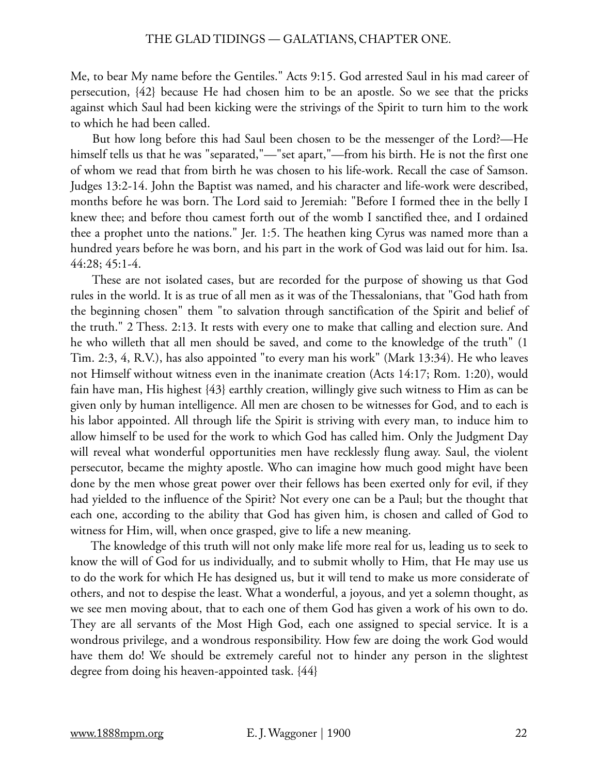Me, to bear My name before the Gentiles." Acts 9:15. God arrested Saul in his mad career of persecution, {42} because He had chosen him to be an apostle. So we see that the pricks against which Saul had been kicking were the strivings of the Spirit to turn him to the work to which he had been called.

 But how long before this had Saul been chosen to be the messenger of the Lord?—He himself tells us that he was "separated,"—"set apart,"—from his birth. He is not the first one of whom we read that from birth he was chosen to his life-work. Recall the case of Samson. Judges 13:2-14. John the Baptist was named, and his character and life-work were described, months before he was born. The Lord said to Jeremiah: "Before I formed thee in the belly I knew thee; and before thou camest forth out of the womb I sanctified thee, and I ordained thee a prophet unto the nations." Jer. 1:5. The heathen king Cyrus was named more than a hundred years before he was born, and his part in the work of God was laid out for him. Isa. 44:28; 45:1-4.

 These are not isolated cases, but are recorded for the purpose of showing us that God rules in the world. It is as true of all men as it was of the Thessalonians, that "God hath from the beginning chosen" them "to salvation through sanctification of the Spirit and belief of the truth." 2 Thess. 2:13. It rests with every one to make that calling and election sure. And he who willeth that all men should be saved, and come to the knowledge of the truth" (1 Tim. 2:3, 4, R.V.), has also appointed "to every man his work" (Mark 13:34). He who leaves not Himself without witness even in the inanimate creation (Acts 14:17; Rom. 1:20), would fain have man, His highest {43} earthly creation, willingly give such witness to Him as can be given only by human intelligence. All men are chosen to be witnesses for God, and to each is his labor appointed. All through life the Spirit is striving with every man, to induce him to allow himself to be used for the work to which God has called him. Only the Judgment Day will reveal what wonderful opportunities men have recklessly flung away. Saul, the violent persecutor, became the mighty apostle. Who can imagine how much good might have been done by the men whose great power over their fellows has been exerted only for evil, if they had yielded to the influence of the Spirit? Not every one can be a Paul; but the thought that each one, according to the ability that God has given him, is chosen and called of God to witness for Him, will, when once grasped, give to life a new meaning.

 The knowledge of this truth will not only make life more real for us, leading us to seek to know the will of God for us individually, and to submit wholly to Him, that He may use us to do the work for which He has designed us, but it will tend to make us more considerate of others, and not to despise the least. What a wonderful, a joyous, and yet a solemn thought, as we see men moving about, that to each one of them God has given a work of his own to do. They are all servants of the Most High God, each one assigned to special service. It is a wondrous privilege, and a wondrous responsibility. How few are doing the work God would have them do! We should be extremely careful not to hinder any person in the slightest degree from doing his heaven-appointed task. {44}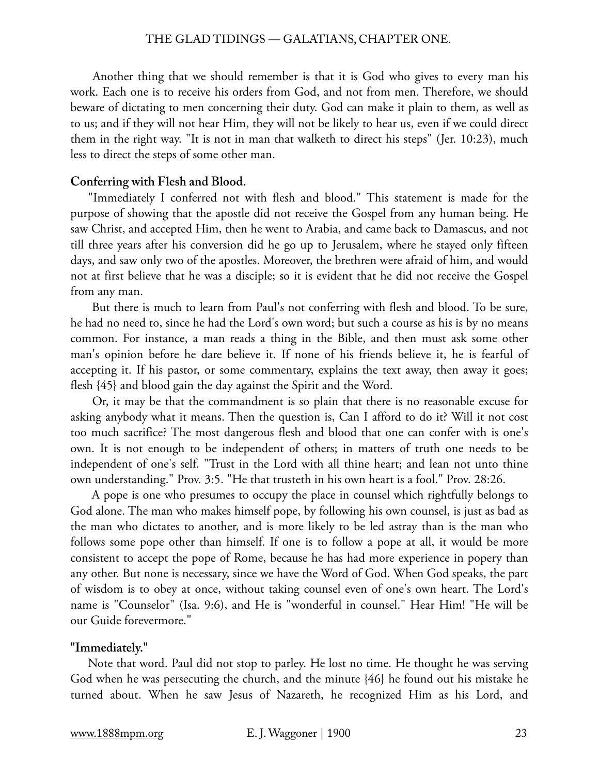#### THE GLAD TIDINGS — GALATIANS, CHAPTER ONE.

 Another thing that we should remember is that it is God who gives to every man his work. Each one is to receive his orders from God, and not from men. Therefore, we should beware of dictating to men concerning their duty. God can make it plain to them, as well as to us; and if they will not hear Him, they will not be likely to hear us, even if we could direct them in the right way. "It is not in man that walketh to direct his steps" (Jer. 10:23), much less to direct the steps of some other man.

#### **Conferring with Flesh and Blood.**

"Immediately I conferred not with flesh and blood." This statement is made for the purpose of showing that the apostle did not receive the Gospel from any human being. He saw Christ, and accepted Him, then he went to Arabia, and came back to Damascus, and not till three years after his conversion did he go up to Jerusalem, where he stayed only fifteen days, and saw only two of the apostles. Moreover, the brethren were afraid of him, and would not at first believe that he was a disciple; so it is evident that he did not receive the Gospel from any man.

 But there is much to learn from Paul's not conferring with flesh and blood. To be sure, he had no need to, since he had the Lord's own word; but such a course as his is by no means common. For instance, a man reads a thing in the Bible, and then must ask some other man's opinion before he dare believe it. If none of his friends believe it, he is fearful of accepting it. If his pastor, or some commentary, explains the text away, then away it goes; flesh {45} and blood gain the day against the Spirit and the Word.

 Or, it may be that the commandment is so plain that there is no reasonable excuse for asking anybody what it means. Then the question is, Can I afford to do it? Will it not cost too much sacrifice? The most dangerous flesh and blood that one can confer with is one's own. It is not enough to be independent of others; in matters of truth one needs to be independent of one's self. "Trust in the Lord with all thine heart; and lean not unto thine own understanding." Prov. 3:5. "He that trusteth in his own heart is a fool." Prov. 28:26.

 A pope is one who presumes to occupy the place in counsel which rightfully belongs to God alone. The man who makes himself pope, by following his own counsel, is just as bad as the man who dictates to another, and is more likely to be led astray than is the man who follows some pope other than himself. If one is to follow a pope at all, it would be more consistent to accept the pope of Rome, because he has had more experience in popery than any other. But none is necessary, since we have the Word of God. When God speaks, the part of wisdom is to obey at once, without taking counsel even of one's own heart. The Lord's name is "Counselor" (Isa. 9:6), and He is "wonderful in counsel." Hear Him! "He will be our Guide forevermore."

#### **"Immediately."**

Note that word. Paul did not stop to parley. He lost no time. He thought he was serving God when he was persecuting the church, and the minute {46} he found out his mistake he turned about. When he saw Jesus of Nazareth, he recognized Him as his Lord, and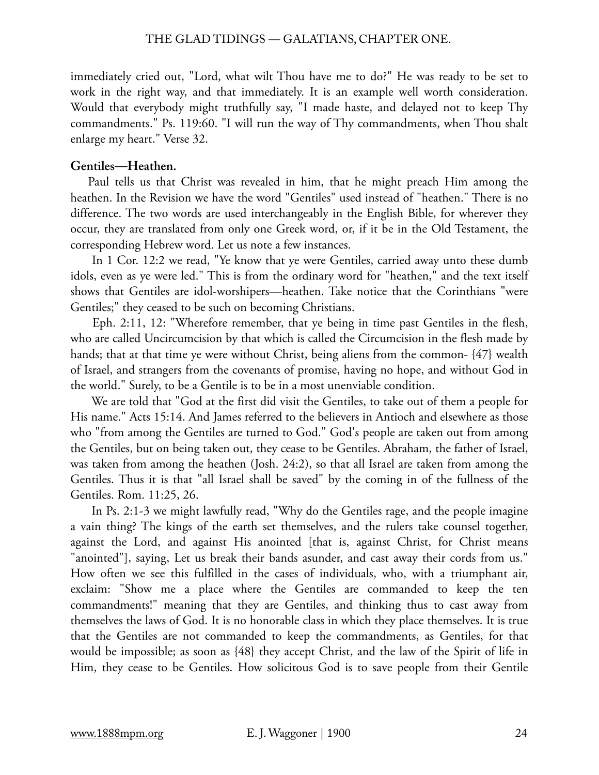#### THE GLAD TIDINGS — GALATIANS, CHAPTER ONE.

immediately cried out, "Lord, what wilt Thou have me to do?" He was ready to be set to work in the right way, and that immediately. It is an example well worth consideration. Would that everybody might truthfully say, "I made haste, and delayed not to keep Thy commandments." Ps. 119:60. "I will run the way of Thy commandments, when Thou shalt enlarge my heart." Verse 32.

#### **Gentiles—Heathen.**

Paul tells us that Christ was revealed in him, that he might preach Him among the heathen. In the Revision we have the word "Gentiles" used instead of "heathen." There is no difference. The two words are used interchangeably in the English Bible, for wherever they occur, they are translated from only one Greek word, or, if it be in the Old Testament, the corresponding Hebrew word. Let us note a few instances.

 In 1 Cor. 12:2 we read, "Ye know that ye were Gentiles, carried away unto these dumb idols, even as ye were led." This is from the ordinary word for "heathen," and the text itself shows that Gentiles are idol-worshipers—heathen. Take notice that the Corinthians "were Gentiles;" they ceased to be such on becoming Christians.

 Eph. 2:11, 12: "Wherefore remember, that ye being in time past Gentiles in the flesh, who are called Uncircumcision by that which is called the Circumcision in the flesh made by hands; that at that time ye were without Christ, being aliens from the common- {47} wealth of Israel, and strangers from the covenants of promise, having no hope, and without God in the world." Surely, to be a Gentile is to be in a most unenviable condition.

 We are told that "God at the first did visit the Gentiles, to take out of them a people for His name." Acts 15:14. And James referred to the believers in Antioch and elsewhere as those who "from among the Gentiles are turned to God." God's people are taken out from among the Gentiles, but on being taken out, they cease to be Gentiles. Abraham, the father of Israel, was taken from among the heathen (Josh. 24:2), so that all Israel are taken from among the Gentiles. Thus it is that "all Israel shall be saved" by the coming in of the fullness of the Gentiles. Rom. 11:25, 26.

 In Ps. 2:1-3 we might lawfully read, "Why do the Gentiles rage, and the people imagine a vain thing? The kings of the earth set themselves, and the rulers take counsel together, against the Lord, and against His anointed [that is, against Christ, for Christ means "anointed"], saying, Let us break their bands asunder, and cast away their cords from us." How often we see this fulfilled in the cases of individuals, who, with a triumphant air, exclaim: "Show me a place where the Gentiles are commanded to keep the ten commandments!" meaning that they are Gentiles, and thinking thus to cast away from themselves the laws of God. It is no honorable class in which they place themselves. It is true that the Gentiles are not commanded to keep the commandments, as Gentiles, for that would be impossible; as soon as {48} they accept Christ, and the law of the Spirit of life in Him, they cease to be Gentiles. How solicitous God is to save people from their Gentile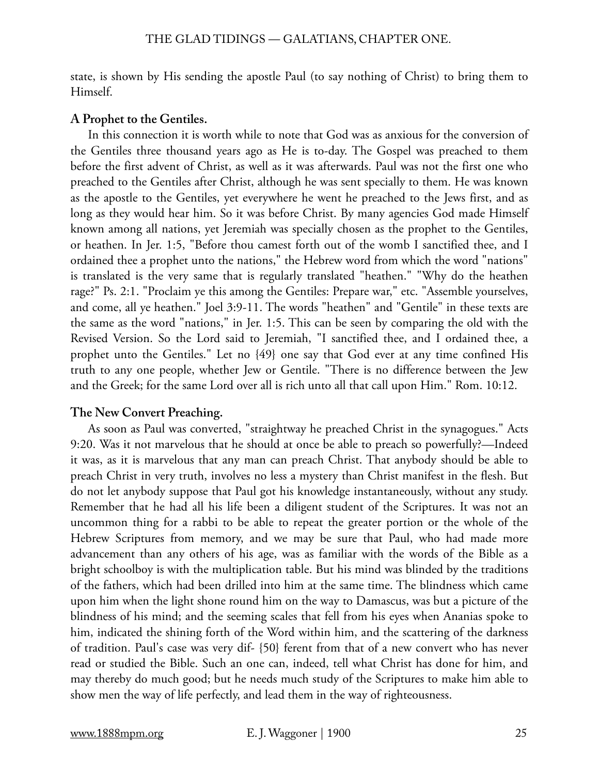state, is shown by His sending the apostle Paul (to say nothing of Christ) to bring them to Himself.

# **A Prophet to the Gentiles.**

In this connection it is worth while to note that God was as anxious for the conversion of the Gentiles three thousand years ago as He is to-day. The Gospel was preached to them before the first advent of Christ, as well as it was afterwards. Paul was not the first one who preached to the Gentiles after Christ, although he was sent specially to them. He was known as the apostle to the Gentiles, yet everywhere he went he preached to the Jews first, and as long as they would hear him. So it was before Christ. By many agencies God made Himself known among all nations, yet Jeremiah was specially chosen as the prophet to the Gentiles, or heathen. In Jer. 1:5, "Before thou camest forth out of the womb I sanctified thee, and I ordained thee a prophet unto the nations," the Hebrew word from which the word "nations" is translated is the very same that is regularly translated "heathen." "Why do the heathen rage?" Ps. 2:1. "Proclaim ye this among the Gentiles: Prepare war," etc. "Assemble yourselves, and come, all ye heathen." Joel 3:9-11. The words "heathen" and "Gentile" in these texts are the same as the word "nations," in Jer. 1:5. This can be seen by comparing the old with the Revised Version. So the Lord said to Jeremiah, "I sanctified thee, and I ordained thee, a prophet unto the Gentiles." Let no {49} one say that God ever at any time confined His truth to any one people, whether Jew or Gentile. "There is no difference between the Jew and the Greek; for the same Lord over all is rich unto all that call upon Him." Rom. 10:12.

# **The New Convert Preaching.**

As soon as Paul was converted, "straightway he preached Christ in the synagogues." Acts 9:20. Was it not marvelous that he should at once be able to preach so powerfully?—Indeed it was, as it is marvelous that any man can preach Christ. That anybody should be able to preach Christ in very truth, involves no less a mystery than Christ manifest in the flesh. But do not let anybody suppose that Paul got his knowledge instantaneously, without any study. Remember that he had all his life been a diligent student of the Scriptures. It was not an uncommon thing for a rabbi to be able to repeat the greater portion or the whole of the Hebrew Scriptures from memory, and we may be sure that Paul, who had made more advancement than any others of his age, was as familiar with the words of the Bible as a bright schoolboy is with the multiplication table. But his mind was blinded by the traditions of the fathers, which had been drilled into him at the same time. The blindness which came upon him when the light shone round him on the way to Damascus, was but a picture of the blindness of his mind; and the seeming scales that fell from his eyes when Ananias spoke to him, indicated the shining forth of the Word within him, and the scattering of the darkness of tradition. Paul's case was very dif- {50} ferent from that of a new convert who has never read or studied the Bible. Such an one can, indeed, tell what Christ has done for him, and may thereby do much good; but he needs much study of the Scriptures to make him able to show men the way of life perfectly, and lead them in the way of righteousness.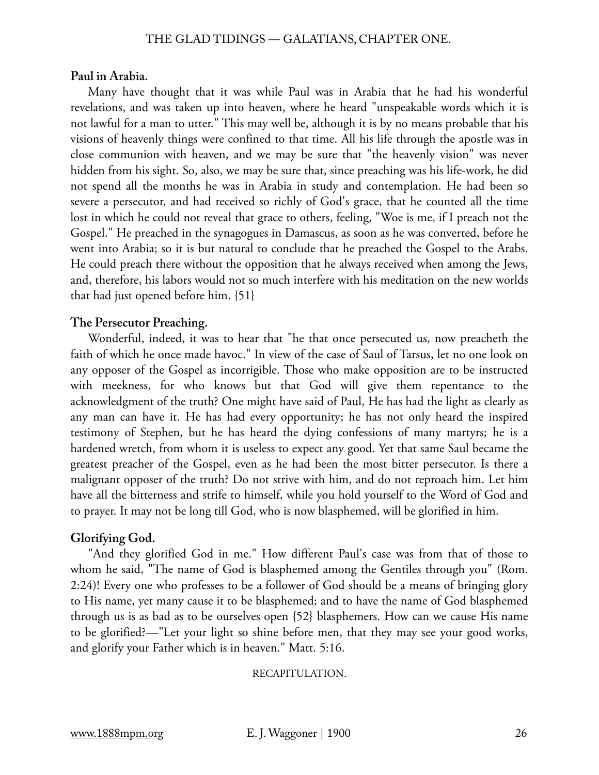#### **Paul in Arabia.**

Many have thought that it was while Paul was in Arabia that he had his wonderful revelations, and was taken up into heaven, where he heard "unspeakable words which it is not lawful for a man to utter." This may well be, although it is by no means probable that his visions of heavenly things were confined to that time. All his life through the apostle was in close communion with heaven, and we may be sure that "the heavenly vision" was never hidden from his sight. So, also, we may be sure that, since preaching was his life-work, he did not spend all the months he was in Arabia in study and contemplation. He had been so severe a persecutor, and had received so richly of God's grace, that he counted all the time lost in which he could not reveal that grace to others, feeling, "Woe is me, if I preach not the Gospel." He preached in the synagogues in Damascus, as soon as he was converted, before he went into Arabia; so it is but natural to conclude that he preached the Gospel to the Arabs. He could preach there without the opposition that he always received when among the Jews, and, therefore, his labors would not so much interfere with his meditation on the new worlds that had just opened before him. {51}

# **The Persecutor Preaching.**

Wonderful, indeed, it was to hear that "he that once persecuted us, now preacheth the faith of which he once made havoc." In view of the case of Saul of Tarsus, let no one look on any opposer of the Gospel as incorrigible. Those who make opposition are to be instructed with meekness, for who knows but that God will give them repentance to the acknowledgment of the truth? One might have said of Paul, He has had the light as clearly as any man can have it. He has had every opportunity; he has not only heard the inspired testimony of Stephen, but he has heard the dying confessions of many martyrs; he is a hardened wretch, from whom it is useless to expect any good. Yet that same Saul became the greatest preacher of the Gospel, even as he had been the most bitter persecutor. Is there a malignant opposer of the truth? Do not strive with him, and do not reproach him. Let him have all the bitterness and strife to himself, while you hold yourself to the Word of God and to prayer. It may not be long till God, who is now blasphemed, will be glorified in him.

#### **Glorifying God.**

"And they glorified God in me." How different Paul's case was from that of those to whom he said, "The name of God is blasphemed among the Gentiles through you" (Rom. 2:24)! Every one who professes to be a follower of God should be a means of bringing glory to His name, yet many cause it to be blasphemed; and to have the name of God blasphemed through us is as bad as to be ourselves open {52} blasphemers. How can we cause His name to be glorified?—"Let your light so shine before men, that they may see your good works, and glorify your Father which is in heaven." Matt. 5:16.

#### RECAPITULATION.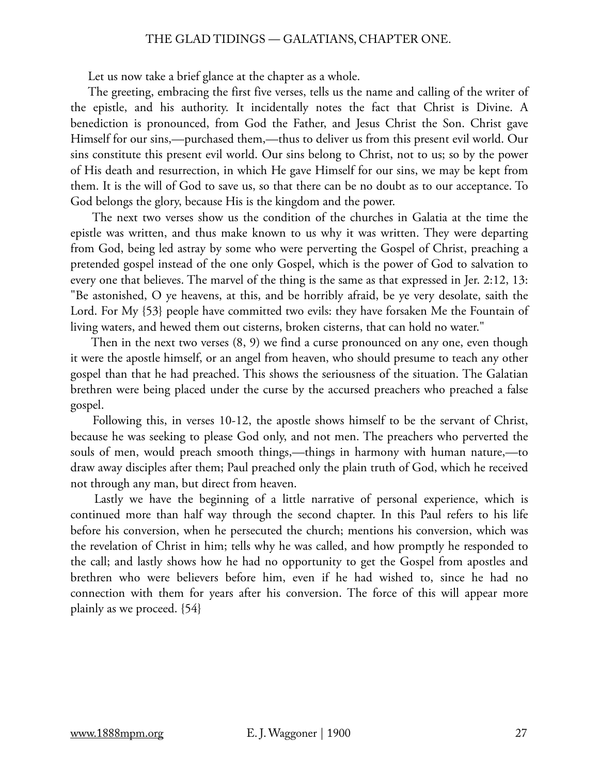#### THE GLAD TIDINGS — GALATIANS, CHAPTER ONE.

Let us now take a brief glance at the chapter as a whole.

The greeting, embracing the first five verses, tells us the name and calling of the writer of the epistle, and his authority. It incidentally notes the fact that Christ is Divine. A benediction is pronounced, from God the Father, and Jesus Christ the Son. Christ gave Himself for our sins,—purchased them,—thus to deliver us from this present evil world. Our sins constitute this present evil world. Our sins belong to Christ, not to us; so by the power of His death and resurrection, in which He gave Himself for our sins, we may be kept from them. It is the will of God to save us, so that there can be no doubt as to our acceptance. To God belongs the glory, because His is the kingdom and the power.

 The next two verses show us the condition of the churches in Galatia at the time the epistle was written, and thus make known to us why it was written. They were departing from God, being led astray by some who were perverting the Gospel of Christ, preaching a pretended gospel instead of the one only Gospel, which is the power of God to salvation to every one that believes. The marvel of the thing is the same as that expressed in Jer. 2:12, 13: "Be astonished, O ye heavens, at this, and be horribly afraid, be ye very desolate, saith the Lord. For My {53} people have committed two evils: they have forsaken Me the Fountain of living waters, and hewed them out cisterns, broken cisterns, that can hold no water."

 Then in the next two verses (8, 9) we find a curse pronounced on any one, even though it were the apostle himself, or an angel from heaven, who should presume to teach any other gospel than that he had preached. This shows the seriousness of the situation. The Galatian brethren were being placed under the curse by the accursed preachers who preached a false gospel.

 Following this, in verses 10-12, the apostle shows himself to be the servant of Christ, because he was seeking to please God only, and not men. The preachers who perverted the souls of men, would preach smooth things,—things in harmony with human nature,—to draw away disciples after them; Paul preached only the plain truth of God, which he received not through any man, but direct from heaven.

 Lastly we have the beginning of a little narrative of personal experience, which is continued more than half way through the second chapter. In this Paul refers to his life before his conversion, when he persecuted the church; mentions his conversion, which was the revelation of Christ in him; tells why he was called, and how promptly he responded to the call; and lastly shows how he had no opportunity to get the Gospel from apostles and brethren who were believers before him, even if he had wished to, since he had no connection with them for years after his conversion. The force of this will appear more plainly as we proceed. {54}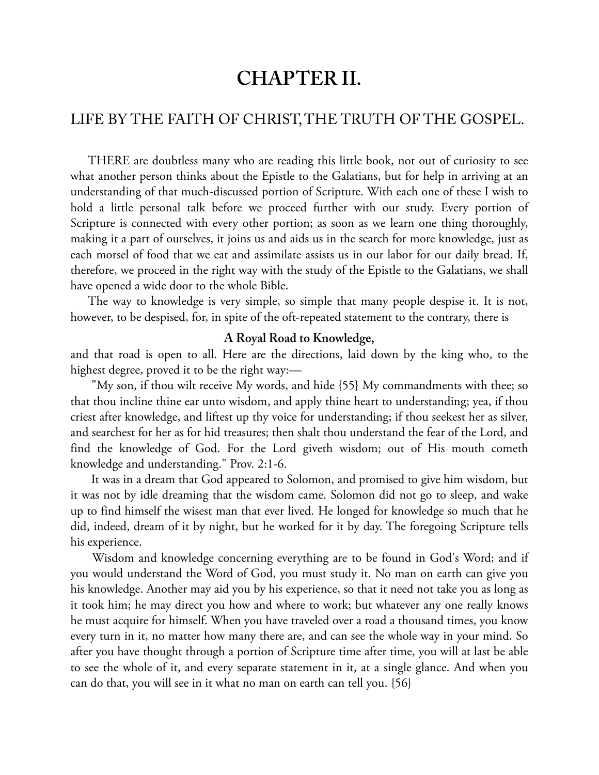# **CHAPTER II.**

# [LIFE BY THE FAITH OF CHRIST, THE TRUTH OF THE GOSPEL.](#page-0-0)

THERE are doubtless many who are reading this little book, not out of curiosity to see what another person thinks about the Epistle to the Galatians, but for help in arriving at an understanding of that much-discussed portion of Scripture. With each one of these I wish to hold a little personal talk before we proceed further with our study. Every portion of Scripture is connected with every other portion; as soon as we learn one thing thoroughly, making it a part of ourselves, it joins us and aids us in the search for more knowledge, just as each morsel of food that we eat and assimilate assists us in our labor for our daily bread. If, therefore, we proceed in the right way with the study of the Epistle to the Galatians, we shall have opened a wide door to the whole Bible.

The way to knowledge is very simple, so simple that many people despise it. It is not, however, to be despised, for, in spite of the oft-repeated statement to the contrary, there is

#### **A Royal Road to Knowledge,**

and that road is open to all. Here are the directions, laid down by the king who, to the highest degree, proved it to be the right way:—

 "My son, if thou wilt receive My words, and hide {55} My commandments with thee; so that thou incline thine ear unto wisdom, and apply thine heart to understanding; yea, if thou criest after knowledge, and liftest up thy voice for understanding; if thou seekest her as silver, and searchest for her as for hid treasures; then shalt thou understand the fear of the Lord, and find the knowledge of God. For the Lord giveth wisdom; out of His mouth cometh knowledge and understanding." Prov. 2:1-6.

 It was in a dream that God appeared to Solomon, and promised to give him wisdom, but it was not by idle dreaming that the wisdom came. Solomon did not go to sleep, and wake up to find himself the wisest man that ever lived. He longed for knowledge so much that he did, indeed, dream of it by night, but he worked for it by day. The foregoing Scripture tells his experience.

 Wisdom and knowledge concerning everything are to be found in God's Word; and if you would understand the Word of God, you must study it. No man on earth can give you his knowledge. Another may aid you by his experience, so that it need not take you as long as it took him; he may direct you how and where to work; but whatever any one really knows he must acquire for himself. When you have traveled over a road a thousand times, you know every turn in it, no matter how many there are, and can see the whole way in your mind. So after you have thought through a portion of Scripture time after time, you will at last be able to see the whole of it, and every separate statement in it, at a single glance. And when you can do that, you will see in it what no man on earth can tell you. {56}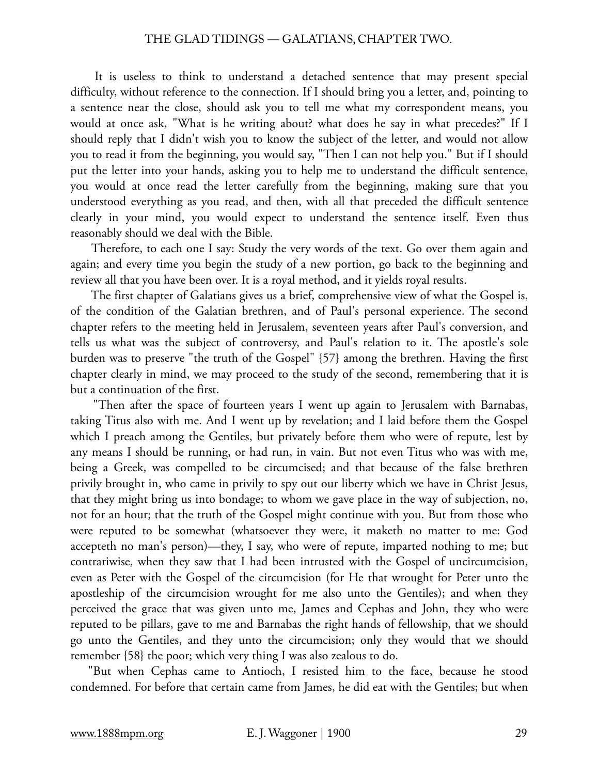#### THE GLAD TIDINGS — GALATIANS, CHAPTER TWO.

 It is useless to think to understand a detached sentence that may present special difficulty, without reference to the connection. If I should bring you a letter, and, pointing to a sentence near the close, should ask you to tell me what my correspondent means, you would at once ask, "What is he writing about? what does he say in what precedes?" If I should reply that I didn't wish you to know the subject of the letter, and would not allow you to read it from the beginning, you would say, "Then I can not help you." But if I should put the letter into your hands, asking you to help me to understand the difficult sentence, you would at once read the letter carefully from the beginning, making sure that you understood everything as you read, and then, with all that preceded the difficult sentence clearly in your mind, you would expect to understand the sentence itself. Even thus reasonably should we deal with the Bible.

 Therefore, to each one I say: Study the very words of the text. Go over them again and again; and every time you begin the study of a new portion, go back to the beginning and review all that you have been over. It is a royal method, and it yields royal results.

 The first chapter of Galatians gives us a brief, comprehensive view of what the Gospel is, of the condition of the Galatian brethren, and of Paul's personal experience. The second chapter refers to the meeting held in Jerusalem, seventeen years after Paul's conversion, and tells us what was the subject of controversy, and Paul's relation to it. The apostle's sole burden was to preserve "the truth of the Gospel" {57} among the brethren. Having the first chapter clearly in mind, we may proceed to the study of the second, remembering that it is but a continuation of the first.

 "Then after the space of fourteen years I went up again to Jerusalem with Barnabas, taking Titus also with me. And I went up by revelation; and I laid before them the Gospel which I preach among the Gentiles, but privately before them who were of repute, lest by any means I should be running, or had run, in vain. But not even Titus who was with me, being a Greek, was compelled to be circumcised; and that because of the false brethren privily brought in, who came in privily to spy out our liberty which we have in Christ Jesus, that they might bring us into bondage; to whom we gave place in the way of subjection, no, not for an hour; that the truth of the Gospel might continue with you. But from those who were reputed to be somewhat (whatsoever they were, it maketh no matter to me: God accepteth no man's person)—they, I say, who were of repute, imparted nothing to me; but contrariwise, when they saw that I had been intrusted with the Gospel of uncircumcision, even as Peter with the Gospel of the circumcision (for He that wrought for Peter unto the apostleship of the circumcision wrought for me also unto the Gentiles); and when they perceived the grace that was given unto me, James and Cephas and John, they who were reputed to be pillars, gave to me and Barnabas the right hands of fellowship, that we should go unto the Gentiles, and they unto the circumcision; only they would that we should remember {58} the poor; which very thing I was also zealous to do.

"But when Cephas came to Antioch, I resisted him to the face, because he stood condemned. For before that certain came from James, he did eat with the Gentiles; but when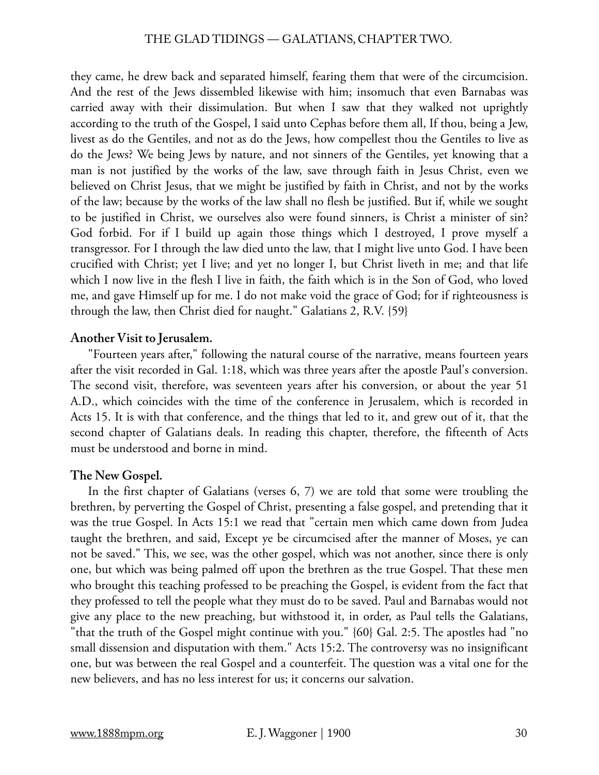they came, he drew back and separated himself, fearing them that were of the circumcision. And the rest of the Jews dissembled likewise with him; insomuch that even Barnabas was carried away with their dissimulation. But when I saw that they walked not uprightly according to the truth of the Gospel, I said unto Cephas before them all, If thou, being a Jew, livest as do the Gentiles, and not as do the Jews, how compellest thou the Gentiles to live as do the Jews? We being Jews by nature, and not sinners of the Gentiles, yet knowing that a man is not justified by the works of the law, save through faith in Jesus Christ, even we believed on Christ Jesus, that we might be justified by faith in Christ, and not by the works of the law; because by the works of the law shall no flesh be justified. But if, while we sought to be justified in Christ, we ourselves also were found sinners, is Christ a minister of sin? God forbid. For if I build up again those things which I destroyed, I prove myself a transgressor. For I through the law died unto the law, that I might live unto God. I have been crucified with Christ; yet I live; and yet no longer I, but Christ liveth in me; and that life which I now live in the flesh I live in faith, the faith which is in the Son of God, who loved me, and gave Himself up for me. I do not make void the grace of God; for if righteousness is through the law, then Christ died for naught." Galatians 2, R.V. {59}

# **Another Visit to Jerusalem.**

"Fourteen years after," following the natural course of the narrative, means fourteen years after the visit recorded in Gal. 1:18, which was three years after the apostle Paul's conversion. The second visit, therefore, was seventeen years after his conversion, or about the year 51 A.D., which coincides with the time of the conference in Jerusalem, which is recorded in Acts 15. It is with that conference, and the things that led to it, and grew out of it, that the second chapter of Galatians deals. In reading this chapter, therefore, the fifteenth of Acts must be understood and borne in mind.

# **The New Gospel.**

In the first chapter of Galatians (verses 6, 7) we are told that some were troubling the brethren, by perverting the Gospel of Christ, presenting a false gospel, and pretending that it was the true Gospel. In Acts 15:1 we read that "certain men which came down from Judea taught the brethren, and said, Except ye be circumcised after the manner of Moses, ye can not be saved." This, we see, was the other gospel, which was not another, since there is only one, but which was being palmed off upon the brethren as the true Gospel. That these men who brought this teaching professed to be preaching the Gospel, is evident from the fact that they professed to tell the people what they must do to be saved. Paul and Barnabas would not give any place to the new preaching, but withstood it, in order, as Paul tells the Galatians, "that the truth of the Gospel might continue with you." {60} Gal. 2:5. The apostles had "no small dissension and disputation with them." Acts 15:2. The controversy was no insignificant one, but was between the real Gospel and a counterfeit. The question was a vital one for the new believers, and has no less interest for us; it concerns our salvation.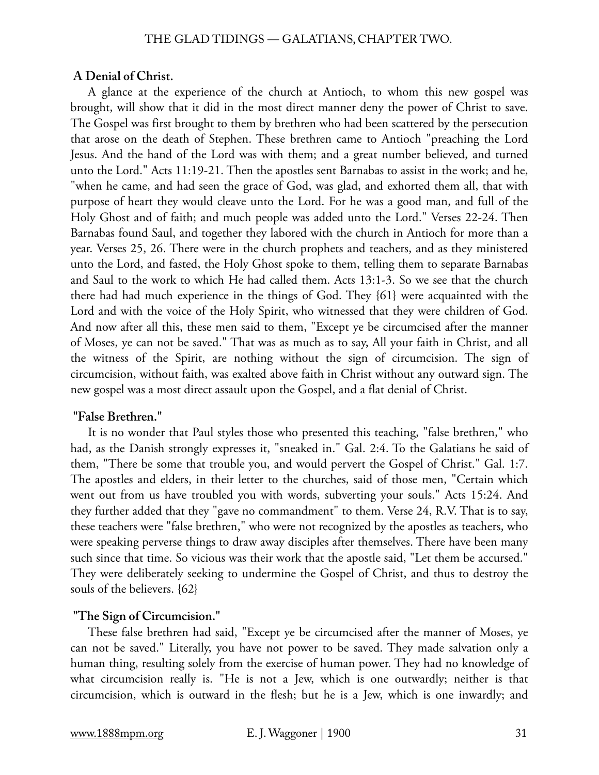#### **A Denial of Christ.**

A glance at the experience of the church at Antioch, to whom this new gospel was brought, will show that it did in the most direct manner deny the power of Christ to save. The Gospel was first brought to them by brethren who had been scattered by the persecution that arose on the death of Stephen. These brethren came to Antioch "preaching the Lord Jesus. And the hand of the Lord was with them; and a great number believed, and turned unto the Lord." Acts 11:19-21. Then the apostles sent Barnabas to assist in the work; and he, "when he came, and had seen the grace of God, was glad, and exhorted them all, that with purpose of heart they would cleave unto the Lord. For he was a good man, and full of the Holy Ghost and of faith; and much people was added unto the Lord." Verses 22-24. Then Barnabas found Saul, and together they labored with the church in Antioch for more than a year. Verses 25, 26. There were in the church prophets and teachers, and as they ministered unto the Lord, and fasted, the Holy Ghost spoke to them, telling them to separate Barnabas and Saul to the work to which He had called them. Acts 13:1-3. So we see that the church there had had much experience in the things of God. They {61} were acquainted with the Lord and with the voice of the Holy Spirit, who witnessed that they were children of God. And now after all this, these men said to them, "Except ye be circumcised after the manner of Moses, ye can not be saved." That was as much as to say, All your faith in Christ, and all the witness of the Spirit, are nothing without the sign of circumcision. The sign of circumcision, without faith, was exalted above faith in Christ without any outward sign. The new gospel was a most direct assault upon the Gospel, and a flat denial of Christ.

#### **"False Brethren."**

It is no wonder that Paul styles those who presented this teaching, "false brethren," who had, as the Danish strongly expresses it, "sneaked in." Gal. 2:4. To the Galatians he said of them, "There be some that trouble you, and would pervert the Gospel of Christ." Gal. 1:7. The apostles and elders, in their letter to the churches, said of those men, "Certain which went out from us have troubled you with words, subverting your souls." Acts 15:24. And they further added that they "gave no commandment" to them. Verse 24, R.V. That is to say, these teachers were "false brethren," who were not recognized by the apostles as teachers, who were speaking perverse things to draw away disciples after themselves. There have been many such since that time. So vicious was their work that the apostle said, "Let them be accursed." They were deliberately seeking to undermine the Gospel of Christ, and thus to destroy the souls of the believers. {62}

#### **"The Sign of Circumcision."**

These false brethren had said, "Except ye be circumcised after the manner of Moses, ye can not be saved." Literally, you have not power to be saved. They made salvation only a human thing, resulting solely from the exercise of human power. They had no knowledge of what circumcision really is. "He is not a Jew, which is one outwardly; neither is that circumcision, which is outward in the flesh; but he is a Jew, which is one inwardly; and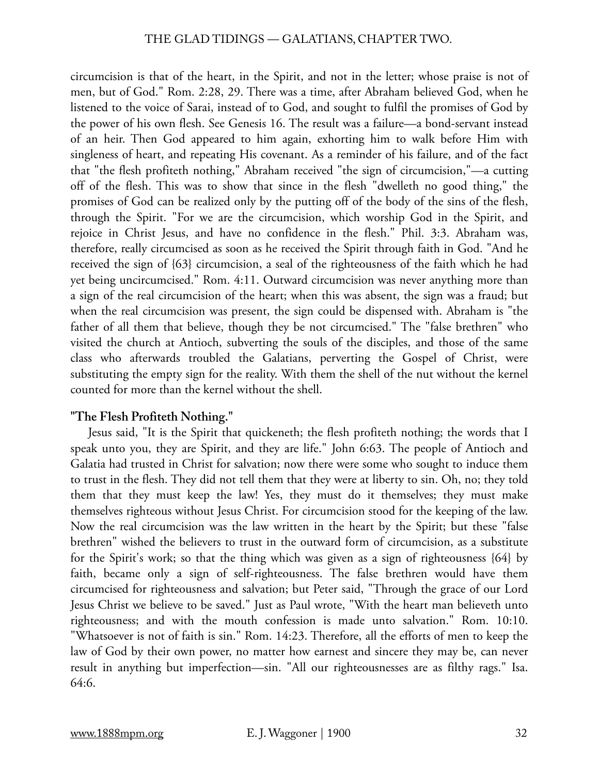circumcision is that of the heart, in the Spirit, and not in the letter; whose praise is not of men, but of God." Rom. 2:28, 29. There was a time, after Abraham believed God, when he listened to the voice of Sarai, instead of to God, and sought to fulfil the promises of God by the power of his own flesh. See Genesis 16. The result was a failure—a bond-servant instead of an heir. Then God appeared to him again, exhorting him to walk before Him with singleness of heart, and repeating His covenant. As a reminder of his failure, and of the fact that "the flesh profiteth nothing," Abraham received "the sign of circumcision,"—a cutting off of the flesh. This was to show that since in the flesh "dwelleth no good thing," the promises of God can be realized only by the putting off of the body of the sins of the flesh, through the Spirit. "For we are the circumcision, which worship God in the Spirit, and rejoice in Christ Jesus, and have no confidence in the flesh." Phil. 3:3. Abraham was, therefore, really circumcised as soon as he received the Spirit through faith in God. "And he received the sign of {63} circumcision, a seal of the righteousness of the faith which he had yet being uncircumcised." Rom. 4:11. Outward circumcision was never anything more than a sign of the real circumcision of the heart; when this was absent, the sign was a fraud; but when the real circumcision was present, the sign could be dispensed with. Abraham is "the father of all them that believe, though they be not circumcised." The "false brethren" who visited the church at Antioch, subverting the souls of the disciples, and those of the same class who afterwards troubled the Galatians, perverting the Gospel of Christ, were substituting the empty sign for the reality. With them the shell of the nut without the kernel counted for more than the kernel without the shell.

# **"The Flesh Profiteth Nothing."**

Jesus said, "It is the Spirit that quickeneth; the flesh profiteth nothing; the words that I speak unto you, they are Spirit, and they are life." John 6:63. The people of Antioch and Galatia had trusted in Christ for salvation; now there were some who sought to induce them to trust in the flesh. They did not tell them that they were at liberty to sin. Oh, no; they told them that they must keep the law! Yes, they must do it themselves; they must make themselves righteous without Jesus Christ. For circumcision stood for the keeping of the law. Now the real circumcision was the law written in the heart by the Spirit; but these "false brethren" wished the believers to trust in the outward form of circumcision, as a substitute for the Spirit's work; so that the thing which was given as a sign of righteousness {64} by faith, became only a sign of self-righteousness. The false brethren would have them circumcised for righteousness and salvation; but Peter said, "Through the grace of our Lord Jesus Christ we believe to be saved." Just as Paul wrote, "With the heart man believeth unto righteousness; and with the mouth confession is made unto salvation." Rom. 10:10. "Whatsoever is not of faith is sin." Rom. 14:23. Therefore, all the efforts of men to keep the law of God by their own power, no matter how earnest and sincere they may be, can never result in anything but imperfection—sin. "All our righteousnesses are as filthy rags." Isa. 64:6.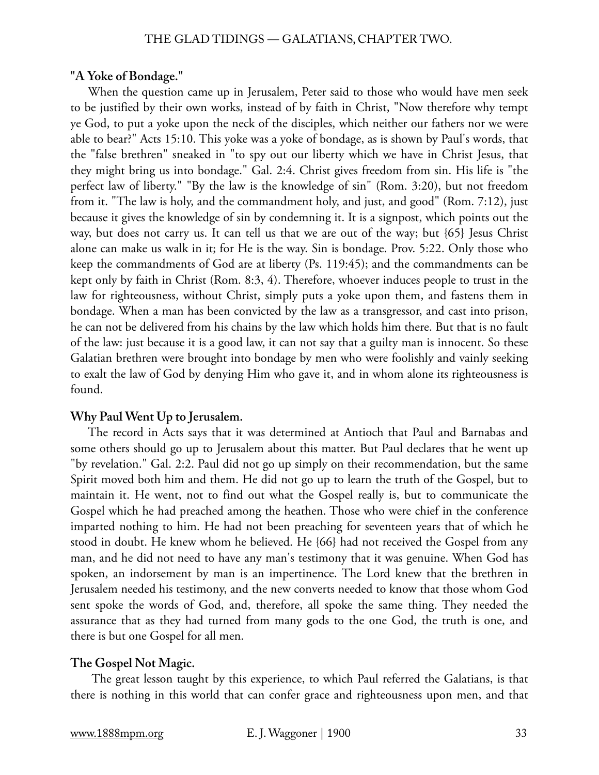#### THE GLAD TIDINGS — GALATIANS, CHAPTER TWO.

#### **"A Yoke of Bondage."**

When the question came up in Jerusalem, Peter said to those who would have men seek to be justified by their own works, instead of by faith in Christ, "Now therefore why tempt ye God, to put a yoke upon the neck of the disciples, which neither our fathers nor we were able to bear?" Acts 15:10. This yoke was a yoke of bondage, as is shown by Paul's words, that the "false brethren" sneaked in "to spy out our liberty which we have in Christ Jesus, that they might bring us into bondage." Gal. 2:4. Christ gives freedom from sin. His life is "the perfect law of liberty." "By the law is the knowledge of sin" (Rom. 3:20), but not freedom from it. "The law is holy, and the commandment holy, and just, and good" (Rom. 7:12), just because it gives the knowledge of sin by condemning it. It is a signpost, which points out the way, but does not carry us. It can tell us that we are out of the way; but {65} Jesus Christ alone can make us walk in it; for He is the way. Sin is bondage. Prov. 5:22. Only those who keep the commandments of God are at liberty (Ps. 119:45); and the commandments can be kept only by faith in Christ (Rom. 8:3, 4). Therefore, whoever induces people to trust in the law for righteousness, without Christ, simply puts a yoke upon them, and fastens them in bondage. When a man has been convicted by the law as a transgressor, and cast into prison, he can not be delivered from his chains by the law which holds him there. But that is no fault of the law: just because it is a good law, it can not say that a guilty man is innocent. So these Galatian brethren were brought into bondage by men who were foolishly and vainly seeking to exalt the law of God by denying Him who gave it, and in whom alone its righteousness is found.

#### **Why Paul Went Up to Jerusalem.**

The record in Acts says that it was determined at Antioch that Paul and Barnabas and some others should go up to Jerusalem about this matter. But Paul declares that he went up "by revelation." Gal. 2:2. Paul did not go up simply on their recommendation, but the same Spirit moved both him and them. He did not go up to learn the truth of the Gospel, but to maintain it. He went, not to find out what the Gospel really is, but to communicate the Gospel which he had preached among the heathen. Those who were chief in the conference imparted nothing to him. He had not been preaching for seventeen years that of which he stood in doubt. He knew whom he believed. He {66} had not received the Gospel from any man, and he did not need to have any man's testimony that it was genuine. When God has spoken, an indorsement by man is an impertinence. The Lord knew that the brethren in Jerusalem needed his testimony, and the new converts needed to know that those whom God sent spoke the words of God, and, therefore, all spoke the same thing. They needed the assurance that as they had turned from many gods to the one God, the truth is one, and there is but one Gospel for all men.

#### **The Gospel Not Magic.**

 The great lesson taught by this experience, to which Paul referred the Galatians, is that there is nothing in this world that can confer grace and righteousness upon men, and that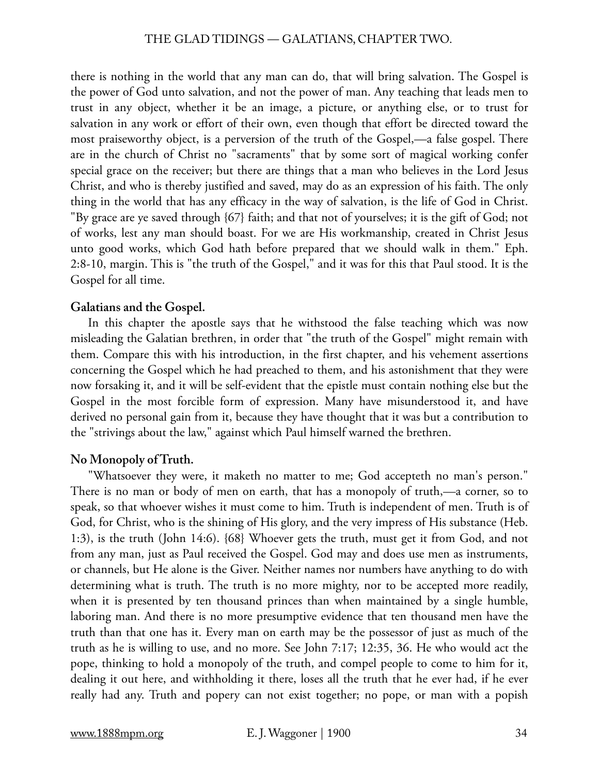there is nothing in the world that any man can do, that will bring salvation. The Gospel is the power of God unto salvation, and not the power of man. Any teaching that leads men to trust in any object, whether it be an image, a picture, or anything else, or to trust for salvation in any work or effort of their own, even though that effort be directed toward the most praiseworthy object, is a perversion of the truth of the Gospel,—a false gospel. There are in the church of Christ no "sacraments" that by some sort of magical working confer special grace on the receiver; but there are things that a man who believes in the Lord Jesus Christ, and who is thereby justified and saved, may do as an expression of his faith. The only thing in the world that has any efficacy in the way of salvation, is the life of God in Christ. "By grace are ye saved through {67} faith; and that not of yourselves; it is the gift of God; not of works, lest any man should boast. For we are His workmanship, created in Christ Jesus unto good works, which God hath before prepared that we should walk in them." Eph. 2:8-10, margin. This is "the truth of the Gospel," and it was for this that Paul stood. It is the Gospel for all time.

#### **Galatians and the Gospel.**

In this chapter the apostle says that he withstood the false teaching which was now misleading the Galatian brethren, in order that "the truth of the Gospel" might remain with them. Compare this with his introduction, in the first chapter, and his vehement assertions concerning the Gospel which he had preached to them, and his astonishment that they were now forsaking it, and it will be self-evident that the epistle must contain nothing else but the Gospel in the most forcible form of expression. Many have misunderstood it, and have derived no personal gain from it, because they have thought that it was but a contribution to the "strivings about the law," against which Paul himself warned the brethren.

# **No Monopoly of Truth.**

"Whatsoever they were, it maketh no matter to me; God accepteth no man's person." There is no man or body of men on earth, that has a monopoly of truth,—a corner, so to speak, so that whoever wishes it must come to him. Truth is independent of men. Truth is of God, for Christ, who is the shining of His glory, and the very impress of His substance (Heb. 1:3), is the truth (John 14:6). {68} Whoever gets the truth, must get it from God, and not from any man, just as Paul received the Gospel. God may and does use men as instruments, or channels, but He alone is the Giver. Neither names nor numbers have anything to do with determining what is truth. The truth is no more mighty, nor to be accepted more readily, when it is presented by ten thousand princes than when maintained by a single humble, laboring man. And there is no more presumptive evidence that ten thousand men have the truth than that one has it. Every man on earth may be the possessor of just as much of the truth as he is willing to use, and no more. See John 7:17; 12:35, 36. He who would act the pope, thinking to hold a monopoly of the truth, and compel people to come to him for it, dealing it out here, and withholding it there, loses all the truth that he ever had, if he ever really had any. Truth and popery can not exist together; no pope, or man with a popish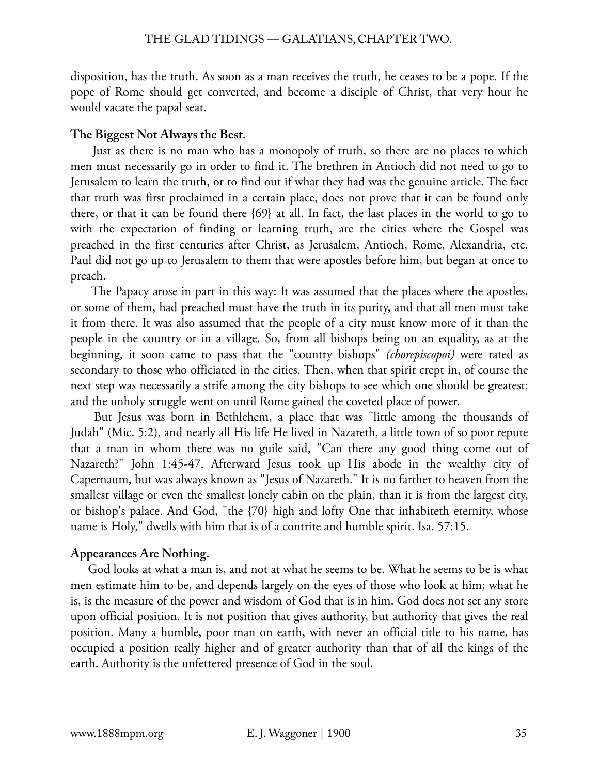disposition, has the truth. As soon as a man receives the truth, he ceases to be a pope. If the pope of Rome should get converted, and become a disciple of Christ, that very hour he would vacate the papal seat.

# **The Biggest Not Always the Best.**

 Just as there is no man who has a monopoly of truth, so there are no places to which men must necessarily go in order to find it. The brethren in Antioch did not need to go to Jerusalem to learn the truth, or to find out if what they had was the genuine article. The fact that truth was first proclaimed in a certain place, does not prove that it can be found only there, or that it can be found there {69} at all. In fact, the last places in the world to go to with the expectation of finding or learning truth, are the cities where the Gospel was preached in the first centuries after Christ, as Jerusalem, Antioch, Rome, Alexandria, etc. Paul did not go up to Jerusalem to them that were apostles before him, but began at once to preach.

 The Papacy arose in part in this way: It was assumed that the places where the apostles, or some of them, had preached must have the truth in its purity, and that all men must take it from there. It was also assumed that the people of a city must know more of it than the people in the country or in a village. So, from all bishops being on an equality, as at the beginning, it soon came to pass that the "country bishops" *(chorepiscopoi)* were rated as secondary to those who officiated in the cities. Then, when that spirit crept in, of course the next step was necessarily a strife among the city bishops to see which one should be greatest; and the unholy struggle went on until Rome gained the coveted place of power.

 But Jesus was born in Bethlehem, a place that was "little among the thousands of Judah" (Mic. 5:2), and nearly all His life He lived in Nazareth, a little town of so poor repute that a man in whom there was no guile said, "Can there any good thing come out of Nazareth?" John 1:45-47. Afterward Jesus took up His abode in the wealthy city of Capernaum, but was always known as "Jesus of Nazareth." It is no farther to heaven from the smallest village or even the smallest lonely cabin on the plain, than it is from the largest city, or bishop's palace. And God, "the {70} high and lofty One that inhabiteth eternity, whose name is Holy," dwells with him that is of a contrite and humble spirit. Isa. 57:15.

# **Appearances Are Nothing.**

God looks at what a man is, and not at what he seems to be. What he seems to be is what men estimate him to be, and depends largely on the eyes of those who look at him; what he is, is the measure of the power and wisdom of God that is in him. God does not set any store upon official position. It is not position that gives authority, but authority that gives the real position. Many a humble, poor man on earth, with never an official title to his name, has occupied a position really higher and of greater authority than that of all the kings of the earth. Authority is the unfettered presence of God in the soul.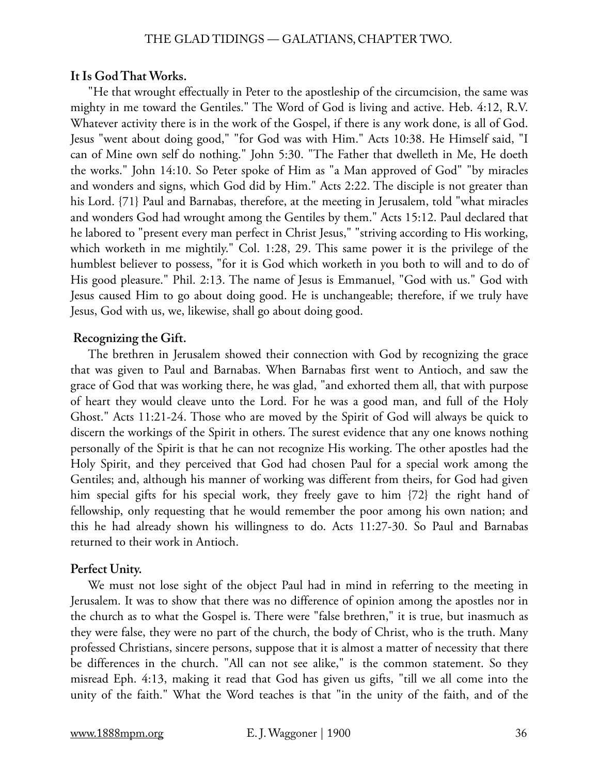#### **It Is God That Works.**

"He that wrought effectually in Peter to the apostleship of the circumcision, the same was mighty in me toward the Gentiles." The Word of God is living and active. Heb. 4:12, R.V. Whatever activity there is in the work of the Gospel, if there is any work done, is all of God. Jesus "went about doing good," "for God was with Him." Acts 10:38. He Himself said, "I can of Mine own self do nothing." John 5:30. "The Father that dwelleth in Me, He doeth the works." John 14:10. So Peter spoke of Him as "a Man approved of God" "by miracles and wonders and signs, which God did by Him." Acts 2:22. The disciple is not greater than his Lord. {71} Paul and Barnabas, therefore, at the meeting in Jerusalem, told "what miracles and wonders God had wrought among the Gentiles by them." Acts 15:12. Paul declared that he labored to "present every man perfect in Christ Jesus," "striving according to His working, which worketh in me mightily." Col. 1:28, 29. This same power it is the privilege of the humblest believer to possess, "for it is God which worketh in you both to will and to do of His good pleasure." Phil. 2:13. The name of Jesus is Emmanuel, "God with us." God with Jesus caused Him to go about doing good. He is unchangeable; therefore, if we truly have Jesus, God with us, we, likewise, shall go about doing good.

# **Recognizing the Gift.**

The brethren in Jerusalem showed their connection with God by recognizing the grace that was given to Paul and Barnabas. When Barnabas first went to Antioch, and saw the grace of God that was working there, he was glad, "and exhorted them all, that with purpose of heart they would cleave unto the Lord. For he was a good man, and full of the Holy Ghost." Acts 11:21-24. Those who are moved by the Spirit of God will always be quick to discern the workings of the Spirit in others. The surest evidence that any one knows nothing personally of the Spirit is that he can not recognize His working. The other apostles had the Holy Spirit, and they perceived that God had chosen Paul for a special work among the Gentiles; and, although his manner of working was different from theirs, for God had given him special gifts for his special work, they freely gave to him {72} the right hand of fellowship, only requesting that he would remember the poor among his own nation; and this he had already shown his willingness to do. Acts 11:27-30. So Paul and Barnabas returned to their work in Antioch.

# **Perfect Unity.**

We must not lose sight of the object Paul had in mind in referring to the meeting in Jerusalem. It was to show that there was no difference of opinion among the apostles nor in the church as to what the Gospel is. There were "false brethren," it is true, but inasmuch as they were false, they were no part of the church, the body of Christ, who is the truth. Many professed Christians, sincere persons, suppose that it is almost a matter of necessity that there be differences in the church. "All can not see alike," is the common statement. So they misread Eph. 4:13, making it read that God has given us gifts, "till we all come into the unity of the faith." What the Word teaches is that "in the unity of the faith, and of the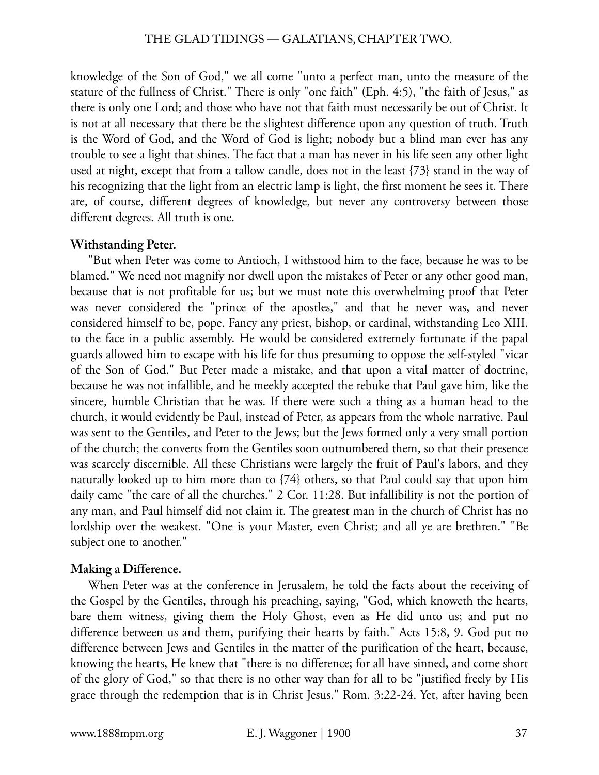knowledge of the Son of God," we all come "unto a perfect man, unto the measure of the stature of the fullness of Christ." There is only "one faith" (Eph. 4:5), "the faith of Jesus," as there is only one Lord; and those who have not that faith must necessarily be out of Christ. It is not at all necessary that there be the slightest difference upon any question of truth. Truth is the Word of God, and the Word of God is light; nobody but a blind man ever has any trouble to see a light that shines. The fact that a man has never in his life seen any other light used at night, except that from a tallow candle, does not in the least {73} stand in the way of his recognizing that the light from an electric lamp is light, the first moment he sees it. There are, of course, different degrees of knowledge, but never any controversy between those different degrees. All truth is one.

## **Withstanding Peter.**

"But when Peter was come to Antioch, I withstood him to the face, because he was to be blamed." We need not magnify nor dwell upon the mistakes of Peter or any other good man, because that is not profitable for us; but we must note this overwhelming proof that Peter was never considered the "prince of the apostles," and that he never was, and never considered himself to be, pope. Fancy any priest, bishop, or cardinal, withstanding Leo XIII. to the face in a public assembly. He would be considered extremely fortunate if the papal guards allowed him to escape with his life for thus presuming to oppose the self-styled "vicar of the Son of God." But Peter made a mistake, and that upon a vital matter of doctrine, because he was not infallible, and he meekly accepted the rebuke that Paul gave him, like the sincere, humble Christian that he was. If there were such a thing as a human head to the church, it would evidently be Paul, instead of Peter, as appears from the whole narrative. Paul was sent to the Gentiles, and Peter to the Jews; but the Jews formed only a very small portion of the church; the converts from the Gentiles soon outnumbered them, so that their presence was scarcely discernible. All these Christians were largely the fruit of Paul's labors, and they naturally looked up to him more than to {74} others, so that Paul could say that upon him daily came "the care of all the churches." 2 Cor. 11:28. But infallibility is not the portion of any man, and Paul himself did not claim it. The greatest man in the church of Christ has no lordship over the weakest. "One is your Master, even Christ; and all ye are brethren." "Be subject one to another."

## **Making a Difference.**

When Peter was at the conference in Jerusalem, he told the facts about the receiving of the Gospel by the Gentiles, through his preaching, saying, "God, which knoweth the hearts, bare them witness, giving them the Holy Ghost, even as He did unto us; and put no difference between us and them, purifying their hearts by faith." Acts 15:8, 9. God put no difference between Jews and Gentiles in the matter of the purification of the heart, because, knowing the hearts, He knew that "there is no difference; for all have sinned, and come short of the glory of God," so that there is no other way than for all to be "justified freely by His grace through the redemption that is in Christ Jesus." Rom. 3:22-24. Yet, after having been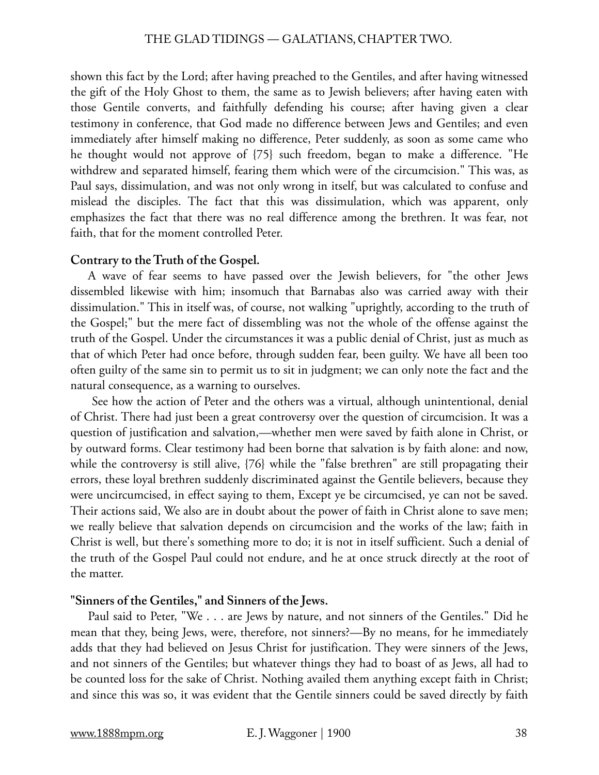shown this fact by the Lord; after having preached to the Gentiles, and after having witnessed the gift of the Holy Ghost to them, the same as to Jewish believers; after having eaten with those Gentile converts, and faithfully defending his course; after having given a clear testimony in conference, that God made no difference between Jews and Gentiles; and even immediately after himself making no difference, Peter suddenly, as soon as some came who he thought would not approve of {75} such freedom, began to make a difference. "He withdrew and separated himself, fearing them which were of the circumcision." This was, as Paul says, dissimulation, and was not only wrong in itself, but was calculated to confuse and mislead the disciples. The fact that this was dissimulation, which was apparent, only emphasizes the fact that there was no real difference among the brethren. It was fear, not faith, that for the moment controlled Peter.

# **Contrary to the Truth of the Gospel.**

A wave of fear seems to have passed over the Jewish believers, for "the other Jews dissembled likewise with him; insomuch that Barnabas also was carried away with their dissimulation." This in itself was, of course, not walking "uprightly, according to the truth of the Gospel;" but the mere fact of dissembling was not the whole of the offense against the truth of the Gospel. Under the circumstances it was a public denial of Christ, just as much as that of which Peter had once before, through sudden fear, been guilty. We have all been too often guilty of the same sin to permit us to sit in judgment; we can only note the fact and the natural consequence, as a warning to ourselves.

 See how the action of Peter and the others was a virtual, although unintentional, denial of Christ. There had just been a great controversy over the question of circumcision. It was a question of justification and salvation,—whether men were saved by faith alone in Christ, or by outward forms. Clear testimony had been borne that salvation is by faith alone: and now, while the controversy is still alive, {76} while the "false brethren" are still propagating their errors, these loyal brethren suddenly discriminated against the Gentile believers, because they were uncircumcised, in effect saying to them, Except ye be circumcised, ye can not be saved. Their actions said, We also are in doubt about the power of faith in Christ alone to save men; we really believe that salvation depends on circumcision and the works of the law; faith in Christ is well, but there's something more to do; it is not in itself sufficient. Such a denial of the truth of the Gospel Paul could not endure, and he at once struck directly at the root of the matter.

# **"Sinners of the Gentiles," and Sinners of the Jews.**

Paul said to Peter, "We . . . are Jews by nature, and not sinners of the Gentiles." Did he mean that they, being Jews, were, therefore, not sinners?—By no means, for he immediately adds that they had believed on Jesus Christ for justification. They were sinners of the Jews, and not sinners of the Gentiles; but whatever things they had to boast of as Jews, all had to be counted loss for the sake of Christ. Nothing availed them anything except faith in Christ; and since this was so, it was evident that the Gentile sinners could be saved directly by faith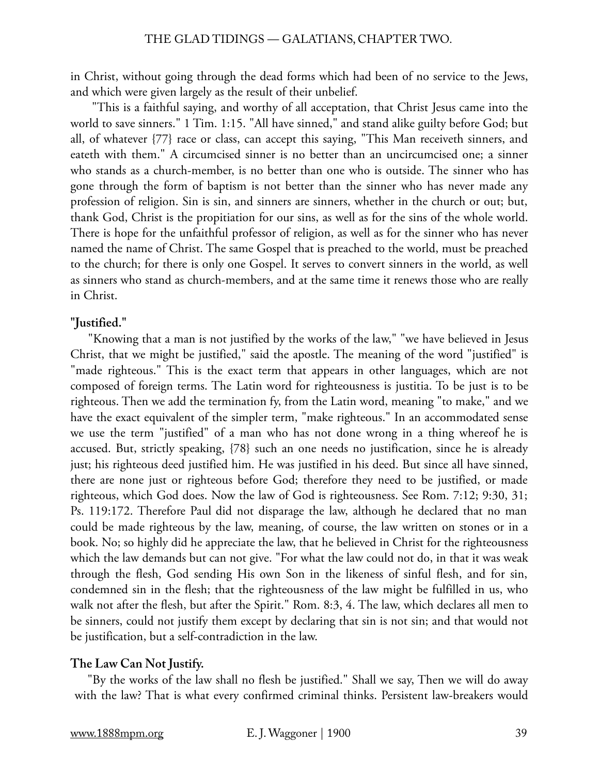in Christ, without going through the dead forms which had been of no service to the Jews, and which were given largely as the result of their unbelief.

"This is a faithful saying, and worthy of all acceptation, that Christ Jesus came into the world to save sinners." 1 Tim. 1:15. "All have sinned," and stand alike guilty before God; but all, of whatever {77} race or class, can accept this saying, "This Man receiveth sinners, and eateth with them." A circumcised sinner is no better than an uncircumcised one; a sinner who stands as a church-member, is no better than one who is outside. The sinner who has gone through the form of baptism is not better than the sinner who has never made any profession of religion. Sin is sin, and sinners are sinners, whether in the church or out; but, thank God, Christ is the propitiation for our sins, as well as for the sins of the whole world. There is hope for the unfaithful professor of religion, as well as for the sinner who has never named the name of Christ. The same Gospel that is preached to the world, must be preached to the church; for there is only one Gospel. It serves to convert sinners in the world, as well as sinners who stand as church-members, and at the same time it renews those who are really in Christ.

# **"Justified."**

"Knowing that a man is not justified by the works of the law," "we have believed in Jesus Christ, that we might be justified," said the apostle. The meaning of the word "justified" is "made righteous." This is the exact term that appears in other languages, which are not composed of foreign terms. The Latin word for righteousness is justitia. To be just is to be righteous. Then we add the termination fy, from the Latin word, meaning "to make," and we have the exact equivalent of the simpler term, "make righteous." In an accommodated sense we use the term "justified" of a man who has not done wrong in a thing whereof he is accused. But, strictly speaking, {78} such an one needs no justification, since he is already just; his righteous deed justified him. He was justified in his deed. But since all have sinned, there are none just or righteous before God; therefore they need to be justified, or made righteous, which God does. Now the law of God is righteousness. See Rom. 7:12; 9:30, 31; Ps. 119:172. Therefore Paul did not disparage the law, although he declared that no man could be made righteous by the law, meaning, of course, the law written on stones or in a book. No; so highly did he appreciate the law, that he believed in Christ for the righteousness which the law demands but can not give. "For what the law could not do, in that it was weak through the flesh, God sending His own Son in the likeness of sinful flesh, and for sin, condemned sin in the flesh; that the righteousness of the law might be fulfilled in us, who walk not after the flesh, but after the Spirit." Rom. 8:3, 4. The law, which declares all men to be sinners, could not justify them except by declaring that sin is not sin; and that would not be justification, but a self-contradiction in the law.

# **The Law Can Not Justify.**

"By the works of the law shall no flesh be justified." Shall we say, Then we will do away with the law? That is what every confirmed criminal thinks. Persistent law-breakers would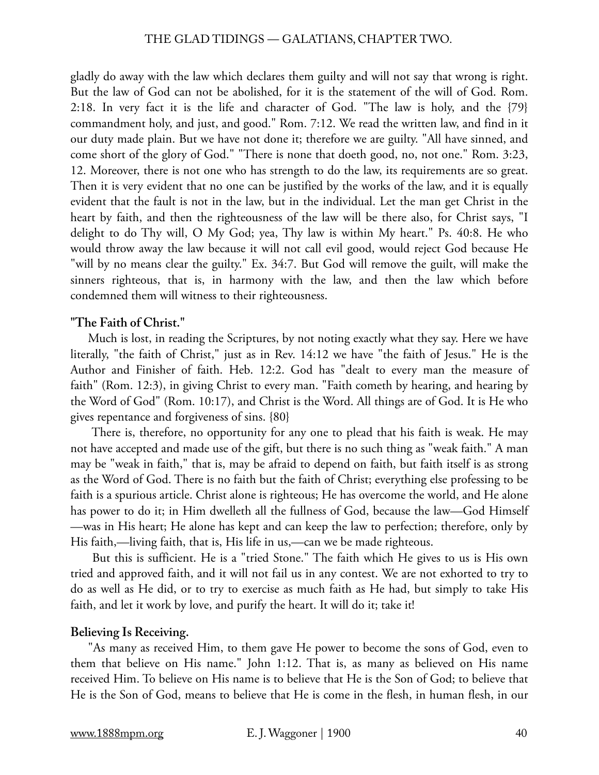gladly do away with the law which declares them guilty and will not say that wrong is right. But the law of God can not be abolished, for it is the statement of the will of God. Rom. 2:18. In very fact it is the life and character of God. "The law is holy, and the {79} commandment holy, and just, and good." Rom. 7:12. We read the written law, and find in it our duty made plain. But we have not done it; therefore we are guilty. "All have sinned, and come short of the glory of God." "There is none that doeth good, no, not one." Rom. 3:23, 12. Moreover, there is not one who has strength to do the law, its requirements are so great. Then it is very evident that no one can be justified by the works of the law, and it is equally evident that the fault is not in the law, but in the individual. Let the man get Christ in the heart by faith, and then the righteousness of the law will be there also, for Christ says, "I delight to do Thy will, O My God; yea, Thy law is within My heart." Ps. 40:8. He who would throw away the law because it will not call evil good, would reject God because He "will by no means clear the guilty." Ex. 34:7. But God will remove the guilt, will make the sinners righteous, that is, in harmony with the law, and then the law which before condemned them will witness to their righteousness.

# **"The Faith of Christ."**

Much is lost, in reading the Scriptures, by not noting exactly what they say. Here we have literally, "the faith of Christ," just as in Rev. 14:12 we have "the faith of Jesus." He is the Author and Finisher of faith. Heb. 12:2. God has "dealt to every man the measure of faith" (Rom. 12:3), in giving Christ to every man. "Faith cometh by hearing, and hearing by the Word of God" (Rom. 10:17), and Christ is the Word. All things are of God. It is He who gives repentance and forgiveness of sins. {80}

 There is, therefore, no opportunity for any one to plead that his faith is weak. He may not have accepted and made use of the gift, but there is no such thing as "weak faith." A man may be "weak in faith," that is, may be afraid to depend on faith, but faith itself is as strong as the Word of God. There is no faith but the faith of Christ; everything else professing to be faith is a spurious article. Christ alone is righteous; He has overcome the world, and He alone has power to do it; in Him dwelleth all the fullness of God, because the law—God Himself —was in His heart; He alone has kept and can keep the law to perfection; therefore, only by His faith,—living faith, that is, His life in us,—can we be made righteous.

 But this is sufficient. He is a "tried Stone." The faith which He gives to us is His own tried and approved faith, and it will not fail us in any contest. We are not exhorted to try to do as well as He did, or to try to exercise as much faith as He had, but simply to take His faith, and let it work by love, and purify the heart. It will do it; take it!

# **Believing Is Receiving.**

"As many as received Him, to them gave He power to become the sons of God, even to them that believe on His name." John 1:12. That is, as many as believed on His name received Him. To believe on His name is to believe that He is the Son of God; to believe that He is the Son of God, means to believe that He is come in the flesh, in human flesh, in our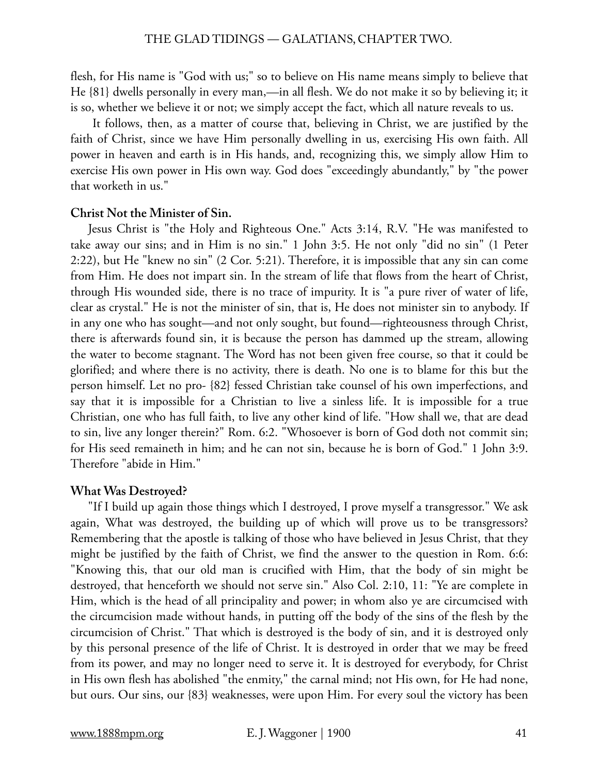flesh, for His name is "God with us;" so to believe on His name means simply to believe that He {81} dwells personally in every man,—in all flesh. We do not make it so by believing it; it is so, whether we believe it or not; we simply accept the fact, which all nature reveals to us.

 It follows, then, as a matter of course that, believing in Christ, we are justified by the faith of Christ, since we have Him personally dwelling in us, exercising His own faith. All power in heaven and earth is in His hands, and, recognizing this, we simply allow Him to exercise His own power in His own way. God does "exceedingly abundantly," by "the power that worketh in us."

## **Christ Not the Minister of Sin.**

Jesus Christ is "the Holy and Righteous One." Acts 3:14, R.V. "He was manifested to take away our sins; and in Him is no sin." 1 John 3:5. He not only "did no sin" (1 Peter 2:22), but He "knew no sin" (2 Cor. 5:21). Therefore, it is impossible that any sin can come from Him. He does not impart sin. In the stream of life that flows from the heart of Christ, through His wounded side, there is no trace of impurity. It is "a pure river of water of life, clear as crystal." He is not the minister of sin, that is, He does not minister sin to anybody. If in any one who has sought—and not only sought, but found—righteousness through Christ, there is afterwards found sin, it is because the person has dammed up the stream, allowing the water to become stagnant. The Word has not been given free course, so that it could be glorified; and where there is no activity, there is death. No one is to blame for this but the person himself. Let no pro- {82} fessed Christian take counsel of his own imperfections, and say that it is impossible for a Christian to live a sinless life. It is impossible for a true Christian, one who has full faith, to live any other kind of life. "How shall we, that are dead to sin, live any longer therein?" Rom. 6:2. "Whosoever is born of God doth not commit sin; for His seed remaineth in him; and he can not sin, because he is born of God." 1 John 3:9. Therefore "abide in Him."

# **What Was Destroyed?**

"If I build up again those things which I destroyed, I prove myself a transgressor." We ask again, What was destroyed, the building up of which will prove us to be transgressors? Remembering that the apostle is talking of those who have believed in Jesus Christ, that they might be justified by the faith of Christ, we find the answer to the question in Rom. 6:6: "Knowing this, that our old man is crucified with Him, that the body of sin might be destroyed, that henceforth we should not serve sin." Also Col. 2:10, 11: "Ye are complete in Him, which is the head of all principality and power; in whom also ye are circumcised with the circumcision made without hands, in putting off the body of the sins of the flesh by the circumcision of Christ." That which is destroyed is the body of sin, and it is destroyed only by this personal presence of the life of Christ. It is destroyed in order that we may be freed from its power, and may no longer need to serve it. It is destroyed for everybody, for Christ in His own flesh has abolished "the enmity," the carnal mind; not His own, for He had none, but ours. Our sins, our {83} weaknesses, were upon Him. For every soul the victory has been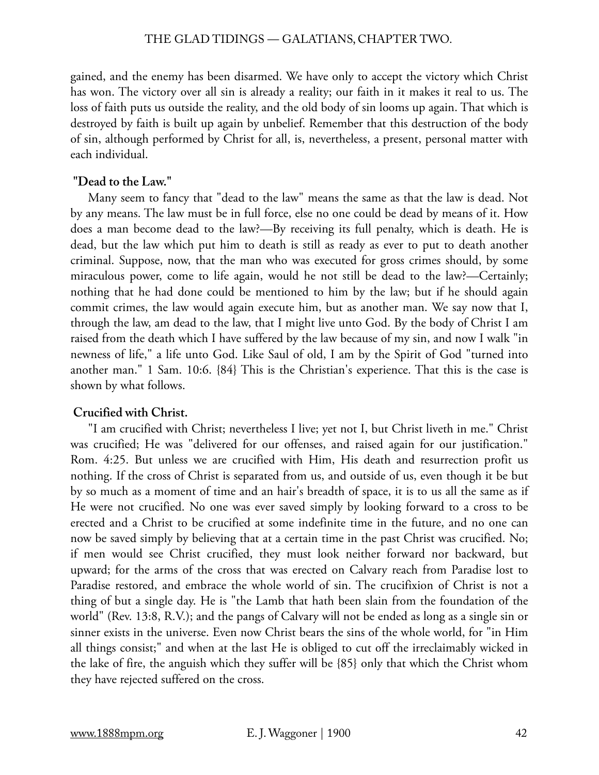gained, and the enemy has been disarmed. We have only to accept the victory which Christ has won. The victory over all sin is already a reality; our faith in it makes it real to us. The loss of faith puts us outside the reality, and the old body of sin looms up again. That which is destroyed by faith is built up again by unbelief. Remember that this destruction of the body of sin, although performed by Christ for all, is, nevertheless, a present, personal matter with each individual.

# **"Dead to the Law."**

Many seem to fancy that "dead to the law" means the same as that the law is dead. Not by any means. The law must be in full force, else no one could be dead by means of it. How does a man become dead to the law?—By receiving its full penalty, which is death. He is dead, but the law which put him to death is still as ready as ever to put to death another criminal. Suppose, now, that the man who was executed for gross crimes should, by some miraculous power, come to life again, would he not still be dead to the law?—Certainly; nothing that he had done could be mentioned to him by the law; but if he should again commit crimes, the law would again execute him, but as another man. We say now that I, through the law, am dead to the law, that I might live unto God. By the body of Christ I am raised from the death which I have suffered by the law because of my sin, and now I walk "in newness of life," a life unto God. Like Saul of old, I am by the Spirit of God "turned into another man." 1 Sam. 10:6. {84} This is the Christian's experience. That this is the case is shown by what follows.

# **Crucified with Christ.**

"I am crucified with Christ; nevertheless I live; yet not I, but Christ liveth in me." Christ was crucified; He was "delivered for our offenses, and raised again for our justification." Rom. 4:25. But unless we are crucified with Him, His death and resurrection profit us nothing. If the cross of Christ is separated from us, and outside of us, even though it be but by so much as a moment of time and an hair's breadth of space, it is to us all the same as if He were not crucified. No one was ever saved simply by looking forward to a cross to be erected and a Christ to be crucified at some indefinite time in the future, and no one can now be saved simply by believing that at a certain time in the past Christ was crucified. No; if men would see Christ crucified, they must look neither forward nor backward, but upward; for the arms of the cross that was erected on Calvary reach from Paradise lost to Paradise restored, and embrace the whole world of sin. The crucifixion of Christ is not a thing of but a single day. He is "the Lamb that hath been slain from the foundation of the world" (Rev. 13:8, R.V.); and the pangs of Calvary will not be ended as long as a single sin or sinner exists in the universe. Even now Christ bears the sins of the whole world, for "in Him all things consist;" and when at the last He is obliged to cut off the irreclaimably wicked in the lake of fire, the anguish which they suffer will be {85} only that which the Christ whom they have rejected suffered on the cross.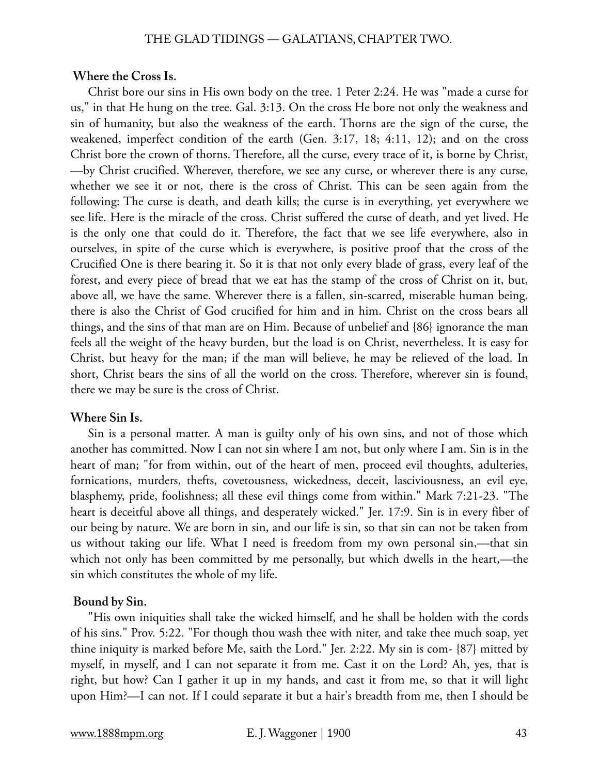#### **Where the Cross Is.**

Christ bore our sins in His own body on the tree. 1 Peter 2:24. He was "made a curse for us," in that He hung on the tree. Gal. 3:13. On the cross He bore not only the weakness and sin of humanity, but also the weakness of the earth. Thorns are the sign of the curse, the weakened, imperfect condition of the earth (Gen. 3:17, 18; 4:11, 12); and on the cross Christ bore the crown of thorns. Therefore, all the curse, every trace of it, is borne by Christ, —by Christ crucified. Wherever, therefore, we see any curse, or wherever there is any curse, whether we see it or not, there is the cross of Christ. This can be seen again from the following: The curse is death, and death kills; the curse is in everything, yet everywhere we see life. Here is the miracle of the cross. Christ suffered the curse of death, and yet lived. He is the only one that could do it. Therefore, the fact that we see life everywhere, also in ourselves, in spite of the curse which is everywhere, is positive proof that the cross of the Crucified One is there bearing it. So it is that not only every blade of grass, every leaf of the forest, and every piece of bread that we eat has the stamp of the cross of Christ on it, but, above all, we have the same. Wherever there is a fallen, sin-scarred, miserable human being, there is also the Christ of God crucified for him and in him. Christ on the cross bears all things, and the sins of that man are on Him. Because of unbelief and {86} ignorance the man feels all the weight of the heavy burden, but the load is on Christ, nevertheless. It is easy for Christ, but heavy for the man; if the man will believe, he may be relieved of the load. In short, Christ bears the sins of all the world on the cross. Therefore, wherever sin is found, there we may be sure is the cross of Christ.

## **Where Sin Is.**

Sin is a personal matter. A man is guilty only of his own sins, and not of those which another has committed. Now I can not sin where I am not, but only where I am. Sin is in the heart of man; "for from within, out of the heart of men, proceed evil thoughts, adulteries, fornications, murders, thefts, covetousness, wickedness, deceit, lasciviousness, an evil eye, blasphemy, pride, foolishness; all these evil things come from within." Mark 7:21-23. "The heart is deceitful above all things, and desperately wicked." Jer. 17:9. Sin is in every fiber of our being by nature. We are born in sin, and our life is sin, so that sin can not be taken from us without taking our life. What I need is freedom from my own personal sin,—that sin which not only has been committed by me personally, but which dwells in the heart,—the sin which constitutes the whole of my life.

## **Bound by Sin.**

"His own iniquities shall take the wicked himself, and he shall be holden with the cords of his sins." Prov. 5:22. "For though thou wash thee with niter, and take thee much soap, yet thine iniquity is marked before Me, saith the Lord." Jer. 2:22. My sin is com- {87} mitted by myself, in myself, and I can not separate it from me. Cast it on the Lord? Ah, yes, that is right, but how? Can I gather it up in my hands, and cast it from me, so that it will light upon Him?—I can not. If I could separate it but a hair's breadth from me, then I should be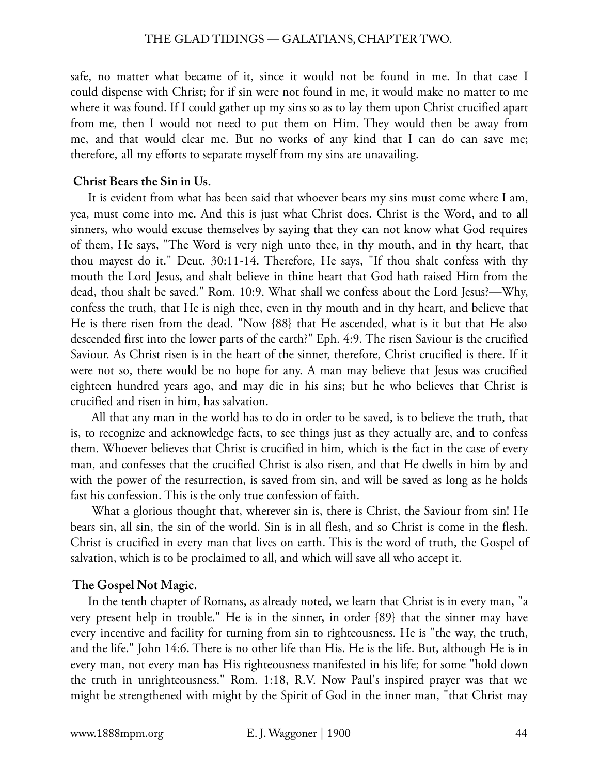safe, no matter what became of it, since it would not be found in me. In that case I could dispense with Christ; for if sin were not found in me, it would make no matter to me where it was found. If I could gather up my sins so as to lay them upon Christ crucified apart from me, then I would not need to put them on Him. They would then be away from me, and that would clear me. But no works of any kind that I can do can save me; therefore, all my efforts to separate myself from my sins are unavailing.

# **Christ Bears the Sin in Us.**

It is evident from what has been said that whoever bears my sins must come where I am, yea, must come into me. And this is just what Christ does. Christ is the Word, and to all sinners, who would excuse themselves by saying that they can not know what God requires of them, He says, "The Word is very nigh unto thee, in thy mouth, and in thy heart, that thou mayest do it." Deut. 30:11-14. Therefore, He says, "If thou shalt confess with thy mouth the Lord Jesus, and shalt believe in thine heart that God hath raised Him from the dead, thou shalt be saved." Rom. 10:9. What shall we confess about the Lord Jesus?—Why, confess the truth, that He is nigh thee, even in thy mouth and in thy heart, and believe that He is there risen from the dead. "Now {88} that He ascended, what is it but that He also descended first into the lower parts of the earth?" Eph. 4:9. The risen Saviour is the crucified Saviour. As Christ risen is in the heart of the sinner, therefore, Christ crucified is there. If it were not so, there would be no hope for any. A man may believe that Jesus was crucified eighteen hundred years ago, and may die in his sins; but he who believes that Christ is crucified and risen in him, has salvation.

 All that any man in the world has to do in order to be saved, is to believe the truth, that is, to recognize and acknowledge facts, to see things just as they actually are, and to confess them. Whoever believes that Christ is crucified in him, which is the fact in the case of every man, and confesses that the crucified Christ is also risen, and that He dwells in him by and with the power of the resurrection, is saved from sin, and will be saved as long as he holds fast his confession. This is the only true confession of faith.

 What a glorious thought that, wherever sin is, there is Christ, the Saviour from sin! He bears sin, all sin, the sin of the world. Sin is in all flesh, and so Christ is come in the flesh. Christ is crucified in every man that lives on earth. This is the word of truth, the Gospel of salvation, which is to be proclaimed to all, and which will save all who accept it.

# **The Gospel Not Magic.**

In the tenth chapter of Romans, as already noted, we learn that Christ is in every man, "a very present help in trouble." He is in the sinner, in order {89} that the sinner may have every incentive and facility for turning from sin to righteousness. He is "the way, the truth, and the life." John 14:6. There is no other life than His. He is the life. But, although He is in every man, not every man has His righteousness manifested in his life; for some "hold down the truth in unrighteousness." Rom. 1:18, R.V. Now Paul's inspired prayer was that we might be strengthened with might by the Spirit of God in the inner man, "that Christ may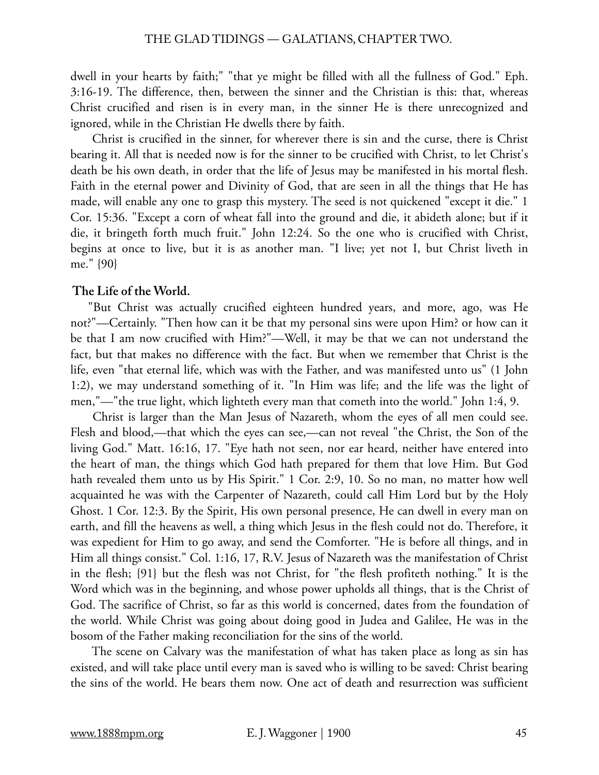dwell in your hearts by faith;" "that ye might be filled with all the fullness of God." Eph. 3:16-19. The difference, then, between the sinner and the Christian is this: that, whereas Christ crucified and risen is in every man, in the sinner He is there unrecognized and ignored, while in the Christian He dwells there by faith.

 Christ is crucified in the sinner, for wherever there is sin and the curse, there is Christ bearing it. All that is needed now is for the sinner to be crucified with Christ, to let Christ's death be his own death, in order that the life of Jesus may be manifested in his mortal flesh. Faith in the eternal power and Divinity of God, that are seen in all the things that He has made, will enable any one to grasp this mystery. The seed is not quickened "except it die." 1 Cor. 15:36. "Except a corn of wheat fall into the ground and die, it abideth alone; but if it die, it bringeth forth much fruit." John 12:24. So the one who is crucified with Christ, begins at once to live, but it is as another man. "I live; yet not I, but Christ liveth in me." {90}

# **The Life of the World.**

"But Christ was actually crucified eighteen hundred years, and more, ago, was He not?"—Certainly. "Then how can it be that my personal sins were upon Him? or how can it be that I am now crucified with Him?"—Well, it may be that we can not understand the fact, but that makes no difference with the fact. But when we remember that Christ is the life, even "that eternal life, which was with the Father, and was manifested unto us" (1 John 1:2), we may understand something of it. "In Him was life; and the life was the light of men,"—"the true light, which lighteth every man that cometh into the world." John 1:4, 9.

 Christ is larger than the Man Jesus of Nazareth, whom the eyes of all men could see. Flesh and blood,—that which the eyes can see,—can not reveal "the Christ, the Son of the living God." Matt. 16:16, 17. "Eye hath not seen, nor ear heard, neither have entered into the heart of man, the things which God hath prepared for them that love Him. But God hath revealed them unto us by His Spirit." 1 Cor. 2:9, 10. So no man, no matter how well acquainted he was with the Carpenter of Nazareth, could call Him Lord but by the Holy Ghost. 1 Cor. 12:3. By the Spirit, His own personal presence, He can dwell in every man on earth, and fill the heavens as well, a thing which Jesus in the flesh could not do. Therefore, it was expedient for Him to go away, and send the Comforter. "He is before all things, and in Him all things consist." Col. 1:16, 17, R.V. Jesus of Nazareth was the manifestation of Christ in the flesh; {91} but the flesh was not Christ, for "the flesh profiteth nothing." It is the Word which was in the beginning, and whose power upholds all things, that is the Christ of God. The sacrifice of Christ, so far as this world is concerned, dates from the foundation of the world. While Christ was going about doing good in Judea and Galilee, He was in the bosom of the Father making reconciliation for the sins of the world.

 The scene on Calvary was the manifestation of what has taken place as long as sin has existed, and will take place until every man is saved who is willing to be saved: Christ bearing the sins of the world. He bears them now. One act of death and resurrection was sufficient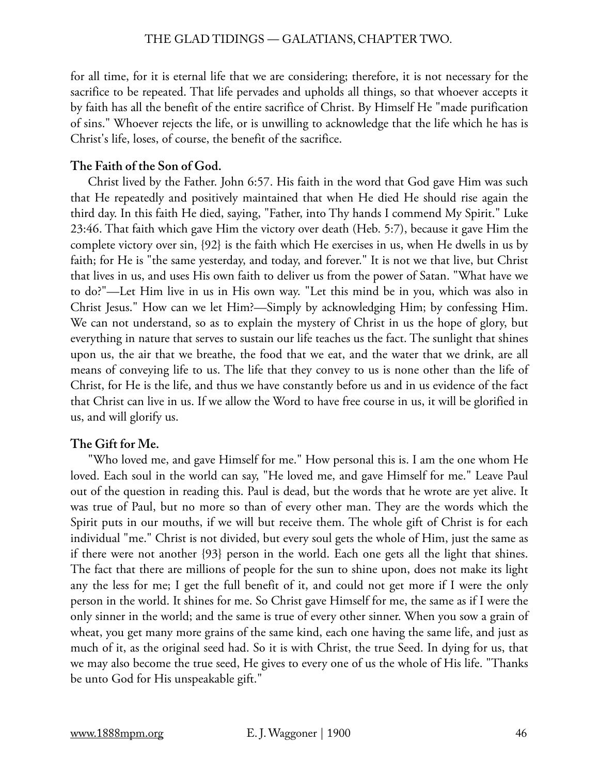for all time, for it is eternal life that we are considering; therefore, it is not necessary for the sacrifice to be repeated. That life pervades and upholds all things, so that whoever accepts it by faith has all the benefit of the entire sacrifice of Christ. By Himself He "made purification of sins." Whoever rejects the life, or is unwilling to acknowledge that the life which he has is Christ's life, loses, of course, the benefit of the sacrifice.

# **The Faith of the Son of God.**

Christ lived by the Father. John 6:57. His faith in the word that God gave Him was such that He repeatedly and positively maintained that when He died He should rise again the third day. In this faith He died, saying, "Father, into Thy hands I commend My Spirit." Luke 23:46. That faith which gave Him the victory over death (Heb. 5:7), because it gave Him the complete victory over sin, {92} is the faith which He exercises in us, when He dwells in us by faith; for He is "the same yesterday, and today, and forever." It is not we that live, but Christ that lives in us, and uses His own faith to deliver us from the power of Satan. "What have we to do?"—Let Him live in us in His own way. "Let this mind be in you, which was also in Christ Jesus." How can we let Him?—Simply by acknowledging Him; by confessing Him. We can not understand, so as to explain the mystery of Christ in us the hope of glory, but everything in nature that serves to sustain our life teaches us the fact. The sunlight that shines upon us, the air that we breathe, the food that we eat, and the water that we drink, are all means of conveying life to us. The life that they convey to us is none other than the life of Christ, for He is the life, and thus we have constantly before us and in us evidence of the fact that Christ can live in us. If we allow the Word to have free course in us, it will be glorified in us, and will glorify us.

# **The Gift for Me.**

"Who loved me, and gave Himself for me." How personal this is. I am the one whom He loved. Each soul in the world can say, "He loved me, and gave Himself for me." Leave Paul out of the question in reading this. Paul is dead, but the words that he wrote are yet alive. It was true of Paul, but no more so than of every other man. They are the words which the Spirit puts in our mouths, if we will but receive them. The whole gift of Christ is for each individual "me." Christ is not divided, but every soul gets the whole of Him, just the same as if there were not another {93} person in the world. Each one gets all the light that shines. The fact that there are millions of people for the sun to shine upon, does not make its light any the less for me; I get the full benefit of it, and could not get more if I were the only person in the world. It shines for me. So Christ gave Himself for me, the same as if I were the only sinner in the world; and the same is true of every other sinner. When you sow a grain of wheat, you get many more grains of the same kind, each one having the same life, and just as much of it, as the original seed had. So it is with Christ, the true Seed. In dying for us, that we may also become the true seed, He gives to every one of us the whole of His life. "Thanks be unto God for His unspeakable gift."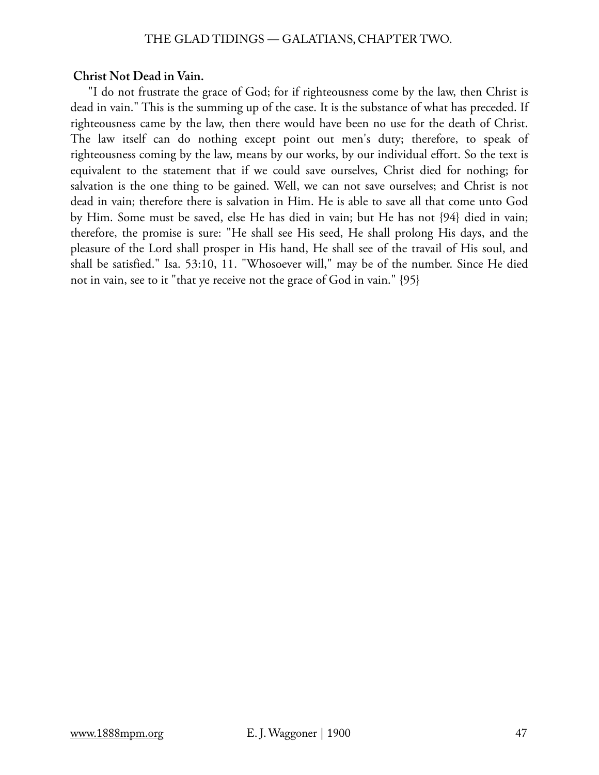# **Christ Not Dead in Vain.**

"I do not frustrate the grace of God; for if righteousness come by the law, then Christ is dead in vain." This is the summing up of the case. It is the substance of what has preceded. If righteousness came by the law, then there would have been no use for the death of Christ. The law itself can do nothing except point out men's duty; therefore, to speak of righteousness coming by the law, means by our works, by our individual effort. So the text is equivalent to the statement that if we could save ourselves, Christ died for nothing; for salvation is the one thing to be gained. Well, we can not save ourselves; and Christ is not dead in vain; therefore there is salvation in Him. He is able to save all that come unto God by Him. Some must be saved, else He has died in vain; but He has not {94} died in vain; therefore, the promise is sure: "He shall see His seed, He shall prolong His days, and the pleasure of the Lord shall prosper in His hand, He shall see of the travail of His soul, and shall be satisfied." Isa. 53:10, 11. "Whosoever will," may be of the number. Since He died not in vain, see to it "that ye receive not the grace of God in vain." {95}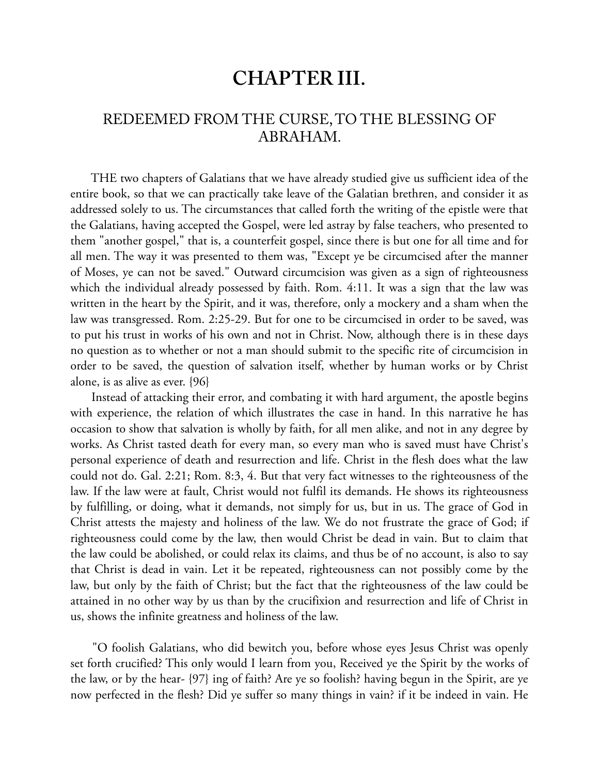# **CHAPTER III.**

# REDEEMED FROM THE CURSE, TO THE BLESSING OF ABRAHAM.

 THE two chapters of Galatians that we have already studied give us sufficient idea of the entire book, so that we can practically take leave of the Galatian brethren, and consider it as addressed solely to us. The circumstances that called forth the writing of the epistle were that the Galatians, having accepted the Gospel, were led astray by false teachers, who presented to them "another gospel," that is, a counterfeit gospel, since there is but one for all time and for all men. The way it was presented to them was, "Except ye be circumcised after the manner of Moses, ye can not be saved." Outward circumcision was given as a sign of righteousness which the individual already possessed by faith. Rom. 4:11. It was a sign that the law was written in the heart by the Spirit, and it was, therefore, only a mockery and a sham when the law was transgressed. Rom. 2:25-29. But for one to be circumcised in order to be saved, was to put his trust in works of his own and not in Christ. Now, although there is in these days no question as to whether or not a man should submit to the specific rite of circumcision in order to be saved, the question of salvation itself, whether by human works or by Christ alone, is as alive as ever. {96}

 Instead of attacking their error, and combating it with hard argument, the apostle begins with experience, the relation of which illustrates the case in hand. In this narrative he has occasion to show that salvation is wholly by faith, for all men alike, and not in any degree by works. As Christ tasted death for every man, so every man who is saved must have Christ's personal experience of death and resurrection and life. Christ in the flesh does what the law could not do. Gal. 2:21; Rom. 8:3, 4. But that very fact witnesses to the righteousness of the law. If the law were at fault, Christ would not fulfil its demands. He shows its righteousness by fulfilling, or doing, what it demands, not simply for us, but in us. The grace of God in Christ attests the majesty and holiness of the law. We do not frustrate the grace of God; if righteousness could come by the law, then would Christ be dead in vain. But to claim that the law could be abolished, or could relax its claims, and thus be of no account, is also to say that Christ is dead in vain. Let it be repeated, righteousness can not possibly come by the law, but only by the faith of Christ; but the fact that the righteousness of the law could be attained in no other way by us than by the crucifixion and resurrection and life of Christ in us, shows the infinite greatness and holiness of the law.

 "O foolish Galatians, who did bewitch you, before whose eyes Jesus Christ was openly set forth crucified? This only would I learn from you, Received ye the Spirit by the works of the law, or by the hear- {97} ing of faith? Are ye so foolish? having begun in the Spirit, are ye now perfected in the flesh? Did ye suffer so many things in vain? if it be indeed in vain. He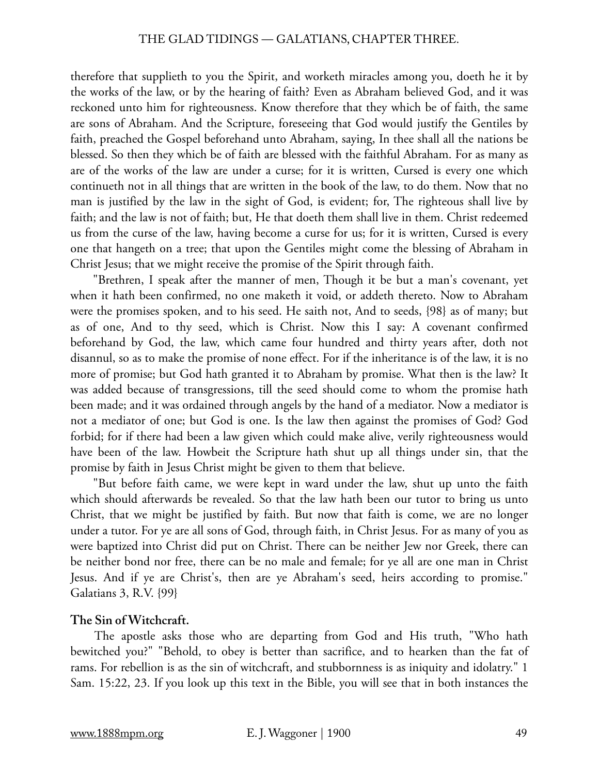therefore that supplieth to you the Spirit, and worketh miracles among you, doeth he it by the works of the law, or by the hearing of faith? Even as Abraham believed God, and it was reckoned unto him for righteousness. Know therefore that they which be of faith, the same are sons of Abraham. And the Scripture, foreseeing that God would justify the Gentiles by faith, preached the Gospel beforehand unto Abraham, saying, In thee shall all the nations be blessed. So then they which be of faith are blessed with the faithful Abraham. For as many as are of the works of the law are under a curse; for it is written, Cursed is every one which continueth not in all things that are written in the book of the law, to do them. Now that no man is justified by the law in the sight of God, is evident; for, The righteous shall live by faith; and the law is not of faith; but, He that doeth them shall live in them. Christ redeemed us from the curse of the law, having become a curse for us; for it is written, Cursed is every one that hangeth on a tree; that upon the Gentiles might come the blessing of Abraham in Christ Jesus; that we might receive the promise of the Spirit through faith.

 "Brethren, I speak after the manner of men, Though it be but a man's covenant, yet when it hath been confirmed, no one maketh it void, or addeth thereto. Now to Abraham were the promises spoken, and to his seed. He saith not, And to seeds, {98} as of many; but as of one, And to thy seed, which is Christ. Now this I say: A covenant confirmed beforehand by God, the law, which came four hundred and thirty years after, doth not disannul, so as to make the promise of none effect. For if the inheritance is of the law, it is no more of promise; but God hath granted it to Abraham by promise. What then is the law? It was added because of transgressions, till the seed should come to whom the promise hath been made; and it was ordained through angels by the hand of a mediator. Now a mediator is not a mediator of one; but God is one. Is the law then against the promises of God? God forbid; for if there had been a law given which could make alive, verily righteousness would have been of the law. Howbeit the Scripture hath shut up all things under sin, that the promise by faith in Jesus Christ might be given to them that believe.

 "But before faith came, we were kept in ward under the law, shut up unto the faith which should afterwards be revealed. So that the law hath been our tutor to bring us unto Christ, that we might be justified by faith. But now that faith is come, we are no longer under a tutor. For ye are all sons of God, through faith, in Christ Jesus. For as many of you as were baptized into Christ did put on Christ. There can be neither Jew nor Greek, there can be neither bond nor free, there can be no male and female; for ye all are one man in Christ Jesus. And if ye are Christ's, then are ye Abraham's seed, heirs according to promise." Galatians 3, R.V. {99}

# **The Sin of Witchcraft.**

 The apostle asks those who are departing from God and His truth, "Who hath bewitched you?" "Behold, to obey is better than sacrifice, and to hearken than the fat of rams. For rebellion is as the sin of witchcraft, and stubbornness is as iniquity and idolatry." 1 Sam. 15:22, 23. If you look up this text in the Bible, you will see that in both instances the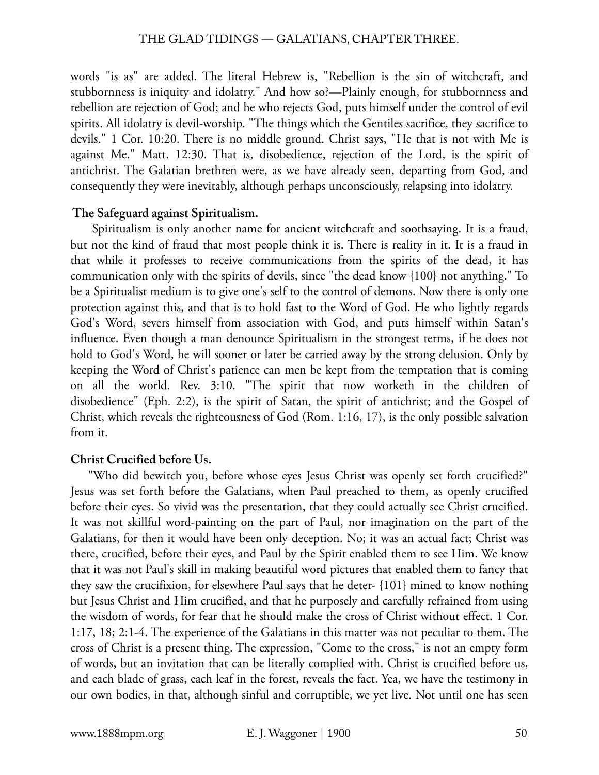words "is as" are added. The literal Hebrew is, "Rebellion is the sin of witchcraft, and stubbornness is iniquity and idolatry." And how so?—Plainly enough, for stubbornness and rebellion are rejection of God; and he who rejects God, puts himself under the control of evil spirits. All idolatry is devil-worship. "The things which the Gentiles sacrifice, they sacrifice to devils." 1 Cor. 10:20. There is no middle ground. Christ says, "He that is not with Me is against Me." Matt. 12:30. That is, disobedience, rejection of the Lord, is the spirit of antichrist. The Galatian brethren were, as we have already seen, departing from God, and consequently they were inevitably, although perhaps unconsciously, relapsing into idolatry.

#### **The Safeguard against Spiritualism.**

 Spiritualism is only another name for ancient witchcraft and soothsaying. It is a fraud, but not the kind of fraud that most people think it is. There is reality in it. It is a fraud in that while it professes to receive communications from the spirits of the dead, it has communication only with the spirits of devils, since "the dead know {100} not anything." To be a Spiritualist medium is to give one's self to the control of demons. Now there is only one protection against this, and that is to hold fast to the Word of God. He who lightly regards God's Word, severs himself from association with God, and puts himself within Satan's influence. Even though a man denounce Spiritualism in the strongest terms, if he does not hold to God's Word, he will sooner or later be carried away by the strong delusion. Only by keeping the Word of Christ's patience can men be kept from the temptation that is coming on all the world. Rev. 3:10. "The spirit that now worketh in the children of disobedience" (Eph. 2:2), is the spirit of Satan, the spirit of antichrist; and the Gospel of Christ, which reveals the righteousness of God (Rom. 1:16, 17), is the only possible salvation from it.

# **Christ Crucified before Us.**

"Who did bewitch you, before whose eyes Jesus Christ was openly set forth crucified?" Jesus was set forth before the Galatians, when Paul preached to them, as openly crucified before their eyes. So vivid was the presentation, that they could actually see Christ crucified. It was not skillful word-painting on the part of Paul, nor imagination on the part of the Galatians, for then it would have been only deception. No; it was an actual fact; Christ was there, crucified, before their eyes, and Paul by the Spirit enabled them to see Him. We know that it was not Paul's skill in making beautiful word pictures that enabled them to fancy that they saw the crucifixion, for elsewhere Paul says that he deter- {101} mined to know nothing but Jesus Christ and Him crucified, and that he purposely and carefully refrained from using the wisdom of words, for fear that he should make the cross of Christ without effect. 1 Cor. 1:17, 18; 2:1-4. The experience of the Galatians in this matter was not peculiar to them. The cross of Christ is a present thing. The expression, "Come to the cross," is not an empty form of words, but an invitation that can be literally complied with. Christ is crucified before us, and each blade of grass, each leaf in the forest, reveals the fact. Yea, we have the testimony in our own bodies, in that, although sinful and corruptible, we yet live. Not until one has seen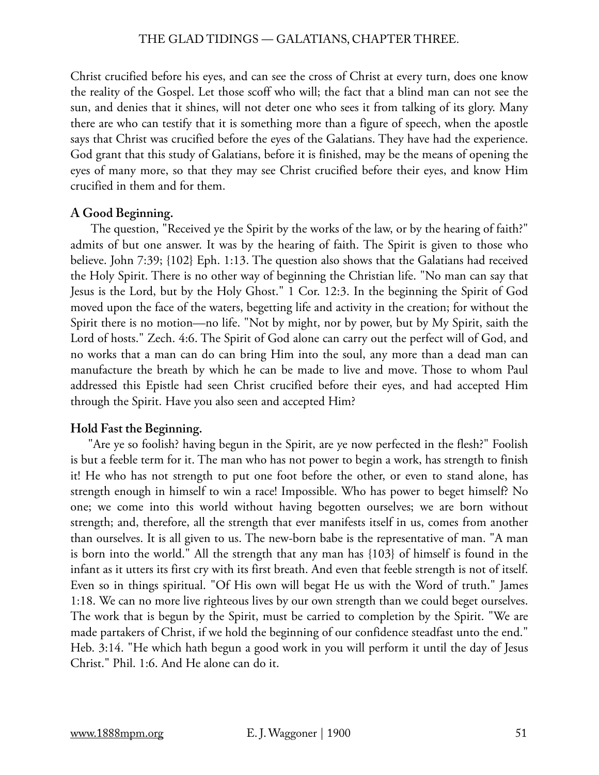Christ crucified before his eyes, and can see the cross of Christ at every turn, does one know the reality of the Gospel. Let those scoff who will; the fact that a blind man can not see the sun, and denies that it shines, will not deter one who sees it from talking of its glory. Many there are who can testify that it is something more than a figure of speech, when the apostle says that Christ was crucified before the eyes of the Galatians. They have had the experience. God grant that this study of Galatians, before it is finished, may be the means of opening the eyes of many more, so that they may see Christ crucified before their eyes, and know Him crucified in them and for them.

# **A Good Beginning.**

 The question, "Received ye the Spirit by the works of the law, or by the hearing of faith?" admits of but one answer. It was by the hearing of faith. The Spirit is given to those who believe. John 7:39; {102} Eph. 1:13. The question also shows that the Galatians had received the Holy Spirit. There is no other way of beginning the Christian life. "No man can say that Jesus is the Lord, but by the Holy Ghost." 1 Cor. 12:3. In the beginning the Spirit of God moved upon the face of the waters, begetting life and activity in the creation; for without the Spirit there is no motion—no life. "Not by might, nor by power, but by My Spirit, saith the Lord of hosts." Zech. 4:6. The Spirit of God alone can carry out the perfect will of God, and no works that a man can do can bring Him into the soul, any more than a dead man can manufacture the breath by which he can be made to live and move. Those to whom Paul addressed this Epistle had seen Christ crucified before their eyes, and had accepted Him through the Spirit. Have you also seen and accepted Him?

# **Hold Fast the Beginning.**

"Are ye so foolish? having begun in the Spirit, are ye now perfected in the flesh?" Foolish is but a feeble term for it. The man who has not power to begin a work, has strength to finish it! He who has not strength to put one foot before the other, or even to stand alone, has strength enough in himself to win a race! Impossible. Who has power to beget himself? No one; we come into this world without having begotten ourselves; we are born without strength; and, therefore, all the strength that ever manifests itself in us, comes from another than ourselves. It is all given to us. The new-born babe is the representative of man. "A man is born into the world." All the strength that any man has {103} of himself is found in the infant as it utters its first cry with its first breath. And even that feeble strength is not of itself. Even so in things spiritual. "Of His own will begat He us with the Word of truth." James 1:18. We can no more live righteous lives by our own strength than we could beget ourselves. The work that is begun by the Spirit, must be carried to completion by the Spirit. "We are made partakers of Christ, if we hold the beginning of our confidence steadfast unto the end." Heb. 3:14. "He which hath begun a good work in you will perform it until the day of Jesus Christ." Phil. 1:6. And He alone can do it.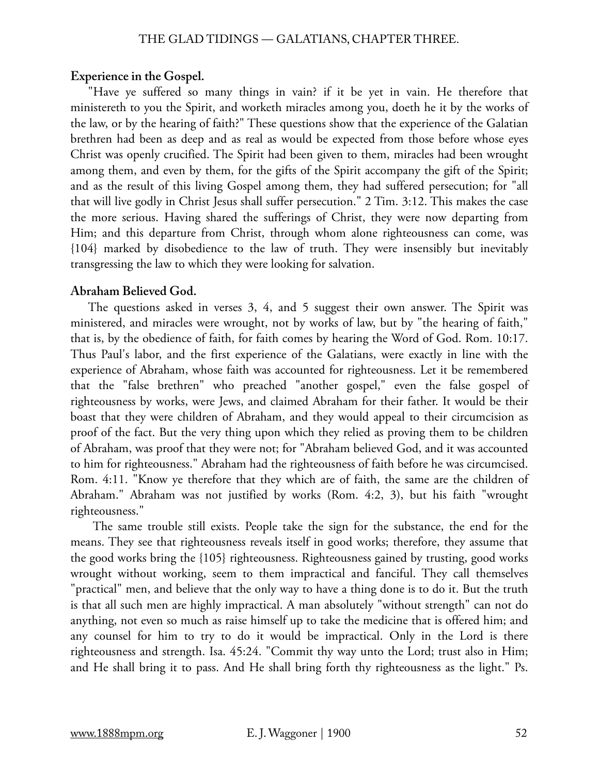## **Experience in the Gospel.**

"Have ye suffered so many things in vain? if it be yet in vain. He therefore that ministereth to you the Spirit, and worketh miracles among you, doeth he it by the works of the law, or by the hearing of faith?" These questions show that the experience of the Galatian brethren had been as deep and as real as would be expected from those before whose eyes Christ was openly crucified. The Spirit had been given to them, miracles had been wrought among them, and even by them, for the gifts of the Spirit accompany the gift of the Spirit; and as the result of this living Gospel among them, they had suffered persecution; for "all that will live godly in Christ Jesus shall suffer persecution." 2 Tim. 3:12. This makes the case the more serious. Having shared the sufferings of Christ, they were now departing from Him; and this departure from Christ, through whom alone righteousness can come, was {104} marked by disobedience to the law of truth. They were insensibly but inevitably transgressing the law to which they were looking for salvation.

#### **Abraham Believed God.**

The questions asked in verses 3, 4, and 5 suggest their own answer. The Spirit was ministered, and miracles were wrought, not by works of law, but by "the hearing of faith," that is, by the obedience of faith, for faith comes by hearing the Word of God. Rom. 10:17. Thus Paul's labor, and the first experience of the Galatians, were exactly in line with the experience of Abraham, whose faith was accounted for righteousness. Let it be remembered that the "false brethren" who preached "another gospel," even the false gospel of righteousness by works, were Jews, and claimed Abraham for their father. It would be their boast that they were children of Abraham, and they would appeal to their circumcision as proof of the fact. But the very thing upon which they relied as proving them to be children of Abraham, was proof that they were not; for "Abraham believed God, and it was accounted to him for righteousness." Abraham had the righteousness of faith before he was circumcised. Rom. 4:11. "Know ye therefore that they which are of faith, the same are the children of Abraham." Abraham was not justified by works (Rom. 4:2, 3), but his faith "wrought righteousness."

 The same trouble still exists. People take the sign for the substance, the end for the means. They see that righteousness reveals itself in good works; therefore, they assume that the good works bring the {105} righteousness. Righteousness gained by trusting, good works wrought without working, seem to them impractical and fanciful. They call themselves "practical" men, and believe that the only way to have a thing done is to do it. But the truth is that all such men are highly impractical. A man absolutely "without strength" can not do anything, not even so much as raise himself up to take the medicine that is offered him; and any counsel for him to try to do it would be impractical. Only in the Lord is there righteousness and strength. Isa. 45:24. "Commit thy way unto the Lord; trust also in Him; and He shall bring it to pass. And He shall bring forth thy righteousness as the light." Ps.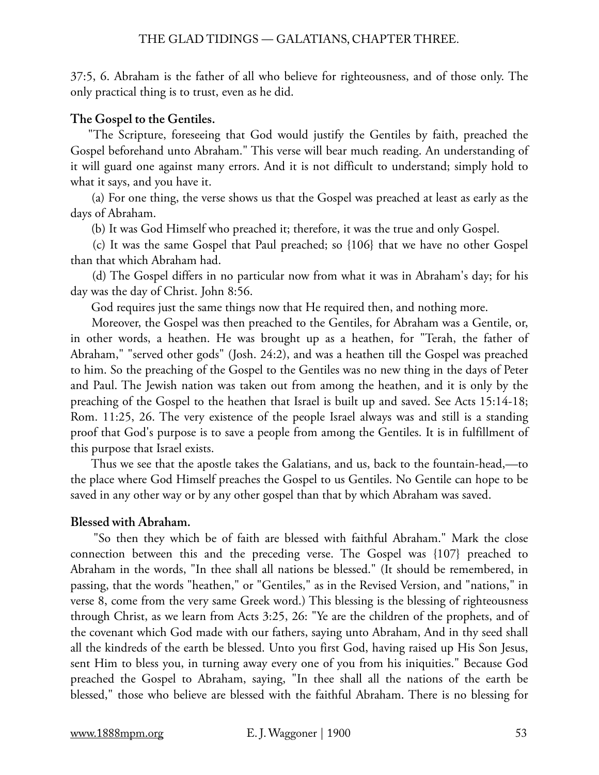37:5, 6. Abraham is the father of all who believe for righteousness, and of those only. The only practical thing is to trust, even as he did.

# **The Gospel to the Gentiles.**

"The Scripture, foreseeing that God would justify the Gentiles by faith, preached the Gospel beforehand unto Abraham." This verse will bear much reading. An understanding of it will guard one against many errors. And it is not difficult to understand; simply hold to what it says, and you have it.

 (a) For one thing, the verse shows us that the Gospel was preached at least as early as the days of Abraham.

(b) It was God Himself who preached it; therefore, it was the true and only Gospel.

 (c) It was the same Gospel that Paul preached; so {106} that we have no other Gospel than that which Abraham had.

 (d) The Gospel differs in no particular now from what it was in Abraham's day; for his day was the day of Christ. John 8:56.

God requires just the same things now that He required then, and nothing more.

 Moreover, the Gospel was then preached to the Gentiles, for Abraham was a Gentile, or, in other words, a heathen. He was brought up as a heathen, for "Terah, the father of Abraham," "served other gods" (Josh. 24:2), and was a heathen till the Gospel was preached to him. So the preaching of the Gospel to the Gentiles was no new thing in the days of Peter and Paul. The Jewish nation was taken out from among the heathen, and it is only by the preaching of the Gospel to the heathen that Israel is built up and saved. See Acts 15:14-18; Rom. 11:25, 26. The very existence of the people Israel always was and still is a standing proof that God's purpose is to save a people from among the Gentiles. It is in fulfillment of this purpose that Israel exists.

 Thus we see that the apostle takes the Galatians, and us, back to the fountain-head,—to the place where God Himself preaches the Gospel to us Gentiles. No Gentile can hope to be saved in any other way or by any other gospel than that by which Abraham was saved.

# **Blessed with Abraham.**

 "So then they which be of faith are blessed with faithful Abraham." Mark the close connection between this and the preceding verse. The Gospel was {107} preached to Abraham in the words, "In thee shall all nations be blessed." (It should be remembered, in passing, that the words "heathen," or "Gentiles," as in the Revised Version, and "nations," in verse 8, come from the very same Greek word.) This blessing is the blessing of righteousness through Christ, as we learn from Acts 3:25, 26: "Ye are the children of the prophets, and of the covenant which God made with our fathers, saying unto Abraham, And in thy seed shall all the kindreds of the earth be blessed. Unto you first God, having raised up His Son Jesus, sent Him to bless you, in turning away every one of you from his iniquities." Because God preached the Gospel to Abraham, saying, "In thee shall all the nations of the earth be blessed," those who believe are blessed with the faithful Abraham. There is no blessing for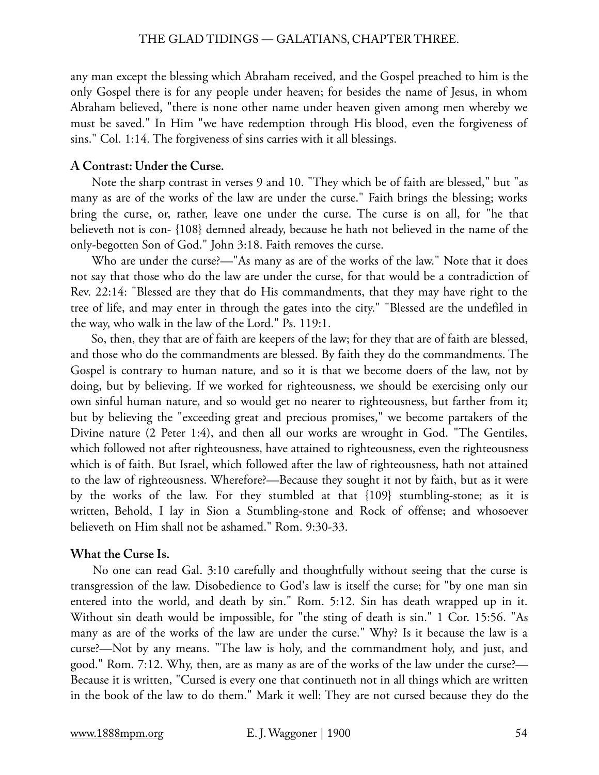any man except the blessing which Abraham received, and the Gospel preached to him is the only Gospel there is for any people under heaven; for besides the name of Jesus, in whom Abraham believed, "there is none other name under heaven given among men whereby we must be saved." In Him "we have redemption through His blood, even the forgiveness of sins." Col. 1:14. The forgiveness of sins carries with it all blessings.

# **A Contrast: Under the Curse.**

 Note the sharp contrast in verses 9 and 10. "They which be of faith are blessed," but "as many as are of the works of the law are under the curse." Faith brings the blessing; works bring the curse, or, rather, leave one under the curse. The curse is on all, for "he that believeth not is con- {108} demned already, because he hath not believed in the name of the only-begotten Son of God." John 3:18. Faith removes the curse.

 Who are under the curse?—"As many as are of the works of the law." Note that it does not say that those who do the law are under the curse, for that would be a contradiction of Rev. 22:14: "Blessed are they that do His commandments, that they may have right to the tree of life, and may enter in through the gates into the city." "Blessed are the undefiled in the way, who walk in the law of the Lord." Ps. 119:1.

 So, then, they that are of faith are keepers of the law; for they that are of faith are blessed, and those who do the commandments are blessed. By faith they do the commandments. The Gospel is contrary to human nature, and so it is that we become doers of the law, not by doing, but by believing. If we worked for righteousness, we should be exercising only our own sinful human nature, and so would get no nearer to righteousness, but farther from it; but by believing the "exceeding great and precious promises," we become partakers of the Divine nature (2 Peter 1:4), and then all our works are wrought in God. "The Gentiles, which followed not after righteousness, have attained to righteousness, even the righteousness which is of faith. But Israel, which followed after the law of righteousness, hath not attained to the law of righteousness. Wherefore?—Because they sought it not by faith, but as it were by the works of the law. For they stumbled at that {109} stumbling-stone; as it is written, Behold, I lay in Sion a Stumbling-stone and Rock of offense; and whosoever believeth on Him shall not be ashamed." Rom. 9:30-33.

## **What the Curse Is.**

No one can read Gal. 3:10 carefully and thoughtfully without seeing that the curse is transgression of the law. Disobedience to God's law is itself the curse; for "by one man sin entered into the world, and death by sin." Rom. 5:12. Sin has death wrapped up in it. Without sin death would be impossible, for "the sting of death is sin." 1 Cor. 15:56. "As many as are of the works of the law are under the curse." Why? Is it because the law is a curse?—Not by any means. "The law is holy, and the commandment holy, and just, and good." Rom. 7:12. Why, then, are as many as are of the works of the law under the curse?— Because it is written, "Cursed is every one that continueth not in all things which are written in the book of the law to do them." Mark it well: They are not cursed because they do the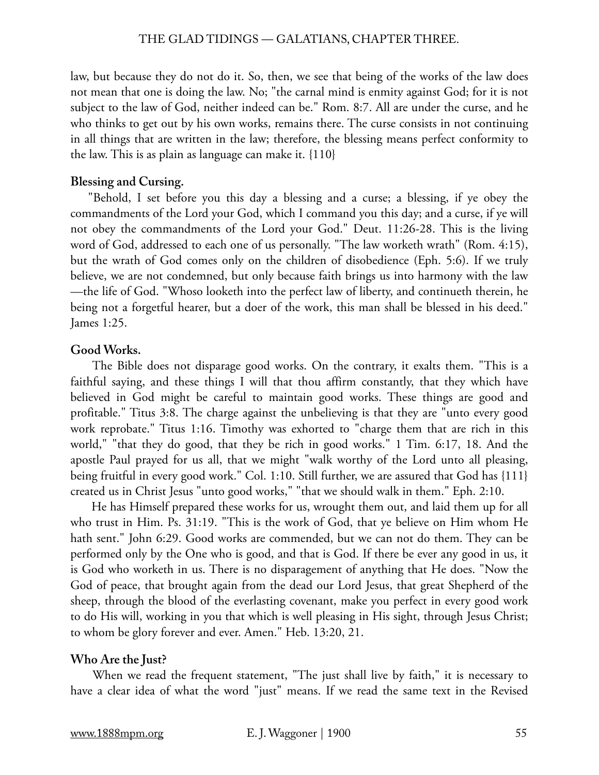law, but because they do not do it. So, then, we see that being of the works of the law does not mean that one is doing the law. No; "the carnal mind is enmity against God; for it is not subject to the law of God, neither indeed can be." Rom. 8:7. All are under the curse, and he who thinks to get out by his own works, remains there. The curse consists in not continuing in all things that are written in the law; therefore, the blessing means perfect conformity to the law. This is as plain as language can make it. {110}

#### **Blessing and Cursing.**

"Behold, I set before you this day a blessing and a curse; a blessing, if ye obey the commandments of the Lord your God, which I command you this day; and a curse, if ye will not obey the commandments of the Lord your God." Deut. 11:26-28. This is the living word of God, addressed to each one of us personally. "The law worketh wrath" (Rom. 4:15), but the wrath of God comes only on the children of disobedience (Eph. 5:6). If we truly believe, we are not condemned, but only because faith brings us into harmony with the law —the life of God. "Whoso looketh into the perfect law of liberty, and continueth therein, he being not a forgetful hearer, but a doer of the work, this man shall be blessed in his deed." James 1:25.

## **Good Works.**

 The Bible does not disparage good works. On the contrary, it exalts them. "This is a faithful saying, and these things I will that thou affirm constantly, that they which have believed in God might be careful to maintain good works. These things are good and profitable." Titus 3:8. The charge against the unbelieving is that they are "unto every good work reprobate." Titus 1:16. Timothy was exhorted to "charge them that are rich in this world," "that they do good, that they be rich in good works." 1 Tim. 6:17, 18. And the apostle Paul prayed for us all, that we might "walk worthy of the Lord unto all pleasing, being fruitful in every good work." Col. 1:10. Still further, we are assured that God has {111} created us in Christ Jesus "unto good works," "that we should walk in them." Eph. 2:10.

 He has Himself prepared these works for us, wrought them out, and laid them up for all who trust in Him. Ps. 31:19. "This is the work of God, that ye believe on Him whom He hath sent." John 6:29. Good works are commended, but we can not do them. They can be performed only by the One who is good, and that is God. If there be ever any good in us, it is God who worketh in us. There is no disparagement of anything that He does. "Now the God of peace, that brought again from the dead our Lord Jesus, that great Shepherd of the sheep, through the blood of the everlasting covenant, make you perfect in every good work to do His will, working in you that which is well pleasing in His sight, through Jesus Christ; to whom be glory forever and ever. Amen." Heb. 13:20, 21.

#### **Who Are the Just?**

 When we read the frequent statement, "The just shall live by faith," it is necessary to have a clear idea of what the word "just" means. If we read the same text in the Revised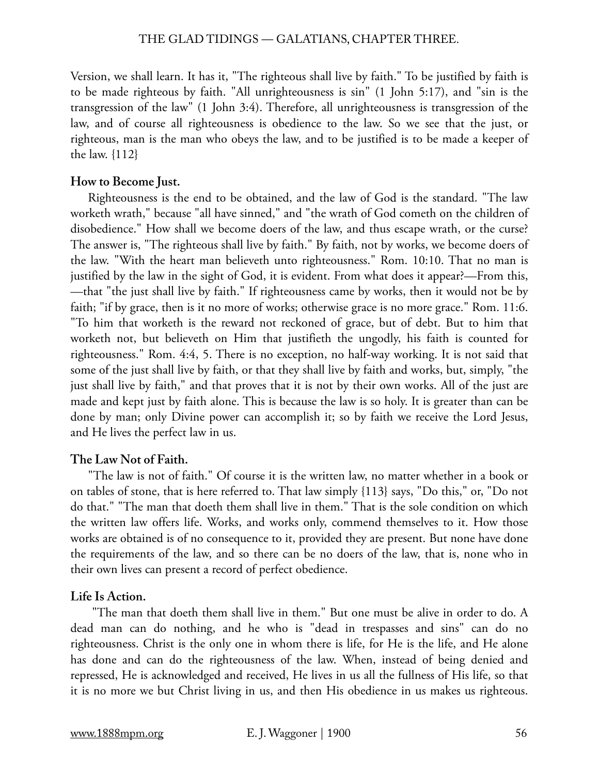Version, we shall learn. It has it, "The righteous shall live by faith." To be justified by faith is to be made righteous by faith. "All unrighteousness is sin" (1 John 5:17), and "sin is the transgression of the law" (1 John 3:4). Therefore, all unrighteousness is transgression of the law, and of course all righteousness is obedience to the law. So we see that the just, or righteous, man is the man who obeys the law, and to be justified is to be made a keeper of the law. {112}

# **How to Become Just.**

Righteousness is the end to be obtained, and the law of God is the standard. "The law worketh wrath," because "all have sinned," and "the wrath of God cometh on the children of disobedience." How shall we become doers of the law, and thus escape wrath, or the curse? The answer is, "The righteous shall live by faith." By faith, not by works, we become doers of the law. "With the heart man believeth unto righteousness." Rom. 10:10. That no man is justified by the law in the sight of God, it is evident. From what does it appear?—From this, —that "the just shall live by faith." If righteousness came by works, then it would not be by faith; "if by grace, then is it no more of works; otherwise grace is no more grace." Rom. 11:6. "To him that worketh is the reward not reckoned of grace, but of debt. But to him that worketh not, but believeth on Him that justifieth the ungodly, his faith is counted for righteousness." Rom. 4:4, 5. There is no exception, no half-way working. It is not said that some of the just shall live by faith, or that they shall live by faith and works, but, simply, "the just shall live by faith," and that proves that it is not by their own works. All of the just are made and kept just by faith alone. This is because the law is so holy. It is greater than can be done by man; only Divine power can accomplish it; so by faith we receive the Lord Jesus, and He lives the perfect law in us.

# **The Law Not of Faith.**

"The law is not of faith." Of course it is the written law, no matter whether in a book or on tables of stone, that is here referred to. That law simply {113} says, "Do this," or, "Do not do that." "The man that doeth them shall live in them." That is the sole condition on which the written law offers life. Works, and works only, commend themselves to it. How those works are obtained is of no consequence to it, provided they are present. But none have done the requirements of the law, and so there can be no doers of the law, that is, none who in their own lives can present a record of perfect obedience.

# **Life Is Action.**

 "The man that doeth them shall live in them." But one must be alive in order to do. A dead man can do nothing, and he who is "dead in trespasses and sins" can do no righteousness. Christ is the only one in whom there is life, for He is the life, and He alone has done and can do the righteousness of the law. When, instead of being denied and repressed, He is acknowledged and received, He lives in us all the fullness of His life, so that it is no more we but Christ living in us, and then His obedience in us makes us righteous.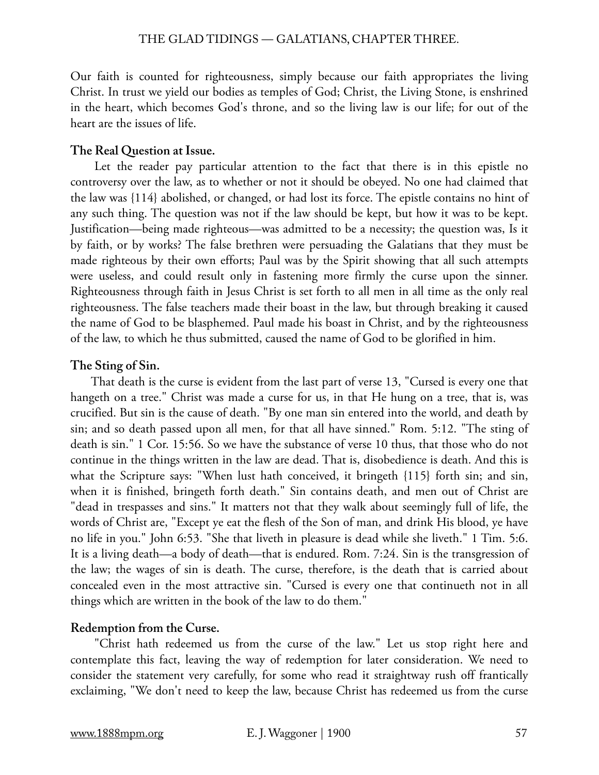Our faith is counted for righteousness, simply because our faith appropriates the living Christ. In trust we yield our bodies as temples of God; Christ, the Living Stone, is enshrined in the heart, which becomes God's throne, and so the living law is our life; for out of the heart are the issues of life.

# **The Real Question at Issue.**

 Let the reader pay particular attention to the fact that there is in this epistle no controversy over the law, as to whether or not it should be obeyed. No one had claimed that the law was {114} abolished, or changed, or had lost its force. The epistle contains no hint of any such thing. The question was not if the law should be kept, but how it was to be kept. Justification—being made righteous—was admitted to be a necessity; the question was, Is it by faith, or by works? The false brethren were persuading the Galatians that they must be made righteous by their own efforts; Paul was by the Spirit showing that all such attempts were useless, and could result only in fastening more firmly the curse upon the sinner. Righteousness through faith in Jesus Christ is set forth to all men in all time as the only real righteousness. The false teachers made their boast in the law, but through breaking it caused the name of God to be blasphemed. Paul made his boast in Christ, and by the righteousness of the law, to which he thus submitted, caused the name of God to be glorified in him.

# **The Sting of Sin.**

 That death is the curse is evident from the last part of verse 13, "Cursed is every one that hangeth on a tree." Christ was made a curse for us, in that He hung on a tree, that is, was crucified. But sin is the cause of death. "By one man sin entered into the world, and death by sin; and so death passed upon all men, for that all have sinned." Rom. 5:12. "The sting of death is sin." 1 Cor. 15:56. So we have the substance of verse 10 thus, that those who do not continue in the things written in the law are dead. That is, disobedience is death. And this is what the Scripture says: "When lust hath conceived, it bringeth {115} forth sin; and sin, when it is finished, bringeth forth death." Sin contains death, and men out of Christ are "dead in trespasses and sins." It matters not that they walk about seemingly full of life, the words of Christ are, "Except ye eat the flesh of the Son of man, and drink His blood, ye have no life in you." John 6:53. "She that liveth in pleasure is dead while she liveth." 1 Tim. 5:6. It is a living death—a body of death—that is endured. Rom. 7:24. Sin is the transgression of the law; the wages of sin is death. The curse, therefore, is the death that is carried about concealed even in the most attractive sin. "Cursed is every one that continueth not in all things which are written in the book of the law to do them."

# **Redemption from the Curse.**

 "Christ hath redeemed us from the curse of the law." Let us stop right here and contemplate this fact, leaving the way of redemption for later consideration. We need to consider the statement very carefully, for some who read it straightway rush off frantically exclaiming, "We don't need to keep the law, because Christ has redeemed us from the curse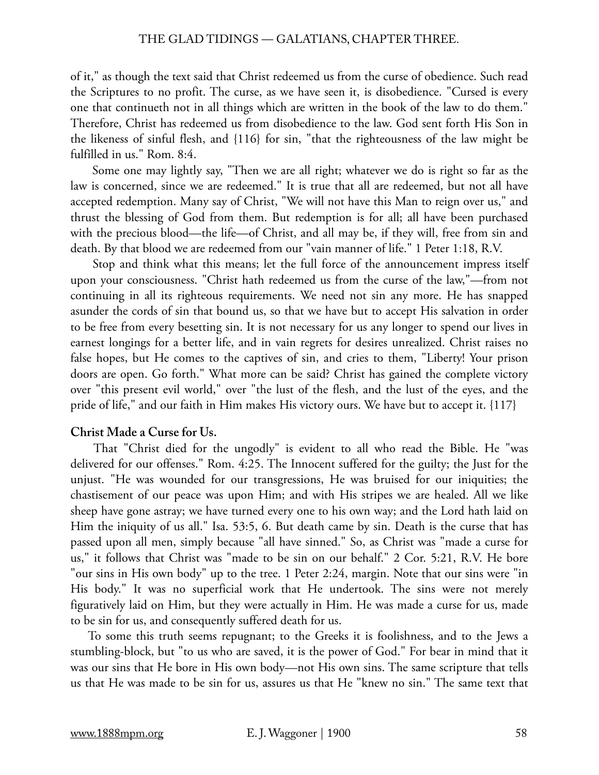of it," as though the text said that Christ redeemed us from the curse of obedience. Such read the Scriptures to no profit. The curse, as we have seen it, is disobedience. "Cursed is every one that continueth not in all things which are written in the book of the law to do them." Therefore, Christ has redeemed us from disobedience to the law. God sent forth His Son in the likeness of sinful flesh, and {116} for sin, "that the righteousness of the law might be fulfilled in us." Rom. 8:4.

 Some one may lightly say, "Then we are all right; whatever we do is right so far as the law is concerned, since we are redeemed." It is true that all are redeemed, but not all have accepted redemption. Many say of Christ, "We will not have this Man to reign over us," and thrust the blessing of God from them. But redemption is for all; all have been purchased with the precious blood—the life—of Christ, and all may be, if they will, free from sin and death. By that blood we are redeemed from our "vain manner of life." 1 Peter 1:18, R.V.

 Stop and think what this means; let the full force of the announcement impress itself upon your consciousness. "Christ hath redeemed us from the curse of the law,"—from not continuing in all its righteous requirements. We need not sin any more. He has snapped asunder the cords of sin that bound us, so that we have but to accept His salvation in order to be free from every besetting sin. It is not necessary for us any longer to spend our lives in earnest longings for a better life, and in vain regrets for desires unrealized. Christ raises no false hopes, but He comes to the captives of sin, and cries to them, "Liberty! Your prison doors are open. Go forth." What more can be said? Christ has gained the complete victory over "this present evil world," over "the lust of the flesh, and the lust of the eyes, and the pride of life," and our faith in Him makes His victory ours. We have but to accept it. {117}

# **Christ Made a Curse for Us.**

 That "Christ died for the ungodly" is evident to all who read the Bible. He "was delivered for our offenses." Rom. 4:25. The Innocent suffered for the guilty; the Just for the unjust. "He was wounded for our transgressions, He was bruised for our iniquities; the chastisement of our peace was upon Him; and with His stripes we are healed. All we like sheep have gone astray; we have turned every one to his own way; and the Lord hath laid on Him the iniquity of us all." Isa. 53:5, 6. But death came by sin. Death is the curse that has passed upon all men, simply because "all have sinned." So, as Christ was "made a curse for us," it follows that Christ was "made to be sin on our behalf." 2 Cor. 5:21, R.V. He bore "our sins in His own body" up to the tree. 1 Peter 2:24, margin. Note that our sins were "in His body." It was no superficial work that He undertook. The sins were not merely figuratively laid on Him, but they were actually in Him. He was made a curse for us, made to be sin for us, and consequently suffered death for us.

To some this truth seems repugnant; to the Greeks it is foolishness, and to the Jews a stumbling-block, but "to us who are saved, it is the power of God." For bear in mind that it was our sins that He bore in His own body—not His own sins. The same scripture that tells us that He was made to be sin for us, assures us that He "knew no sin." The same text that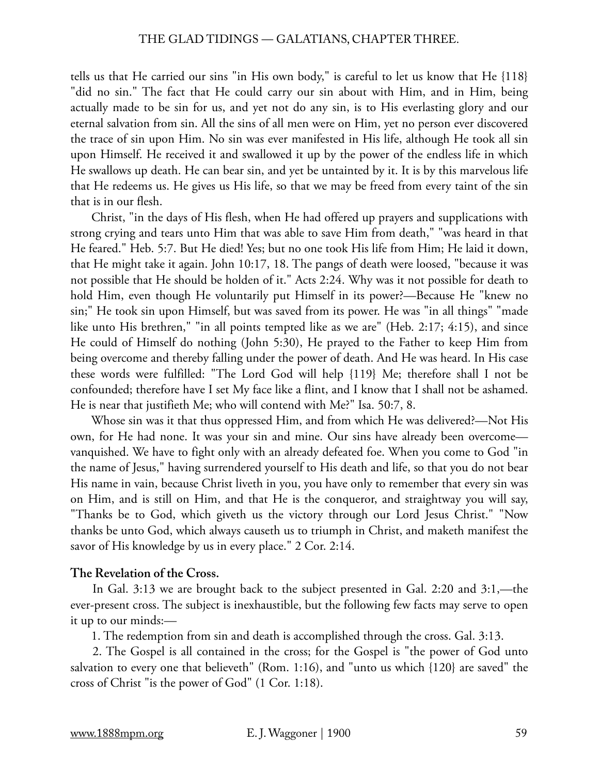tells us that He carried our sins "in His own body," is careful to let us know that He {118} "did no sin." The fact that He could carry our sin about with Him, and in Him, being actually made to be sin for us, and yet not do any sin, is to His everlasting glory and our eternal salvation from sin. All the sins of all men were on Him, yet no person ever discovered the trace of sin upon Him. No sin was ever manifested in His life, although He took all sin upon Himself. He received it and swallowed it up by the power of the endless life in which He swallows up death. He can bear sin, and yet be untainted by it. It is by this marvelous life that He redeems us. He gives us His life, so that we may be freed from every taint of the sin that is in our flesh.

 Christ, "in the days of His flesh, when He had offered up prayers and supplications with strong crying and tears unto Him that was able to save Him from death," "was heard in that He feared." Heb. 5:7. But He died! Yes; but no one took His life from Him; He laid it down, that He might take it again. John 10:17, 18. The pangs of death were loosed, "because it was not possible that He should be holden of it." Acts 2:24. Why was it not possible for death to hold Him, even though He voluntarily put Himself in its power?—Because He "knew no sin;" He took sin upon Himself, but was saved from its power. He was "in all things" "made like unto His brethren," "in all points tempted like as we are" (Heb. 2:17; 4:15), and since He could of Himself do nothing (John 5:30), He prayed to the Father to keep Him from being overcome and thereby falling under the power of death. And He was heard. In His case these words were fulfilled: "The Lord God will help {119} Me; therefore shall I not be confounded; therefore have I set My face like a flint, and I know that I shall not be ashamed. He is near that justifieth Me; who will contend with Me?" Isa. 50:7, 8.

 Whose sin was it that thus oppressed Him, and from which He was delivered?—Not His own, for He had none. It was your sin and mine. Our sins have already been overcome vanquished. We have to fight only with an already defeated foe. When you come to God "in the name of Jesus," having surrendered yourself to His death and life, so that you do not bear His name in vain, because Christ liveth in you, you have only to remember that every sin was on Him, and is still on Him, and that He is the conqueror, and straightway you will say, "Thanks be to God, which giveth us the victory through our Lord Jesus Christ." "Now thanks be unto God, which always causeth us to triumph in Christ, and maketh manifest the savor of His knowledge by us in every place." 2 Cor. 2:14.

## **The Revelation of the Cross.**

 In Gal. 3:13 we are brought back to the subject presented in Gal. 2:20 and 3:1,—the ever-present cross. The subject is inexhaustible, but the following few facts may serve to open it up to our minds:—

1. The redemption from sin and death is accomplished through the cross. Gal. 3:13.

 2. The Gospel is all contained in the cross; for the Gospel is "the power of God unto salvation to every one that believeth" (Rom. 1:16), and "unto us which {120} are saved" the cross of Christ "is the power of God" (1 Cor. 1:18).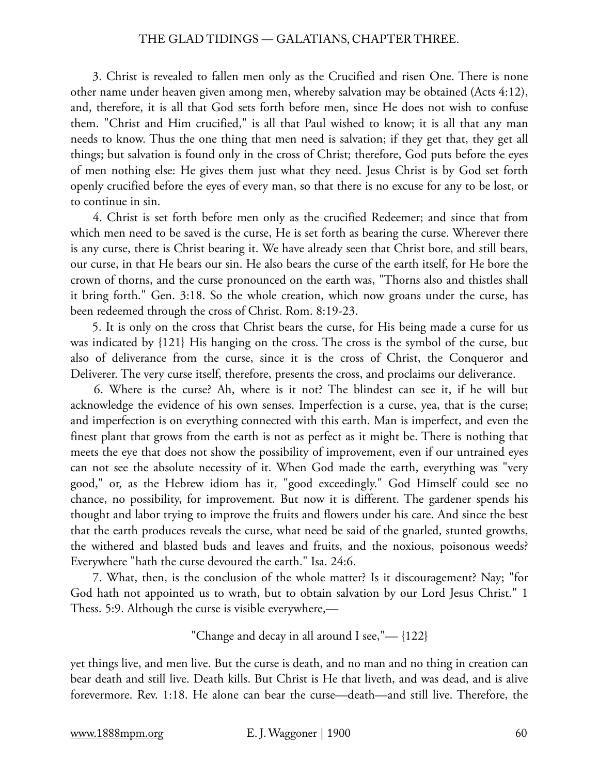3. Christ is revealed to fallen men only as the Crucified and risen One. There is none other name under heaven given among men, whereby salvation may be obtained (Acts 4:12), and, therefore, it is all that God sets forth before men, since He does not wish to confuse them. "Christ and Him crucified," is all that Paul wished to know; it is all that any man needs to know. Thus the one thing that men need is salvation; if they get that, they get all things; but salvation is found only in the cross of Christ; therefore, God puts before the eyes of men nothing else: He gives them just what they need. Jesus Christ is by God set forth openly crucified before the eyes of every man, so that there is no excuse for any to be lost, or to continue in sin.

 4. Christ is set forth before men only as the crucified Redeemer; and since that from which men need to be saved is the curse, He is set forth as bearing the curse. Wherever there is any curse, there is Christ bearing it. We have already seen that Christ bore, and still bears, our curse, in that He bears our sin. He also bears the curse of the earth itself, for He bore the crown of thorns, and the curse pronounced on the earth was, "Thorns also and thistles shall it bring forth." Gen. 3:18. So the whole creation, which now groans under the curse, has been redeemed through the cross of Christ. Rom. 8:19-23.

 5. It is only on the cross that Christ bears the curse, for His being made a curse for us was indicated by {121} His hanging on the cross. The cross is the symbol of the curse, but also of deliverance from the curse, since it is the cross of Christ, the Conqueror and Deliverer. The very curse itself, therefore, presents the cross, and proclaims our deliverance.

 6. Where is the curse? Ah, where is it not? The blindest can see it, if he will but acknowledge the evidence of his own senses. Imperfection is a curse, yea, that is the curse; and imperfection is on everything connected with this earth. Man is imperfect, and even the finest plant that grows from the earth is not as perfect as it might be. There is nothing that meets the eye that does not show the possibility of improvement, even if our untrained eyes can not see the absolute necessity of it. When God made the earth, everything was "very good," or, as the Hebrew idiom has it, "good exceedingly." God Himself could see no chance, no possibility, for improvement. But now it is different. The gardener spends his thought and labor trying to improve the fruits and flowers under his care. And since the best that the earth produces reveals the curse, what need be said of the gnarled, stunted growths, the withered and blasted buds and leaves and fruits, and the noxious, poisonous weeds? Everywhere "hath the curse devoured the earth." Isa. 24:6.

 7. What, then, is the conclusion of the whole matter? Is it discouragement? Nay; "for God hath not appointed us to wrath, but to obtain salvation by our Lord Jesus Christ." 1 Thess. 5:9. Although the curse is visible everywhere,—

"Change and decay in all around I see,"— $\{122\}$ 

yet things live, and men live. But the curse is death, and no man and no thing in creation can bear death and still live. Death kills. But Christ is He that liveth, and was dead, and is alive forevermore. Rev. 1:18. He alone can bear the curse—death—and still live. Therefore, the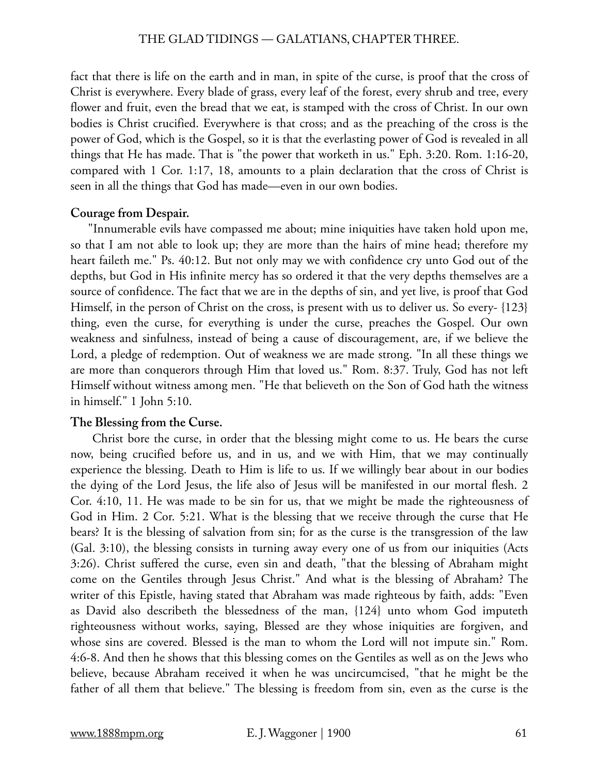fact that there is life on the earth and in man, in spite of the curse, is proof that the cross of Christ is everywhere. Every blade of grass, every leaf of the forest, every shrub and tree, every flower and fruit, even the bread that we eat, is stamped with the cross of Christ. In our own bodies is Christ crucified. Everywhere is that cross; and as the preaching of the cross is the power of God, which is the Gospel, so it is that the everlasting power of God is revealed in all things that He has made. That is "the power that worketh in us." Eph. 3:20. Rom. 1:16-20, compared with 1 Cor. 1:17, 18, amounts to a plain declaration that the cross of Christ is seen in all the things that God has made—even in our own bodies.

# **Courage from Despair.**

"Innumerable evils have compassed me about; mine iniquities have taken hold upon me, so that I am not able to look up; they are more than the hairs of mine head; therefore my heart faileth me." Ps. 40:12. But not only may we with confidence cry unto God out of the depths, but God in His infinite mercy has so ordered it that the very depths themselves are a source of confidence. The fact that we are in the depths of sin, and yet live, is proof that God Himself, in the person of Christ on the cross, is present with us to deliver us. So every- {123} thing, even the curse, for everything is under the curse, preaches the Gospel. Our own weakness and sinfulness, instead of being a cause of discouragement, are, if we believe the Lord, a pledge of redemption. Out of weakness we are made strong. "In all these things we are more than conquerors through Him that loved us." Rom. 8:37. Truly, God has not left Himself without witness among men. "He that believeth on the Son of God hath the witness in himself." 1 John 5:10.

# **The Blessing from the Curse.**

 Christ bore the curse, in order that the blessing might come to us. He bears the curse now, being crucified before us, and in us, and we with Him, that we may continually experience the blessing. Death to Him is life to us. If we willingly bear about in our bodies the dying of the Lord Jesus, the life also of Jesus will be manifested in our mortal flesh. 2 Cor. 4:10, 11. He was made to be sin for us, that we might be made the righteousness of God in Him. 2 Cor. 5:21. What is the blessing that we receive through the curse that He bears? It is the blessing of salvation from sin; for as the curse is the transgression of the law (Gal. 3:10), the blessing consists in turning away every one of us from our iniquities (Acts 3:26). Christ suffered the curse, even sin and death, "that the blessing of Abraham might come on the Gentiles through Jesus Christ." And what is the blessing of Abraham? The writer of this Epistle, having stated that Abraham was made righteous by faith, adds: "Even as David also describeth the blessedness of the man, {124} unto whom God imputeth righteousness without works, saying, Blessed are they whose iniquities are forgiven, and whose sins are covered. Blessed is the man to whom the Lord will not impute sin." Rom. 4:6-8. And then he shows that this blessing comes on the Gentiles as well as on the Jews who believe, because Abraham received it when he was uncircumcised, "that he might be the father of all them that believe." The blessing is freedom from sin, even as the curse is the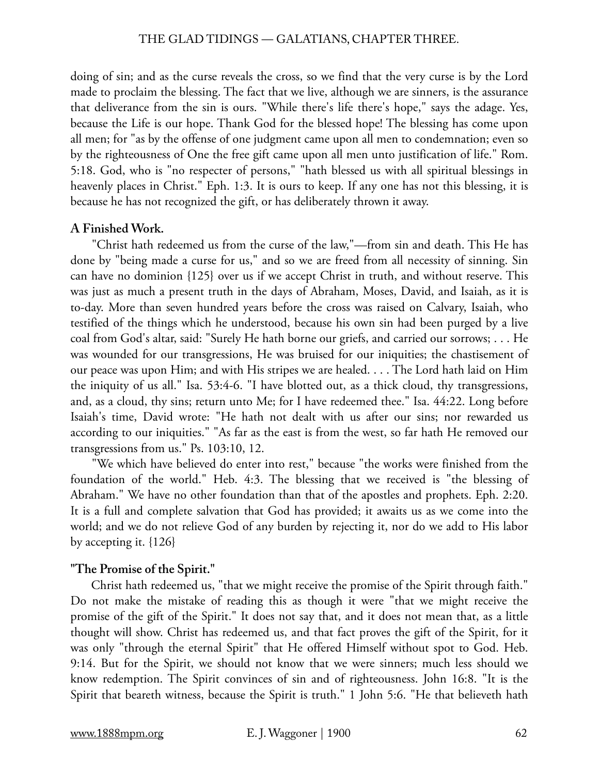doing of sin; and as the curse reveals the cross, so we find that the very curse is by the Lord made to proclaim the blessing. The fact that we live, although we are sinners, is the assurance that deliverance from the sin is ours. "While there's life there's hope," says the adage. Yes, because the Life is our hope. Thank God for the blessed hope! The blessing has come upon all men; for "as by the offense of one judgment came upon all men to condemnation; even so by the righteousness of One the free gift came upon all men unto justification of life." Rom. 5:18. God, who is "no respecter of persons," "hath blessed us with all spiritual blessings in heavenly places in Christ." Eph. 1:3. It is ours to keep. If any one has not this blessing, it is because he has not recognized the gift, or has deliberately thrown it away.

# **A Finished Work.**

 "Christ hath redeemed us from the curse of the law,"—from sin and death. This He has done by "being made a curse for us," and so we are freed from all necessity of sinning. Sin can have no dominion {125} over us if we accept Christ in truth, and without reserve. This was just as much a present truth in the days of Abraham, Moses, David, and Isaiah, as it is to-day. More than seven hundred years before the cross was raised on Calvary, Isaiah, who testified of the things which he understood, because his own sin had been purged by a live coal from God's altar, said: "Surely He hath borne our griefs, and carried our sorrows; . . . He was wounded for our transgressions, He was bruised for our iniquities; the chastisement of our peace was upon Him; and with His stripes we are healed. . . . The Lord hath laid on Him the iniquity of us all." Isa. 53:4-6. "I have blotted out, as a thick cloud, thy transgressions, and, as a cloud, thy sins; return unto Me; for I have redeemed thee." Isa. 44:22. Long before Isaiah's time, David wrote: "He hath not dealt with us after our sins; nor rewarded us according to our iniquities." "As far as the east is from the west, so far hath He removed our transgressions from us." Ps. 103:10, 12.

 "We which have believed do enter into rest," because "the works were finished from the foundation of the world." Heb. 4:3. The blessing that we received is "the blessing of Abraham." We have no other foundation than that of the apostles and prophets. Eph. 2:20. It is a full and complete salvation that God has provided; it awaits us as we come into the world; and we do not relieve God of any burden by rejecting it, nor do we add to His labor by accepting it. {126}

# **"The Promise of the Spirit."**

 Christ hath redeemed us, "that we might receive the promise of the Spirit through faith." Do not make the mistake of reading this as though it were "that we might receive the promise of the gift of the Spirit." It does not say that, and it does not mean that, as a little thought will show. Christ has redeemed us, and that fact proves the gift of the Spirit, for it was only "through the eternal Spirit" that He offered Himself without spot to God. Heb. 9:14. But for the Spirit, we should not know that we were sinners; much less should we know redemption. The Spirit convinces of sin and of righteousness. John 16:8. "It is the Spirit that beareth witness, because the Spirit is truth." 1 John 5:6. "He that believeth hath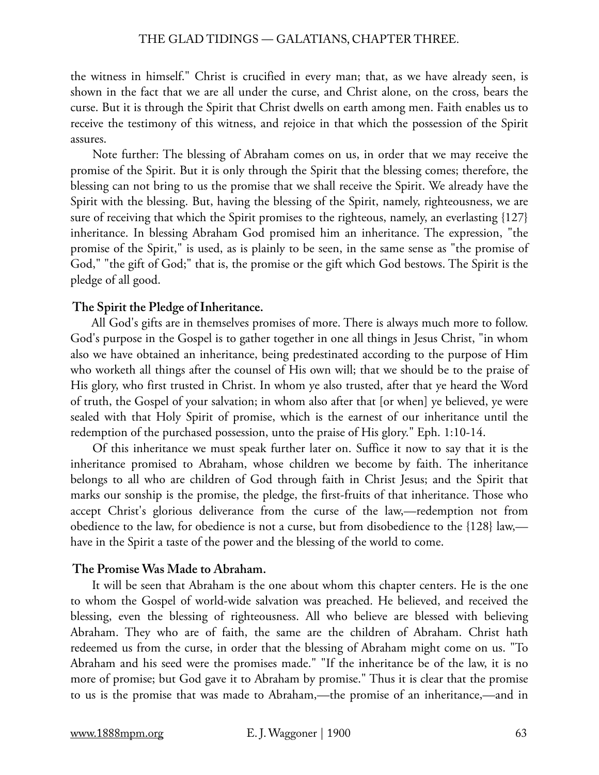the witness in himself." Christ is crucified in every man; that, as we have already seen, is shown in the fact that we are all under the curse, and Christ alone, on the cross, bears the curse. But it is through the Spirit that Christ dwells on earth among men. Faith enables us to receive the testimony of this witness, and rejoice in that which the possession of the Spirit assures.

 Note further: The blessing of Abraham comes on us, in order that we may receive the promise of the Spirit. But it is only through the Spirit that the blessing comes; therefore, the blessing can not bring to us the promise that we shall receive the Spirit. We already have the Spirit with the blessing. But, having the blessing of the Spirit, namely, righteousness, we are sure of receiving that which the Spirit promises to the righteous, namely, an everlasting {127} inheritance. In blessing Abraham God promised him an inheritance. The expression, "the promise of the Spirit," is used, as is plainly to be seen, in the same sense as "the promise of God," "the gift of God;" that is, the promise or the gift which God bestows. The Spirit is the pledge of all good.

## **The Spirit the Pledge of Inheritance.**

 All God's gifts are in themselves promises of more. There is always much more to follow. God's purpose in the Gospel is to gather together in one all things in Jesus Christ, "in whom also we have obtained an inheritance, being predestinated according to the purpose of Him who worketh all things after the counsel of His own will; that we should be to the praise of His glory, who first trusted in Christ. In whom ye also trusted, after that ye heard the Word of truth, the Gospel of your salvation; in whom also after that [or when] ye believed, ye were sealed with that Holy Spirit of promise, which is the earnest of our inheritance until the redemption of the purchased possession, unto the praise of His glory." Eph. 1:10-14.

 Of this inheritance we must speak further later on. Suffice it now to say that it is the inheritance promised to Abraham, whose children we become by faith. The inheritance belongs to all who are children of God through faith in Christ Jesus; and the Spirit that marks our sonship is the promise, the pledge, the first-fruits of that inheritance. Those who accept Christ's glorious deliverance from the curse of the law,—redemption not from obedience to the law, for obedience is not a curse, but from disobedience to the {128} law, have in the Spirit a taste of the power and the blessing of the world to come.

## **The Promise Was Made to Abraham.**

 It will be seen that Abraham is the one about whom this chapter centers. He is the one to whom the Gospel of world-wide salvation was preached. He believed, and received the blessing, even the blessing of righteousness. All who believe are blessed with believing Abraham. They who are of faith, the same are the children of Abraham. Christ hath redeemed us from the curse, in order that the blessing of Abraham might come on us. "To Abraham and his seed were the promises made." "If the inheritance be of the law, it is no more of promise; but God gave it to Abraham by promise." Thus it is clear that the promise to us is the promise that was made to Abraham,—the promise of an inheritance,—and in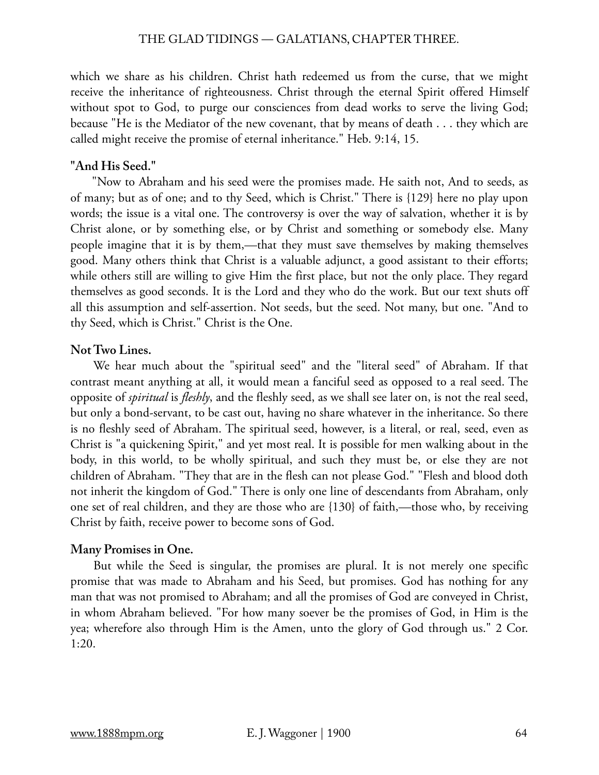which we share as his children. Christ hath redeemed us from the curse, that we might receive the inheritance of righteousness. Christ through the eternal Spirit offered Himself without spot to God, to purge our consciences from dead works to serve the living God; because "He is the Mediator of the new covenant, that by means of death . . . they which are called might receive the promise of eternal inheritance." Heb. 9:14, 15.

# **"And His Seed."**

 "Now to Abraham and his seed were the promises made. He saith not, And to seeds, as of many; but as of one; and to thy Seed, which is Christ." There is {129} here no play upon words; the issue is a vital one. The controversy is over the way of salvation, whether it is by Christ alone, or by something else, or by Christ and something or somebody else. Many people imagine that it is by them,—that they must save themselves by making themselves good. Many others think that Christ is a valuable adjunct, a good assistant to their efforts; while others still are willing to give Him the first place, but not the only place. They regard themselves as good seconds. It is the Lord and they who do the work. But our text shuts off all this assumption and self-assertion. Not seeds, but the seed. Not many, but one. "And to thy Seed, which is Christ." Christ is the One.

# **Not Two Lines.**

 We hear much about the "spiritual seed" and the "literal seed" of Abraham. If that contrast meant anything at all, it would mean a fanciful seed as opposed to a real seed. The opposite of *spiritual* is *fleshly*, and the fleshly seed, as we shall see later on, is not the real seed, but only a bond-servant, to be cast out, having no share whatever in the inheritance. So there is no fleshly seed of Abraham. The spiritual seed, however, is a literal, or real, seed, even as Christ is "a quickening Spirit," and yet most real. It is possible for men walking about in the body, in this world, to be wholly spiritual, and such they must be, or else they are not children of Abraham. "They that are in the flesh can not please God." "Flesh and blood doth not inherit the kingdom of God." There is only one line of descendants from Abraham, only one set of real children, and they are those who are {130} of faith,—those who, by receiving Christ by faith, receive power to become sons of God.

# **Many Promises in One.**

 But while the Seed is singular, the promises are plural. It is not merely one specific promise that was made to Abraham and his Seed, but promises. God has nothing for any man that was not promised to Abraham; and all the promises of God are conveyed in Christ, in whom Abraham believed. "For how many soever be the promises of God, in Him is the yea; wherefore also through Him is the Amen, unto the glory of God through us." 2 Cor. 1:20.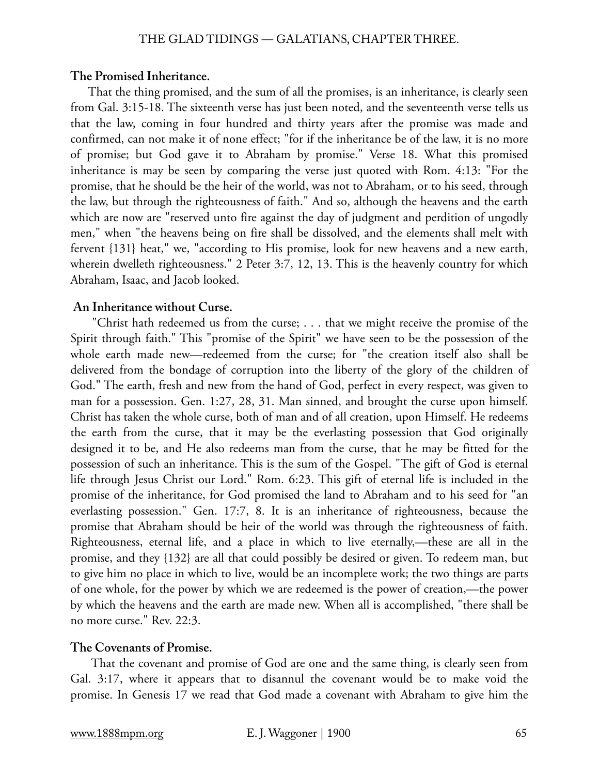# **The Promised Inheritance.**

That the thing promised, and the sum of all the promises, is an inheritance, is clearly seen from Gal. 3:15-18. The sixteenth verse has just been noted, and the seventeenth verse tells us that the law, coming in four hundred and thirty years after the promise was made and confirmed, can not make it of none effect; "for if the inheritance be of the law, it is no more of promise; but God gave it to Abraham by promise." Verse 18. What this promised inheritance is may be seen by comparing the verse just quoted with Rom. 4:13: "For the promise, that he should be the heir of the world, was not to Abraham, or to his seed, through the law, but through the righteousness of faith." And so, although the heavens and the earth which are now are "reserved unto fire against the day of judgment and perdition of ungodly men," when "the heavens being on fire shall be dissolved, and the elements shall melt with fervent {131} heat," we, "according to His promise, look for new heavens and a new earth, wherein dwelleth righteousness." 2 Peter 3:7, 12, 13. This is the heavenly country for which Abraham, Isaac, and Jacob looked.

# **An Inheritance without Curse.**

 "Christ hath redeemed us from the curse; . . . that we might receive the promise of the Spirit through faith." This "promise of the Spirit" we have seen to be the possession of the whole earth made new—redeemed from the curse; for "the creation itself also shall be delivered from the bondage of corruption into the liberty of the glory of the children of God." The earth, fresh and new from the hand of God, perfect in every respect, was given to man for a possession. Gen. 1:27, 28, 31. Man sinned, and brought the curse upon himself. Christ has taken the whole curse, both of man and of all creation, upon Himself. He redeems the earth from the curse, that it may be the everlasting possession that God originally designed it to be, and He also redeems man from the curse, that he may be fitted for the possession of such an inheritance. This is the sum of the Gospel. "The gift of God is eternal life through Jesus Christ our Lord." Rom. 6:23. This gift of eternal life is included in the promise of the inheritance, for God promised the land to Abraham and to his seed for "an everlasting possession." Gen. 17:7, 8. It is an inheritance of righteousness, because the promise that Abraham should be heir of the world was through the righteousness of faith. Righteousness, eternal life, and a place in which to live eternally,—these are all in the promise, and they {132} are all that could possibly be desired or given. To redeem man, but to give him no place in which to live, would be an incomplete work; the two things are parts of one whole, for the power by which we are redeemed is the power of creation,—the power by which the heavens and the earth are made new. When all is accomplished, "there shall be no more curse." Rev. 22:3.

# **The Covenants of Promise.**

 That the covenant and promise of God are one and the same thing, is clearly seen from Gal. 3:17, where it appears that to disannul the covenant would be to make void the promise. In Genesis 17 we read that God made a covenant with Abraham to give him the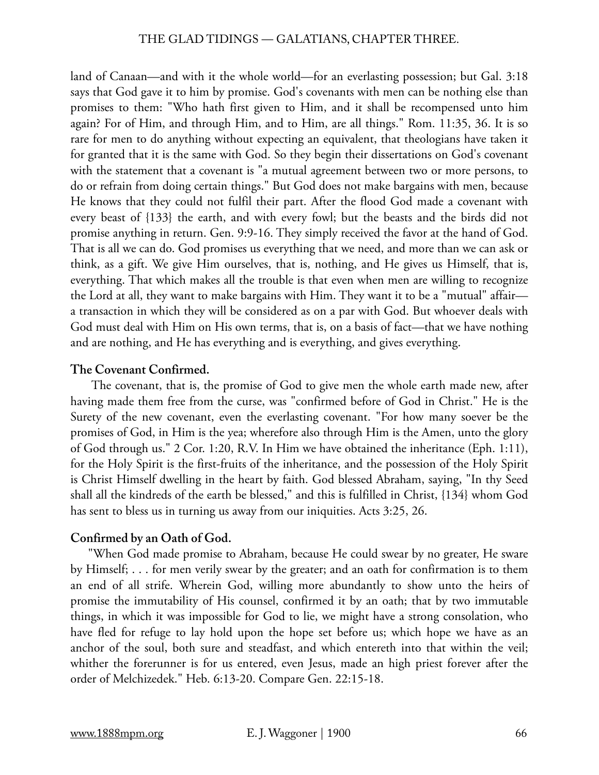land of Canaan—and with it the whole world—for an everlasting possession; but Gal. 3:18 says that God gave it to him by promise. God's covenants with men can be nothing else than promises to them: "Who hath first given to Him, and it shall be recompensed unto him again? For of Him, and through Him, and to Him, are all things." Rom. 11:35, 36. It is so rare for men to do anything without expecting an equivalent, that theologians have taken it for granted that it is the same with God. So they begin their dissertations on God's covenant with the statement that a covenant is "a mutual agreement between two or more persons, to do or refrain from doing certain things." But God does not make bargains with men, because He knows that they could not fulfil their part. After the flood God made a covenant with every beast of {133} the earth, and with every fowl; but the beasts and the birds did not promise anything in return. Gen. 9:9-16. They simply received the favor at the hand of God. That is all we can do. God promises us everything that we need, and more than we can ask or think, as a gift. We give Him ourselves, that is, nothing, and He gives us Himself, that is, everything. That which makes all the trouble is that even when men are willing to recognize the Lord at all, they want to make bargains with Him. They want it to be a "mutual" affair a transaction in which they will be considered as on a par with God. But whoever deals with God must deal with Him on His own terms, that is, on a basis of fact—that we have nothing and are nothing, and He has everything and is everything, and gives everything.

# **The Covenant Confirmed.**

 The covenant, that is, the promise of God to give men the whole earth made new, after having made them free from the curse, was "confirmed before of God in Christ." He is the Surety of the new covenant, even the everlasting covenant. "For how many soever be the promises of God, in Him is the yea; wherefore also through Him is the Amen, unto the glory of God through us." 2 Cor. 1:20, R.V. In Him we have obtained the inheritance (Eph. 1:11), for the Holy Spirit is the first-fruits of the inheritance, and the possession of the Holy Spirit is Christ Himself dwelling in the heart by faith. God blessed Abraham, saying, "In thy Seed shall all the kindreds of the earth be blessed," and this is fulfilled in Christ, {134} whom God has sent to bless us in turning us away from our iniquities. Acts 3:25, 26.

# **Confirmed by an Oath of God.**

"When God made promise to Abraham, because He could swear by no greater, He sware by Himself; . . . for men verily swear by the greater; and an oath for confirmation is to them an end of all strife. Wherein God, willing more abundantly to show unto the heirs of promise the immutability of His counsel, confirmed it by an oath; that by two immutable things, in which it was impossible for God to lie, we might have a strong consolation, who have fled for refuge to lay hold upon the hope set before us; which hope we have as an anchor of the soul, both sure and steadfast, and which entereth into that within the veil; whither the forerunner is for us entered, even Jesus, made an high priest forever after the order of Melchizedek." Heb. 6:13-20. Compare Gen. 22:15-18.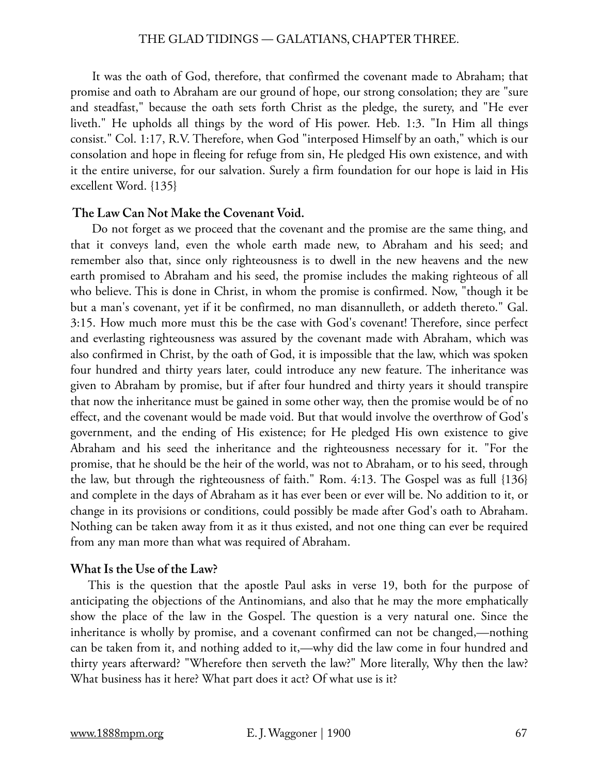It was the oath of God, therefore, that confirmed the covenant made to Abraham; that promise and oath to Abraham are our ground of hope, our strong consolation; they are "sure and steadfast," because the oath sets forth Christ as the pledge, the surety, and "He ever liveth." He upholds all things by the word of His power. Heb. 1:3. "In Him all things consist." Col. 1:17, R.V. Therefore, when God "interposed Himself by an oath," which is our consolation and hope in fleeing for refuge from sin, He pledged His own existence, and with it the entire universe, for our salvation. Surely a firm foundation for our hope is laid in His excellent Word. {135}

## **The Law Can Not Make the Covenant Void.**

 Do not forget as we proceed that the covenant and the promise are the same thing, and that it conveys land, even the whole earth made new, to Abraham and his seed; and remember also that, since only righteousness is to dwell in the new heavens and the new earth promised to Abraham and his seed, the promise includes the making righteous of all who believe. This is done in Christ, in whom the promise is confirmed. Now, "though it be but a man's covenant, yet if it be confirmed, no man disannulleth, or addeth thereto." Gal. 3:15. How much more must this be the case with God's covenant! Therefore, since perfect and everlasting righteousness was assured by the covenant made with Abraham, which was also confirmed in Christ, by the oath of God, it is impossible that the law, which was spoken four hundred and thirty years later, could introduce any new feature. The inheritance was given to Abraham by promise, but if after four hundred and thirty years it should transpire that now the inheritance must be gained in some other way, then the promise would be of no effect, and the covenant would be made void. But that would involve the overthrow of God's government, and the ending of His existence; for He pledged His own existence to give Abraham and his seed the inheritance and the righteousness necessary for it. "For the promise, that he should be the heir of the world, was not to Abraham, or to his seed, through the law, but through the righteousness of faith." Rom. 4:13. The Gospel was as full {136} and complete in the days of Abraham as it has ever been or ever will be. No addition to it, or change in its provisions or conditions, could possibly be made after God's oath to Abraham. Nothing can be taken away from it as it thus existed, and not one thing can ever be required from any man more than what was required of Abraham.

## **What Is the Use of the Law?**

This is the question that the apostle Paul asks in verse 19, both for the purpose of anticipating the objections of the Antinomians, and also that he may the more emphatically show the place of the law in the Gospel. The question is a very natural one. Since the inheritance is wholly by promise, and a covenant confirmed can not be changed,—nothing can be taken from it, and nothing added to it,—why did the law come in four hundred and thirty years afterward? "Wherefore then serveth the law?" More literally, Why then the law? What business has it here? What part does it act? Of what use is it?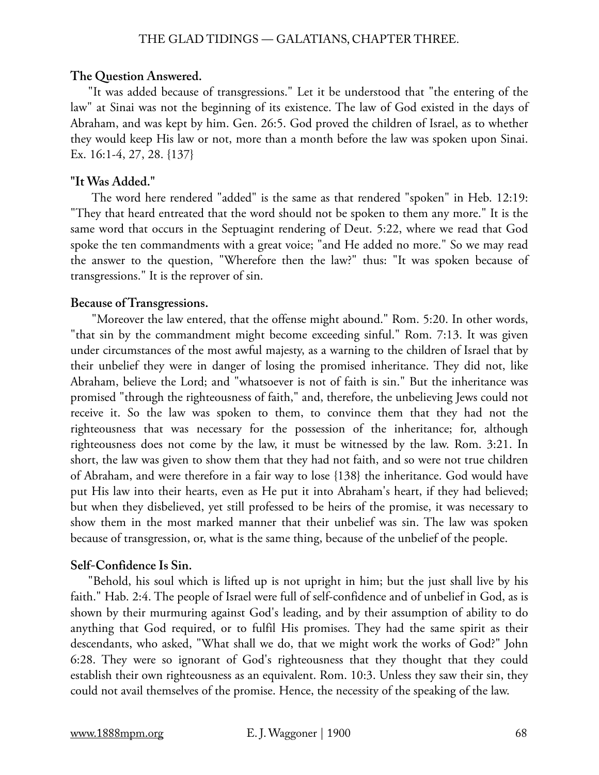#### **The Question Answered.**

"It was added because of transgressions." Let it be understood that "the entering of the law" at Sinai was not the beginning of its existence. The law of God existed in the days of Abraham, and was kept by him. Gen. 26:5. God proved the children of Israel, as to whether they would keep His law or not, more than a month before the law was spoken upon Sinai. Ex. 16:1-4, 27, 28. {137}

#### **"It Was Added."**

 The word here rendered "added" is the same as that rendered "spoken" in Heb. 12:19: "They that heard entreated that the word should not be spoken to them any more." It is the same word that occurs in the Septuagint rendering of Deut. 5:22, where we read that God spoke the ten commandments with a great voice; "and He added no more." So we may read the answer to the question, "Wherefore then the law?" thus: "It was spoken because of transgressions." It is the reprover of sin.

## **Because of Transgressions.**

 "Moreover the law entered, that the offense might abound." Rom. 5:20. In other words, "that sin by the commandment might become exceeding sinful." Rom. 7:13. It was given under circumstances of the most awful majesty, as a warning to the children of Israel that by their unbelief they were in danger of losing the promised inheritance. They did not, like Abraham, believe the Lord; and "whatsoever is not of faith is sin." But the inheritance was promised "through the righteousness of faith," and, therefore, the unbelieving Jews could not receive it. So the law was spoken to them, to convince them that they had not the righteousness that was necessary for the possession of the inheritance; for, although righteousness does not come by the law, it must be witnessed by the law. Rom. 3:21. In short, the law was given to show them that they had not faith, and so were not true children of Abraham, and were therefore in a fair way to lose {138} the inheritance. God would have put His law into their hearts, even as He put it into Abraham's heart, if they had believed; but when they disbelieved, yet still professed to be heirs of the promise, it was necessary to show them in the most marked manner that their unbelief was sin. The law was spoken because of transgression, or, what is the same thing, because of the unbelief of the people.

#### **Self-Confidence Is Sin.**

"Behold, his soul which is lifted up is not upright in him; but the just shall live by his faith." Hab. 2:4. The people of Israel were full of self-confidence and of unbelief in God, as is shown by their murmuring against God's leading, and by their assumption of ability to do anything that God required, or to fulfil His promises. They had the same spirit as their descendants, who asked, "What shall we do, that we might work the works of God?" John 6:28. They were so ignorant of God's righteousness that they thought that they could establish their own righteousness as an equivalent. Rom. 10:3. Unless they saw their sin, they could not avail themselves of the promise. Hence, the necessity of the speaking of the law.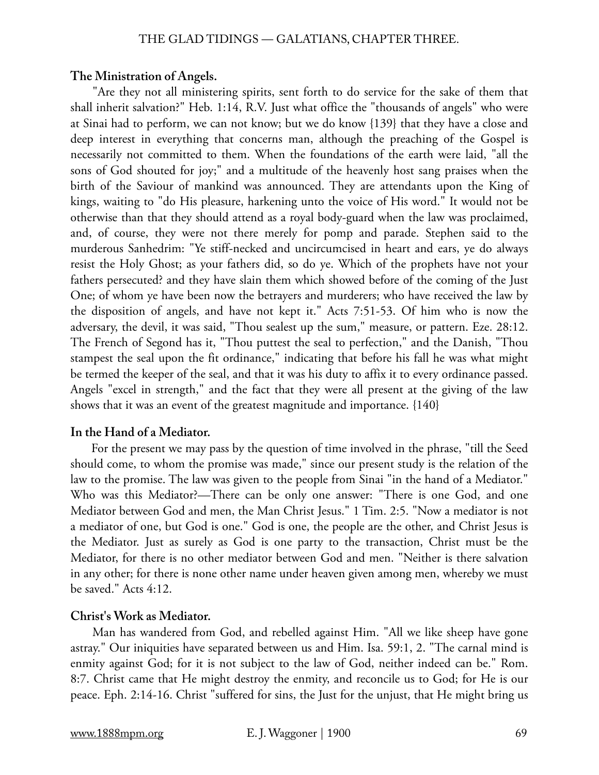#### **The Ministration of Angels.**

 "Are they not all ministering spirits, sent forth to do service for the sake of them that shall inherit salvation?" Heb. 1:14, R.V. Just what office the "thousands of angels" who were at Sinai had to perform, we can not know; but we do know {139} that they have a close and deep interest in everything that concerns man, although the preaching of the Gospel is necessarily not committed to them. When the foundations of the earth were laid, "all the sons of God shouted for joy;" and a multitude of the heavenly host sang praises when the birth of the Saviour of mankind was announced. They are attendants upon the King of kings, waiting to "do His pleasure, harkening unto the voice of His word." It would not be otherwise than that they should attend as a royal body-guard when the law was proclaimed, and, of course, they were not there merely for pomp and parade. Stephen said to the murderous Sanhedrim: "Ye stiff-necked and uncircumcised in heart and ears, ye do always resist the Holy Ghost; as your fathers did, so do ye. Which of the prophets have not your fathers persecuted? and they have slain them which showed before of the coming of the Just One; of whom ye have been now the betrayers and murderers; who have received the law by the disposition of angels, and have not kept it." Acts 7:51-53. Of him who is now the adversary, the devil, it was said, "Thou sealest up the sum," measure, or pattern. Eze. 28:12. The French of Segond has it, "Thou puttest the seal to perfection," and the Danish, "Thou stampest the seal upon the fit ordinance," indicating that before his fall he was what might be termed the keeper of the seal, and that it was his duty to affix it to every ordinance passed. Angels "excel in strength," and the fact that they were all present at the giving of the law shows that it was an event of the greatest magnitude and importance. {140}

## **In the Hand of a Mediator.**

 For the present we may pass by the question of time involved in the phrase, "till the Seed should come, to whom the promise was made," since our present study is the relation of the law to the promise. The law was given to the people from Sinai "in the hand of a Mediator." Who was this Mediator?—There can be only one answer: "There is one God, and one Mediator between God and men, the Man Christ Jesus." 1 Tim. 2:5. "Now a mediator is not a mediator of one, but God is one." God is one, the people are the other, and Christ Jesus is the Mediator. Just as surely as God is one party to the transaction, Christ must be the Mediator, for there is no other mediator between God and men. "Neither is there salvation in any other; for there is none other name under heaven given among men, whereby we must be saved." Acts 4:12.

## **Christ's Work as Mediator.**

 Man has wandered from God, and rebelled against Him. "All we like sheep have gone astray." Our iniquities have separated between us and Him. Isa. 59:1, 2. "The carnal mind is enmity against God; for it is not subject to the law of God, neither indeed can be." Rom. 8:7. Christ came that He might destroy the enmity, and reconcile us to God; for He is our peace. Eph. 2:14-16. Christ "suffered for sins, the Just for the unjust, that He might bring us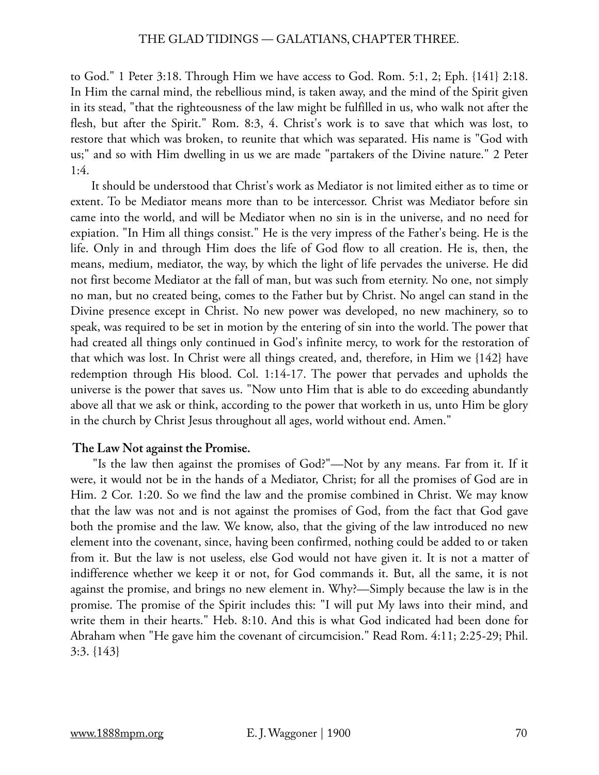to God." 1 Peter 3:18. Through Him we have access to God. Rom. 5:1, 2; Eph. {141} 2:18. In Him the carnal mind, the rebellious mind, is taken away, and the mind of the Spirit given in its stead, "that the righteousness of the law might be fulfilled in us, who walk not after the flesh, but after the Spirit." Rom. 8:3, 4. Christ's work is to save that which was lost, to restore that which was broken, to reunite that which was separated. His name is "God with us;" and so with Him dwelling in us we are made "partakers of the Divine nature." 2 Peter 1:4.

 It should be understood that Christ's work as Mediator is not limited either as to time or extent. To be Mediator means more than to be intercessor. Christ was Mediator before sin came into the world, and will be Mediator when no sin is in the universe, and no need for expiation. "In Him all things consist." He is the very impress of the Father's being. He is the life. Only in and through Him does the life of God flow to all creation. He is, then, the means, medium, mediator, the way, by which the light of life pervades the universe. He did not first become Mediator at the fall of man, but was such from eternity. No one, not simply no man, but no created being, comes to the Father but by Christ. No angel can stand in the Divine presence except in Christ. No new power was developed, no new machinery, so to speak, was required to be set in motion by the entering of sin into the world. The power that had created all things only continued in God's infinite mercy, to work for the restoration of that which was lost. In Christ were all things created, and, therefore, in Him we {142} have redemption through His blood. Col. 1:14-17. The power that pervades and upholds the universe is the power that saves us. "Now unto Him that is able to do exceeding abundantly above all that we ask or think, according to the power that worketh in us, unto Him be glory in the church by Christ Jesus throughout all ages, world without end. Amen."

## **The Law Not against the Promise.**

 "Is the law then against the promises of God?"—Not by any means. Far from it. If it were, it would not be in the hands of a Mediator, Christ; for all the promises of God are in Him. 2 Cor. 1:20. So we find the law and the promise combined in Christ. We may know that the law was not and is not against the promises of God, from the fact that God gave both the promise and the law. We know, also, that the giving of the law introduced no new element into the covenant, since, having been confirmed, nothing could be added to or taken from it. But the law is not useless, else God would not have given it. It is not a matter of indifference whether we keep it or not, for God commands it. But, all the same, it is not against the promise, and brings no new element in. Why?—Simply because the law is in the promise. The promise of the Spirit includes this: "I will put My laws into their mind, and write them in their hearts." Heb. 8:10. And this is what God indicated had been done for Abraham when "He gave him the covenant of circumcision." Read Rom. 4:11; 2:25-29; Phil. 3:3. {143}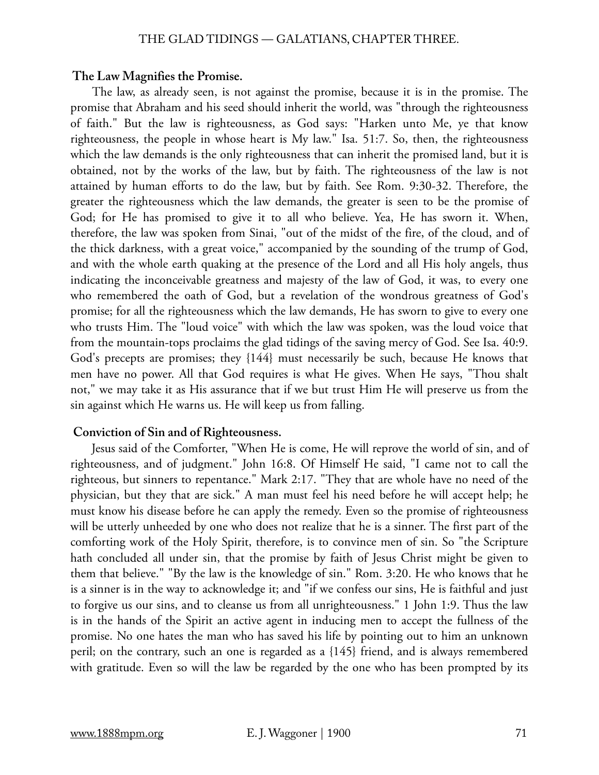#### **The Law Magnifies the Promise.**

 The law, as already seen, is not against the promise, because it is in the promise. The promise that Abraham and his seed should inherit the world, was "through the righteousness of faith." But the law is righteousness, as God says: "Harken unto Me, ye that know righteousness, the people in whose heart is My law." Isa. 51:7. So, then, the righteousness which the law demands is the only righteousness that can inherit the promised land, but it is obtained, not by the works of the law, but by faith. The righteousness of the law is not attained by human efforts to do the law, but by faith. See Rom. 9:30-32. Therefore, the greater the righteousness which the law demands, the greater is seen to be the promise of God; for He has promised to give it to all who believe. Yea, He has sworn it. When, therefore, the law was spoken from Sinai, "out of the midst of the fire, of the cloud, and of the thick darkness, with a great voice," accompanied by the sounding of the trump of God, and with the whole earth quaking at the presence of the Lord and all His holy angels, thus indicating the inconceivable greatness and majesty of the law of God, it was, to every one who remembered the oath of God, but a revelation of the wondrous greatness of God's promise; for all the righteousness which the law demands, He has sworn to give to every one who trusts Him. The "loud voice" with which the law was spoken, was the loud voice that from the mountain-tops proclaims the glad tidings of the saving mercy of God. See Isa. 40:9. God's precepts are promises; they {144} must necessarily be such, because He knows that men have no power. All that God requires is what He gives. When He says, "Thou shalt not," we may take it as His assurance that if we but trust Him He will preserve us from the sin against which He warns us. He will keep us from falling.

#### **Conviction of Sin and of Righteousness.**

 Jesus said of the Comforter, "When He is come, He will reprove the world of sin, and of righteousness, and of judgment." John 16:8. Of Himself He said, "I came not to call the righteous, but sinners to repentance." Mark 2:17. "They that are whole have no need of the physician, but they that are sick." A man must feel his need before he will accept help; he must know his disease before he can apply the remedy. Even so the promise of righteousness will be utterly unheeded by one who does not realize that he is a sinner. The first part of the comforting work of the Holy Spirit, therefore, is to convince men of sin. So "the Scripture hath concluded all under sin, that the promise by faith of Jesus Christ might be given to them that believe." "By the law is the knowledge of sin." Rom. 3:20. He who knows that he is a sinner is in the way to acknowledge it; and "if we confess our sins, He is faithful and just to forgive us our sins, and to cleanse us from all unrighteousness." 1 John 1:9. Thus the law is in the hands of the Spirit an active agent in inducing men to accept the fullness of the promise. No one hates the man who has saved his life by pointing out to him an unknown peril; on the contrary, such an one is regarded as a {145} friend, and is always remembered with gratitude. Even so will the law be regarded by the one who has been prompted by its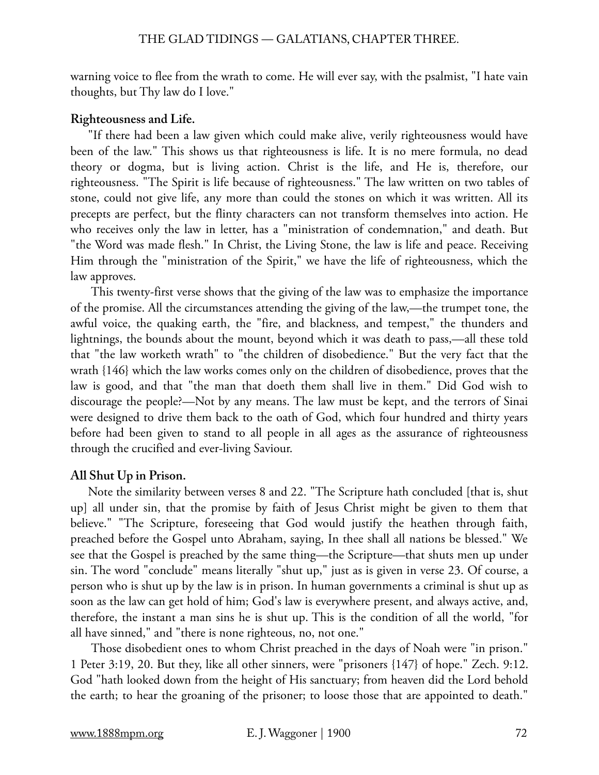warning voice to flee from the wrath to come. He will ever say, with the psalmist, "I hate vain thoughts, but Thy law do I love."

# **Righteousness and Life.**

"If there had been a law given which could make alive, verily righteousness would have been of the law." This shows us that righteousness is life. It is no mere formula, no dead theory or dogma, but is living action. Christ is the life, and He is, therefore, our righteousness. "The Spirit is life because of righteousness." The law written on two tables of stone, could not give life, any more than could the stones on which it was written. All its precepts are perfect, but the flinty characters can not transform themselves into action. He who receives only the law in letter, has a "ministration of condemnation," and death. But "the Word was made flesh." In Christ, the Living Stone, the law is life and peace. Receiving Him through the "ministration of the Spirit," we have the life of righteousness, which the law approves.

 This twenty-first verse shows that the giving of the law was to emphasize the importance of the promise. All the circumstances attending the giving of the law,—the trumpet tone, the awful voice, the quaking earth, the "fire, and blackness, and tempest," the thunders and lightnings, the bounds about the mount, beyond which it was death to pass,—all these told that "the law worketh wrath" to "the children of disobedience." But the very fact that the wrath {146} which the law works comes only on the children of disobedience, proves that the law is good, and that "the man that doeth them shall live in them." Did God wish to discourage the people?—Not by any means. The law must be kept, and the terrors of Sinai were designed to drive them back to the oath of God, which four hundred and thirty years before had been given to stand to all people in all ages as the assurance of righteousness through the crucified and ever-living Saviour.

# **All Shut Up in Prison.**

Note the similarity between verses 8 and 22. "The Scripture hath concluded [that is, shut up] all under sin, that the promise by faith of Jesus Christ might be given to them that believe." "The Scripture, foreseeing that God would justify the heathen through faith, preached before the Gospel unto Abraham, saying, In thee shall all nations be blessed." We see that the Gospel is preached by the same thing—the Scripture—that shuts men up under sin. The word "conclude" means literally "shut up," just as is given in verse 23. Of course, a person who is shut up by the law is in prison. In human governments a criminal is shut up as soon as the law can get hold of him; God's law is everywhere present, and always active, and, therefore, the instant a man sins he is shut up. This is the condition of all the world, "for all have sinned," and "there is none righteous, no, not one."

 Those disobedient ones to whom Christ preached in the days of Noah were "in prison." 1 Peter 3:19, 20. But they, like all other sinners, were "prisoners {147} of hope." Zech. 9:12. God "hath looked down from the height of His sanctuary; from heaven did the Lord behold the earth; to hear the groaning of the prisoner; to loose those that are appointed to death."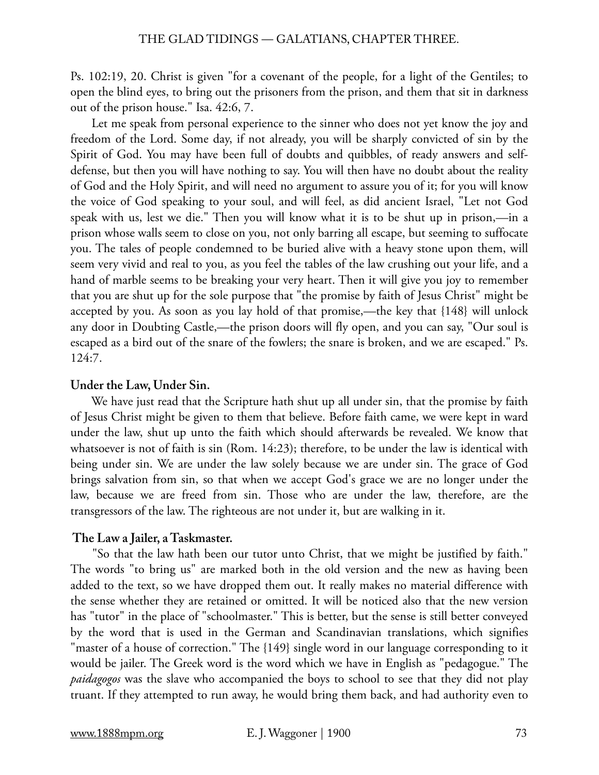Ps. 102:19, 20. Christ is given "for a covenant of the people, for a light of the Gentiles; to open the blind eyes, to bring out the prisoners from the prison, and them that sit in darkness out of the prison house." Isa. 42:6, 7.

 Let me speak from personal experience to the sinner who does not yet know the joy and freedom of the Lord. Some day, if not already, you will be sharply convicted of sin by the Spirit of God. You may have been full of doubts and quibbles, of ready answers and selfdefense, but then you will have nothing to say. You will then have no doubt about the reality of God and the Holy Spirit, and will need no argument to assure you of it; for you will know the voice of God speaking to your soul, and will feel, as did ancient Israel, "Let not God speak with us, lest we die." Then you will know what it is to be shut up in prison,—in a prison whose walls seem to close on you, not only barring all escape, but seeming to suffocate you. The tales of people condemned to be buried alive with a heavy stone upon them, will seem very vivid and real to you, as you feel the tables of the law crushing out your life, and a hand of marble seems to be breaking your very heart. Then it will give you joy to remember that you are shut up for the sole purpose that "the promise by faith of Jesus Christ" might be accepted by you. As soon as you lay hold of that promise,—the key that {148} will unlock any door in Doubting Castle,—the prison doors will fly open, and you can say, "Our soul is escaped as a bird out of the snare of the fowlers; the snare is broken, and we are escaped." Ps. 124:7.

# **Under the Law, Under Sin.**

 We have just read that the Scripture hath shut up all under sin, that the promise by faith of Jesus Christ might be given to them that believe. Before faith came, we were kept in ward under the law, shut up unto the faith which should afterwards be revealed. We know that whatsoever is not of faith is sin (Rom. 14:23); therefore, to be under the law is identical with being under sin. We are under the law solely because we are under sin. The grace of God brings salvation from sin, so that when we accept God's grace we are no longer under the law, because we are freed from sin. Those who are under the law, therefore, are the transgressors of the law. The righteous are not under it, but are walking in it.

# **The Law a Jailer, a Taskmaster.**

 "So that the law hath been our tutor unto Christ, that we might be justified by faith." The words "to bring us" are marked both in the old version and the new as having been added to the text, so we have dropped them out. It really makes no material difference with the sense whether they are retained or omitted. It will be noticed also that the new version has "tutor" in the place of "schoolmaster." This is better, but the sense is still better conveyed by the word that is used in the German and Scandinavian translations, which signifies "master of a house of correction." The {149} single word in our language corresponding to it would be jailer. The Greek word is the word which we have in English as "pedagogue." The *paidagogos* was the slave who accompanied the boys to school to see that they did not play truant. If they attempted to run away, he would bring them back, and had authority even to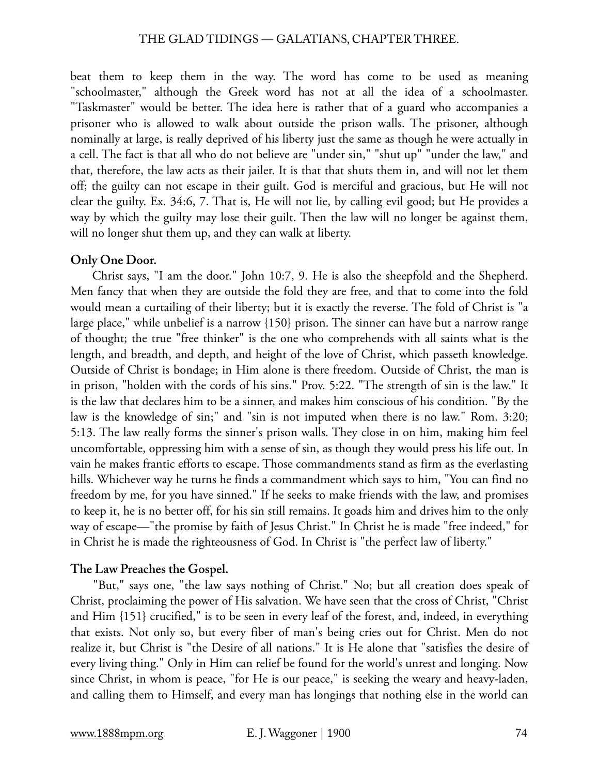beat them to keep them in the way. The word has come to be used as meaning "schoolmaster," although the Greek word has not at all the idea of a schoolmaster. "Taskmaster" would be better. The idea here is rather that of a guard who accompanies a prisoner who is allowed to walk about outside the prison walls. The prisoner, although nominally at large, is really deprived of his liberty just the same as though he were actually in a cell. The fact is that all who do not believe are "under sin," "shut up" "under the law," and that, therefore, the law acts as their jailer. It is that that shuts them in, and will not let them off; the guilty can not escape in their guilt. God is merciful and gracious, but He will not clear the guilty. Ex. 34:6, 7. That is, He will not lie, by calling evil good; but He provides a way by which the guilty may lose their guilt. Then the law will no longer be against them, will no longer shut them up, and they can walk at liberty.

### **Only One Door.**

 Christ says, "I am the door." John 10:7, 9. He is also the sheepfold and the Shepherd. Men fancy that when they are outside the fold they are free, and that to come into the fold would mean a curtailing of their liberty; but it is exactly the reverse. The fold of Christ is "a large place," while unbelief is a narrow {150} prison. The sinner can have but a narrow range of thought; the true "free thinker" is the one who comprehends with all saints what is the length, and breadth, and depth, and height of the love of Christ, which passeth knowledge. Outside of Christ is bondage; in Him alone is there freedom. Outside of Christ, the man is in prison, "holden with the cords of his sins." Prov. 5:22. "The strength of sin is the law." It is the law that declares him to be a sinner, and makes him conscious of his condition. "By the law is the knowledge of sin;" and "sin is not imputed when there is no law." Rom. 3:20; 5:13. The law really forms the sinner's prison walls. They close in on him, making him feel uncomfortable, oppressing him with a sense of sin, as though they would press his life out. In vain he makes frantic efforts to escape. Those commandments stand as firm as the everlasting hills. Whichever way he turns he finds a commandment which says to him, "You can find no freedom by me, for you have sinned." If he seeks to make friends with the law, and promises to keep it, he is no better off, for his sin still remains. It goads him and drives him to the only way of escape—"the promise by faith of Jesus Christ." In Christ he is made "free indeed," for in Christ he is made the righteousness of God. In Christ is "the perfect law of liberty."

# **The Law Preaches the Gospel.**

 "But," says one, "the law says nothing of Christ." No; but all creation does speak of Christ, proclaiming the power of His salvation. We have seen that the cross of Christ, "Christ and Him {151} crucified," is to be seen in every leaf of the forest, and, indeed, in everything that exists. Not only so, but every fiber of man's being cries out for Christ. Men do not realize it, but Christ is "the Desire of all nations." It is He alone that "satisfies the desire of every living thing." Only in Him can relief be found for the world's unrest and longing. Now since Christ, in whom is peace, "for He is our peace," is seeking the weary and heavy-laden, and calling them to Himself, and every man has longings that nothing else in the world can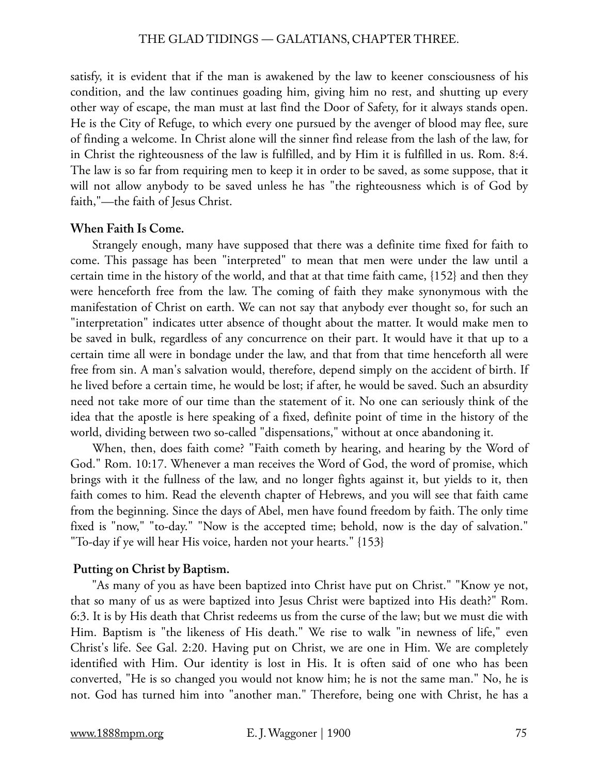satisfy, it is evident that if the man is awakened by the law to keener consciousness of his condition, and the law continues goading him, giving him no rest, and shutting up every other way of escape, the man must at last find the Door of Safety, for it always stands open. He is the City of Refuge, to which every one pursued by the avenger of blood may flee, sure of finding a welcome. In Christ alone will the sinner find release from the lash of the law, for in Christ the righteousness of the law is fulfilled, and by Him it is fulfilled in us. Rom. 8:4. The law is so far from requiring men to keep it in order to be saved, as some suppose, that it will not allow anybody to be saved unless he has "the righteousness which is of God by faith,"—the faith of Jesus Christ.

#### **When Faith Is Come.**

 Strangely enough, many have supposed that there was a definite time fixed for faith to come. This passage has been "interpreted" to mean that men were under the law until a certain time in the history of the world, and that at that time faith came, {152} and then they were henceforth free from the law. The coming of faith they make synonymous with the manifestation of Christ on earth. We can not say that anybody ever thought so, for such an "interpretation" indicates utter absence of thought about the matter. It would make men to be saved in bulk, regardless of any concurrence on their part. It would have it that up to a certain time all were in bondage under the law, and that from that time henceforth all were free from sin. A man's salvation would, therefore, depend simply on the accident of birth. If he lived before a certain time, he would be lost; if after, he would be saved. Such an absurdity need not take more of our time than the statement of it. No one can seriously think of the idea that the apostle is here speaking of a fixed, definite point of time in the history of the world, dividing between two so-called "dispensations," without at once abandoning it.

 When, then, does faith come? "Faith cometh by hearing, and hearing by the Word of God." Rom. 10:17. Whenever a man receives the Word of God, the word of promise, which brings with it the fullness of the law, and no longer fights against it, but yields to it, then faith comes to him. Read the eleventh chapter of Hebrews, and you will see that faith came from the beginning. Since the days of Abel, men have found freedom by faith. The only time fixed is "now," "to-day." "Now is the accepted time; behold, now is the day of salvation." "To-day if ye will hear His voice, harden not your hearts." {153}

### **Putting on Christ by Baptism.**

 "As many of you as have been baptized into Christ have put on Christ." "Know ye not, that so many of us as were baptized into Jesus Christ were baptized into His death?" Rom. 6:3. It is by His death that Christ redeems us from the curse of the law; but we must die with Him. Baptism is "the likeness of His death." We rise to walk "in newness of life," even Christ's life. See Gal. 2:20. Having put on Christ, we are one in Him. We are completely identified with Him. Our identity is lost in His. It is often said of one who has been converted, "He is so changed you would not know him; he is not the same man." No, he is not. God has turned him into "another man." Therefore, being one with Christ, he has a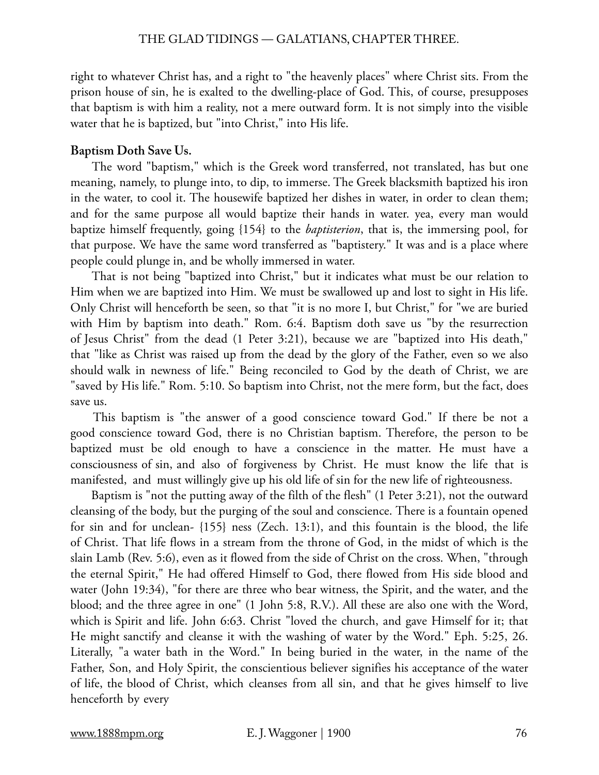right to whatever Christ has, and a right to "the heavenly places" where Christ sits. From the prison house of sin, he is exalted to the dwelling-place of God. This, of course, presupposes that baptism is with him a reality, not a mere outward form. It is not simply into the visible water that he is baptized, but "into Christ," into His life.

### **Baptism Doth Save Us.**

 The word "baptism," which is the Greek word transferred, not translated, has but one meaning, namely, to plunge into, to dip, to immerse. The Greek blacksmith baptized his iron in the water, to cool it. The housewife baptized her dishes in water, in order to clean them; and for the same purpose all would baptize their hands in water. yea, every man would baptize himself frequently, going {154} to the *baptisterion*, that is, the immersing pool, for that purpose. We have the same word transferred as "baptistery." It was and is a place where people could plunge in, and be wholly immersed in water.

 That is not being "baptized into Christ," but it indicates what must be our relation to Him when we are baptized into Him. We must be swallowed up and lost to sight in His life. Only Christ will henceforth be seen, so that "it is no more I, but Christ," for "we are buried with Him by baptism into death." Rom. 6:4. Baptism doth save us "by the resurrection of Jesus Christ" from the dead (1 Peter 3:21), because we are "baptized into His death," that "like as Christ was raised up from the dead by the glory of the Father, even so we also should walk in newness of life." Being reconciled to God by the death of Christ, we are "saved by His life." Rom. 5:10. So baptism into Christ, not the mere form, but the fact, does save us.

 This baptism is "the answer of a good conscience toward God." If there be not a good conscience toward God, there is no Christian baptism. Therefore, the person to be baptized must be old enough to have a conscience in the matter. He must have a consciousness of sin, and also of forgiveness by Christ. He must know the life that is manifested, and must willingly give up his old life of sin for the new life of righteousness.

 Baptism is "not the putting away of the filth of the flesh" (1 Peter 3:21), not the outward cleansing of the body, but the purging of the soul and conscience. There is a fountain opened for sin and for unclean- {155} ness (Zech. 13:1), and this fountain is the blood, the life of Christ. That life flows in a stream from the throne of God, in the midst of which is the slain Lamb (Rev. 5:6), even as it flowed from the side of Christ on the cross. When, "through the eternal Spirit," He had offered Himself to God, there flowed from His side blood and water (John 19:34), "for there are three who bear witness, the Spirit, and the water, and the blood; and the three agree in one" (1 John 5:8, R.V.). All these are also one with the Word, which is Spirit and life. John 6:63. Christ "loved the church, and gave Himself for it; that He might sanctify and cleanse it with the washing of water by the Word." Eph. 5:25, 26. Literally, "a water bath in the Word." In being buried in the water, in the name of the Father, Son, and Holy Spirit, the conscientious believer signifies his acceptance of the water of life, the blood of Christ, which cleanses from all sin, and that he gives himself to live henceforth by every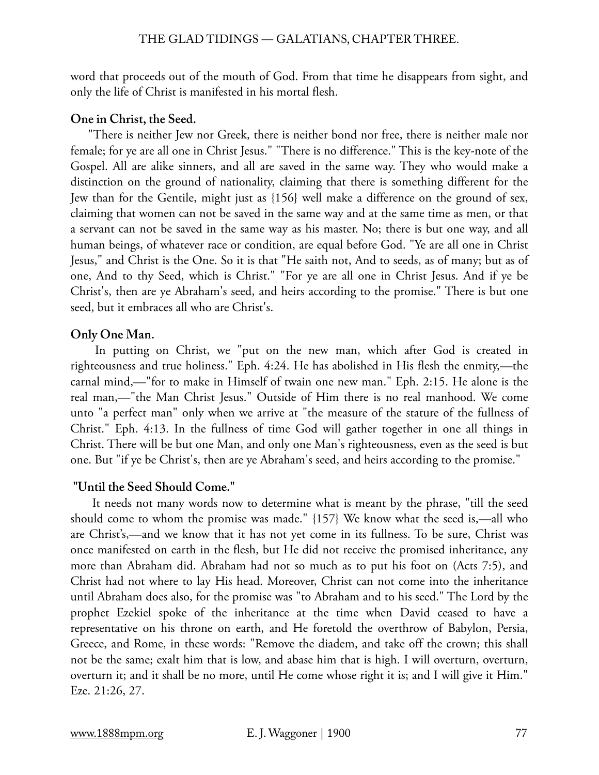word that proceeds out of the mouth of God. From that time he disappears from sight, and only the life of Christ is manifested in his mortal flesh.

# **One in Christ, the Seed.**

"There is neither Jew nor Greek, there is neither bond nor free, there is neither male nor female; for ye are all one in Christ Jesus." "There is no difference." This is the key-note of the Gospel. All are alike sinners, and all are saved in the same way. They who would make a distinction on the ground of nationality, claiming that there is something different for the Jew than for the Gentile, might just as {156} well make a difference on the ground of sex, claiming that women can not be saved in the same way and at the same time as men, or that a servant can not be saved in the same way as his master. No; there is but one way, and all human beings, of whatever race or condition, are equal before God. "Ye are all one in Christ Jesus," and Christ is the One. So it is that "He saith not, And to seeds, as of many; but as of one, And to thy Seed, which is Christ." "For ye are all one in Christ Jesus. And if ye be Christ's, then are ye Abraham's seed, and heirs according to the promise." There is but one seed, but it embraces all who are Christ's.

# **Only One Man.**

 In putting on Christ, we "put on the new man, which after God is created in righteousness and true holiness." Eph. 4:24. He has abolished in His flesh the enmity,—the carnal mind,—"for to make in Himself of twain one new man." Eph. 2:15. He alone is the real man,—"the Man Christ Jesus." Outside of Him there is no real manhood. We come unto "a perfect man" only when we arrive at "the measure of the stature of the fullness of Christ." Eph. 4:13. In the fullness of time God will gather together in one all things in Christ. There will be but one Man, and only one Man's righteousness, even as the seed is but one. But "if ye be Christ's, then are ye Abraham's seed, and heirs according to the promise."

# **"Until the Seed Should Come."**

 It needs not many words now to determine what is meant by the phrase, "till the seed should come to whom the promise was made." {157} We know what the seed is,—all who are Christ's,—and we know that it has not yet come in its fullness. To be sure, Christ was once manifested on earth in the flesh, but He did not receive the promised inheritance, any more than Abraham did. Abraham had not so much as to put his foot on (Acts 7:5), and Christ had not where to lay His head. Moreover, Christ can not come into the inheritance until Abraham does also, for the promise was "to Abraham and to his seed." The Lord by the prophet Ezekiel spoke of the inheritance at the time when David ceased to have a representative on his throne on earth, and He foretold the overthrow of Babylon, Persia, Greece, and Rome, in these words: "Remove the diadem, and take off the crown; this shall not be the same; exalt him that is low, and abase him that is high. I will overturn, overturn, overturn it; and it shall be no more, until He come whose right it is; and I will give it Him." Eze. 21:26, 27.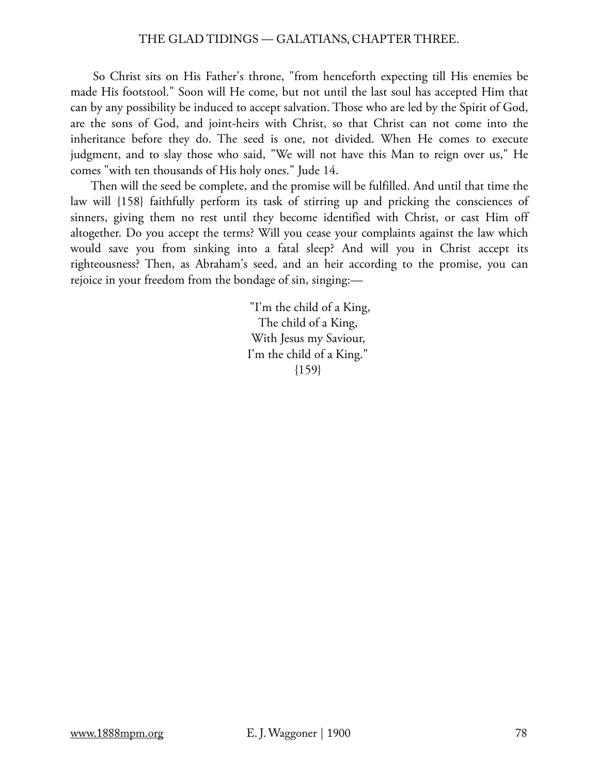So Christ sits on His Father's throne, "from henceforth expecting till His enemies be made His footstool." Soon will He come, but not until the last soul has accepted Him that can by any possibility be induced to accept salvation. Those who are led by the Spirit of God, are the sons of God, and joint-heirs with Christ, so that Christ can not come into the inheritance before they do. The seed is one, not divided. When He comes to execute judgment, and to slay those who said, "We will not have this Man to reign over us," He comes "with ten thousands of His holy ones." Jude 14.

 Then will the seed be complete, and the promise will be fulfilled. And until that time the law will {158} faithfully perform its task of stirring up and pricking the consciences of sinners, giving them no rest until they become identified with Christ, or cast Him off altogether. Do you accept the terms? Will you cease your complaints against the law which would save you from sinking into a fatal sleep? And will you in Christ accept its righteousness? Then, as Abraham's seed, and an heir according to the promise, you can rejoice in your freedom from the bondage of sin, singing:—

> "I'm the child of a King, The child of a King, With Jesus my Saviour, I'm the child of a King."  ${159}$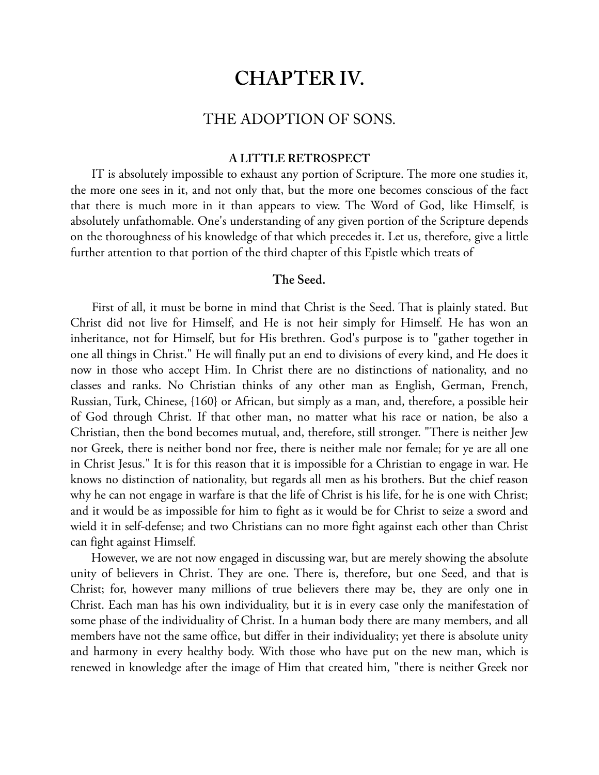# **CHAPTER IV.**

# THE ADOPTION OF SONS.

### **A LITTLE RETROSPECT**

 IT is absolutely impossible to exhaust any portion of Scripture. The more one studies it, the more one sees in it, and not only that, but the more one becomes conscious of the fact that there is much more in it than appears to view. The Word of God, like Himself, is absolutely unfathomable. One's understanding of any given portion of the Scripture depends on the thoroughness of his knowledge of that which precedes it. Let us, therefore, give a little further attention to that portion of the third chapter of this Epistle which treats of

### **The Seed.**

 First of all, it must be borne in mind that Christ is the Seed. That is plainly stated. But Christ did not live for Himself, and He is not heir simply for Himself. He has won an inheritance, not for Himself, but for His brethren. God's purpose is to "gather together in one all things in Christ." He will finally put an end to divisions of every kind, and He does it now in those who accept Him. In Christ there are no distinctions of nationality, and no classes and ranks. No Christian thinks of any other man as English, German, French, Russian, Turk, Chinese, {160} or African, but simply as a man, and, therefore, a possible heir of God through Christ. If that other man, no matter what his race or nation, be also a Christian, then the bond becomes mutual, and, therefore, still stronger. "There is neither Jew nor Greek, there is neither bond nor free, there is neither male nor female; for ye are all one in Christ Jesus." It is for this reason that it is impossible for a Christian to engage in war. He knows no distinction of nationality, but regards all men as his brothers. But the chief reason why he can not engage in warfare is that the life of Christ is his life, for he is one with Christ; and it would be as impossible for him to fight as it would be for Christ to seize a sword and wield it in self-defense; and two Christians can no more fight against each other than Christ can fight against Himself.

 However, we are not now engaged in discussing war, but are merely showing the absolute unity of believers in Christ. They are one. There is, therefore, but one Seed, and that is Christ; for, however many millions of true believers there may be, they are only one in Christ. Each man has his own individuality, but it is in every case only the manifestation of some phase of the individuality of Christ. In a human body there are many members, and all members have not the same office, but differ in their individuality; yet there is absolute unity and harmony in every healthy body. With those who have put on the new man, which is renewed in knowledge after the image of Him that created him, "there is neither Greek nor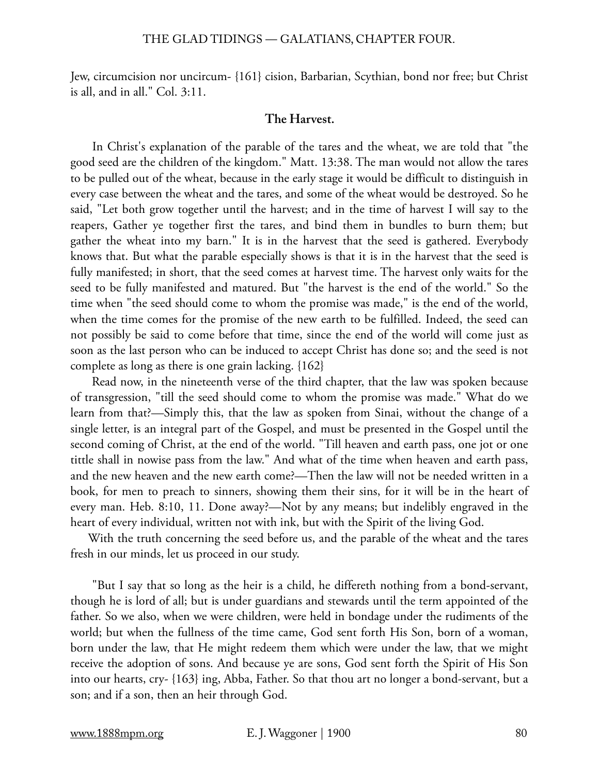Jew, circumcision nor uncircum- {161} cision, Barbarian, Scythian, bond nor free; but Christ is all, and in all." Col. 3:11.

### **The Harvest.**

 In Christ's explanation of the parable of the tares and the wheat, we are told that "the good seed are the children of the kingdom." Matt. 13:38. The man would not allow the tares to be pulled out of the wheat, because in the early stage it would be difficult to distinguish in every case between the wheat and the tares, and some of the wheat would be destroyed. So he said, "Let both grow together until the harvest; and in the time of harvest I will say to the reapers, Gather ye together first the tares, and bind them in bundles to burn them; but gather the wheat into my barn." It is in the harvest that the seed is gathered. Everybody knows that. But what the parable especially shows is that it is in the harvest that the seed is fully manifested; in short, that the seed comes at harvest time. The harvest only waits for the seed to be fully manifested and matured. But "the harvest is the end of the world." So the time when "the seed should come to whom the promise was made," is the end of the world, when the time comes for the promise of the new earth to be fulfilled. Indeed, the seed can not possibly be said to come before that time, since the end of the world will come just as soon as the last person who can be induced to accept Christ has done so; and the seed is not complete as long as there is one grain lacking. {162}

 Read now, in the nineteenth verse of the third chapter, that the law was spoken because of transgression, "till the seed should come to whom the promise was made." What do we learn from that?—Simply this, that the law as spoken from Sinai, without the change of a single letter, is an integral part of the Gospel, and must be presented in the Gospel until the second coming of Christ, at the end of the world. "Till heaven and earth pass, one jot or one tittle shall in nowise pass from the law." And what of the time when heaven and earth pass, and the new heaven and the new earth come?—Then the law will not be needed written in a book, for men to preach to sinners, showing them their sins, for it will be in the heart of every man. Heb. 8:10, 11. Done away?—Not by any means; but indelibly engraved in the heart of every individual, written not with ink, but with the Spirit of the living God.

With the truth concerning the seed before us, and the parable of the wheat and the tares fresh in our minds, let us proceed in our study.

 "But I say that so long as the heir is a child, he differeth nothing from a bond-servant, though he is lord of all; but is under guardians and stewards until the term appointed of the father. So we also, when we were children, were held in bondage under the rudiments of the world; but when the fullness of the time came, God sent forth His Son, born of a woman, born under the law, that He might redeem them which were under the law, that we might receive the adoption of sons. And because ye are sons, God sent forth the Spirit of His Son into our hearts, cry- {163} ing, Abba, Father. So that thou art no longer a bond-servant, but a son; and if a son, then an heir through God.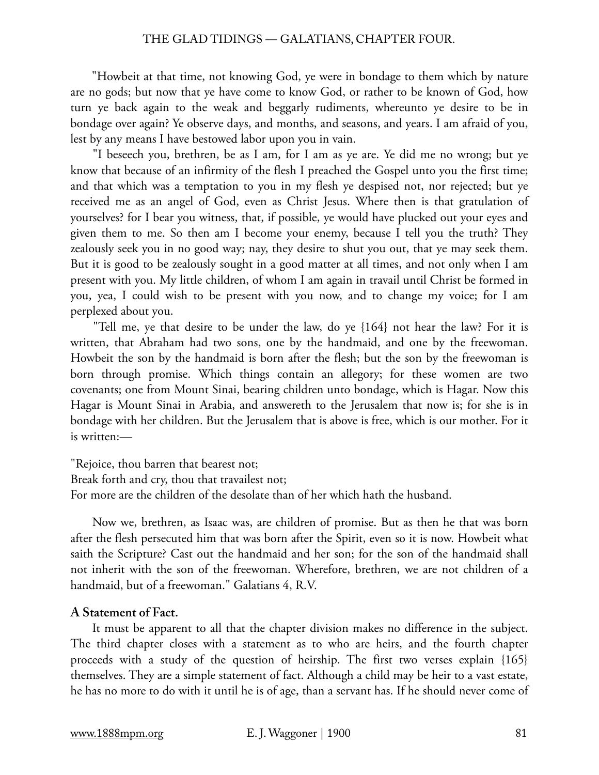"Howbeit at that time, not knowing God, ye were in bondage to them which by nature are no gods; but now that ye have come to know God, or rather to be known of God, how turn ye back again to the weak and beggarly rudiments, whereunto ye desire to be in bondage over again? Ye observe days, and months, and seasons, and years. I am afraid of you, lest by any means I have bestowed labor upon you in vain.

 "I beseech you, brethren, be as I am, for I am as ye are. Ye did me no wrong; but ye know that because of an infirmity of the flesh I preached the Gospel unto you the first time; and that which was a temptation to you in my flesh ye despised not, nor rejected; but ye received me as an angel of God, even as Christ Jesus. Where then is that gratulation of yourselves? for I bear you witness, that, if possible, ye would have plucked out your eyes and given them to me. So then am I become your enemy, because I tell you the truth? They zealously seek you in no good way; nay, they desire to shut you out, that ye may seek them. But it is good to be zealously sought in a good matter at all times, and not only when I am present with you. My little children, of whom I am again in travail until Christ be formed in you, yea, I could wish to be present with you now, and to change my voice; for I am perplexed about you.

 "Tell me, ye that desire to be under the law, do ye {164} not hear the law? For it is written, that Abraham had two sons, one by the handmaid, and one by the freewoman. Howbeit the son by the handmaid is born after the flesh; but the son by the freewoman is born through promise. Which things contain an allegory; for these women are two covenants; one from Mount Sinai, bearing children unto bondage, which is Hagar. Now this Hagar is Mount Sinai in Arabia, and answereth to the Jerusalem that now is; for she is in bondage with her children. But the Jerusalem that is above is free, which is our mother. For it is written:—

"Rejoice, thou barren that bearest not; Break forth and cry, thou that travailest not; For more are the children of the desolate than of her which hath the husband.

 Now we, brethren, as Isaac was, are children of promise. But as then he that was born after the flesh persecuted him that was born after the Spirit, even so it is now. Howbeit what saith the Scripture? Cast out the handmaid and her son; for the son of the handmaid shall not inherit with the son of the freewoman. Wherefore, brethren, we are not children of a handmaid, but of a freewoman." Galatians 4, R.V.

# **A Statement of Fact.**

 It must be apparent to all that the chapter division makes no difference in the subject. The third chapter closes with a statement as to who are heirs, and the fourth chapter proceeds with a study of the question of heirship. The first two verses explain {165} themselves. They are a simple statement of fact. Although a child may be heir to a vast estate, he has no more to do with it until he is of age, than a servant has. If he should never come of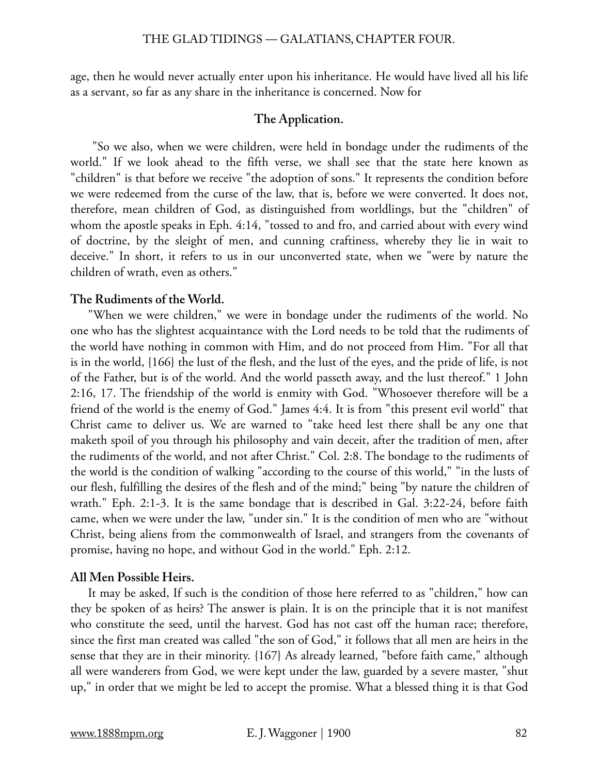age, then he would never actually enter upon his inheritance. He would have lived all his life as a servant, so far as any share in the inheritance is concerned. Now for

### **The Application.**

 "So we also, when we were children, were held in bondage under the rudiments of the world." If we look ahead to the fifth verse, we shall see that the state here known as "children" is that before we receive "the adoption of sons." It represents the condition before we were redeemed from the curse of the law, that is, before we were converted. It does not, therefore, mean children of God, as distinguished from worldlings, but the "children" of whom the apostle speaks in Eph. 4:14, "tossed to and fro, and carried about with every wind of doctrine, by the sleight of men, and cunning craftiness, whereby they lie in wait to deceive." In short, it refers to us in our unconverted state, when we "were by nature the children of wrath, even as others."

### **The Rudiments of the World.**

"When we were children," we were in bondage under the rudiments of the world. No one who has the slightest acquaintance with the Lord needs to be told that the rudiments of the world have nothing in common with Him, and do not proceed from Him. "For all that is in the world, {166} the lust of the flesh, and the lust of the eyes, and the pride of life, is not of the Father, but is of the world. And the world passeth away, and the lust thereof." 1 John 2:16, 17. The friendship of the world is enmity with God. "Whosoever therefore will be a friend of the world is the enemy of God." James 4:4. It is from "this present evil world" that Christ came to deliver us. We are warned to "take heed lest there shall be any one that maketh spoil of you through his philosophy and vain deceit, after the tradition of men, after the rudiments of the world, and not after Christ." Col. 2:8. The bondage to the rudiments of the world is the condition of walking "according to the course of this world," "in the lusts of our flesh, fulfilling the desires of the flesh and of the mind;" being "by nature the children of wrath." Eph. 2:1-3. It is the same bondage that is described in Gal. 3:22-24, before faith came, when we were under the law, "under sin." It is the condition of men who are "without Christ, being aliens from the commonwealth of Israel, and strangers from the covenants of promise, having no hope, and without God in the world." Eph. 2:12.

### **All Men Possible Heirs.**

It may be asked, If such is the condition of those here referred to as "children," how can they be spoken of as heirs? The answer is plain. It is on the principle that it is not manifest who constitute the seed, until the harvest. God has not cast off the human race; therefore, since the first man created was called "the son of God," it follows that all men are heirs in the sense that they are in their minority. {167} As already learned, "before faith came," although all were wanderers from God, we were kept under the law, guarded by a severe master, "shut up," in order that we might be led to accept the promise. What a blessed thing it is that God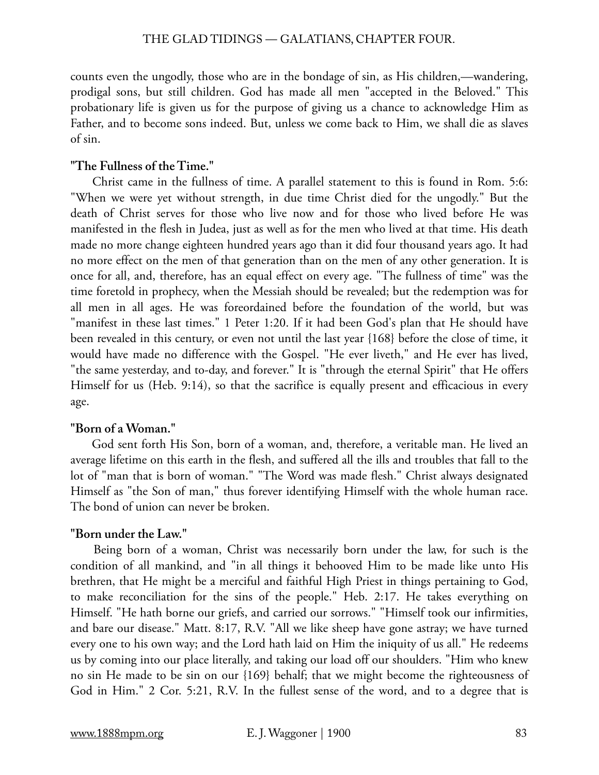counts even the ungodly, those who are in the bondage of sin, as His children,—wandering, prodigal sons, but still children. God has made all men "accepted in the Beloved." This probationary life is given us for the purpose of giving us a chance to acknowledge Him as Father, and to become sons indeed. But, unless we come back to Him, we shall die as slaves of sin.

# **"The Fullness of the Time."**

 Christ came in the fullness of time. A parallel statement to this is found in Rom. 5:6: "When we were yet without strength, in due time Christ died for the ungodly." But the death of Christ serves for those who live now and for those who lived before He was manifested in the flesh in Judea, just as well as for the men who lived at that time. His death made no more change eighteen hundred years ago than it did four thousand years ago. It had no more effect on the men of that generation than on the men of any other generation. It is once for all, and, therefore, has an equal effect on every age. "The fullness of time" was the time foretold in prophecy, when the Messiah should be revealed; but the redemption was for all men in all ages. He was foreordained before the foundation of the world, but was "manifest in these last times." 1 Peter 1:20. If it had been God's plan that He should have been revealed in this century, or even not until the last year {168} before the close of time, it would have made no difference with the Gospel. "He ever liveth," and He ever has lived, "the same yesterday, and to-day, and forever." It is "through the eternal Spirit" that He offers Himself for us (Heb. 9:14), so that the sacrifice is equally present and efficacious in every age.

# **"Born of a Woman."**

 God sent forth His Son, born of a woman, and, therefore, a veritable man. He lived an average lifetime on this earth in the flesh, and suffered all the ills and troubles that fall to the lot of "man that is born of woman." "The Word was made flesh." Christ always designated Himself as "the Son of man," thus forever identifying Himself with the whole human race. The bond of union can never be broken.

# **"Born under the Law."**

 Being born of a woman, Christ was necessarily born under the law, for such is the condition of all mankind, and "in all things it behooved Him to be made like unto His brethren, that He might be a merciful and faithful High Priest in things pertaining to God, to make reconciliation for the sins of the people." Heb. 2:17. He takes everything on Himself. "He hath borne our griefs, and carried our sorrows." "Himself took our infirmities, and bare our disease." Matt. 8:17, R.V. "All we like sheep have gone astray; we have turned every one to his own way; and the Lord hath laid on Him the iniquity of us all." He redeems us by coming into our place literally, and taking our load off our shoulders. "Him who knew no sin He made to be sin on our {169} behalf; that we might become the righteousness of God in Him." 2 Cor. 5:21, R.V. In the fullest sense of the word, and to a degree that is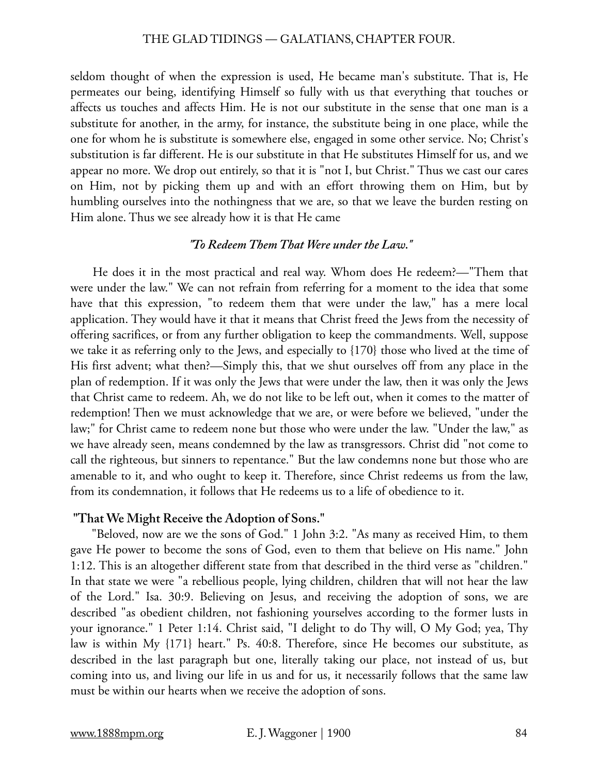seldom thought of when the expression is used, He became man's substitute. That is, He permeates our being, identifying Himself so fully with us that everything that touches or affects us touches and affects Him. He is not our substitute in the sense that one man is a substitute for another, in the army, for instance, the substitute being in one place, while the one for whom he is substitute is somewhere else, engaged in some other service. No; Christ's substitution is far different. He is our substitute in that He substitutes Himself for us, and we appear no more. We drop out entirely, so that it is "not I, but Christ." Thus we cast our cares on Him, not by picking them up and with an effort throwing them on Him, but by humbling ourselves into the nothingness that we are, so that we leave the burden resting on Him alone. Thus we see already how it is that He came

# *"To Redeem Them That Were under the Law."*

 He does it in the most practical and real way. Whom does He redeem?—"Them that were under the law." We can not refrain from referring for a moment to the idea that some have that this expression, "to redeem them that were under the law," has a mere local application. They would have it that it means that Christ freed the Jews from the necessity of offering sacrifices, or from any further obligation to keep the commandments. Well, suppose we take it as referring only to the Jews, and especially to {170} those who lived at the time of His first advent; what then?—Simply this, that we shut ourselves off from any place in the plan of redemption. If it was only the Jews that were under the law, then it was only the Jews that Christ came to redeem. Ah, we do not like to be left out, when it comes to the matter of redemption! Then we must acknowledge that we are, or were before we believed, "under the law;" for Christ came to redeem none but those who were under the law. "Under the law," as we have already seen, means condemned by the law as transgressors. Christ did "not come to call the righteous, but sinners to repentance." But the law condemns none but those who are amenable to it, and who ought to keep it. Therefore, since Christ redeems us from the law, from its condemnation, it follows that He redeems us to a life of obedience to it.

# **"That We Might Receive the Adoption of Sons."**

 "Beloved, now are we the sons of God." 1 John 3:2. "As many as received Him, to them gave He power to become the sons of God, even to them that believe on His name." John 1:12. This is an altogether different state from that described in the third verse as "children." In that state we were "a rebellious people, lying children, children that will not hear the law of the Lord." Isa. 30:9. Believing on Jesus, and receiving the adoption of sons, we are described "as obedient children, not fashioning yourselves according to the former lusts in your ignorance." 1 Peter 1:14. Christ said, "I delight to do Thy will, O My God; yea, Thy law is within My {171} heart." Ps. 40:8. Therefore, since He becomes our substitute, as described in the last paragraph but one, literally taking our place, not instead of us, but coming into us, and living our life in us and for us, it necessarily follows that the same law must be within our hearts when we receive the adoption of sons.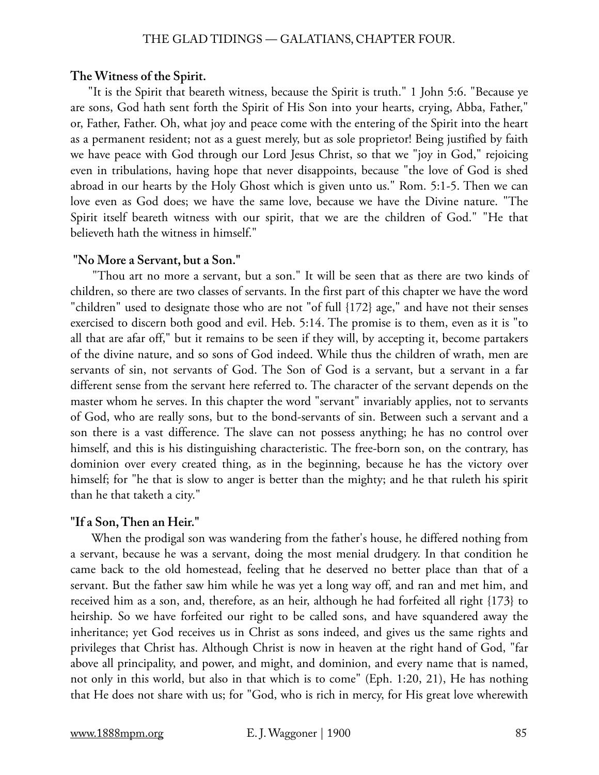# **The Witness of the Spirit.**

"It is the Spirit that beareth witness, because the Spirit is truth." 1 John 5:6. "Because ye are sons, God hath sent forth the Spirit of His Son into your hearts, crying, Abba, Father," or, Father, Father. Oh, what joy and peace come with the entering of the Spirit into the heart as a permanent resident; not as a guest merely, but as sole proprietor! Being justified by faith we have peace with God through our Lord Jesus Christ, so that we "joy in God," rejoicing even in tribulations, having hope that never disappoints, because "the love of God is shed abroad in our hearts by the Holy Ghost which is given unto us." Rom. 5:1-5. Then we can love even as God does; we have the same love, because we have the Divine nature. "The Spirit itself beareth witness with our spirit, that we are the children of God." "He that believeth hath the witness in himself."

# **"No More a Servant, but a Son."**

 "Thou art no more a servant, but a son." It will be seen that as there are two kinds of children, so there are two classes of servants. In the first part of this chapter we have the word "children" used to designate those who are not "of full {172} age," and have not their senses exercised to discern both good and evil. Heb. 5:14. The promise is to them, even as it is "to all that are afar off," but it remains to be seen if they will, by accepting it, become partakers of the divine nature, and so sons of God indeed. While thus the children of wrath, men are servants of sin, not servants of God. The Son of God is a servant, but a servant in a far different sense from the servant here referred to. The character of the servant depends on the master whom he serves. In this chapter the word "servant" invariably applies, not to servants of God, who are really sons, but to the bond-servants of sin. Between such a servant and a son there is a vast difference. The slave can not possess anything; he has no control over himself, and this is his distinguishing characteristic. The free-born son, on the contrary, has dominion over every created thing, as in the beginning, because he has the victory over himself; for "he that is slow to anger is better than the mighty; and he that ruleth his spirit than he that taketh a city."

# **"If a Son, Then an Heir."**

 When the prodigal son was wandering from the father's house, he differed nothing from a servant, because he was a servant, doing the most menial drudgery. In that condition he came back to the old homestead, feeling that he deserved no better place than that of a servant. But the father saw him while he was yet a long way off, and ran and met him, and received him as a son, and, therefore, as an heir, although he had forfeited all right {173} to heirship. So we have forfeited our right to be called sons, and have squandered away the inheritance; yet God receives us in Christ as sons indeed, and gives us the same rights and privileges that Christ has. Although Christ is now in heaven at the right hand of God, "far above all principality, and power, and might, and dominion, and every name that is named, not only in this world, but also in that which is to come" (Eph. 1:20, 21), He has nothing that He does not share with us; for "God, who is rich in mercy, for His great love wherewith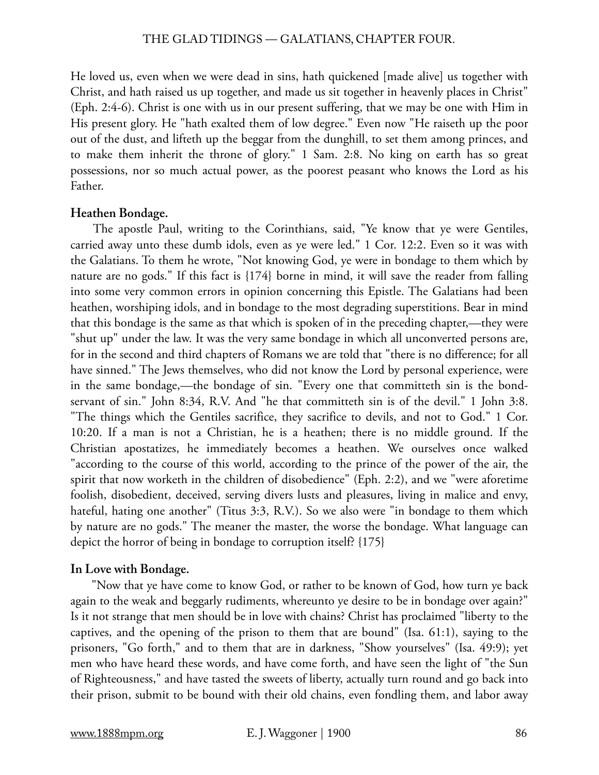He loved us, even when we were dead in sins, hath quickened [made alive] us together with Christ, and hath raised us up together, and made us sit together in heavenly places in Christ" (Eph. 2:4-6). Christ is one with us in our present suffering, that we may be one with Him in His present glory. He "hath exalted them of low degree." Even now "He raiseth up the poor out of the dust, and lifteth up the beggar from the dunghill, to set them among princes, and to make them inherit the throne of glory." 1 Sam. 2:8. No king on earth has so great possessions, nor so much actual power, as the poorest peasant who knows the Lord as his Father.

# **Heathen Bondage.**

 The apostle Paul, writing to the Corinthians, said, "Ye know that ye were Gentiles, carried away unto these dumb idols, even as ye were led." 1 Cor. 12:2. Even so it was with the Galatians. To them he wrote, "Not knowing God, ye were in bondage to them which by nature are no gods." If this fact is {174} borne in mind, it will save the reader from falling into some very common errors in opinion concerning this Epistle. The Galatians had been heathen, worshiping idols, and in bondage to the most degrading superstitions. Bear in mind that this bondage is the same as that which is spoken of in the preceding chapter,—they were "shut up" under the law. It was the very same bondage in which all unconverted persons are, for in the second and third chapters of Romans we are told that "there is no difference; for all have sinned." The Jews themselves, who did not know the Lord by personal experience, were in the same bondage,—the bondage of sin. "Every one that committeth sin is the bondservant of sin." John 8:34, R.V. And "he that committeth sin is of the devil." 1 John 3:8. "The things which the Gentiles sacrifice, they sacrifice to devils, and not to God." 1 Cor. 10:20. If a man is not a Christian, he is a heathen; there is no middle ground. If the Christian apostatizes, he immediately becomes a heathen. We ourselves once walked "according to the course of this world, according to the prince of the power of the air, the spirit that now worketh in the children of disobedience" (Eph. 2:2), and we "were aforetime foolish, disobedient, deceived, serving divers lusts and pleasures, living in malice and envy, hateful, hating one another" (Titus 3:3, R.V.). So we also were "in bondage to them which by nature are no gods." The meaner the master, the worse the bondage. What language can depict the horror of being in bondage to corruption itself? {175}

# **In Love with Bondage.**

 "Now that ye have come to know God, or rather to be known of God, how turn ye back again to the weak and beggarly rudiments, whereunto ye desire to be in bondage over again?" Is it not strange that men should be in love with chains? Christ has proclaimed "liberty to the captives, and the opening of the prison to them that are bound" (Isa. 61:1), saying to the prisoners, "Go forth," and to them that are in darkness, "Show yourselves" (Isa. 49:9); yet men who have heard these words, and have come forth, and have seen the light of "the Sun of Righteousness," and have tasted the sweets of liberty, actually turn round and go back into their prison, submit to be bound with their old chains, even fondling them, and labor away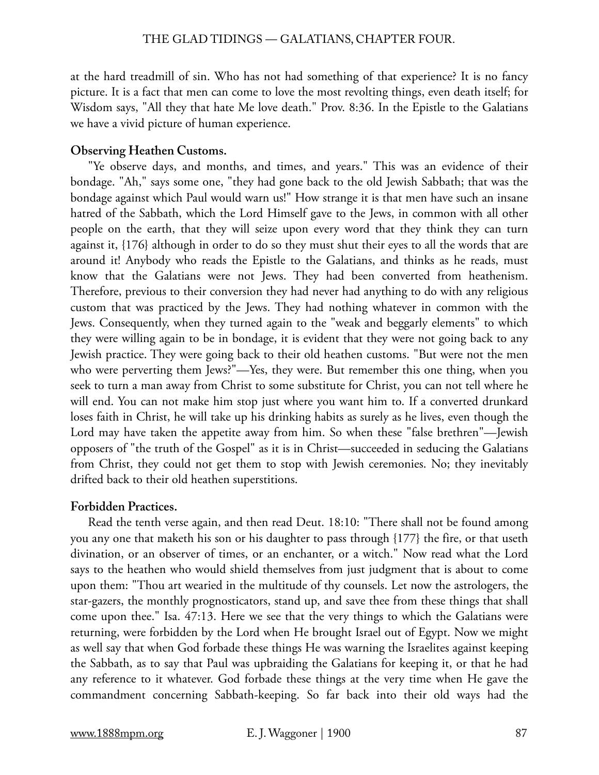at the hard treadmill of sin. Who has not had something of that experience? It is no fancy picture. It is a fact that men can come to love the most revolting things, even death itself; for Wisdom says, "All they that hate Me love death." Prov. 8:36. In the Epistle to the Galatians we have a vivid picture of human experience.

# **Observing Heathen Customs.**

"Ye observe days, and months, and times, and years." This was an evidence of their bondage. "Ah," says some one, "they had gone back to the old Jewish Sabbath; that was the bondage against which Paul would warn us!" How strange it is that men have such an insane hatred of the Sabbath, which the Lord Himself gave to the Jews, in common with all other people on the earth, that they will seize upon every word that they think they can turn against it, {176} although in order to do so they must shut their eyes to all the words that are around it! Anybody who reads the Epistle to the Galatians, and thinks as he reads, must know that the Galatians were not Jews. They had been converted from heathenism. Therefore, previous to their conversion they had never had anything to do with any religious custom that was practiced by the Jews. They had nothing whatever in common with the Jews. Consequently, when they turned again to the "weak and beggarly elements" to which they were willing again to be in bondage, it is evident that they were not going back to any Jewish practice. They were going back to their old heathen customs. "But were not the men who were perverting them Jews?"—Yes, they were. But remember this one thing, when you seek to turn a man away from Christ to some substitute for Christ, you can not tell where he will end. You can not make him stop just where you want him to. If a converted drunkard loses faith in Christ, he will take up his drinking habits as surely as he lives, even though the Lord may have taken the appetite away from him. So when these "false brethren"—Jewish opposers of "the truth of the Gospel" as it is in Christ—succeeded in seducing the Galatians from Christ, they could not get them to stop with Jewish ceremonies. No; they inevitably drifted back to their old heathen superstitions.

# **Forbidden Practices.**

Read the tenth verse again, and then read Deut. 18:10: "There shall not be found among you any one that maketh his son or his daughter to pass through {177} the fire, or that useth divination, or an observer of times, or an enchanter, or a witch." Now read what the Lord says to the heathen who would shield themselves from just judgment that is about to come upon them: "Thou art wearied in the multitude of thy counsels. Let now the astrologers, the star-gazers, the monthly prognosticators, stand up, and save thee from these things that shall come upon thee." Isa. 47:13. Here we see that the very things to which the Galatians were returning, were forbidden by the Lord when He brought Israel out of Egypt. Now we might as well say that when God forbade these things He was warning the Israelites against keeping the Sabbath, as to say that Paul was upbraiding the Galatians for keeping it, or that he had any reference to it whatever. God forbade these things at the very time when He gave the commandment concerning Sabbath-keeping. So far back into their old ways had the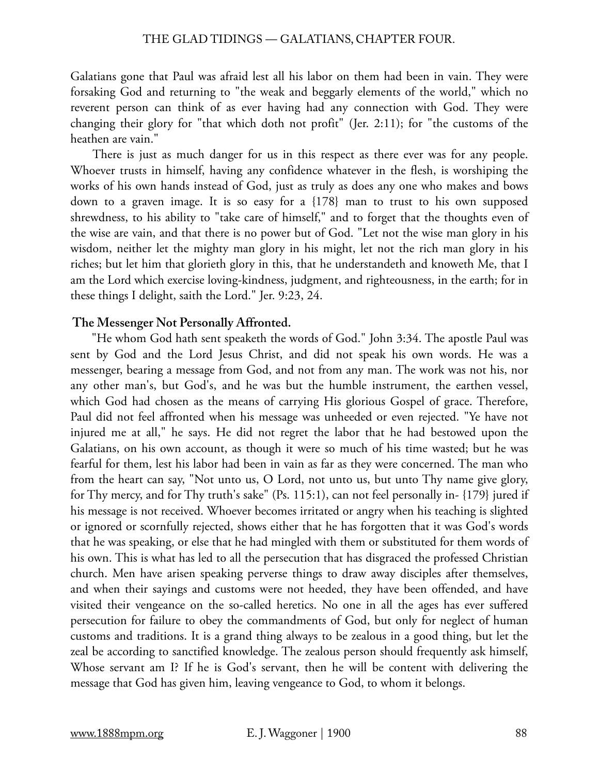Galatians gone that Paul was afraid lest all his labor on them had been in vain. They were forsaking God and returning to "the weak and beggarly elements of the world," which no reverent person can think of as ever having had any connection with God. They were changing their glory for "that which doth not profit" (Jer. 2:11); for "the customs of the heathen are vain."

 There is just as much danger for us in this respect as there ever was for any people. Whoever trusts in himself, having any confidence whatever in the flesh, is worshiping the works of his own hands instead of God, just as truly as does any one who makes and bows down to a graven image. It is so easy for a {178} man to trust to his own supposed shrewdness, to his ability to "take care of himself," and to forget that the thoughts even of the wise are vain, and that there is no power but of God. "Let not the wise man glory in his wisdom, neither let the mighty man glory in his might, let not the rich man glory in his riches; but let him that glorieth glory in this, that he understandeth and knoweth Me, that I am the Lord which exercise loving-kindness, judgment, and righteousness, in the earth; for in these things I delight, saith the Lord." Jer. 9:23, 24.

# **The Messenger Not Personally Affronted.**

 "He whom God hath sent speaketh the words of God." John 3:34. The apostle Paul was sent by God and the Lord Jesus Christ, and did not speak his own words. He was a messenger, bearing a message from God, and not from any man. The work was not his, nor any other man's, but God's, and he was but the humble instrument, the earthen vessel, which God had chosen as the means of carrying His glorious Gospel of grace. Therefore, Paul did not feel affronted when his message was unheeded or even rejected. "Ye have not injured me at all," he says. He did not regret the labor that he had bestowed upon the Galatians, on his own account, as though it were so much of his time wasted; but he was fearful for them, lest his labor had been in vain as far as they were concerned. The man who from the heart can say, "Not unto us, O Lord, not unto us, but unto Thy name give glory, for Thy mercy, and for Thy truth's sake" (Ps. 115:1), can not feel personally in- {179} jured if his message is not received. Whoever becomes irritated or angry when his teaching is slighted or ignored or scornfully rejected, shows either that he has forgotten that it was God's words that he was speaking, or else that he had mingled with them or substituted for them words of his own. This is what has led to all the persecution that has disgraced the professed Christian church. Men have arisen speaking perverse things to draw away disciples after themselves, and when their sayings and customs were not heeded, they have been offended, and have visited their vengeance on the so-called heretics. No one in all the ages has ever suffered persecution for failure to obey the commandments of God, but only for neglect of human customs and traditions. It is a grand thing always to be zealous in a good thing, but let the zeal be according to sanctified knowledge. The zealous person should frequently ask himself, Whose servant am I? If he is God's servant, then he will be content with delivering the message that God has given him, leaving vengeance to God, to whom it belongs.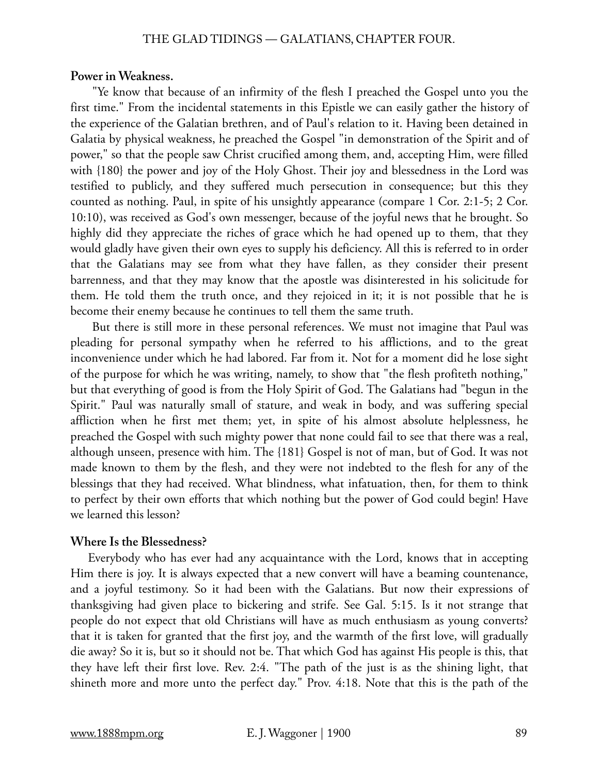#### **Power in Weakness.**

 "Ye know that because of an infirmity of the flesh I preached the Gospel unto you the first time." From the incidental statements in this Epistle we can easily gather the history of the experience of the Galatian brethren, and of Paul's relation to it. Having been detained in Galatia by physical weakness, he preached the Gospel "in demonstration of the Spirit and of power," so that the people saw Christ crucified among them, and, accepting Him, were filled with {180} the power and joy of the Holy Ghost. Their joy and blessedness in the Lord was testified to publicly, and they suffered much persecution in consequence; but this they counted as nothing. Paul, in spite of his unsightly appearance (compare 1 Cor. 2:1-5; 2 Cor. 10:10), was received as God's own messenger, because of the joyful news that he brought. So highly did they appreciate the riches of grace which he had opened up to them, that they would gladly have given their own eyes to supply his deficiency. All this is referred to in order that the Galatians may see from what they have fallen, as they consider their present barrenness, and that they may know that the apostle was disinterested in his solicitude for them. He told them the truth once, and they rejoiced in it; it is not possible that he is become their enemy because he continues to tell them the same truth.

 But there is still more in these personal references. We must not imagine that Paul was pleading for personal sympathy when he referred to his afflictions, and to the great inconvenience under which he had labored. Far from it. Not for a moment did he lose sight of the purpose for which he was writing, namely, to show that "the flesh profiteth nothing," but that everything of good is from the Holy Spirit of God. The Galatians had "begun in the Spirit." Paul was naturally small of stature, and weak in body, and was suffering special affliction when he first met them; yet, in spite of his almost absolute helplessness, he preached the Gospel with such mighty power that none could fail to see that there was a real, although unseen, presence with him. The {181} Gospel is not of man, but of God. It was not made known to them by the flesh, and they were not indebted to the flesh for any of the blessings that they had received. What blindness, what infatuation, then, for them to think to perfect by their own efforts that which nothing but the power of God could begin! Have we learned this lesson?

#### **Where Is the Blessedness?**

Everybody who has ever had any acquaintance with the Lord, knows that in accepting Him there is joy. It is always expected that a new convert will have a beaming countenance, and a joyful testimony. So it had been with the Galatians. But now their expressions of thanksgiving had given place to bickering and strife. See Gal. 5:15. Is it not strange that people do not expect that old Christians will have as much enthusiasm as young converts? that it is taken for granted that the first joy, and the warmth of the first love, will gradually die away? So it is, but so it should not be. That which God has against His people is this, that they have left their first love. Rev. 2:4. "The path of the just is as the shining light, that shineth more and more unto the perfect day." Prov. 4:18. Note that this is the path of the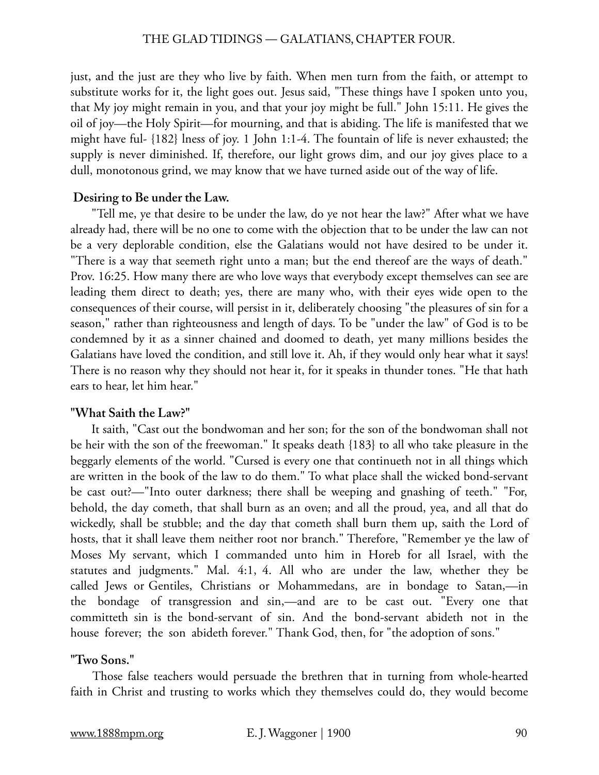just, and the just are they who live by faith. When men turn from the faith, or attempt to substitute works for it, the light goes out. Jesus said, "These things have I spoken unto you, that My joy might remain in you, and that your joy might be full." John 15:11. He gives the oil of joy—the Holy Spirit—for mourning, and that is abiding. The life is manifested that we might have ful- {182} lness of joy. 1 John 1:1-4. The fountain of life is never exhausted; the supply is never diminished. If, therefore, our light grows dim, and our joy gives place to a dull, monotonous grind, we may know that we have turned aside out of the way of life.

#### **Desiring to Be under the Law.**

 "Tell me, ye that desire to be under the law, do ye not hear the law?" After what we have already had, there will be no one to come with the objection that to be under the law can not be a very deplorable condition, else the Galatians would not have desired to be under it. "There is a way that seemeth right unto a man; but the end thereof are the ways of death." Prov. 16:25. How many there are who love ways that everybody except themselves can see are leading them direct to death; yes, there are many who, with their eyes wide open to the consequences of their course, will persist in it, deliberately choosing "the pleasures of sin for a season," rather than righteousness and length of days. To be "under the law" of God is to be condemned by it as a sinner chained and doomed to death, yet many millions besides the Galatians have loved the condition, and still love it. Ah, if they would only hear what it says! There is no reason why they should not hear it, for it speaks in thunder tones. "He that hath ears to hear, let him hear."

### **"What Saith the Law?"**

 It saith, "Cast out the bondwoman and her son; for the son of the bondwoman shall not be heir with the son of the freewoman." It speaks death {183} to all who take pleasure in the beggarly elements of the world. "Cursed is every one that continueth not in all things which are written in the book of the law to do them." To what place shall the wicked bond-servant be cast out?—"Into outer darkness; there shall be weeping and gnashing of teeth." "For, behold, the day cometh, that shall burn as an oven; and all the proud, yea, and all that do wickedly, shall be stubble; and the day that cometh shall burn them up, saith the Lord of hosts, that it shall leave them neither root nor branch." Therefore, "Remember ye the law of Moses My servant, which I commanded unto him in Horeb for all Israel, with the statutes and judgments." Mal. 4:1, 4. All who are under the law, whether they be called Jews or Gentiles, Christians or Mohammedans, are in bondage to Satan,—in the bondage of transgression and sin,—and are to be cast out. "Every one that committeth sin is the bond-servant of sin. And the bond-servant abideth not in the house forever; the son abideth forever." Thank God, then, for "the adoption of sons."

#### **"Two Sons."**

Those false teachers would persuade the brethren that in turning from whole-hearted faith in Christ and trusting to works which they themselves could do, they would become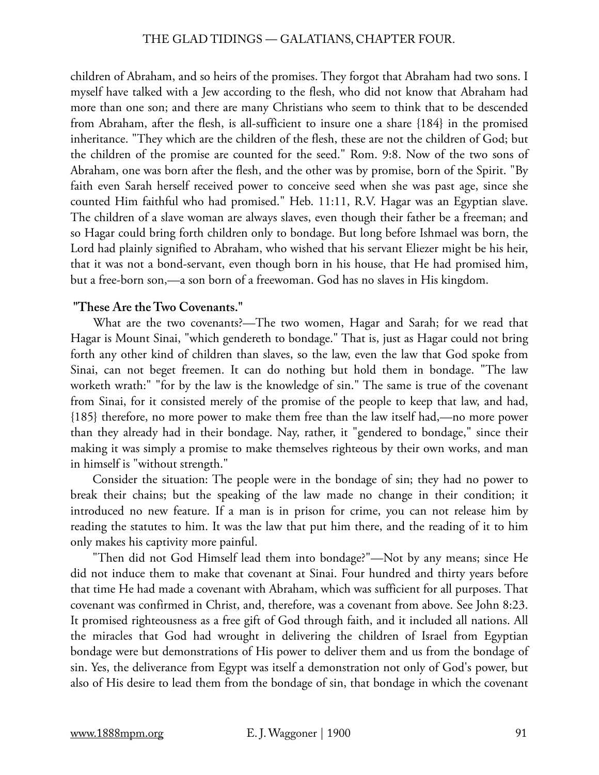children of Abraham, and so heirs of the promises. They forgot that Abraham had two sons. I myself have talked with a Jew according to the flesh, who did not know that Abraham had more than one son; and there are many Christians who seem to think that to be descended from Abraham, after the flesh, is all-sufficient to insure one a share {184} in the promised inheritance. "They which are the children of the flesh, these are not the children of God; but the children of the promise are counted for the seed." Rom. 9:8. Now of the two sons of Abraham, one was born after the flesh, and the other was by promise, born of the Spirit. "By faith even Sarah herself received power to conceive seed when she was past age, since she counted Him faithful who had promised." Heb. 11:11, R.V. Hagar was an Egyptian slave. The children of a slave woman are always slaves, even though their father be a freeman; and so Hagar could bring forth children only to bondage. But long before Ishmael was born, the Lord had plainly signified to Abraham, who wished that his servant Eliezer might be his heir, that it was not a bond-servant, even though born in his house, that He had promised him, but a free-born son,—a son born of a freewoman. God has no slaves in His kingdom.

# **"These Are the Two Covenants."**

 What are the two covenants?—The two women, Hagar and Sarah; for we read that Hagar is Mount Sinai, "which gendereth to bondage." That is, just as Hagar could not bring forth any other kind of children than slaves, so the law, even the law that God spoke from Sinai, can not beget freemen. It can do nothing but hold them in bondage. "The law worketh wrath:" "for by the law is the knowledge of sin." The same is true of the covenant from Sinai, for it consisted merely of the promise of the people to keep that law, and had, {185} therefore, no more power to make them free than the law itself had,—no more power than they already had in their bondage. Nay, rather, it "gendered to bondage," since their making it was simply a promise to make themselves righteous by their own works, and man in himself is "without strength."

 Consider the situation: The people were in the bondage of sin; they had no power to break their chains; but the speaking of the law made no change in their condition; it introduced no new feature. If a man is in prison for crime, you can not release him by reading the statutes to him. It was the law that put him there, and the reading of it to him only makes his captivity more painful.

 "Then did not God Himself lead them into bondage?"—Not by any means; since He did not induce them to make that covenant at Sinai. Four hundred and thirty years before that time He had made a covenant with Abraham, which was sufficient for all purposes. That covenant was confirmed in Christ, and, therefore, was a covenant from above. See John 8:23. It promised righteousness as a free gift of God through faith, and it included all nations. All the miracles that God had wrought in delivering the children of Israel from Egyptian bondage were but demonstrations of His power to deliver them and us from the bondage of sin. Yes, the deliverance from Egypt was itself a demonstration not only of God's power, but also of His desire to lead them from the bondage of sin, that bondage in which the covenant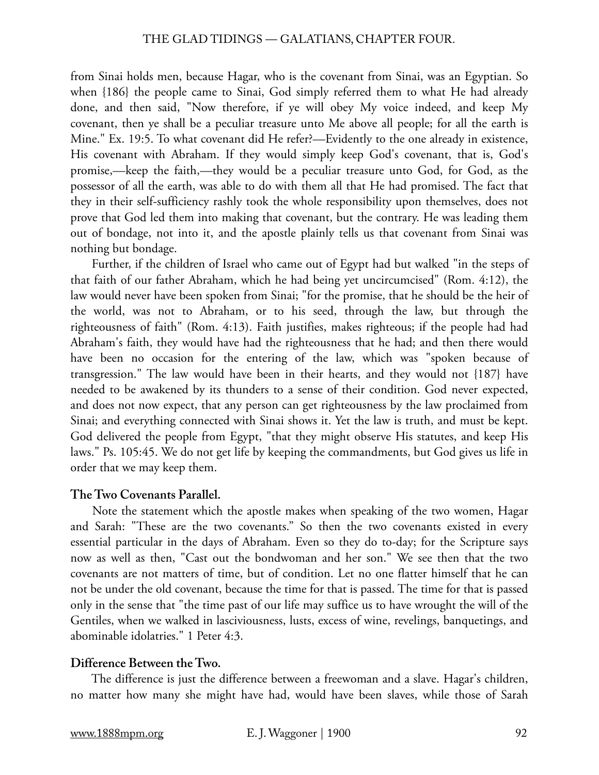from Sinai holds men, because Hagar, who is the covenant from Sinai, was an Egyptian. So when {186} the people came to Sinai, God simply referred them to what He had already done, and then said, "Now therefore, if ye will obey My voice indeed, and keep My covenant, then ye shall be a peculiar treasure unto Me above all people; for all the earth is Mine." Ex. 19:5. To what covenant did He refer?—Evidently to the one already in existence, His covenant with Abraham. If they would simply keep God's covenant, that is, God's promise,—keep the faith,—they would be a peculiar treasure unto God, for God, as the possessor of all the earth, was able to do with them all that He had promised. The fact that they in their self-sufficiency rashly took the whole responsibility upon themselves, does not prove that God led them into making that covenant, but the contrary. He was leading them out of bondage, not into it, and the apostle plainly tells us that covenant from Sinai was nothing but bondage.

 Further, if the children of Israel who came out of Egypt had but walked "in the steps of that faith of our father Abraham, which he had being yet uncircumcised" (Rom. 4:12), the law would never have been spoken from Sinai; "for the promise, that he should be the heir of the world, was not to Abraham, or to his seed, through the law, but through the righteousness of faith" (Rom. 4:13). Faith justifies, makes righteous; if the people had had Abraham's faith, they would have had the righteousness that he had; and then there would have been no occasion for the entering of the law, which was "spoken because of transgression." The law would have been in their hearts, and they would not {187} have needed to be awakened by its thunders to a sense of their condition. God never expected, and does not now expect, that any person can get righteousness by the law proclaimed from Sinai; and everything connected with Sinai shows it. Yet the law is truth, and must be kept. God delivered the people from Egypt, "that they might observe His statutes, and keep His laws." Ps. 105:45. We do not get life by keeping the commandments, but God gives us life in order that we may keep them.

# **The Two Covenants Parallel.**

 Note the statement which the apostle makes when speaking of the two women, Hagar and Sarah: "These are the two covenants." So then the two covenants existed in every essential particular in the days of Abraham. Even so they do to-day; for the Scripture says now as well as then, "Cast out the bondwoman and her son." We see then that the two covenants are not matters of time, but of condition. Let no one flatter himself that he can not be under the old covenant, because the time for that is passed. The time for that is passed only in the sense that "the time past of our life may suffice us to have wrought the will of the Gentiles, when we walked in lasciviousness, lusts, excess of wine, revelings, banquetings, and abominable idolatries." 1 Peter 4:3.

# **Difference Between the Two.**

 The difference is just the difference between a freewoman and a slave. Hagar's children, no matter how many she might have had, would have been slaves, while those of Sarah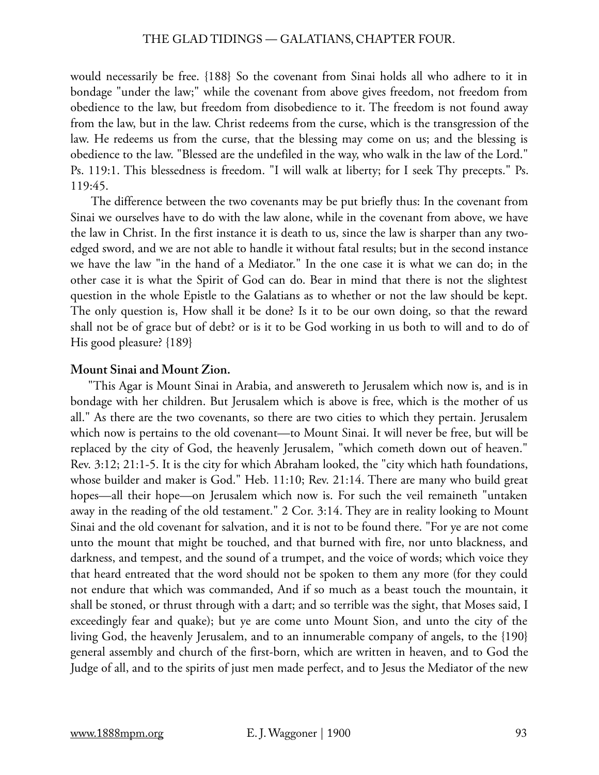would necessarily be free. {188} So the covenant from Sinai holds all who adhere to it in bondage "under the law;" while the covenant from above gives freedom, not freedom from obedience to the law, but freedom from disobedience to it. The freedom is not found away from the law, but in the law. Christ redeems from the curse, which is the transgression of the law. He redeems us from the curse, that the blessing may come on us; and the blessing is obedience to the law. "Blessed are the undefiled in the way, who walk in the law of the Lord." Ps. 119:1. This blessedness is freedom. "I will walk at liberty; for I seek Thy precepts." Ps. 119:45.

 The difference between the two covenants may be put briefly thus: In the covenant from Sinai we ourselves have to do with the law alone, while in the covenant from above, we have the law in Christ. In the first instance it is death to us, since the law is sharper than any twoedged sword, and we are not able to handle it without fatal results; but in the second instance we have the law "in the hand of a Mediator." In the one case it is what we can do; in the other case it is what the Spirit of God can do. Bear in mind that there is not the slightest question in the whole Epistle to the Galatians as to whether or not the law should be kept. The only question is, How shall it be done? Is it to be our own doing, so that the reward shall not be of grace but of debt? or is it to be God working in us both to will and to do of His good pleasure? {189}

# **Mount Sinai and Mount Zion.**

"This Agar is Mount Sinai in Arabia, and answereth to Jerusalem which now is, and is in bondage with her children. But Jerusalem which is above is free, which is the mother of us all." As there are the two covenants, so there are two cities to which they pertain. Jerusalem which now is pertains to the old covenant—to Mount Sinai. It will never be free, but will be replaced by the city of God, the heavenly Jerusalem, "which cometh down out of heaven." Rev. 3:12; 21:1-5. It is the city for which Abraham looked, the "city which hath foundations, whose builder and maker is God." Heb. 11:10; Rev. 21:14. There are many who build great hopes—all their hope—on Jerusalem which now is. For such the veil remaineth "untaken away in the reading of the old testament." 2 Cor. 3:14. They are in reality looking to Mount Sinai and the old covenant for salvation, and it is not to be found there. "For ye are not come unto the mount that might be touched, and that burned with fire, nor unto blackness, and darkness, and tempest, and the sound of a trumpet, and the voice of words; which voice they that heard entreated that the word should not be spoken to them any more (for they could not endure that which was commanded, And if so much as a beast touch the mountain, it shall be stoned, or thrust through with a dart; and so terrible was the sight, that Moses said, I exceedingly fear and quake); but ye are come unto Mount Sion, and unto the city of the living God, the heavenly Jerusalem, and to an innumerable company of angels, to the {190} general assembly and church of the first-born, which are written in heaven, and to God the Judge of all, and to the spirits of just men made perfect, and to Jesus the Mediator of the new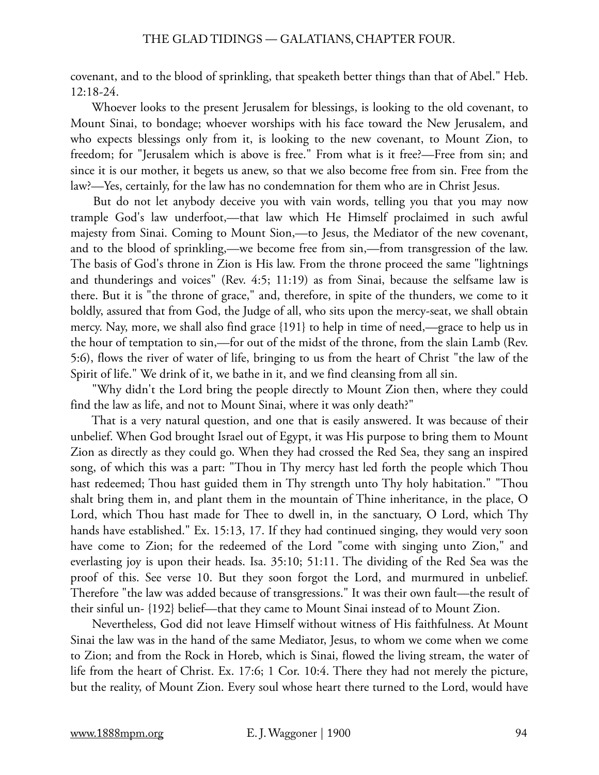covenant, and to the blood of sprinkling, that speaketh better things than that of Abel." Heb. 12:18-24.

 Whoever looks to the present Jerusalem for blessings, is looking to the old covenant, to Mount Sinai, to bondage; whoever worships with his face toward the New Jerusalem, and who expects blessings only from it, is looking to the new covenant, to Mount Zion, to freedom; for "Jerusalem which is above is free." From what is it free?—Free from sin; and since it is our mother, it begets us anew, so that we also become free from sin. Free from the law?—Yes, certainly, for the law has no condemnation for them who are in Christ Jesus.

 But do not let anybody deceive you with vain words, telling you that you may now trample God's law underfoot,—that law which He Himself proclaimed in such awful majesty from Sinai. Coming to Mount Sion,—to Jesus, the Mediator of the new covenant, and to the blood of sprinkling,—we become free from sin,—from transgression of the law. The basis of God's throne in Zion is His law. From the throne proceed the same "lightnings and thunderings and voices" (Rev. 4:5; 11:19) as from Sinai, because the selfsame law is there. But it is "the throne of grace," and, therefore, in spite of the thunders, we come to it boldly, assured that from God, the Judge of all, who sits upon the mercy-seat, we shall obtain mercy. Nay, more, we shall also find grace {191} to help in time of need,—grace to help us in the hour of temptation to sin,—for out of the midst of the throne, from the slain Lamb (Rev. 5:6), flows the river of water of life, bringing to us from the heart of Christ "the law of the Spirit of life." We drink of it, we bathe in it, and we find cleansing from all sin.

 "Why didn't the Lord bring the people directly to Mount Zion then, where they could find the law as life, and not to Mount Sinai, where it was only death?"

 That is a very natural question, and one that is easily answered. It was because of their unbelief. When God brought Israel out of Egypt, it was His purpose to bring them to Mount Zion as directly as they could go. When they had crossed the Red Sea, they sang an inspired song, of which this was a part: "Thou in Thy mercy hast led forth the people which Thou hast redeemed; Thou hast guided them in Thy strength unto Thy holy habitation." "Thou shalt bring them in, and plant them in the mountain of Thine inheritance, in the place, O Lord, which Thou hast made for Thee to dwell in, in the sanctuary, O Lord, which Thy hands have established." Ex. 15:13, 17. If they had continued singing, they would very soon have come to Zion; for the redeemed of the Lord "come with singing unto Zion," and everlasting joy is upon their heads. Isa. 35:10; 51:11. The dividing of the Red Sea was the proof of this. See verse 10. But they soon forgot the Lord, and murmured in unbelief. Therefore "the law was added because of transgressions." It was their own fault—the result of their sinful un- {192} belief—that they came to Mount Sinai instead of to Mount Zion.

 Nevertheless, God did not leave Himself without witness of His faithfulness. At Mount Sinai the law was in the hand of the same Mediator, Jesus, to whom we come when we come to Zion; and from the Rock in Horeb, which is Sinai, flowed the living stream, the water of life from the heart of Christ. Ex. 17:6; 1 Cor. 10:4. There they had not merely the picture, but the reality, of Mount Zion. Every soul whose heart there turned to the Lord, would have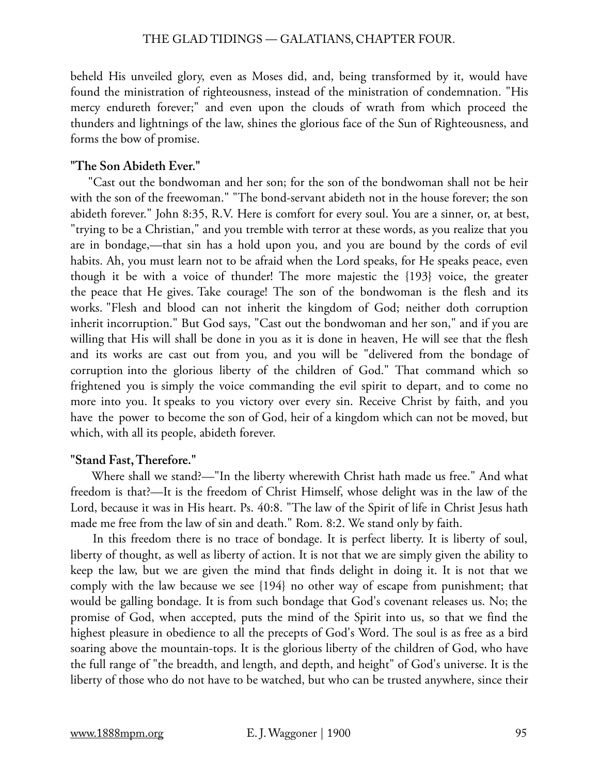beheld His unveiled glory, even as Moses did, and, being transformed by it, would have found the ministration of righteousness, instead of the ministration of condemnation. "His mercy endureth forever;" and even upon the clouds of wrath from which proceed the thunders and lightnings of the law, shines the glorious face of the Sun of Righteousness, and forms the bow of promise.

# **"The Son Abideth Ever."**

"Cast out the bondwoman and her son; for the son of the bondwoman shall not be heir with the son of the freewoman." "The bond-servant abideth not in the house forever; the son abideth forever." John 8:35, R.V. Here is comfort for every soul. You are a sinner, or, at best, "trying to be a Christian," and you tremble with terror at these words, as you realize that you are in bondage,—that sin has a hold upon you, and you are bound by the cords of evil habits. Ah, you must learn not to be afraid when the Lord speaks, for He speaks peace, even though it be with a voice of thunder! The more majestic the {193} voice, the greater the peace that He gives. Take courage! The son of the bondwoman is the flesh and its works. "Flesh and blood can not inherit the kingdom of God; neither doth corruption inherit incorruption." But God says, "Cast out the bondwoman and her son," and if you are willing that His will shall be done in you as it is done in heaven, He will see that the flesh and its works are cast out from you, and you will be "delivered from the bondage of corruption into the glorious liberty of the children of God." That command which so frightened you is simply the voice commanding the evil spirit to depart, and to come no more into you. It speaks to you victory over every sin. Receive Christ by faith, and you have the power to become the son of God, heir of a kingdom which can not be moved, but which, with all its people, abideth forever.

# **"Stand Fast, Therefore."**

 Where shall we stand?—"In the liberty wherewith Christ hath made us free." And what freedom is that?—It is the freedom of Christ Himself, whose delight was in the law of the Lord, because it was in His heart. Ps. 40:8. "The law of the Spirit of life in Christ Jesus hath made me free from the law of sin and death." Rom. 8:2. We stand only by faith.

In this freedom there is no trace of bondage. It is perfect liberty. It is liberty of soul, liberty of thought, as well as liberty of action. It is not that we are simply given the ability to keep the law, but we are given the mind that finds delight in doing it. It is not that we comply with the law because we see {194} no other way of escape from punishment; that would be galling bondage. It is from such bondage that God's covenant releases us. No; the promise of God, when accepted, puts the mind of the Spirit into us, so that we find the highest pleasure in obedience to all the precepts of God's Word. The soul is as free as a bird soaring above the mountain-tops. It is the glorious liberty of the children of God, who have the full range of "the breadth, and length, and depth, and height" of God's universe. It is the liberty of those who do not have to be watched, but who can be trusted anywhere, since their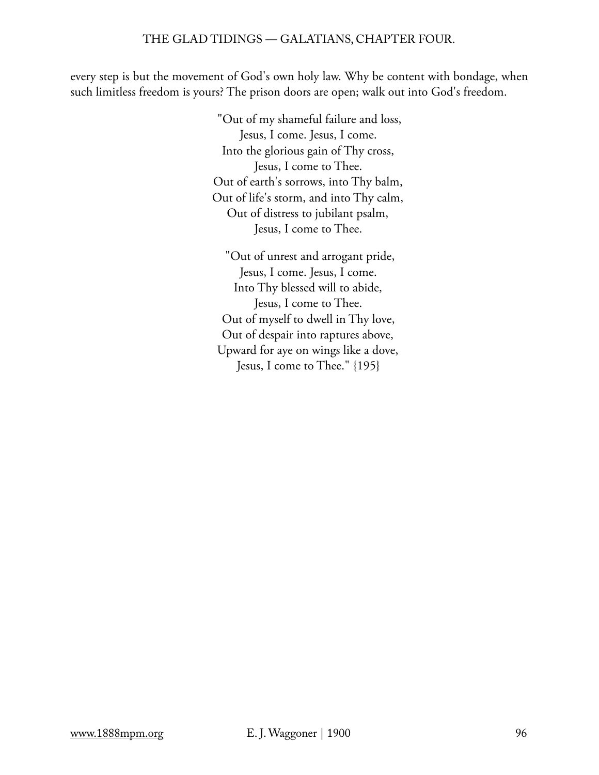every step is but the movement of God's own holy law. Why be content with bondage, when such limitless freedom is yours? The prison doors are open; walk out into God's freedom.

> "Out of my shameful failure and loss, Jesus, I come. Jesus, I come. Into the glorious gain of Thy cross, Jesus, I come to Thee. Out of earth's sorrows, into Thy balm, Out of life's storm, and into Thy calm, Out of distress to jubilant psalm, Jesus, I come to Thee.

 "Out of unrest and arrogant pride, Jesus, I come. Jesus, I come. Into Thy blessed will to abide, Jesus, I come to Thee. Out of myself to dwell in Thy love, Out of despair into raptures above, Upward for aye on wings like a dove, Jesus, I come to Thee." {195}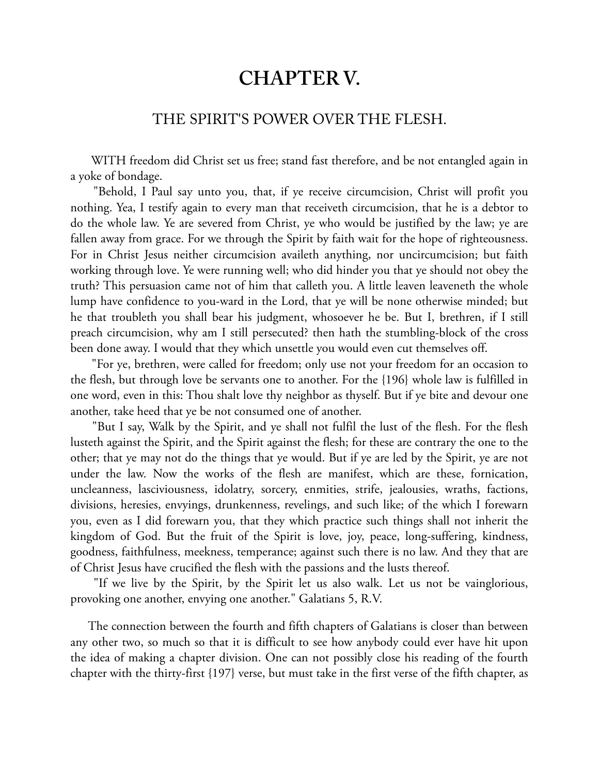# **CHAPTER V.**

# THE SPIRIT'S POWER OVER THE FLESH.

 WITH freedom did Christ set us free; stand fast therefore, and be not entangled again in a yoke of bondage.

 "Behold, I Paul say unto you, that, if ye receive circumcision, Christ will profit you nothing. Yea, I testify again to every man that receiveth circumcision, that he is a debtor to do the whole law. Ye are severed from Christ, ye who would be justified by the law; ye are fallen away from grace. For we through the Spirit by faith wait for the hope of righteousness. For in Christ Jesus neither circumcision availeth anything, nor uncircumcision; but faith working through love. Ye were running well; who did hinder you that ye should not obey the truth? This persuasion came not of him that calleth you. A little leaven leaveneth the whole lump have confidence to you-ward in the Lord, that ye will be none otherwise minded; but he that troubleth you shall bear his judgment, whosoever he be. But I, brethren, if I still preach circumcision, why am I still persecuted? then hath the stumbling-block of the cross been done away. I would that they which unsettle you would even cut themselves off.

 "For ye, brethren, were called for freedom; only use not your freedom for an occasion to the flesh, but through love be servants one to another. For the {196} whole law is fulfilled in one word, even in this: Thou shalt love thy neighbor as thyself. But if ye bite and devour one another, take heed that ye be not consumed one of another.

 "But I say, Walk by the Spirit, and ye shall not fulfil the lust of the flesh. For the flesh lusteth against the Spirit, and the Spirit against the flesh; for these are contrary the one to the other; that ye may not do the things that ye would. But if ye are led by the Spirit, ye are not under the law. Now the works of the flesh are manifest, which are these, fornication, uncleanness, lasciviousness, idolatry, sorcery, enmities, strife, jealousies, wraths, factions, divisions, heresies, envyings, drunkenness, revelings, and such like; of the which I forewarn you, even as I did forewarn you, that they which practice such things shall not inherit the kingdom of God. But the fruit of the Spirit is love, joy, peace, long-suffering, kindness, goodness, faithfulness, meekness, temperance; against such there is no law. And they that are of Christ Jesus have crucified the flesh with the passions and the lusts thereof.

 "If we live by the Spirit, by the Spirit let us also walk. Let us not be vainglorious, provoking one another, envying one another." Galatians 5, R.V.

The connection between the fourth and fifth chapters of Galatians is closer than between any other two, so much so that it is difficult to see how anybody could ever have hit upon the idea of making a chapter division. One can not possibly close his reading of the fourth chapter with the thirty-first {197} verse, but must take in the first verse of the fifth chapter, as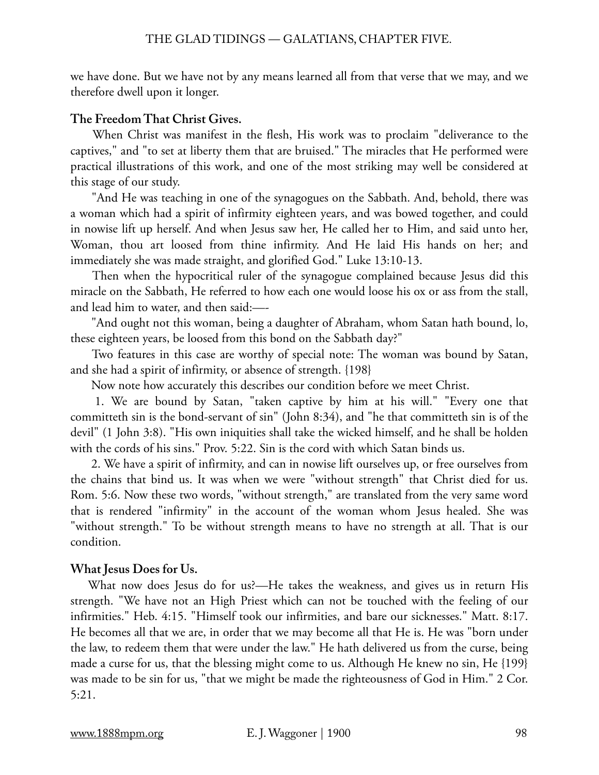we have done. But we have not by any means learned all from that verse that we may, and we therefore dwell upon it longer.

# **The Freedom That Christ Gives.**

 When Christ was manifest in the flesh, His work was to proclaim "deliverance to the captives," and "to set at liberty them that are bruised." The miracles that He performed were practical illustrations of this work, and one of the most striking may well be considered at this stage of our study.

 "And He was teaching in one of the synagogues on the Sabbath. And, behold, there was a woman which had a spirit of infirmity eighteen years, and was bowed together, and could in nowise lift up herself. And when Jesus saw her, He called her to Him, and said unto her, Woman, thou art loosed from thine infirmity. And He laid His hands on her; and immediately she was made straight, and glorified God." Luke 13:10-13.

 Then when the hypocritical ruler of the synagogue complained because Jesus did this miracle on the Sabbath, He referred to how each one would loose his ox or ass from the stall, and lead him to water, and then said:—-

 "And ought not this woman, being a daughter of Abraham, whom Satan hath bound, lo, these eighteen years, be loosed from this bond on the Sabbath day?"

 Two features in this case are worthy of special note: The woman was bound by Satan, and she had a spirit of infirmity, or absence of strength. {198}

Now note how accurately this describes our condition before we meet Christ.

 1. We are bound by Satan, "taken captive by him at his will." "Every one that committeth sin is the bond-servant of sin" (John 8:34), and "he that committeth sin is of the devil" (1 John 3:8). "His own iniquities shall take the wicked himself, and he shall be holden with the cords of his sins." Prov. 5:22. Sin is the cord with which Satan binds us.

 2. We have a spirit of infirmity, and can in nowise lift ourselves up, or free ourselves from the chains that bind us. It was when we were "without strength" that Christ died for us. Rom. 5:6. Now these two words, "without strength," are translated from the very same word that is rendered "infirmity" in the account of the woman whom Jesus healed. She was "without strength." To be without strength means to have no strength at all. That is our condition.

# **What Jesus Does for Us.**

What now does Jesus do for us?—He takes the weakness, and gives us in return His strength. "We have not an High Priest which can not be touched with the feeling of our infirmities." Heb. 4:15. "Himself took our infirmities, and bare our sicknesses." Matt. 8:17. He becomes all that we are, in order that we may become all that He is. He was "born under the law, to redeem them that were under the law." He hath delivered us from the curse, being made a curse for us, that the blessing might come to us. Although He knew no sin, He {199} was made to be sin for us, "that we might be made the righteousness of God in Him." 2 Cor. 5:21.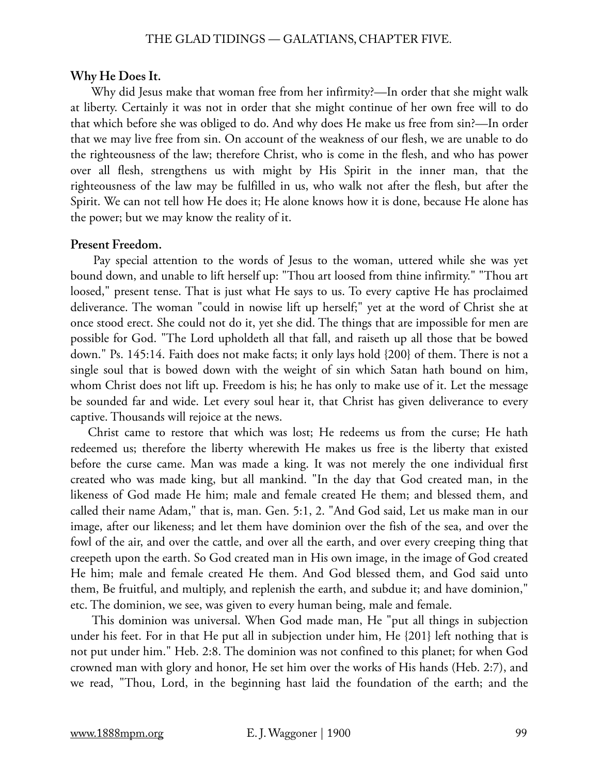#### **Why He Does It.**

 Why did Jesus make that woman free from her infirmity?—In order that she might walk at liberty. Certainly it was not in order that she might continue of her own free will to do that which before she was obliged to do. And why does He make us free from sin?—In order that we may live free from sin. On account of the weakness of our flesh, we are unable to do the righteousness of the law; therefore Christ, who is come in the flesh, and who has power over all flesh, strengthens us with might by His Spirit in the inner man, that the righteousness of the law may be fulfilled in us, who walk not after the flesh, but after the Spirit. We can not tell how He does it; He alone knows how it is done, because He alone has the power; but we may know the reality of it.

#### **Present Freedom.**

 Pay special attention to the words of Jesus to the woman, uttered while she was yet bound down, and unable to lift herself up: "Thou art loosed from thine infirmity." "Thou art loosed," present tense. That is just what He says to us. To every captive He has proclaimed deliverance. The woman "could in nowise lift up herself;" yet at the word of Christ she at once stood erect. She could not do it, yet she did. The things that are impossible for men are possible for God. "The Lord upholdeth all that fall, and raiseth up all those that be bowed down." Ps. 145:14. Faith does not make facts; it only lays hold {200} of them. There is not a single soul that is bowed down with the weight of sin which Satan hath bound on him, whom Christ does not lift up. Freedom is his; he has only to make use of it. Let the message be sounded far and wide. Let every soul hear it, that Christ has given deliverance to every captive. Thousands will rejoice at the news.

Christ came to restore that which was lost; He redeems us from the curse; He hath redeemed us; therefore the liberty wherewith He makes us free is the liberty that existed before the curse came. Man was made a king. It was not merely the one individual first created who was made king, but all mankind. "In the day that God created man, in the likeness of God made He him; male and female created He them; and blessed them, and called their name Adam," that is, man. Gen. 5:1, 2. "And God said, Let us make man in our image, after our likeness; and let them have dominion over the fish of the sea, and over the fowl of the air, and over the cattle, and over all the earth, and over every creeping thing that creepeth upon the earth. So God created man in His own image, in the image of God created He him; male and female created He them. And God blessed them, and God said unto them, Be fruitful, and multiply, and replenish the earth, and subdue it; and have dominion," etc. The dominion, we see, was given to every human being, male and female.

 This dominion was universal. When God made man, He "put all things in subjection under his feet. For in that He put all in subjection under him, He {201} left nothing that is not put under him." Heb. 2:8. The dominion was not confined to this planet; for when God crowned man with glory and honor, He set him over the works of His hands (Heb. 2:7), and we read, "Thou, Lord, in the beginning hast laid the foundation of the earth; and the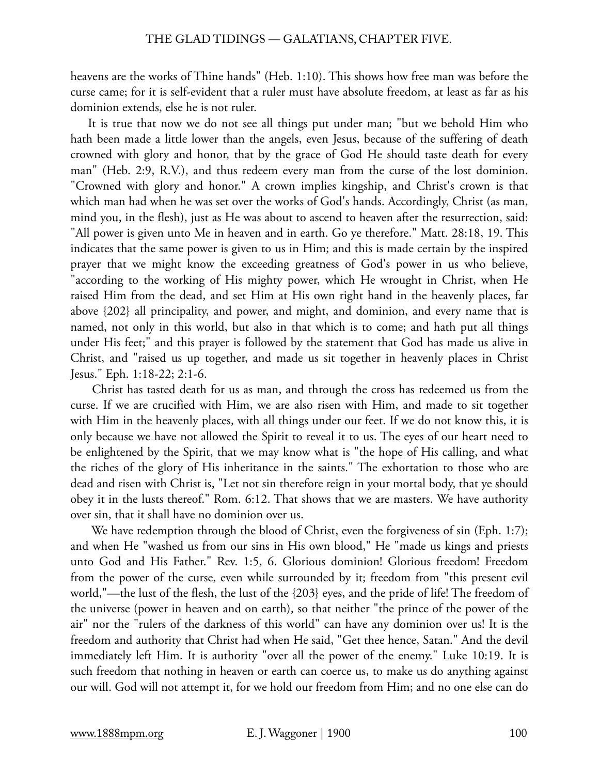heavens are the works of Thine hands" (Heb. 1:10). This shows how free man was before the curse came; for it is self-evident that a ruler must have absolute freedom, at least as far as his dominion extends, else he is not ruler.

It is true that now we do not see all things put under man; "but we behold Him who hath been made a little lower than the angels, even Jesus, because of the suffering of death crowned with glory and honor, that by the grace of God He should taste death for every man" (Heb. 2:9, R.V.), and thus redeem every man from the curse of the lost dominion. "Crowned with glory and honor." A crown implies kingship, and Christ's crown is that which man had when he was set over the works of God's hands. Accordingly, Christ (as man, mind you, in the flesh), just as He was about to ascend to heaven after the resurrection, said: "All power is given unto Me in heaven and in earth. Go ye therefore." Matt. 28:18, 19. This indicates that the same power is given to us in Him; and this is made certain by the inspired prayer that we might know the exceeding greatness of God's power in us who believe, "according to the working of His mighty power, which He wrought in Christ, when He raised Him from the dead, and set Him at His own right hand in the heavenly places, far above {202} all principality, and power, and might, and dominion, and every name that is named, not only in this world, but also in that which is to come; and hath put all things under His feet;" and this prayer is followed by the statement that God has made us alive in Christ, and "raised us up together, and made us sit together in heavenly places in Christ Jesus." Eph. 1:18-22; 2:1-6.

 Christ has tasted death for us as man, and through the cross has redeemed us from the curse. If we are crucified with Him, we are also risen with Him, and made to sit together with Him in the heavenly places, with all things under our feet. If we do not know this, it is only because we have not allowed the Spirit to reveal it to us. The eyes of our heart need to be enlightened by the Spirit, that we may know what is "the hope of His calling, and what the riches of the glory of His inheritance in the saints." The exhortation to those who are dead and risen with Christ is, "Let not sin therefore reign in your mortal body, that ye should obey it in the lusts thereof." Rom. 6:12. That shows that we are masters. We have authority over sin, that it shall have no dominion over us.

We have redemption through the blood of Christ, even the forgiveness of sin (Eph. 1:7); and when He "washed us from our sins in His own blood," He "made us kings and priests unto God and His Father." Rev. 1:5, 6. Glorious dominion! Glorious freedom! Freedom from the power of the curse, even while surrounded by it; freedom from "this present evil world,"—the lust of the flesh, the lust of the {203} eyes, and the pride of life! The freedom of the universe (power in heaven and on earth), so that neither "the prince of the power of the air" nor the "rulers of the darkness of this world" can have any dominion over us! It is the freedom and authority that Christ had when He said, "Get thee hence, Satan." And the devil immediately left Him. It is authority "over all the power of the enemy." Luke 10:19. It is such freedom that nothing in heaven or earth can coerce us, to make us do anything against our will. God will not attempt it, for we hold our freedom from Him; and no one else can do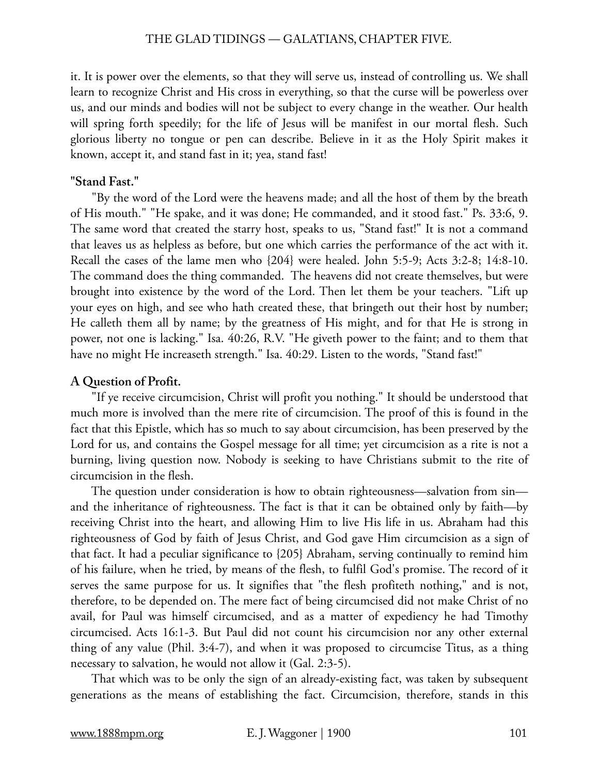it. It is power over the elements, so that they will serve us, instead of controlling us. We shall learn to recognize Christ and His cross in everything, so that the curse will be powerless over us, and our minds and bodies will not be subject to every change in the weather. Our health will spring forth speedily; for the life of Jesus will be manifest in our mortal flesh. Such glorious liberty no tongue or pen can describe. Believe in it as the Holy Spirit makes it known, accept it, and stand fast in it; yea, stand fast!

### **"Stand Fast."**

 "By the word of the Lord were the heavens made; and all the host of them by the breath of His mouth." "He spake, and it was done; He commanded, and it stood fast." Ps. 33:6, 9. The same word that created the starry host, speaks to us, "Stand fast!" It is not a command that leaves us as helpless as before, but one which carries the performance of the act with it. Recall the cases of the lame men who {204} were healed. John 5:5-9; Acts 3:2-8; 14:8-10. The command does the thing commanded. The heavens did not create themselves, but were brought into existence by the word of the Lord. Then let them be your teachers. "Lift up your eyes on high, and see who hath created these, that bringeth out their host by number; He calleth them all by name; by the greatness of His might, and for that He is strong in power, not one is lacking." Isa. 40:26, R.V. "He giveth power to the faint; and to them that have no might He increaseth strength." Isa. 40:29. Listen to the words, "Stand fast!"

# **A Question of Profit.**

 "If ye receive circumcision, Christ will profit you nothing." It should be understood that much more is involved than the mere rite of circumcision. The proof of this is found in the fact that this Epistle, which has so much to say about circumcision, has been preserved by the Lord for us, and contains the Gospel message for all time; yet circumcision as a rite is not a burning, living question now. Nobody is seeking to have Christians submit to the rite of circumcision in the flesh.

 The question under consideration is how to obtain righteousness—salvation from sin and the inheritance of righteousness. The fact is that it can be obtained only by faith—by receiving Christ into the heart, and allowing Him to live His life in us. Abraham had this righteousness of God by faith of Jesus Christ, and God gave Him circumcision as a sign of that fact. It had a peculiar significance to {205} Abraham, serving continually to remind him of his failure, when he tried, by means of the flesh, to fulfil God's promise. The record of it serves the same purpose for us. It signifies that "the flesh profiteth nothing," and is not, therefore, to be depended on. The mere fact of being circumcised did not make Christ of no avail, for Paul was himself circumcised, and as a matter of expediency he had Timothy circumcised. Acts 16:1-3. But Paul did not count his circumcision nor any other external thing of any value (Phil. 3:4-7), and when it was proposed to circumcise Titus, as a thing necessary to salvation, he would not allow it (Gal. 2:3-5).

 That which was to be only the sign of an already-existing fact, was taken by subsequent generations as the means of establishing the fact. Circumcision, therefore, stands in this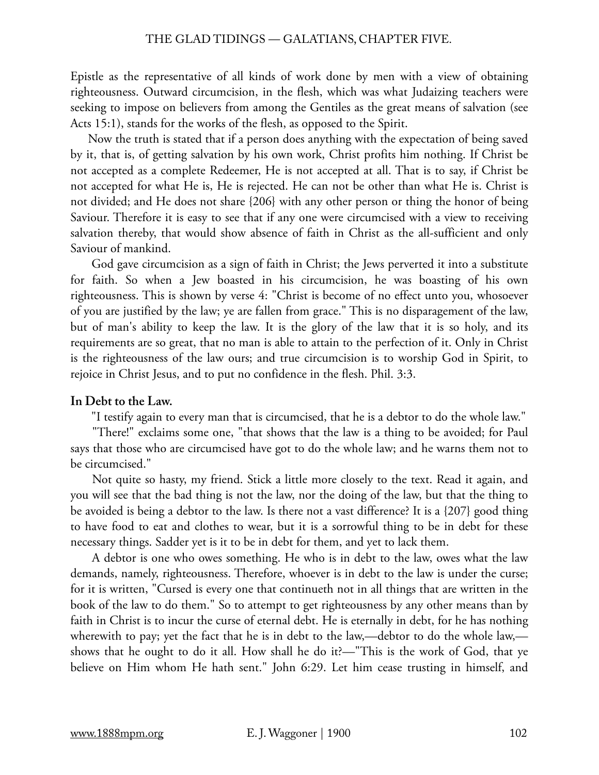Epistle as the representative of all kinds of work done by men with a view of obtaining righteousness. Outward circumcision, in the flesh, which was what Judaizing teachers were seeking to impose on believers from among the Gentiles as the great means of salvation (see Acts 15:1), stands for the works of the flesh, as opposed to the Spirit.

Now the truth is stated that if a person does anything with the expectation of being saved by it, that is, of getting salvation by his own work, Christ profits him nothing. If Christ be not accepted as a complete Redeemer, He is not accepted at all. That is to say, if Christ be not accepted for what He is, He is rejected. He can not be other than what He is. Christ is not divided; and He does not share {206} with any other person or thing the honor of being Saviour. Therefore it is easy to see that if any one were circumcised with a view to receiving salvation thereby, that would show absence of faith in Christ as the all-sufficient and only Saviour of mankind.

 God gave circumcision as a sign of faith in Christ; the Jews perverted it into a substitute for faith. So when a Jew boasted in his circumcision, he was boasting of his own righteousness. This is shown by verse 4: "Christ is become of no effect unto you, whosoever of you are justified by the law; ye are fallen from grace." This is no disparagement of the law, but of man's ability to keep the law. It is the glory of the law that it is so holy, and its requirements are so great, that no man is able to attain to the perfection of it. Only in Christ is the righteousness of the law ours; and true circumcision is to worship God in Spirit, to rejoice in Christ Jesus, and to put no confidence in the flesh. Phil. 3:3.

### **In Debt to the Law.**

"I testify again to every man that is circumcised, that he is a debtor to do the whole law."

 "There!" exclaims some one, "that shows that the law is a thing to be avoided; for Paul says that those who are circumcised have got to do the whole law; and he warns them not to be circumcised."

 Not quite so hasty, my friend. Stick a little more closely to the text. Read it again, and you will see that the bad thing is not the law, nor the doing of the law, but that the thing to be avoided is being a debtor to the law. Is there not a vast difference? It is a {207} good thing to have food to eat and clothes to wear, but it is a sorrowful thing to be in debt for these necessary things. Sadder yet is it to be in debt for them, and yet to lack them.

 A debtor is one who owes something. He who is in debt to the law, owes what the law demands, namely, righteousness. Therefore, whoever is in debt to the law is under the curse; for it is written, "Cursed is every one that continueth not in all things that are written in the book of the law to do them." So to attempt to get righteousness by any other means than by faith in Christ is to incur the curse of eternal debt. He is eternally in debt, for he has nothing wherewith to pay; yet the fact that he is in debt to the law,—debtor to do the whole law, shows that he ought to do it all. How shall he do it?—"This is the work of God, that ye believe on Him whom He hath sent." John 6:29. Let him cease trusting in himself, and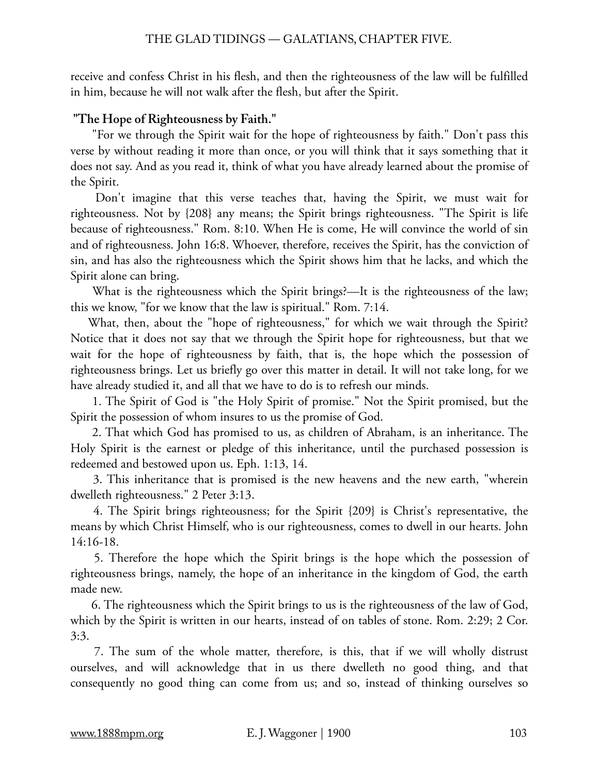receive and confess Christ in his flesh, and then the righteousness of the law will be fulfilled in him, because he will not walk after the flesh, but after the Spirit.

# **"The Hope of Righteousness by Faith."**

 "For we through the Spirit wait for the hope of righteousness by faith." Don't pass this verse by without reading it more than once, or you will think that it says something that it does not say. And as you read it, think of what you have already learned about the promise of the Spirit.

 Don't imagine that this verse teaches that, having the Spirit, we must wait for righteousness. Not by {208} any means; the Spirit brings righteousness. "The Spirit is life because of righteousness." Rom. 8:10. When He is come, He will convince the world of sin and of righteousness. John 16:8. Whoever, therefore, receives the Spirit, has the conviction of sin, and has also the righteousness which the Spirit shows him that he lacks, and which the Spirit alone can bring.

What is the righteousness which the Spirit brings?—It is the righteousness of the law; this we know, "for we know that the law is spiritual." Rom. 7:14.

What, then, about the "hope of righteousness," for which we wait through the Spirit? Notice that it does not say that we through the Spirit hope for righteousness, but that we wait for the hope of righteousness by faith, that is, the hope which the possession of righteousness brings. Let us briefly go over this matter in detail. It will not take long, for we have already studied it, and all that we have to do is to refresh our minds.

 1. The Spirit of God is "the Holy Spirit of promise." Not the Spirit promised, but the Spirit the possession of whom insures to us the promise of God.

 2. That which God has promised to us, as children of Abraham, is an inheritance. The Holy Spirit is the earnest or pledge of this inheritance, until the purchased possession is redeemed and bestowed upon us. Eph. 1:13, 14.

 3. This inheritance that is promised is the new heavens and the new earth, "wherein dwelleth righteousness." 2 Peter 3:13.

 4. The Spirit brings righteousness; for the Spirit {209} is Christ's representative, the means by which Christ Himself, who is our righteousness, comes to dwell in our hearts. John 14:16-18.

 5. Therefore the hope which the Spirit brings is the hope which the possession of righteousness brings, namely, the hope of an inheritance in the kingdom of God, the earth made new.

 6. The righteousness which the Spirit brings to us is the righteousness of the law of God, which by the Spirit is written in our hearts, instead of on tables of stone. Rom. 2:29; 2 Cor. 3:3.

 7. The sum of the whole matter, therefore, is this, that if we will wholly distrust ourselves, and will acknowledge that in us there dwelleth no good thing, and that consequently no good thing can come from us; and so, instead of thinking ourselves so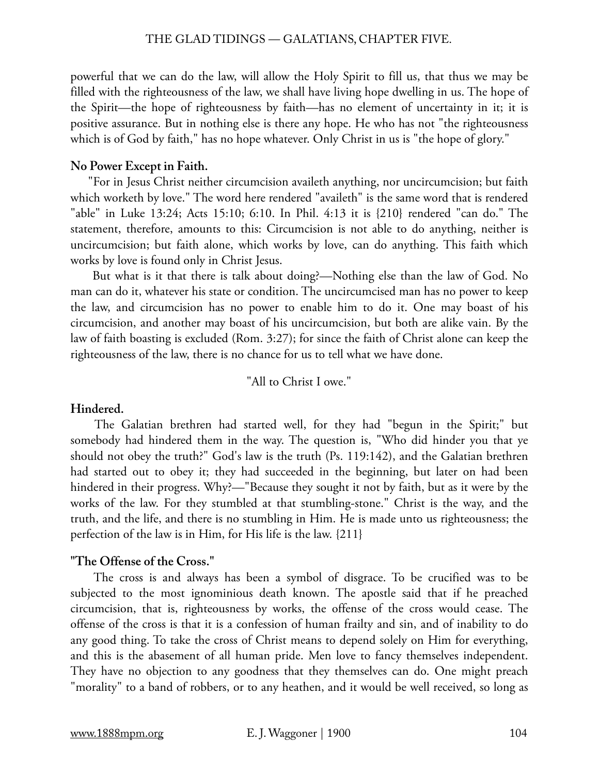powerful that we can do the law, will allow the Holy Spirit to fill us, that thus we may be filled with the righteousness of the law, we shall have living hope dwelling in us. The hope of the Spirit—the hope of righteousness by faith—has no element of uncertainty in it; it is positive assurance. But in nothing else is there any hope. He who has not "the righteousness which is of God by faith," has no hope whatever. Only Christ in us is "the hope of glory."

# **No Power Except in Faith.**

"For in Jesus Christ neither circumcision availeth anything, nor uncircumcision; but faith which worketh by love." The word here rendered "availeth" is the same word that is rendered "able" in Luke 13:24; Acts 15:10; 6:10. In Phil. 4:13 it is {210} rendered "can do." The statement, therefore, amounts to this: Circumcision is not able to do anything, neither is uncircumcision; but faith alone, which works by love, can do anything. This faith which works by love is found only in Christ Jesus.

 But what is it that there is talk about doing?—Nothing else than the law of God. No man can do it, whatever his state or condition. The uncircumcised man has no power to keep the law, and circumcision has no power to enable him to do it. One may boast of his circumcision, and another may boast of his uncircumcision, but both are alike vain. By the law of faith boasting is excluded (Rom. 3:27); for since the faith of Christ alone can keep the righteousness of the law, there is no chance for us to tell what we have done.

"All to Christ I owe."

# **Hindered.**

 The Galatian brethren had started well, for they had "begun in the Spirit;" but somebody had hindered them in the way. The question is, "Who did hinder you that ye should not obey the truth?" God's law is the truth (Ps. 119:142), and the Galatian brethren had started out to obey it; they had succeeded in the beginning, but later on had been hindered in their progress. Why?—"Because they sought it not by faith, but as it were by the works of the law. For they stumbled at that stumbling-stone." Christ is the way, and the truth, and the life, and there is no stumbling in Him. He is made unto us righteousness; the perfection of the law is in Him, for His life is the law. {211}

# **"The Offense of the Cross."**

 The cross is and always has been a symbol of disgrace. To be crucified was to be subjected to the most ignominious death known. The apostle said that if he preached circumcision, that is, righteousness by works, the offense of the cross would cease. The offense of the cross is that it is a confession of human frailty and sin, and of inability to do any good thing. To take the cross of Christ means to depend solely on Him for everything, and this is the abasement of all human pride. Men love to fancy themselves independent. They have no objection to any goodness that they themselves can do. One might preach "morality" to a band of robbers, or to any heathen, and it would be well received, so long as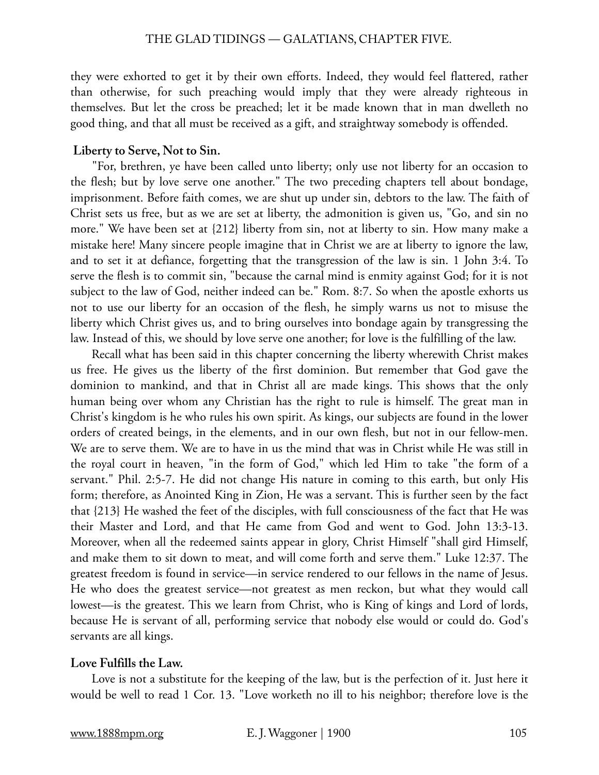they were exhorted to get it by their own efforts. Indeed, they would feel flattered, rather than otherwise, for such preaching would imply that they were already righteous in themselves. But let the cross be preached; let it be made known that in man dwelleth no good thing, and that all must be received as a gift, and straightway somebody is offended.

# **Liberty to Serve, Not to Sin.**

 "For, brethren, ye have been called unto liberty; only use not liberty for an occasion to the flesh; but by love serve one another." The two preceding chapters tell about bondage, imprisonment. Before faith comes, we are shut up under sin, debtors to the law. The faith of Christ sets us free, but as we are set at liberty, the admonition is given us, "Go, and sin no more." We have been set at {212} liberty from sin, not at liberty to sin. How many make a mistake here! Many sincere people imagine that in Christ we are at liberty to ignore the law, and to set it at defiance, forgetting that the transgression of the law is sin. 1 John 3:4. To serve the flesh is to commit sin, "because the carnal mind is enmity against God; for it is not subject to the law of God, neither indeed can be." Rom. 8:7. So when the apostle exhorts us not to use our liberty for an occasion of the flesh, he simply warns us not to misuse the liberty which Christ gives us, and to bring ourselves into bondage again by transgressing the law. Instead of this, we should by love serve one another; for love is the fulfilling of the law.

 Recall what has been said in this chapter concerning the liberty wherewith Christ makes us free. He gives us the liberty of the first dominion. But remember that God gave the dominion to mankind, and that in Christ all are made kings. This shows that the only human being over whom any Christian has the right to rule is himself. The great man in Christ's kingdom is he who rules his own spirit. As kings, our subjects are found in the lower orders of created beings, in the elements, and in our own flesh, but not in our fellow-men. We are to serve them. We are to have in us the mind that was in Christ while He was still in the royal court in heaven, "in the form of God," which led Him to take "the form of a servant." Phil. 2:5-7. He did not change His nature in coming to this earth, but only His form; therefore, as Anointed King in Zion, He was a servant. This is further seen by the fact that {213} He washed the feet of the disciples, with full consciousness of the fact that He was their Master and Lord, and that He came from God and went to God. John 13:3-13. Moreover, when all the redeemed saints appear in glory, Christ Himself "shall gird Himself, and make them to sit down to meat, and will come forth and serve them." Luke 12:37. The greatest freedom is found in service—in service rendered to our fellows in the name of Jesus. He who does the greatest service—not greatest as men reckon, but what they would call lowest—is the greatest. This we learn from Christ, who is King of kings and Lord of lords, because He is servant of all, performing service that nobody else would or could do. God's servants are all kings.

### **Love Fulfills the Law.**

 Love is not a substitute for the keeping of the law, but is the perfection of it. Just here it would be well to read 1 Cor. 13. "Love worketh no ill to his neighbor; therefore love is the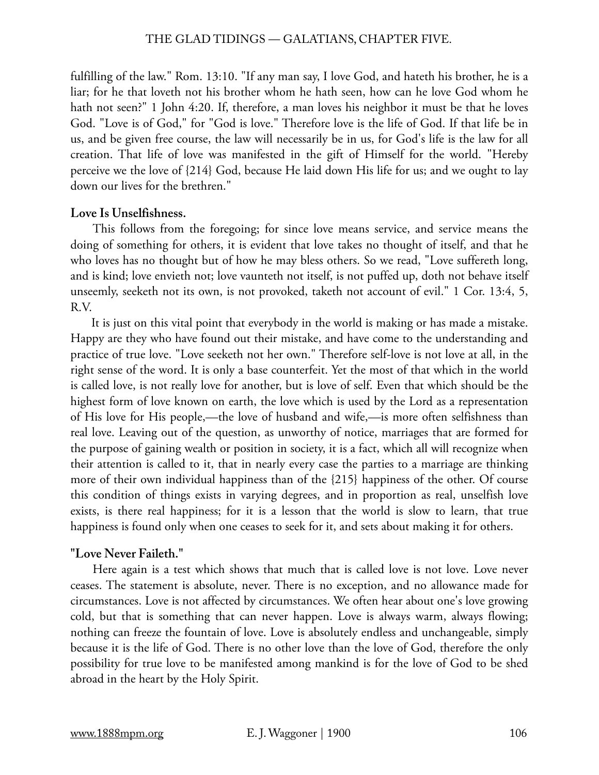fulfilling of the law." Rom. 13:10. "If any man say, I love God, and hateth his brother, he is a liar; for he that loveth not his brother whom he hath seen, how can he love God whom he hath not seen?" 1 John 4:20. If, therefore, a man loves his neighbor it must be that he loves God. "Love is of God," for "God is love." Therefore love is the life of God. If that life be in us, and be given free course, the law will necessarily be in us, for God's life is the law for all creation. That life of love was manifested in the gift of Himself for the world. "Hereby perceive we the love of {214} God, because He laid down His life for us; and we ought to lay down our lives for the brethren."

# **Love Is Unselfishness.**

 This follows from the foregoing; for since love means service, and service means the doing of something for others, it is evident that love takes no thought of itself, and that he who loves has no thought but of how he may bless others. So we read, "Love suffereth long, and is kind; love envieth not; love vaunteth not itself, is not puffed up, doth not behave itself unseemly, seeketh not its own, is not provoked, taketh not account of evil." 1 Cor. 13:4, 5, R.V.

 It is just on this vital point that everybody in the world is making or has made a mistake. Happy are they who have found out their mistake, and have come to the understanding and practice of true love. "Love seeketh not her own." Therefore self-love is not love at all, in the right sense of the word. It is only a base counterfeit. Yet the most of that which in the world is called love, is not really love for another, but is love of self. Even that which should be the highest form of love known on earth, the love which is used by the Lord as a representation of His love for His people,—the love of husband and wife,—is more often selfishness than real love. Leaving out of the question, as unworthy of notice, marriages that are formed for the purpose of gaining wealth or position in society, it is a fact, which all will recognize when their attention is called to it, that in nearly every case the parties to a marriage are thinking more of their own individual happiness than of the {215} happiness of the other. Of course this condition of things exists in varying degrees, and in proportion as real, unselfish love exists, is there real happiness; for it is a lesson that the world is slow to learn, that true happiness is found only when one ceases to seek for it, and sets about making it for others.

# **"Love Never Faileth."**

 Here again is a test which shows that much that is called love is not love. Love never ceases. The statement is absolute, never. There is no exception, and no allowance made for circumstances. Love is not affected by circumstances. We often hear about one's love growing cold, but that is something that can never happen. Love is always warm, always flowing; nothing can freeze the fountain of love. Love is absolutely endless and unchangeable, simply because it is the life of God. There is no other love than the love of God, therefore the only possibility for true love to be manifested among mankind is for the love of God to be shed abroad in the heart by the Holy Spirit.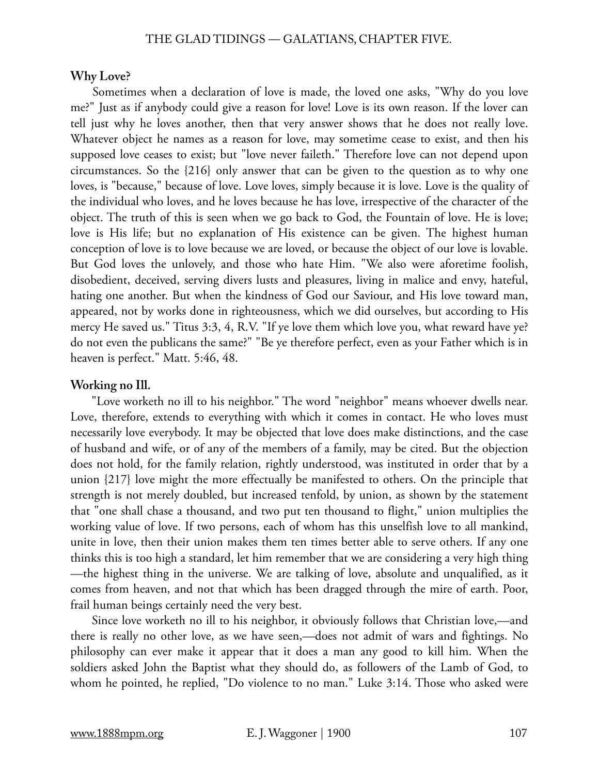#### **Why Love?**

 Sometimes when a declaration of love is made, the loved one asks, "Why do you love me?" Just as if anybody could give a reason for love! Love is its own reason. If the lover can tell just why he loves another, then that very answer shows that he does not really love. Whatever object he names as a reason for love, may sometime cease to exist, and then his supposed love ceases to exist; but "love never faileth." Therefore love can not depend upon circumstances. So the {216} only answer that can be given to the question as to why one loves, is "because," because of love. Love loves, simply because it is love. Love is the quality of the individual who loves, and he loves because he has love, irrespective of the character of the object. The truth of this is seen when we go back to God, the Fountain of love. He is love; love is His life; but no explanation of His existence can be given. The highest human conception of love is to love because we are loved, or because the object of our love is lovable. But God loves the unlovely, and those who hate Him. "We also were aforetime foolish, disobedient, deceived, serving divers lusts and pleasures, living in malice and envy, hateful, hating one another. But when the kindness of God our Saviour, and His love toward man, appeared, not by works done in righteousness, which we did ourselves, but according to His mercy He saved us." Titus 3:3, 4, R.V. "If ye love them which love you, what reward have ye? do not even the publicans the same?" "Be ye therefore perfect, even as your Father which is in heaven is perfect." Matt. 5:46, 48.

#### **Working no Ill.**

 "Love worketh no ill to his neighbor." The word "neighbor" means whoever dwells near. Love, therefore, extends to everything with which it comes in contact. He who loves must necessarily love everybody. It may be objected that love does make distinctions, and the case of husband and wife, or of any of the members of a family, may be cited. But the objection does not hold, for the family relation, rightly understood, was instituted in order that by a union {217} love might the more effectually be manifested to others. On the principle that strength is not merely doubled, but increased tenfold, by union, as shown by the statement that "one shall chase a thousand, and two put ten thousand to flight," union multiplies the working value of love. If two persons, each of whom has this unselfish love to all mankind, unite in love, then their union makes them ten times better able to serve others. If any one thinks this is too high a standard, let him remember that we are considering a very high thing —the highest thing in the universe. We are talking of love, absolute and unqualified, as it comes from heaven, and not that which has been dragged through the mire of earth. Poor, frail human beings certainly need the very best.

 Since love worketh no ill to his neighbor, it obviously follows that Christian love,—and there is really no other love, as we have seen,—does not admit of wars and fightings. No philosophy can ever make it appear that it does a man any good to kill him. When the soldiers asked John the Baptist what they should do, as followers of the Lamb of God, to whom he pointed, he replied, "Do violence to no man." Luke 3:14. Those who asked were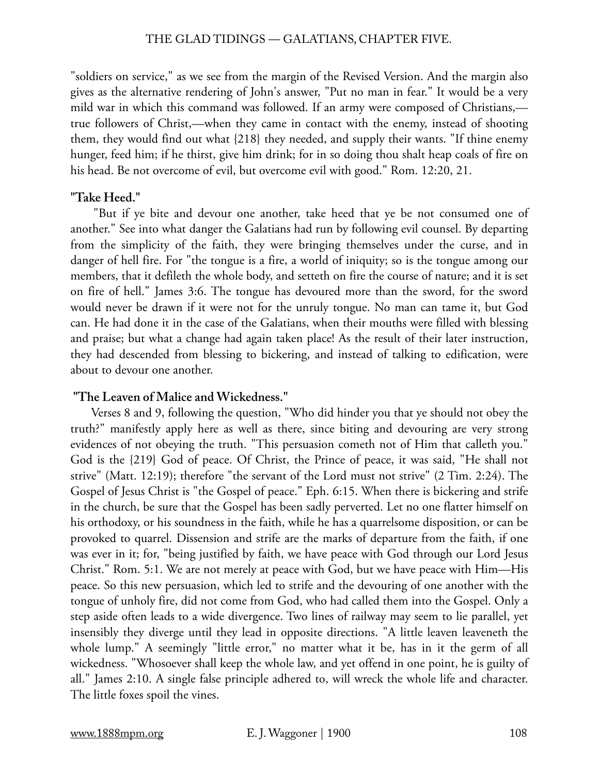"soldiers on service," as we see from the margin of the Revised Version. And the margin also gives as the alternative rendering of John's answer, "Put no man in fear." It would be a very mild war in which this command was followed. If an army were composed of Christians, true followers of Christ,—when they came in contact with the enemy, instead of shooting them, they would find out what {218} they needed, and supply their wants. "If thine enemy hunger, feed him; if he thirst, give him drink; for in so doing thou shalt heap coals of fire on his head. Be not overcome of evil, but overcome evil with good." Rom. 12:20, 21.

### **"Take Heed."**

 "But if ye bite and devour one another, take heed that ye be not consumed one of another." See into what danger the Galatians had run by following evil counsel. By departing from the simplicity of the faith, they were bringing themselves under the curse, and in danger of hell fire. For "the tongue is a fire, a world of iniquity; so is the tongue among our members, that it defileth the whole body, and setteth on fire the course of nature; and it is set on fire of hell." James 3:6. The tongue has devoured more than the sword, for the sword would never be drawn if it were not for the unruly tongue. No man can tame it, but God can. He had done it in the case of the Galatians, when their mouths were filled with blessing and praise; but what a change had again taken place! As the result of their later instruction, they had descended from blessing to bickering, and instead of talking to edification, were about to devour one another.

# **"The Leaven of Malice and Wickedness."**

 Verses 8 and 9, following the question, "Who did hinder you that ye should not obey the truth?" manifestly apply here as well as there, since biting and devouring are very strong evidences of not obeying the truth. "This persuasion cometh not of Him that calleth you." God is the {219} God of peace. Of Christ, the Prince of peace, it was said, "He shall not strive" (Matt. 12:19); therefore "the servant of the Lord must not strive" (2 Tim. 2:24). The Gospel of Jesus Christ is "the Gospel of peace." Eph. 6:15. When there is bickering and strife in the church, be sure that the Gospel has been sadly perverted. Let no one flatter himself on his orthodoxy, or his soundness in the faith, while he has a quarrelsome disposition, or can be provoked to quarrel. Dissension and strife are the marks of departure from the faith, if one was ever in it; for, "being justified by faith, we have peace with God through our Lord Jesus Christ." Rom. 5:1. We are not merely at peace with God, but we have peace with Him—His peace. So this new persuasion, which led to strife and the devouring of one another with the tongue of unholy fire, did not come from God, who had called them into the Gospel. Only a step aside often leads to a wide divergence. Two lines of railway may seem to lie parallel, yet insensibly they diverge until they lead in opposite directions. "A little leaven leaveneth the whole lump." A seemingly "little error," no matter what it be, has in it the germ of all wickedness. "Whosoever shall keep the whole law, and yet offend in one point, he is guilty of all." James 2:10. A single false principle adhered to, will wreck the whole life and character. The little foxes spoil the vines.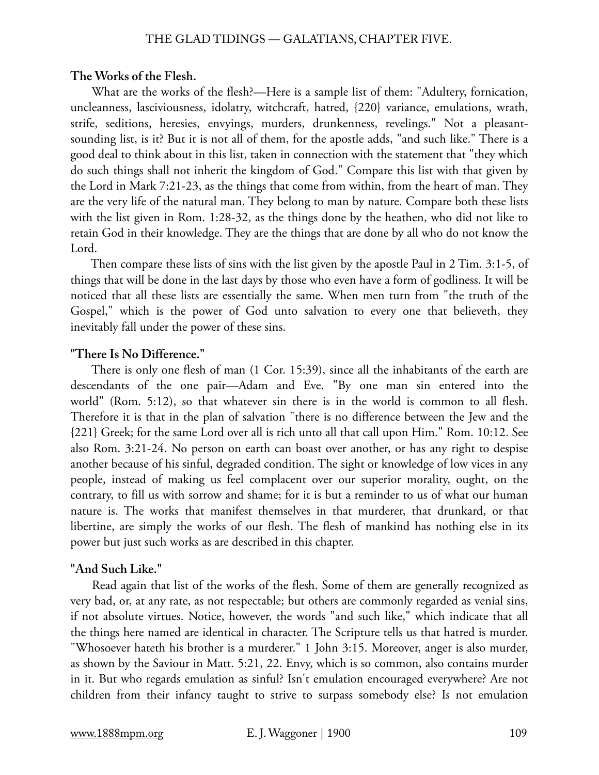#### **The Works of the Flesh.**

 What are the works of the flesh?—Here is a sample list of them: "Adultery, fornication, uncleanness, lasciviousness, idolatry, witchcraft, hatred, {220} variance, emulations, wrath, strife, seditions, heresies, envyings, murders, drunkenness, revelings." Not a pleasantsounding list, is it? But it is not all of them, for the apostle adds, "and such like." There is a good deal to think about in this list, taken in connection with the statement that "they which do such things shall not inherit the kingdom of God." Compare this list with that given by the Lord in Mark 7:21-23, as the things that come from within, from the heart of man. They are the very life of the natural man. They belong to man by nature. Compare both these lists with the list given in Rom. 1:28-32, as the things done by the heathen, who did not like to retain God in their knowledge. They are the things that are done by all who do not know the Lord.

 Then compare these lists of sins with the list given by the apostle Paul in 2 Tim. 3:1-5, of things that will be done in the last days by those who even have a form of godliness. It will be noticed that all these lists are essentially the same. When men turn from "the truth of the Gospel," which is the power of God unto salvation to every one that believeth, they inevitably fall under the power of these sins.

#### **"There Is No Difference."**

 There is only one flesh of man (1 Cor. 15:39), since all the inhabitants of the earth are descendants of the one pair—Adam and Eve. "By one man sin entered into the world" (Rom. 5:12), so that whatever sin there is in the world is common to all flesh. Therefore it is that in the plan of salvation "there is no difference between the Jew and the {221} Greek; for the same Lord over all is rich unto all that call upon Him." Rom. 10:12. See also Rom. 3:21-24. No person on earth can boast over another, or has any right to despise another because of his sinful, degraded condition. The sight or knowledge of low vices in any people, instead of making us feel complacent over our superior morality, ought, on the contrary, to fill us with sorrow and shame; for it is but a reminder to us of what our human nature is. The works that manifest themselves in that murderer, that drunkard, or that libertine, are simply the works of our flesh. The flesh of mankind has nothing else in its power but just such works as are described in this chapter.

#### **"And Such Like."**

 Read again that list of the works of the flesh. Some of them are generally recognized as very bad, or, at any rate, as not respectable; but others are commonly regarded as venial sins, if not absolute virtues. Notice, however, the words "and such like," which indicate that all the things here named are identical in character. The Scripture tells us that hatred is murder. "Whosoever hateth his brother is a murderer." 1 John 3:15. Moreover, anger is also murder, as shown by the Saviour in Matt. 5:21, 22. Envy, which is so common, also contains murder in it. But who regards emulation as sinful? Isn't emulation encouraged everywhere? Are not children from their infancy taught to strive to surpass somebody else? Is not emulation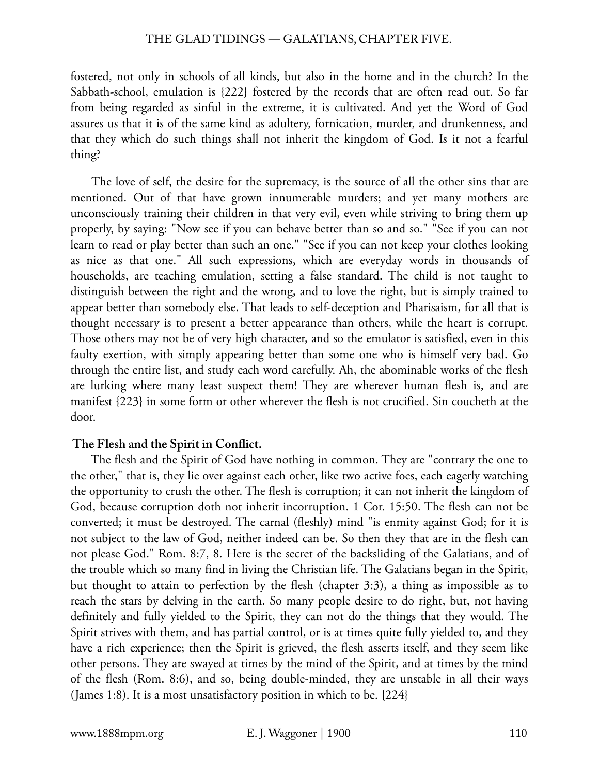fostered, not only in schools of all kinds, but also in the home and in the church? In the Sabbath-school, emulation is {222} fostered by the records that are often read out. So far from being regarded as sinful in the extreme, it is cultivated. And yet the Word of God assures us that it is of the same kind as adultery, fornication, murder, and drunkenness, and that they which do such things shall not inherit the kingdom of God. Is it not a fearful thing?

 The love of self, the desire for the supremacy, is the source of all the other sins that are mentioned. Out of that have grown innumerable murders; and yet many mothers are unconsciously training their children in that very evil, even while striving to bring them up properly, by saying: "Now see if you can behave better than so and so." "See if you can not learn to read or play better than such an one." "See if you can not keep your clothes looking as nice as that one." All such expressions, which are everyday words in thousands of households, are teaching emulation, setting a false standard. The child is not taught to distinguish between the right and the wrong, and to love the right, but is simply trained to appear better than somebody else. That leads to self-deception and Pharisaism, for all that is thought necessary is to present a better appearance than others, while the heart is corrupt. Those others may not be of very high character, and so the emulator is satisfied, even in this faulty exertion, with simply appearing better than some one who is himself very bad. Go through the entire list, and study each word carefully. Ah, the abominable works of the flesh are lurking where many least suspect them! They are wherever human flesh is, and are manifest {223} in some form or other wherever the flesh is not crucified. Sin coucheth at the door.

#### **The Flesh and the Spirit in Conflict.**

 The flesh and the Spirit of God have nothing in common. They are "contrary the one to the other," that is, they lie over against each other, like two active foes, each eagerly watching the opportunity to crush the other. The flesh is corruption; it can not inherit the kingdom of God, because corruption doth not inherit incorruption. 1 Cor. 15:50. The flesh can not be converted; it must be destroyed. The carnal (fleshly) mind "is enmity against God; for it is not subject to the law of God, neither indeed can be. So then they that are in the flesh can not please God." Rom. 8:7, 8. Here is the secret of the backsliding of the Galatians, and of the trouble which so many find in living the Christian life. The Galatians began in the Spirit, but thought to attain to perfection by the flesh (chapter 3:3), a thing as impossible as to reach the stars by delving in the earth. So many people desire to do right, but, not having definitely and fully yielded to the Spirit, they can not do the things that they would. The Spirit strives with them, and has partial control, or is at times quite fully yielded to, and they have a rich experience; then the Spirit is grieved, the flesh asserts itself, and they seem like other persons. They are swayed at times by the mind of the Spirit, and at times by the mind of the flesh (Rom. 8:6), and so, being double-minded, they are unstable in all their ways (James 1:8). It is a most unsatisfactory position in which to be. {224}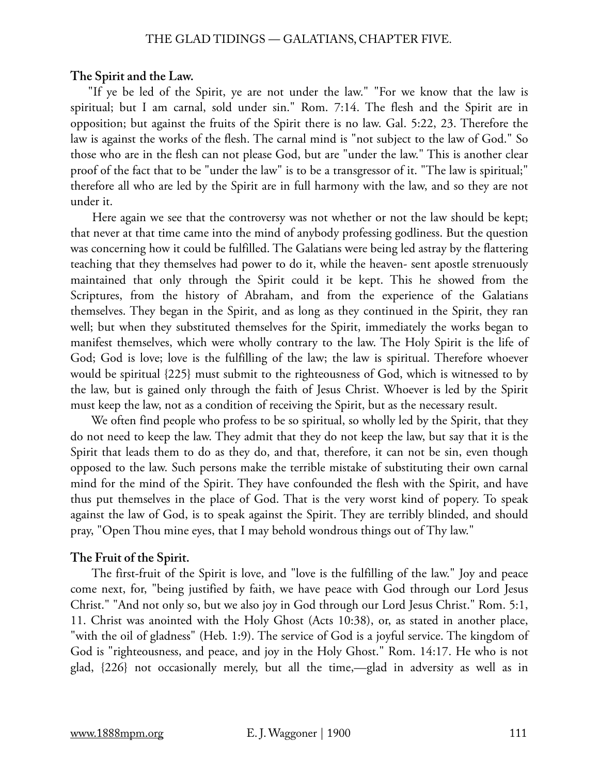#### **The Spirit and the Law.**

"If ye be led of the Spirit, ye are not under the law." "For we know that the law is spiritual; but I am carnal, sold under sin." Rom. 7:14. The flesh and the Spirit are in opposition; but against the fruits of the Spirit there is no law. Gal. 5:22, 23. Therefore the law is against the works of the flesh. The carnal mind is "not subject to the law of God." So those who are in the flesh can not please God, but are "under the law." This is another clear proof of the fact that to be "under the law" is to be a transgressor of it. "The law is spiritual;" therefore all who are led by the Spirit are in full harmony with the law, and so they are not under it.

 Here again we see that the controversy was not whether or not the law should be kept; that never at that time came into the mind of anybody professing godliness. But the question was concerning how it could be fulfilled. The Galatians were being led astray by the flattering teaching that they themselves had power to do it, while the heaven- sent apostle strenuously maintained that only through the Spirit could it be kept. This he showed from the Scriptures, from the history of Abraham, and from the experience of the Galatians themselves. They began in the Spirit, and as long as they continued in the Spirit, they ran well; but when they substituted themselves for the Spirit, immediately the works began to manifest themselves, which were wholly contrary to the law. The Holy Spirit is the life of God; God is love; love is the fulfilling of the law; the law is spiritual. Therefore whoever would be spiritual {225} must submit to the righteousness of God, which is witnessed to by the law, but is gained only through the faith of Jesus Christ. Whoever is led by the Spirit must keep the law, not as a condition of receiving the Spirit, but as the necessary result.

 We often find people who profess to be so spiritual, so wholly led by the Spirit, that they do not need to keep the law. They admit that they do not keep the law, but say that it is the Spirit that leads them to do as they do, and that, therefore, it can not be sin, even though opposed to the law. Such persons make the terrible mistake of substituting their own carnal mind for the mind of the Spirit. They have confounded the flesh with the Spirit, and have thus put themselves in the place of God. That is the very worst kind of popery. To speak against the law of God, is to speak against the Spirit. They are terribly blinded, and should pray, "Open Thou mine eyes, that I may behold wondrous things out of Thy law."

#### **The Fruit of the Spirit.**

 The first-fruit of the Spirit is love, and "love is the fulfilling of the law." Joy and peace come next, for, "being justified by faith, we have peace with God through our Lord Jesus Christ." "And not only so, but we also joy in God through our Lord Jesus Christ." Rom. 5:1, 11. Christ was anointed with the Holy Ghost (Acts 10:38), or, as stated in another place, "with the oil of gladness" (Heb. 1:9). The service of God is a joyful service. The kingdom of God is "righteousness, and peace, and joy in the Holy Ghost." Rom. 14:17. He who is not glad, {226} not occasionally merely, but all the time,—glad in adversity as well as in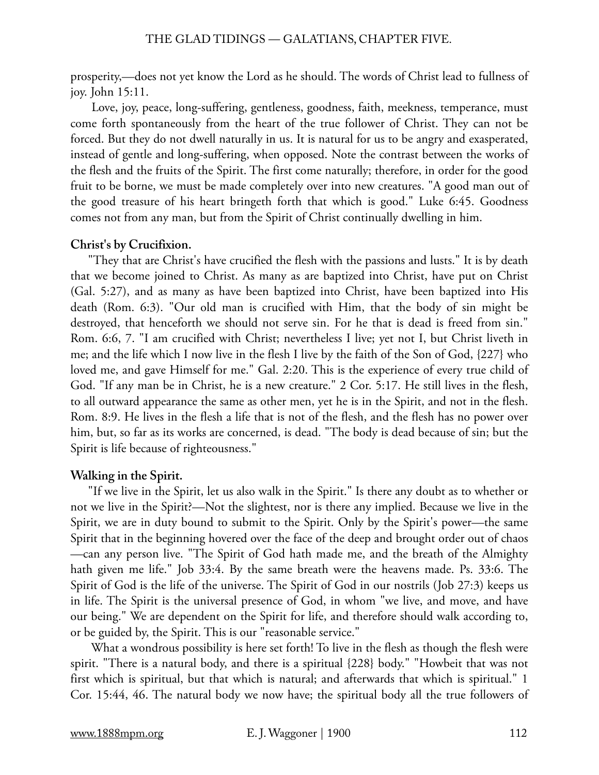prosperity,—does not yet know the Lord as he should. The words of Christ lead to fullness of joy. John 15:11.

 Love, joy, peace, long-suffering, gentleness, goodness, faith, meekness, temperance, must come forth spontaneously from the heart of the true follower of Christ. They can not be forced. But they do not dwell naturally in us. It is natural for us to be angry and exasperated, instead of gentle and long-suffering, when opposed. Note the contrast between the works of the flesh and the fruits of the Spirit. The first come naturally; therefore, in order for the good fruit to be borne, we must be made completely over into new creatures. "A good man out of the good treasure of his heart bringeth forth that which is good." Luke 6:45. Goodness comes not from any man, but from the Spirit of Christ continually dwelling in him.

# **Christ's by Crucifixion.**

"They that are Christ's have crucified the flesh with the passions and lusts." It is by death that we become joined to Christ. As many as are baptized into Christ, have put on Christ (Gal. 5:27), and as many as have been baptized into Christ, have been baptized into His death (Rom. 6:3). "Our old man is crucified with Him, that the body of sin might be destroyed, that henceforth we should not serve sin. For he that is dead is freed from sin." Rom. 6:6, 7. "I am crucified with Christ; nevertheless I live; yet not I, but Christ liveth in me; and the life which I now live in the flesh I live by the faith of the Son of God, {227} who loved me, and gave Himself for me." Gal. 2:20. This is the experience of every true child of God. "If any man be in Christ, he is a new creature." 2 Cor. 5:17. He still lives in the flesh, to all outward appearance the same as other men, yet he is in the Spirit, and not in the flesh. Rom. 8:9. He lives in the flesh a life that is not of the flesh, and the flesh has no power over him, but, so far as its works are concerned, is dead. "The body is dead because of sin; but the Spirit is life because of righteousness."

# **Walking in the Spirit.**

"If we live in the Spirit, let us also walk in the Spirit." Is there any doubt as to whether or not we live in the Spirit?—Not the slightest, nor is there any implied. Because we live in the Spirit, we are in duty bound to submit to the Spirit. Only by the Spirit's power—the same Spirit that in the beginning hovered over the face of the deep and brought order out of chaos —can any person live. "The Spirit of God hath made me, and the breath of the Almighty hath given me life." Job 33:4. By the same breath were the heavens made. Ps. 33:6. The Spirit of God is the life of the universe. The Spirit of God in our nostrils (Job 27:3) keeps us in life. The Spirit is the universal presence of God, in whom "we live, and move, and have our being." We are dependent on the Spirit for life, and therefore should walk according to, or be guided by, the Spirit. This is our "reasonable service."

 What a wondrous possibility is here set forth! To live in the flesh as though the flesh were spirit. "There is a natural body, and there is a spiritual {228} body." "Howbeit that was not first which is spiritual, but that which is natural; and afterwards that which is spiritual." 1 Cor. 15:44, 46. The natural body we now have; the spiritual body all the true followers of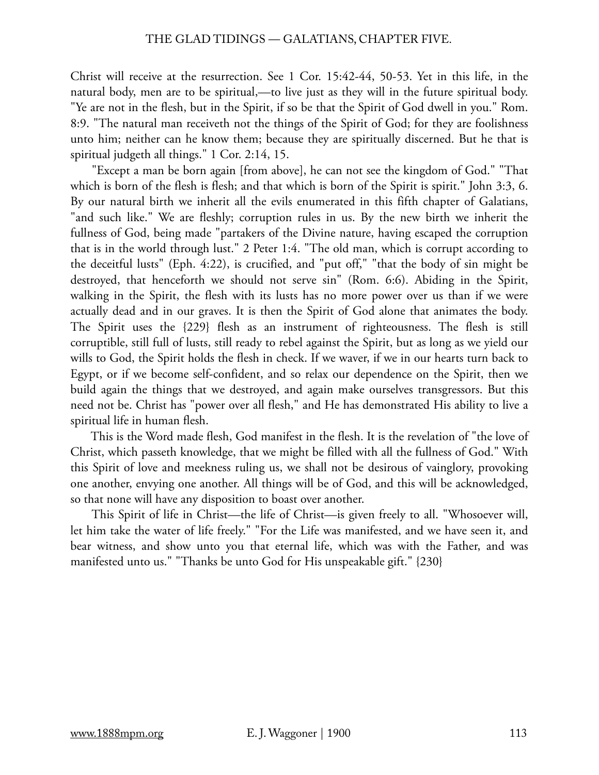Christ will receive at the resurrection. See 1 Cor. 15:42-44, 50-53. Yet in this life, in the natural body, men are to be spiritual,—to live just as they will in the future spiritual body. "Ye are not in the flesh, but in the Spirit, if so be that the Spirit of God dwell in you." Rom. 8:9. "The natural man receiveth not the things of the Spirit of God; for they are foolishness unto him; neither can he know them; because they are spiritually discerned. But he that is spiritual judgeth all things." 1 Cor. 2:14, 15.

 "Except a man be born again [from above], he can not see the kingdom of God." "That which is born of the flesh is flesh; and that which is born of the Spirit is spirit." John 3:3, 6. By our natural birth we inherit all the evils enumerated in this fifth chapter of Galatians, "and such like." We are fleshly; corruption rules in us. By the new birth we inherit the fullness of God, being made "partakers of the Divine nature, having escaped the corruption that is in the world through lust." 2 Peter 1:4. "The old man, which is corrupt according to the deceitful lusts" (Eph. 4:22), is crucified, and "put off," "that the body of sin might be destroyed, that henceforth we should not serve sin" (Rom. 6:6). Abiding in the Spirit, walking in the Spirit, the flesh with its lusts has no more power over us than if we were actually dead and in our graves. It is then the Spirit of God alone that animates the body. The Spirit uses the {229} flesh as an instrument of righteousness. The flesh is still corruptible, still full of lusts, still ready to rebel against the Spirit, but as long as we yield our wills to God, the Spirit holds the flesh in check. If we waver, if we in our hearts turn back to Egypt, or if we become self-confident, and so relax our dependence on the Spirit, then we build again the things that we destroyed, and again make ourselves transgressors. But this need not be. Christ has "power over all flesh," and He has demonstrated His ability to live a spiritual life in human flesh.

 This is the Word made flesh, God manifest in the flesh. It is the revelation of "the love of Christ, which passeth knowledge, that we might be filled with all the fullness of God." With this Spirit of love and meekness ruling us, we shall not be desirous of vainglory, provoking one another, envying one another. All things will be of God, and this will be acknowledged, so that none will have any disposition to boast over another.

 This Spirit of life in Christ—the life of Christ—is given freely to all. "Whosoever will, let him take the water of life freely." "For the Life was manifested, and we have seen it, and bear witness, and show unto you that eternal life, which was with the Father, and was manifested unto us." "Thanks be unto God for His unspeakable gift." {230}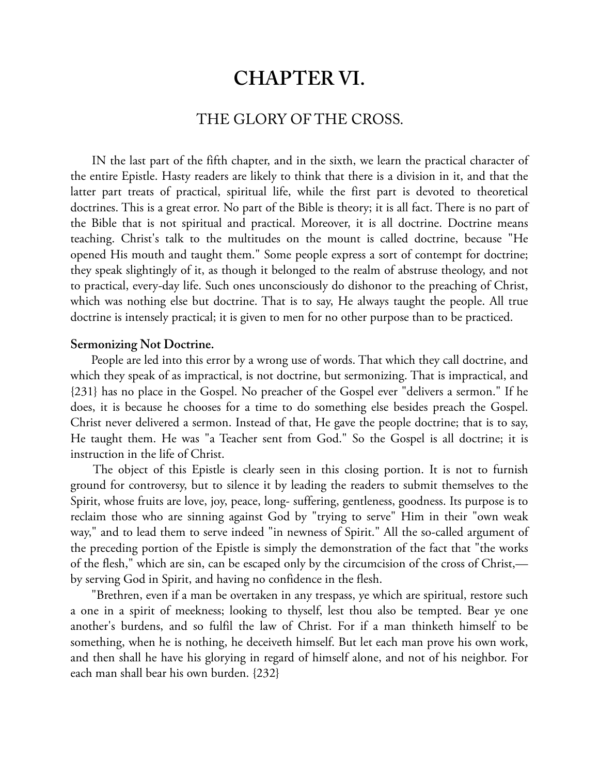# **CHAPTER VI.**

# THE GLORY OF THE CROSS.

 IN the last part of the fifth chapter, and in the sixth, we learn the practical character of the entire Epistle. Hasty readers are likely to think that there is a division in it, and that the latter part treats of practical, spiritual life, while the first part is devoted to theoretical doctrines. This is a great error. No part of the Bible is theory; it is all fact. There is no part of the Bible that is not spiritual and practical. Moreover, it is all doctrine. Doctrine means teaching. Christ's talk to the multitudes on the mount is called doctrine, because "He opened His mouth and taught them." Some people express a sort of contempt for doctrine; they speak slightingly of it, as though it belonged to the realm of abstruse theology, and not to practical, every-day life. Such ones unconsciously do dishonor to the preaching of Christ, which was nothing else but doctrine. That is to say, He always taught the people. All true doctrine is intensely practical; it is given to men for no other purpose than to be practiced.

#### **Sermonizing Not Doctrine.**

 People are led into this error by a wrong use of words. That which they call doctrine, and which they speak of as impractical, is not doctrine, but sermonizing. That is impractical, and {231} has no place in the Gospel. No preacher of the Gospel ever "delivers a sermon." If he does, it is because he chooses for a time to do something else besides preach the Gospel. Christ never delivered a sermon. Instead of that, He gave the people doctrine; that is to say, He taught them. He was "a Teacher sent from God." So the Gospel is all doctrine; it is instruction in the life of Christ.

 The object of this Epistle is clearly seen in this closing portion. It is not to furnish ground for controversy, but to silence it by leading the readers to submit themselves to the Spirit, whose fruits are love, joy, peace, long- suffering, gentleness, goodness. Its purpose is to reclaim those who are sinning against God by "trying to serve" Him in their "own weak way," and to lead them to serve indeed "in newness of Spirit." All the so-called argument of the preceding portion of the Epistle is simply the demonstration of the fact that "the works of the flesh," which are sin, can be escaped only by the circumcision of the cross of Christ, by serving God in Spirit, and having no confidence in the flesh.

 "Brethren, even if a man be overtaken in any trespass, ye which are spiritual, restore such a one in a spirit of meekness; looking to thyself, lest thou also be tempted. Bear ye one another's burdens, and so fulfil the law of Christ. For if a man thinketh himself to be something, when he is nothing, he deceiveth himself. But let each man prove his own work, and then shall he have his glorying in regard of himself alone, and not of his neighbor. For each man shall bear his own burden. {232}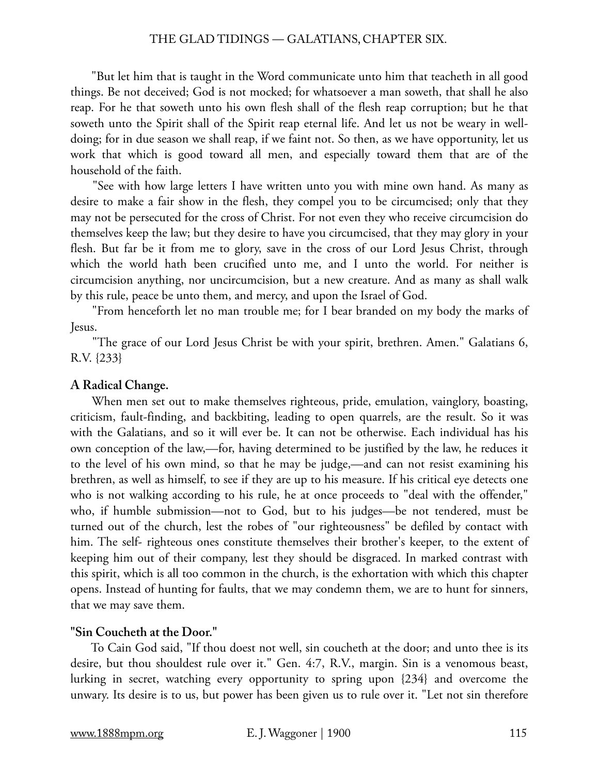"But let him that is taught in the Word communicate unto him that teacheth in all good things. Be not deceived; God is not mocked; for whatsoever a man soweth, that shall he also reap. For he that soweth unto his own flesh shall of the flesh reap corruption; but he that soweth unto the Spirit shall of the Spirit reap eternal life. And let us not be weary in welldoing; for in due season we shall reap, if we faint not. So then, as we have opportunity, let us work that which is good toward all men, and especially toward them that are of the household of the faith.

 "See with how large letters I have written unto you with mine own hand. As many as desire to make a fair show in the flesh, they compel you to be circumcised; only that they may not be persecuted for the cross of Christ. For not even they who receive circumcision do themselves keep the law; but they desire to have you circumcised, that they may glory in your flesh. But far be it from me to glory, save in the cross of our Lord Jesus Christ, through which the world hath been crucified unto me, and I unto the world. For neither is circumcision anything, nor uncircumcision, but a new creature. And as many as shall walk by this rule, peace be unto them, and mercy, and upon the Israel of God.

 "From henceforth let no man trouble me; for I bear branded on my body the marks of Jesus.

 "The grace of our Lord Jesus Christ be with your spirit, brethren. Amen." Galatians 6, R.V. {233}

# **A Radical Change.**

 When men set out to make themselves righteous, pride, emulation, vainglory, boasting, criticism, fault-finding, and backbiting, leading to open quarrels, are the result. So it was with the Galatians, and so it will ever be. It can not be otherwise. Each individual has his own conception of the law,—for, having determined to be justified by the law, he reduces it to the level of his own mind, so that he may be judge,—and can not resist examining his brethren, as well as himself, to see if they are up to his measure. If his critical eye detects one who is not walking according to his rule, he at once proceeds to "deal with the offender," who, if humble submission—not to God, but to his judges—be not tendered, must be turned out of the church, lest the robes of "our righteousness" be defiled by contact with him. The self- righteous ones constitute themselves their brother's keeper, to the extent of keeping him out of their company, lest they should be disgraced. In marked contrast with this spirit, which is all too common in the church, is the exhortation with which this chapter opens. Instead of hunting for faults, that we may condemn them, we are to hunt for sinners, that we may save them.

# **"Sin Coucheth at the Door."**

 To Cain God said, "If thou doest not well, sin coucheth at the door; and unto thee is its desire, but thou shouldest rule over it." Gen. 4:7, R.V., margin. Sin is a venomous beast, lurking in secret, watching every opportunity to spring upon {234} and overcome the unwary. Its desire is to us, but power has been given us to rule over it. "Let not sin therefore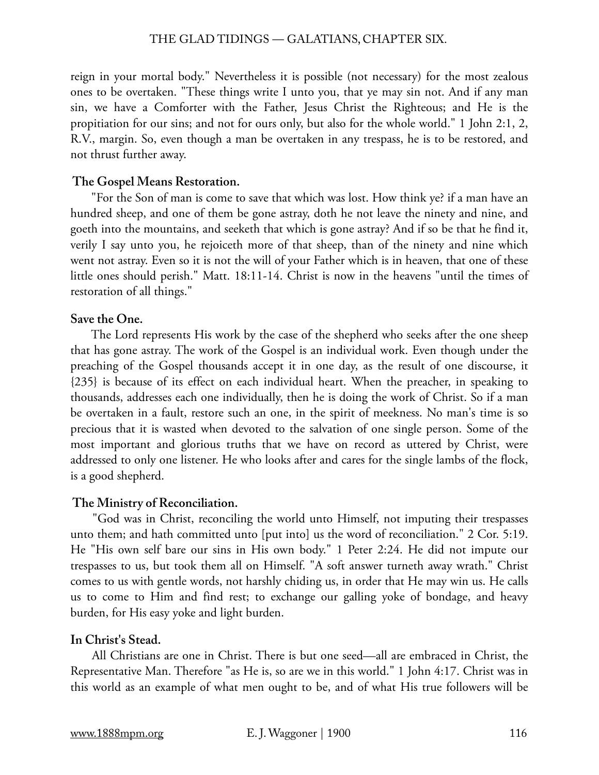reign in your mortal body." Nevertheless it is possible (not necessary) for the most zealous ones to be overtaken. "These things write I unto you, that ye may sin not. And if any man sin, we have a Comforter with the Father, Jesus Christ the Righteous; and He is the propitiation for our sins; and not for ours only, but also for the whole world." 1 John 2:1, 2, R.V., margin. So, even though a man be overtaken in any trespass, he is to be restored, and not thrust further away.

#### **The Gospel Means Restoration.**

 "For the Son of man is come to save that which was lost. How think ye? if a man have an hundred sheep, and one of them be gone astray, doth he not leave the ninety and nine, and goeth into the mountains, and seeketh that which is gone astray? And if so be that he find it, verily I say unto you, he rejoiceth more of that sheep, than of the ninety and nine which went not astray. Even so it is not the will of your Father which is in heaven, that one of these little ones should perish." Matt. 18:11-14. Christ is now in the heavens "until the times of restoration of all things."

## **Save the One.**

 The Lord represents His work by the case of the shepherd who seeks after the one sheep that has gone astray. The work of the Gospel is an individual work. Even though under the preaching of the Gospel thousands accept it in one day, as the result of one discourse, it {235} is because of its effect on each individual heart. When the preacher, in speaking to thousands, addresses each one individually, then he is doing the work of Christ. So if a man be overtaken in a fault, restore such an one, in the spirit of meekness. No man's time is so precious that it is wasted when devoted to the salvation of one single person. Some of the most important and glorious truths that we have on record as uttered by Christ, were addressed to only one listener. He who looks after and cares for the single lambs of the flock, is a good shepherd.

#### **The Ministry of Reconciliation.**

 "God was in Christ, reconciling the world unto Himself, not imputing their trespasses unto them; and hath committed unto [put into] us the word of reconciliation." 2 Cor. 5:19. He "His own self bare our sins in His own body." 1 Peter 2:24. He did not impute our trespasses to us, but took them all on Himself. "A soft answer turneth away wrath." Christ comes to us with gentle words, not harshly chiding us, in order that He may win us. He calls us to come to Him and find rest; to exchange our galling yoke of bondage, and heavy burden, for His easy yoke and light burden.

# **In Christ's Stead.**

 All Christians are one in Christ. There is but one seed—all are embraced in Christ, the Representative Man. Therefore "as He is, so are we in this world." 1 John 4:17. Christ was in this world as an example of what men ought to be, and of what His true followers will be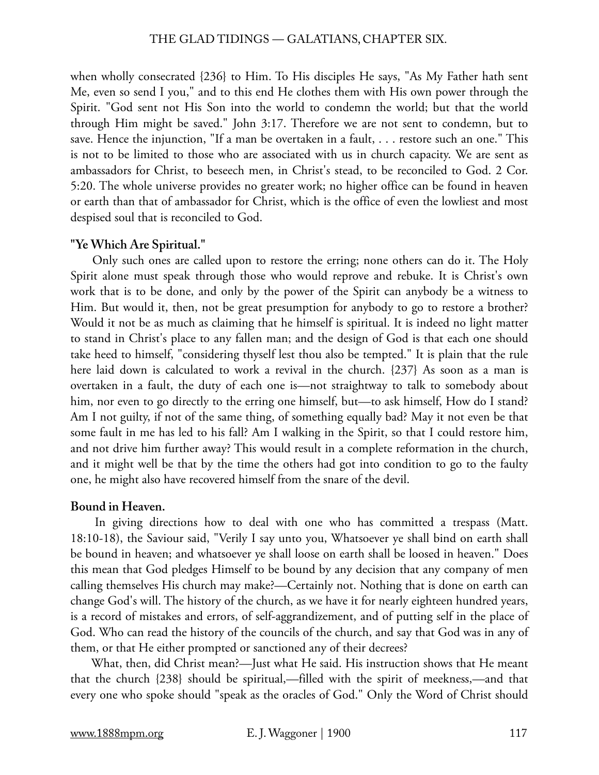when wholly consecrated {236} to Him. To His disciples He says, "As My Father hath sent Me, even so send I you," and to this end He clothes them with His own power through the Spirit. "God sent not His Son into the world to condemn the world; but that the world through Him might be saved." John 3:17. Therefore we are not sent to condemn, but to save. Hence the injunction, "If a man be overtaken in a fault, . . . restore such an one." This is not to be limited to those who are associated with us in church capacity. We are sent as ambassadors for Christ, to beseech men, in Christ's stead, to be reconciled to God. 2 Cor. 5:20. The whole universe provides no greater work; no higher office can be found in heaven or earth than that of ambassador for Christ, which is the office of even the lowliest and most despised soul that is reconciled to God.

## **"Ye Which Are Spiritual."**

 Only such ones are called upon to restore the erring; none others can do it. The Holy Spirit alone must speak through those who would reprove and rebuke. It is Christ's own work that is to be done, and only by the power of the Spirit can anybody be a witness to Him. But would it, then, not be great presumption for anybody to go to restore a brother? Would it not be as much as claiming that he himself is spiritual. It is indeed no light matter to stand in Christ's place to any fallen man; and the design of God is that each one should take heed to himself, "considering thyself lest thou also be tempted." It is plain that the rule here laid down is calculated to work a revival in the church. {237} As soon as a man is overtaken in a fault, the duty of each one is—not straightway to talk to somebody about him, nor even to go directly to the erring one himself, but—to ask himself, How do I stand? Am I not guilty, if not of the same thing, of something equally bad? May it not even be that some fault in me has led to his fall? Am I walking in the Spirit, so that I could restore him, and not drive him further away? This would result in a complete reformation in the church, and it might well be that by the time the others had got into condition to go to the faulty one, he might also have recovered himself from the snare of the devil.

# **Bound in Heaven.**

 In giving directions how to deal with one who has committed a trespass (Matt. 18:10-18), the Saviour said, "Verily I say unto you, Whatsoever ye shall bind on earth shall be bound in heaven; and whatsoever ye shall loose on earth shall be loosed in heaven." Does this mean that God pledges Himself to be bound by any decision that any company of men calling themselves His church may make?—Certainly not. Nothing that is done on earth can change God's will. The history of the church, as we have it for nearly eighteen hundred years, is a record of mistakes and errors, of self-aggrandizement, and of putting self in the place of God. Who can read the history of the councils of the church, and say that God was in any of them, or that He either prompted or sanctioned any of their decrees?

 What, then, did Christ mean?—Just what He said. His instruction shows that He meant that the church {238} should be spiritual,—filled with the spirit of meekness,—and that every one who spoke should "speak as the oracles of God." Only the Word of Christ should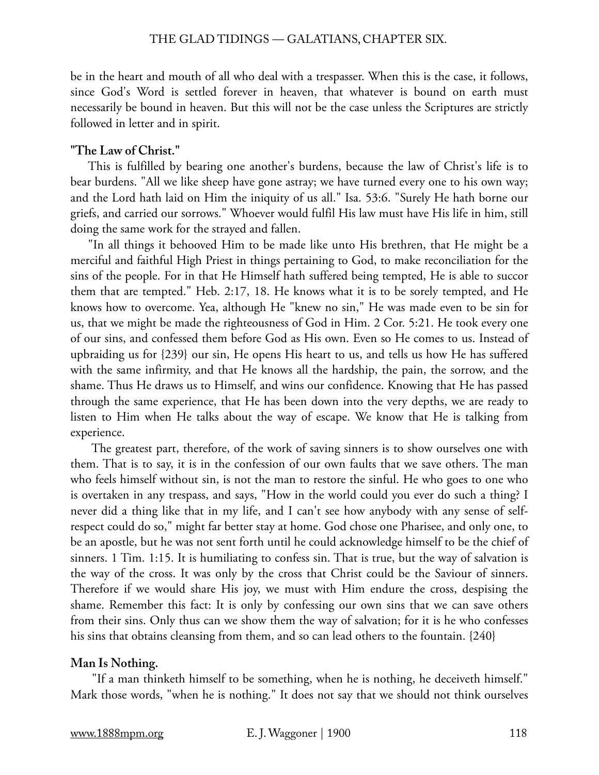be in the heart and mouth of all who deal with a trespasser. When this is the case, it follows, since God's Word is settled forever in heaven, that whatever is bound on earth must necessarily be bound in heaven. But this will not be the case unless the Scriptures are strictly followed in letter and in spirit.

## **"The Law of Christ."**

This is fulfilled by bearing one another's burdens, because the law of Christ's life is to bear burdens. "All we like sheep have gone astray; we have turned every one to his own way; and the Lord hath laid on Him the iniquity of us all." Isa. 53:6. "Surely He hath borne our griefs, and carried our sorrows." Whoever would fulfil His law must have His life in him, still doing the same work for the strayed and fallen.

"In all things it behooved Him to be made like unto His brethren, that He might be a merciful and faithful High Priest in things pertaining to God, to make reconciliation for the sins of the people. For in that He Himself hath suffered being tempted, He is able to succor them that are tempted." Heb. 2:17, 18. He knows what it is to be sorely tempted, and He knows how to overcome. Yea, although He "knew no sin," He was made even to be sin for us, that we might be made the righteousness of God in Him. 2 Cor. 5:21. He took every one of our sins, and confessed them before God as His own. Even so He comes to us. Instead of upbraiding us for {239} our sin, He opens His heart to us, and tells us how He has suffered with the same infirmity, and that He knows all the hardship, the pain, the sorrow, and the shame. Thus He draws us to Himself, and wins our confidence. Knowing that He has passed through the same experience, that He has been down into the very depths, we are ready to listen to Him when He talks about the way of escape. We know that He is talking from experience.

 The greatest part, therefore, of the work of saving sinners is to show ourselves one with them. That is to say, it is in the confession of our own faults that we save others. The man who feels himself without sin, is not the man to restore the sinful. He who goes to one who is overtaken in any trespass, and says, "How in the world could you ever do such a thing? I never did a thing like that in my life, and I can't see how anybody with any sense of selfrespect could do so," might far better stay at home. God chose one Pharisee, and only one, to be an apostle, but he was not sent forth until he could acknowledge himself to be the chief of sinners. 1 Tim. 1:15. It is humiliating to confess sin. That is true, but the way of salvation is the way of the cross. It was only by the cross that Christ could be the Saviour of sinners. Therefore if we would share His joy, we must with Him endure the cross, despising the shame. Remember this fact: It is only by confessing our own sins that we can save others from their sins. Only thus can we show them the way of salvation; for it is he who confesses his sins that obtains cleansing from them, and so can lead others to the fountain. {240}

#### **Man Is Nothing.**

 "If a man thinketh himself to be something, when he is nothing, he deceiveth himself." Mark those words, "when he is nothing." It does not say that we should not think ourselves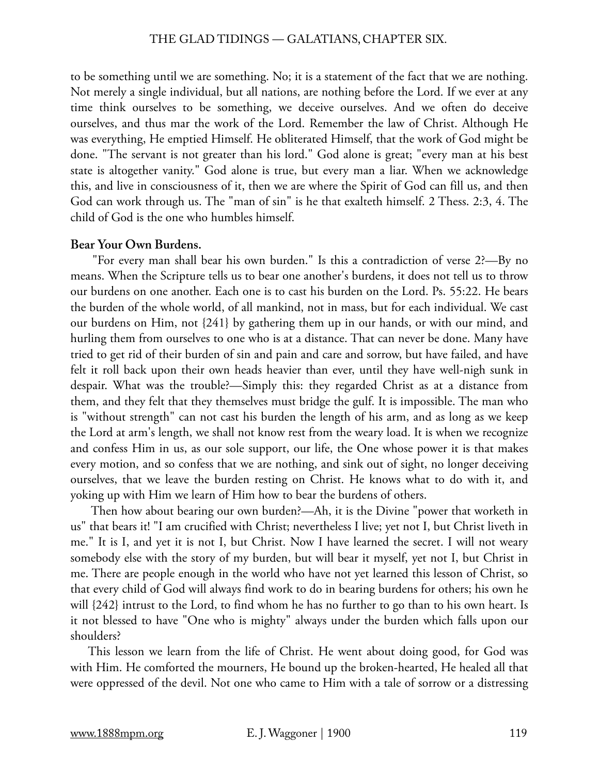to be something until we are something. No; it is a statement of the fact that we are nothing. Not merely a single individual, but all nations, are nothing before the Lord. If we ever at any time think ourselves to be something, we deceive ourselves. And we often do deceive ourselves, and thus mar the work of the Lord. Remember the law of Christ. Although He was everything, He emptied Himself. He obliterated Himself, that the work of God might be done. "The servant is not greater than his lord." God alone is great; "every man at his best state is altogether vanity." God alone is true, but every man a liar. When we acknowledge this, and live in consciousness of it, then we are where the Spirit of God can fill us, and then God can work through us. The "man of sin" is he that exalteth himself. 2 Thess. 2:3, 4. The child of God is the one who humbles himself.

#### **Bear Your Own Burdens.**

 "For every man shall bear his own burden." Is this a contradiction of verse 2?—By no means. When the Scripture tells us to bear one another's burdens, it does not tell us to throw our burdens on one another. Each one is to cast his burden on the Lord. Ps. 55:22. He bears the burden of the whole world, of all mankind, not in mass, but for each individual. We cast our burdens on Him, not {241} by gathering them up in our hands, or with our mind, and hurling them from ourselves to one who is at a distance. That can never be done. Many have tried to get rid of their burden of sin and pain and care and sorrow, but have failed, and have felt it roll back upon their own heads heavier than ever, until they have well-nigh sunk in despair. What was the trouble?—Simply this: they regarded Christ as at a distance from them, and they felt that they themselves must bridge the gulf. It is impossible. The man who is "without strength" can not cast his burden the length of his arm, and as long as we keep the Lord at arm's length, we shall not know rest from the weary load. It is when we recognize and confess Him in us, as our sole support, our life, the One whose power it is that makes every motion, and so confess that we are nothing, and sink out of sight, no longer deceiving ourselves, that we leave the burden resting on Christ. He knows what to do with it, and yoking up with Him we learn of Him how to bear the burdens of others.

 Then how about bearing our own burden?—Ah, it is the Divine "power that worketh in us" that bears it! "I am crucified with Christ; nevertheless I live; yet not I, but Christ liveth in me." It is I, and yet it is not I, but Christ. Now I have learned the secret. I will not weary somebody else with the story of my burden, but will bear it myself, yet not I, but Christ in me. There are people enough in the world who have not yet learned this lesson of Christ, so that every child of God will always find work to do in bearing burdens for others; his own he will {242} intrust to the Lord, to find whom he has no further to go than to his own heart. Is it not blessed to have "One who is mighty" always under the burden which falls upon our shoulders?

This lesson we learn from the life of Christ. He went about doing good, for God was with Him. He comforted the mourners, He bound up the broken-hearted, He healed all that were oppressed of the devil. Not one who came to Him with a tale of sorrow or a distressing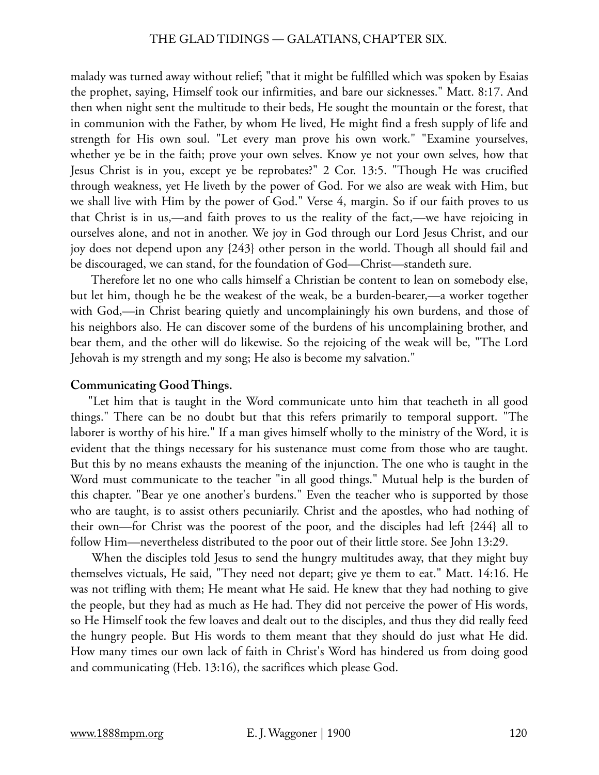malady was turned away without relief; "that it might be fulfilled which was spoken by Esaias the prophet, saying, Himself took our infirmities, and bare our sicknesses." Matt. 8:17. And then when night sent the multitude to their beds, He sought the mountain or the forest, that in communion with the Father, by whom He lived, He might find a fresh supply of life and strength for His own soul. "Let every man prove his own work." "Examine yourselves, whether ye be in the faith; prove your own selves. Know ye not your own selves, how that Jesus Christ is in you, except ye be reprobates?" 2 Cor. 13:5. "Though He was crucified through weakness, yet He liveth by the power of God. For we also are weak with Him, but we shall live with Him by the power of God." Verse 4, margin. So if our faith proves to us that Christ is in us,—and faith proves to us the reality of the fact,—we have rejoicing in ourselves alone, and not in another. We joy in God through our Lord Jesus Christ, and our joy does not depend upon any {243} other person in the world. Though all should fail and be discouraged, we can stand, for the foundation of God—Christ—standeth sure.

 Therefore let no one who calls himself a Christian be content to lean on somebody else, but let him, though he be the weakest of the weak, be a burden-bearer,—a worker together with God,—in Christ bearing quietly and uncomplainingly his own burdens, and those of his neighbors also. He can discover some of the burdens of his uncomplaining brother, and bear them, and the other will do likewise. So the rejoicing of the weak will be, "The Lord Jehovah is my strength and my song; He also is become my salvation."

# **Communicating Good Things.**

"Let him that is taught in the Word communicate unto him that teacheth in all good things." There can be no doubt but that this refers primarily to temporal support. "The laborer is worthy of his hire." If a man gives himself wholly to the ministry of the Word, it is evident that the things necessary for his sustenance must come from those who are taught. But this by no means exhausts the meaning of the injunction. The one who is taught in the Word must communicate to the teacher "in all good things." Mutual help is the burden of this chapter. "Bear ye one another's burdens." Even the teacher who is supported by those who are taught, is to assist others pecuniarily. Christ and the apostles, who had nothing of their own—for Christ was the poorest of the poor, and the disciples had left {244} all to follow Him—nevertheless distributed to the poor out of their little store. See John 13:29.

 When the disciples told Jesus to send the hungry multitudes away, that they might buy themselves victuals, He said, "They need not depart; give ye them to eat." Matt. 14:16. He was not trifling with them; He meant what He said. He knew that they had nothing to give the people, but they had as much as He had. They did not perceive the power of His words, so He Himself took the few loaves and dealt out to the disciples, and thus they did really feed the hungry people. But His words to them meant that they should do just what He did. How many times our own lack of faith in Christ's Word has hindered us from doing good and communicating (Heb. 13:16), the sacrifices which please God.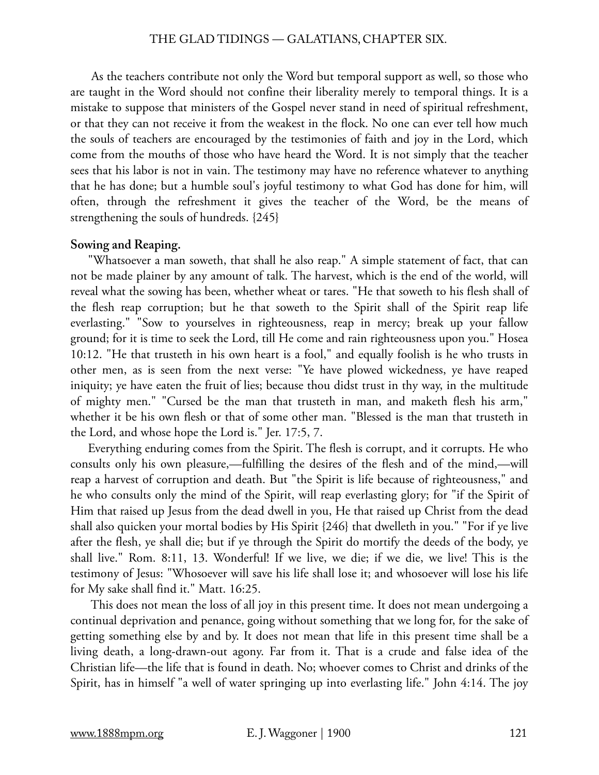As the teachers contribute not only the Word but temporal support as well, so those who are taught in the Word should not confine their liberality merely to temporal things. It is a mistake to suppose that ministers of the Gospel never stand in need of spiritual refreshment, or that they can not receive it from the weakest in the flock. No one can ever tell how much the souls of teachers are encouraged by the testimonies of faith and joy in the Lord, which come from the mouths of those who have heard the Word. It is not simply that the teacher sees that his labor is not in vain. The testimony may have no reference whatever to anything that he has done; but a humble soul's joyful testimony to what God has done for him, will often, through the refreshment it gives the teacher of the Word, be the means of strengthening the souls of hundreds. {245}

## **Sowing and Reaping.**

"Whatsoever a man soweth, that shall he also reap." A simple statement of fact, that can not be made plainer by any amount of talk. The harvest, which is the end of the world, will reveal what the sowing has been, whether wheat or tares. "He that soweth to his flesh shall of the flesh reap corruption; but he that soweth to the Spirit shall of the Spirit reap life everlasting." "Sow to yourselves in righteousness, reap in mercy; break up your fallow ground; for it is time to seek the Lord, till He come and rain righteousness upon you." Hosea 10:12. "He that trusteth in his own heart is a fool," and equally foolish is he who trusts in other men, as is seen from the next verse: "Ye have plowed wickedness, ye have reaped iniquity; ye have eaten the fruit of lies; because thou didst trust in thy way, in the multitude of mighty men." "Cursed be the man that trusteth in man, and maketh flesh his arm," whether it be his own flesh or that of some other man. "Blessed is the man that trusteth in the Lord, and whose hope the Lord is." Jer. 17:5, 7.

Everything enduring comes from the Spirit. The flesh is corrupt, and it corrupts. He who consults only his own pleasure,—fulfilling the desires of the flesh and of the mind,—will reap a harvest of corruption and death. But "the Spirit is life because of righteousness," and he who consults only the mind of the Spirit, will reap everlasting glory; for "if the Spirit of Him that raised up Jesus from the dead dwell in you, He that raised up Christ from the dead shall also quicken your mortal bodies by His Spirit {246} that dwelleth in you." "For if ye live after the flesh, ye shall die; but if ye through the Spirit do mortify the deeds of the body, ye shall live." Rom. 8:11, 13. Wonderful! If we live, we die; if we die, we live! This is the testimony of Jesus: "Whosoever will save his life shall lose it; and whosoever will lose his life for My sake shall find it." Matt. 16:25.

 This does not mean the loss of all joy in this present time. It does not mean undergoing a continual deprivation and penance, going without something that we long for, for the sake of getting something else by and by. It does not mean that life in this present time shall be a living death, a long-drawn-out agony. Far from it. That is a crude and false idea of the Christian life—the life that is found in death. No; whoever comes to Christ and drinks of the Spirit, has in himself "a well of water springing up into everlasting life." John 4:14. The joy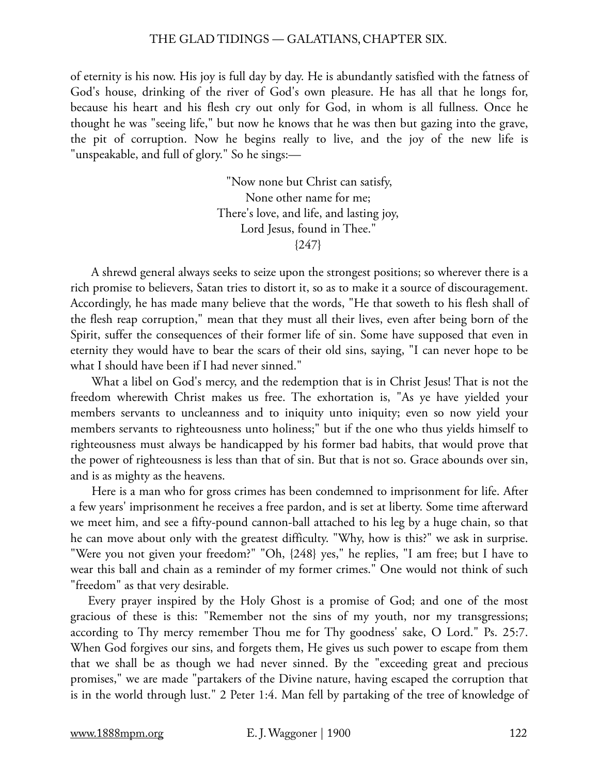of eternity is his now. His joy is full day by day. He is abundantly satisfied with the fatness of God's house, drinking of the river of God's own pleasure. He has all that he longs for, because his heart and his flesh cry out only for God, in whom is all fullness. Once he thought he was "seeing life," but now he knows that he was then but gazing into the grave, the pit of corruption. Now he begins really to live, and the joy of the new life is "unspeakable, and full of glory." So he sings:—

> "Now none but Christ can satisfy, None other name for me; There's love, and life, and lasting joy, Lord Jesus, found in Thee." {247}

 A shrewd general always seeks to seize upon the strongest positions; so wherever there is a rich promise to believers, Satan tries to distort it, so as to make it a source of discouragement. Accordingly, he has made many believe that the words, "He that soweth to his flesh shall of the flesh reap corruption," mean that they must all their lives, even after being born of the Spirit, suffer the consequences of their former life of sin. Some have supposed that even in eternity they would have to bear the scars of their old sins, saying, "I can never hope to be what I should have been if I had never sinned."

 What a libel on God's mercy, and the redemption that is in Christ Jesus! That is not the freedom wherewith Christ makes us free. The exhortation is, "As ye have yielded your members servants to uncleanness and to iniquity unto iniquity; even so now yield your members servants to righteousness unto holiness;" but if the one who thus yields himself to righteousness must always be handicapped by his former bad habits, that would prove that the power of righteousness is less than that of sin. But that is not so. Grace abounds over sin, and is as mighty as the heavens.

 Here is a man who for gross crimes has been condemned to imprisonment for life. After a few years' imprisonment he receives a free pardon, and is set at liberty. Some time afterward we meet him, and see a fifty-pound cannon-ball attached to his leg by a huge chain, so that he can move about only with the greatest difficulty. "Why, how is this?" we ask in surprise. "Were you not given your freedom?" "Oh, {248} yes," he replies, "I am free; but I have to wear this ball and chain as a reminder of my former crimes." One would not think of such "freedom" as that very desirable.

Every prayer inspired by the Holy Ghost is a promise of God; and one of the most gracious of these is this: "Remember not the sins of my youth, nor my transgressions; according to Thy mercy remember Thou me for Thy goodness' sake, O Lord." Ps. 25:7. When God forgives our sins, and forgets them, He gives us such power to escape from them that we shall be as though we had never sinned. By the "exceeding great and precious promises," we are made "partakers of the Divine nature, having escaped the corruption that is in the world through lust." 2 Peter 1:4. Man fell by partaking of the tree of knowledge of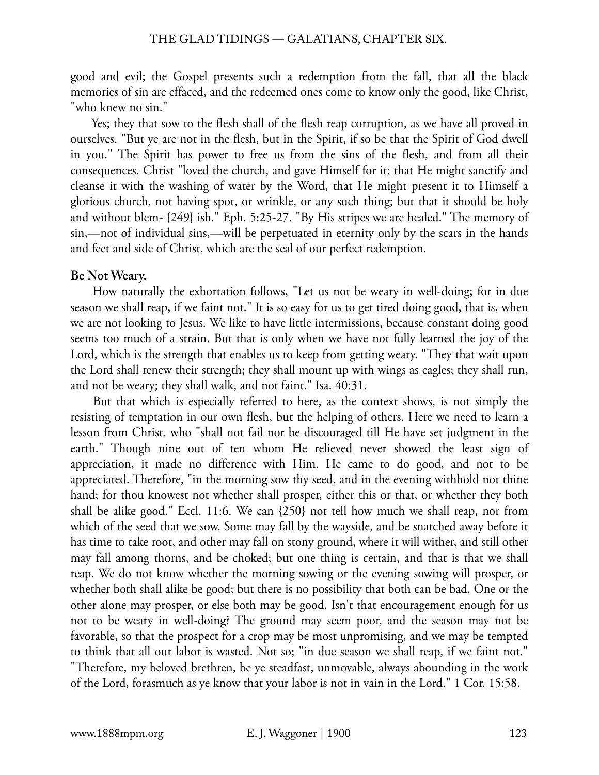good and evil; the Gospel presents such a redemption from the fall, that all the black memories of sin are effaced, and the redeemed ones come to know only the good, like Christ, "who knew no sin."

 Yes; they that sow to the flesh shall of the flesh reap corruption, as we have all proved in ourselves. "But ye are not in the flesh, but in the Spirit, if so be that the Spirit of God dwell in you." The Spirit has power to free us from the sins of the flesh, and from all their consequences. Christ "loved the church, and gave Himself for it; that He might sanctify and cleanse it with the washing of water by the Word, that He might present it to Himself a glorious church, not having spot, or wrinkle, or any such thing; but that it should be holy and without blem- {249} ish." Eph. 5:25-27. "By His stripes we are healed." The memory of sin,—not of individual sins,—will be perpetuated in eternity only by the scars in the hands and feet and side of Christ, which are the seal of our perfect redemption.

#### **Be Not Weary.**

 How naturally the exhortation follows, "Let us not be weary in well-doing; for in due season we shall reap, if we faint not." It is so easy for us to get tired doing good, that is, when we are not looking to Jesus. We like to have little intermissions, because constant doing good seems too much of a strain. But that is only when we have not fully learned the joy of the Lord, which is the strength that enables us to keep from getting weary. "They that wait upon the Lord shall renew their strength; they shall mount up with wings as eagles; they shall run, and not be weary; they shall walk, and not faint." Isa. 40:31.

 But that which is especially referred to here, as the context shows, is not simply the resisting of temptation in our own flesh, but the helping of others. Here we need to learn a lesson from Christ, who "shall not fail nor be discouraged till He have set judgment in the earth." Though nine out of ten whom He relieved never showed the least sign of appreciation, it made no difference with Him. He came to do good, and not to be appreciated. Therefore, "in the morning sow thy seed, and in the evening withhold not thine hand; for thou knowest not whether shall prosper, either this or that, or whether they both shall be alike good." Eccl. 11:6. We can {250} not tell how much we shall reap, nor from which of the seed that we sow. Some may fall by the wayside, and be snatched away before it has time to take root, and other may fall on stony ground, where it will wither, and still other may fall among thorns, and be choked; but one thing is certain, and that is that we shall reap. We do not know whether the morning sowing or the evening sowing will prosper, or whether both shall alike be good; but there is no possibility that both can be bad. One or the other alone may prosper, or else both may be good. Isn't that encouragement enough for us not to be weary in well-doing? The ground may seem poor, and the season may not be favorable, so that the prospect for a crop may be most unpromising, and we may be tempted to think that all our labor is wasted. Not so; "in due season we shall reap, if we faint not." "Therefore, my beloved brethren, be ye steadfast, unmovable, always abounding in the work of the Lord, forasmuch as ye know that your labor is not in vain in the Lord." 1 Cor. 15:58.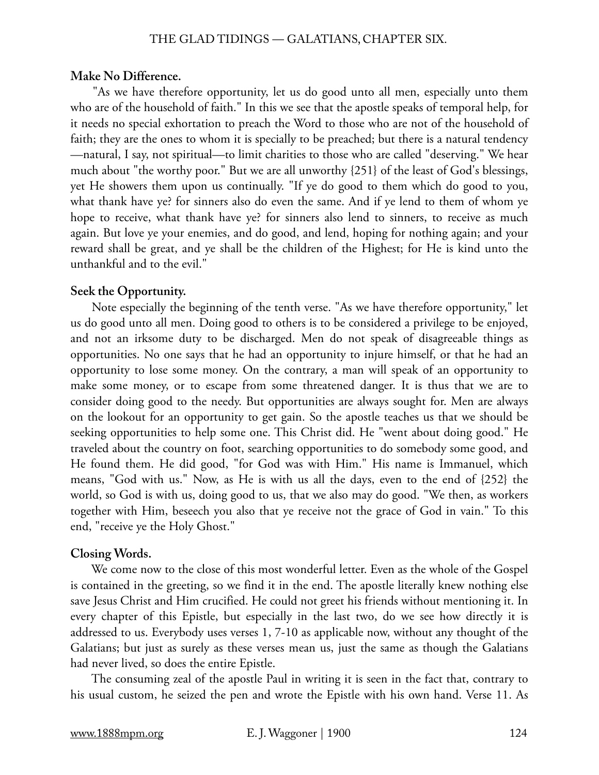#### **Make No Difference.**

 "As we have therefore opportunity, let us do good unto all men, especially unto them who are of the household of faith." In this we see that the apostle speaks of temporal help, for it needs no special exhortation to preach the Word to those who are not of the household of faith; they are the ones to whom it is specially to be preached; but there is a natural tendency —natural, I say, not spiritual—to limit charities to those who are called "deserving." We hear much about "the worthy poor." But we are all unworthy {251} of the least of God's blessings, yet He showers them upon us continually. "If ye do good to them which do good to you, what thank have ye? for sinners also do even the same. And if ye lend to them of whom ye hope to receive, what thank have ye? for sinners also lend to sinners, to receive as much again. But love ye your enemies, and do good, and lend, hoping for nothing again; and your reward shall be great, and ye shall be the children of the Highest; for He is kind unto the unthankful and to the evil."

#### **Seek the Opportunity.**

 Note especially the beginning of the tenth verse. "As we have therefore opportunity," let us do good unto all men. Doing good to others is to be considered a privilege to be enjoyed, and not an irksome duty to be discharged. Men do not speak of disagreeable things as opportunities. No one says that he had an opportunity to injure himself, or that he had an opportunity to lose some money. On the contrary, a man will speak of an opportunity to make some money, or to escape from some threatened danger. It is thus that we are to consider doing good to the needy. But opportunities are always sought for. Men are always on the lookout for an opportunity to get gain. So the apostle teaches us that we should be seeking opportunities to help some one. This Christ did. He "went about doing good." He traveled about the country on foot, searching opportunities to do somebody some good, and He found them. He did good, "for God was with Him." His name is Immanuel, which means, "God with us." Now, as He is with us all the days, even to the end of {252} the world, so God is with us, doing good to us, that we also may do good. "We then, as workers together with Him, beseech you also that ye receive not the grace of God in vain." To this end, "receive ye the Holy Ghost."

#### **Closing Words.**

 We come now to the close of this most wonderful letter. Even as the whole of the Gospel is contained in the greeting, so we find it in the end. The apostle literally knew nothing else save Jesus Christ and Him crucified. He could not greet his friends without mentioning it. In every chapter of this Epistle, but especially in the last two, do we see how directly it is addressed to us. Everybody uses verses 1, 7-10 as applicable now, without any thought of the Galatians; but just as surely as these verses mean us, just the same as though the Galatians had never lived, so does the entire Epistle.

 The consuming zeal of the apostle Paul in writing it is seen in the fact that, contrary to his usual custom, he seized the pen and wrote the Epistle with his own hand. Verse 11. As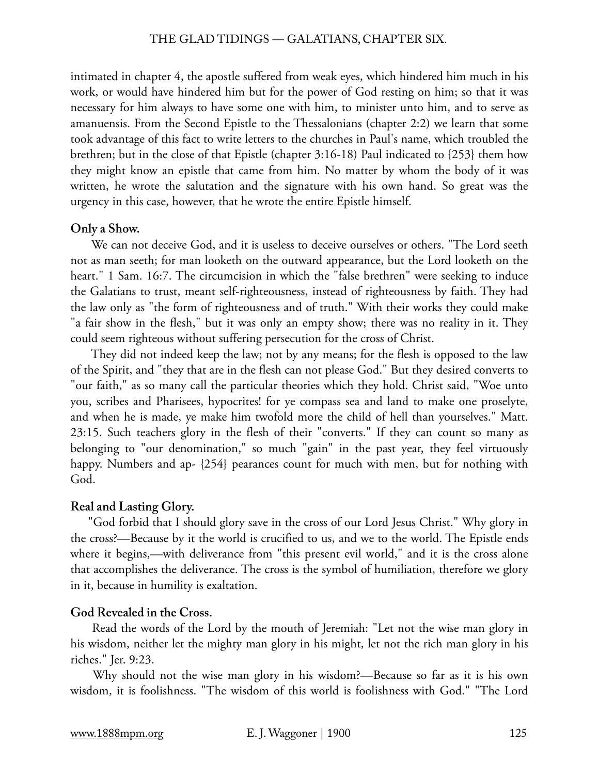intimated in chapter 4, the apostle suffered from weak eyes, which hindered him much in his work, or would have hindered him but for the power of God resting on him; so that it was necessary for him always to have some one with him, to minister unto him, and to serve as amanuensis. From the Second Epistle to the Thessalonians (chapter 2:2) we learn that some took advantage of this fact to write letters to the churches in Paul's name, which troubled the brethren; but in the close of that Epistle (chapter 3:16-18) Paul indicated to {253} them how they might know an epistle that came from him. No matter by whom the body of it was written, he wrote the salutation and the signature with his own hand. So great was the urgency in this case, however, that he wrote the entire Epistle himself.

#### **Only a Show.**

 We can not deceive God, and it is useless to deceive ourselves or others. "The Lord seeth not as man seeth; for man looketh on the outward appearance, but the Lord looketh on the heart." 1 Sam. 16:7. The circumcision in which the "false brethren" were seeking to induce the Galatians to trust, meant self-righteousness, instead of righteousness by faith. They had the law only as "the form of righteousness and of truth." With their works they could make "a fair show in the flesh," but it was only an empty show; there was no reality in it. They could seem righteous without suffering persecution for the cross of Christ.

 They did not indeed keep the law; not by any means; for the flesh is opposed to the law of the Spirit, and "they that are in the flesh can not please God." But they desired converts to "our faith," as so many call the particular theories which they hold. Christ said, "Woe unto you, scribes and Pharisees, hypocrites! for ye compass sea and land to make one proselyte, and when he is made, ye make him twofold more the child of hell than yourselves." Matt. 23:15. Such teachers glory in the flesh of their "converts." If they can count so many as belonging to "our denomination," so much "gain" in the past year, they feel virtuously happy. Numbers and ap- {254} pearances count for much with men, but for nothing with God.

#### **Real and Lasting Glory.**

"God forbid that I should glory save in the cross of our Lord Jesus Christ." Why glory in the cross?—Because by it the world is crucified to us, and we to the world. The Epistle ends where it begins,—with deliverance from "this present evil world," and it is the cross alone that accomplishes the deliverance. The cross is the symbol of humiliation, therefore we glory in it, because in humility is exaltation.

# **God Revealed in the Cross.**

 Read the words of the Lord by the mouth of Jeremiah: "Let not the wise man glory in his wisdom, neither let the mighty man glory in his might, let not the rich man glory in his riches." Jer. 9:23.

 Why should not the wise man glory in his wisdom?—Because so far as it is his own wisdom, it is foolishness. "The wisdom of this world is foolishness with God." "The Lord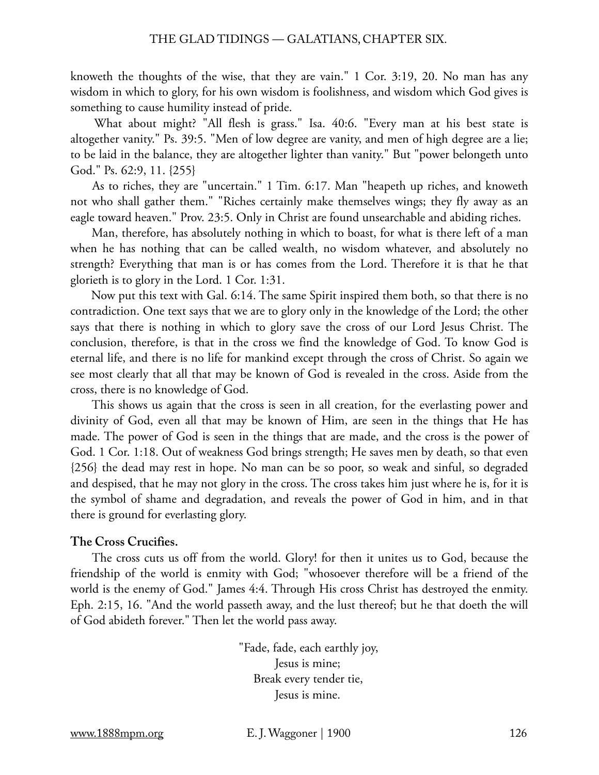knoweth the thoughts of the wise, that they are vain." 1 Cor. 3:19, 20. No man has any wisdom in which to glory, for his own wisdom is foolishness, and wisdom which God gives is something to cause humility instead of pride.

 What about might? "All flesh is grass." Isa. 40:6. "Every man at his best state is altogether vanity." Ps. 39:5. "Men of low degree are vanity, and men of high degree are a lie; to be laid in the balance, they are altogether lighter than vanity." But "power belongeth unto God." Ps. 62:9, 11. {255}

 As to riches, they are "uncertain." 1 Tim. 6:17. Man "heapeth up riches, and knoweth not who shall gather them." "Riches certainly make themselves wings; they fly away as an eagle toward heaven." Prov. 23:5. Only in Christ are found unsearchable and abiding riches.

 Man, therefore, has absolutely nothing in which to boast, for what is there left of a man when he has nothing that can be called wealth, no wisdom whatever, and absolutely no strength? Everything that man is or has comes from the Lord. Therefore it is that he that glorieth is to glory in the Lord. 1 Cor. 1:31.

 Now put this text with Gal. 6:14. The same Spirit inspired them both, so that there is no contradiction. One text says that we are to glory only in the knowledge of the Lord; the other says that there is nothing in which to glory save the cross of our Lord Jesus Christ. The conclusion, therefore, is that in the cross we find the knowledge of God. To know God is eternal life, and there is no life for mankind except through the cross of Christ. So again we see most clearly that all that may be known of God is revealed in the cross. Aside from the cross, there is no knowledge of God.

 This shows us again that the cross is seen in all creation, for the everlasting power and divinity of God, even all that may be known of Him, are seen in the things that He has made. The power of God is seen in the things that are made, and the cross is the power of God. 1 Cor. 1:18. Out of weakness God brings strength; He saves men by death, so that even {256} the dead may rest in hope. No man can be so poor, so weak and sinful, so degraded and despised, that he may not glory in the cross. The cross takes him just where he is, for it is the symbol of shame and degradation, and reveals the power of God in him, and in that there is ground for everlasting glory.

# **The Cross Crucifies.**

 The cross cuts us off from the world. Glory! for then it unites us to God, because the friendship of the world is enmity with God; "whosoever therefore will be a friend of the world is the enemy of God." James 4:4. Through His cross Christ has destroyed the enmity. Eph. 2:15, 16. "And the world passeth away, and the lust thereof; but he that doeth the will of God abideth forever." Then let the world pass away.

> "Fade, fade, each earthly joy, Jesus is mine; Break every tender tie, Jesus is mine.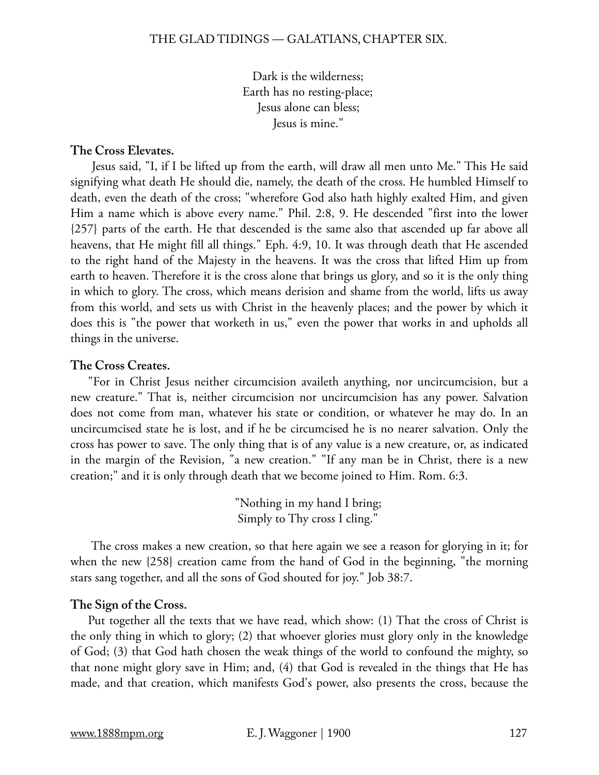Dark is the wilderness; Earth has no resting-place; Jesus alone can bless; Jesus is mine."

# **The Cross Elevates.**

 Jesus said, "I, if I be lifted up from the earth, will draw all men unto Me." This He said signifying what death He should die, namely, the death of the cross. He humbled Himself to death, even the death of the cross; "wherefore God also hath highly exalted Him, and given Him a name which is above every name." Phil. 2:8, 9. He descended "first into the lower {257} parts of the earth. He that descended is the same also that ascended up far above all heavens, that He might fill all things." Eph. 4:9, 10. It was through death that He ascended to the right hand of the Majesty in the heavens. It was the cross that lifted Him up from earth to heaven. Therefore it is the cross alone that brings us glory, and so it is the only thing in which to glory. The cross, which means derision and shame from the world, lifts us away from this world, and sets us with Christ in the heavenly places; and the power by which it does this is "the power that worketh in us," even the power that works in and upholds all things in the universe.

# **The Cross Creates.**

"For in Christ Jesus neither circumcision availeth anything, nor uncircumcision, but a new creature." That is, neither circumcision nor uncircumcision has any power. Salvation does not come from man, whatever his state or condition, or whatever he may do. In an uncircumcised state he is lost, and if he be circumcised he is no nearer salvation. Only the cross has power to save. The only thing that is of any value is a new creature, or, as indicated in the margin of the Revision, "a new creation." "If any man be in Christ, there is a new creation;" and it is only through death that we become joined to Him. Rom. 6:3.

> "Nothing in my hand I bring; Simply to Thy cross I cling."

 The cross makes a new creation, so that here again we see a reason for glorying in it; for when the new {258} creation came from the hand of God in the beginning, "the morning stars sang together, and all the sons of God shouted for joy." Job 38:7.

# **The Sign of the Cross.**

Put together all the texts that we have read, which show: (1) That the cross of Christ is the only thing in which to glory; (2) that whoever glories must glory only in the knowledge of God; (3) that God hath chosen the weak things of the world to confound the mighty, so that none might glory save in Him; and, (4) that God is revealed in the things that He has made, and that creation, which manifests God's power, also presents the cross, because the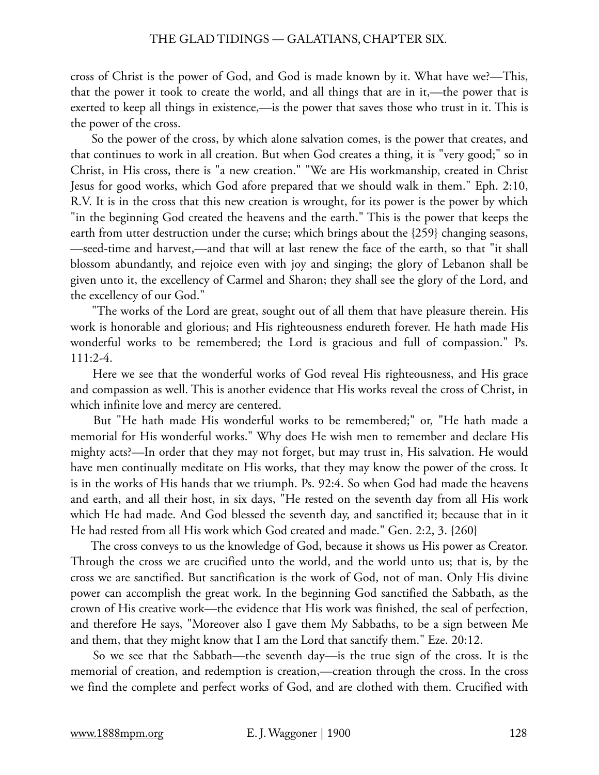cross of Christ is the power of God, and God is made known by it. What have we?—This, that the power it took to create the world, and all things that are in it,—the power that is exerted to keep all things in existence,—is the power that saves those who trust in it. This is the power of the cross.

 So the power of the cross, by which alone salvation comes, is the power that creates, and that continues to work in all creation. But when God creates a thing, it is "very good;" so in Christ, in His cross, there is "a new creation." "We are His workmanship, created in Christ Jesus for good works, which God afore prepared that we should walk in them." Eph. 2:10, R.V. It is in the cross that this new creation is wrought, for its power is the power by which "in the beginning God created the heavens and the earth." This is the power that keeps the earth from utter destruction under the curse; which brings about the {259} changing seasons, —seed-time and harvest,—and that will at last renew the face of the earth, so that "it shall blossom abundantly, and rejoice even with joy and singing; the glory of Lebanon shall be given unto it, the excellency of Carmel and Sharon; they shall see the glory of the Lord, and the excellency of our God."

 "The works of the Lord are great, sought out of all them that have pleasure therein. His work is honorable and glorious; and His righteousness endureth forever. He hath made His wonderful works to be remembered; the Lord is gracious and full of compassion." Ps. 111:2-4.

 Here we see that the wonderful works of God reveal His righteousness, and His grace and compassion as well. This is another evidence that His works reveal the cross of Christ, in which infinite love and mercy are centered.

 But "He hath made His wonderful works to be remembered;" or, "He hath made a memorial for His wonderful works." Why does He wish men to remember and declare His mighty acts?—In order that they may not forget, but may trust in, His salvation. He would have men continually meditate on His works, that they may know the power of the cross. It is in the works of His hands that we triumph. Ps. 92:4. So when God had made the heavens and earth, and all their host, in six days, "He rested on the seventh day from all His work which He had made. And God blessed the seventh day, and sanctified it; because that in it He had rested from all His work which God created and made." Gen. 2:2, 3. {260}

 The cross conveys to us the knowledge of God, because it shows us His power as Creator. Through the cross we are crucified unto the world, and the world unto us; that is, by the cross we are sanctified. But sanctification is the work of God, not of man. Only His divine power can accomplish the great work. In the beginning God sanctified the Sabbath, as the crown of His creative work—the evidence that His work was finished, the seal of perfection, and therefore He says, "Moreover also I gave them My Sabbaths, to be a sign between Me and them, that they might know that I am the Lord that sanctify them." Eze. 20:12.

 So we see that the Sabbath—the seventh day—is the true sign of the cross. It is the memorial of creation, and redemption is creation,—creation through the cross. In the cross we find the complete and perfect works of God, and are clothed with them. Crucified with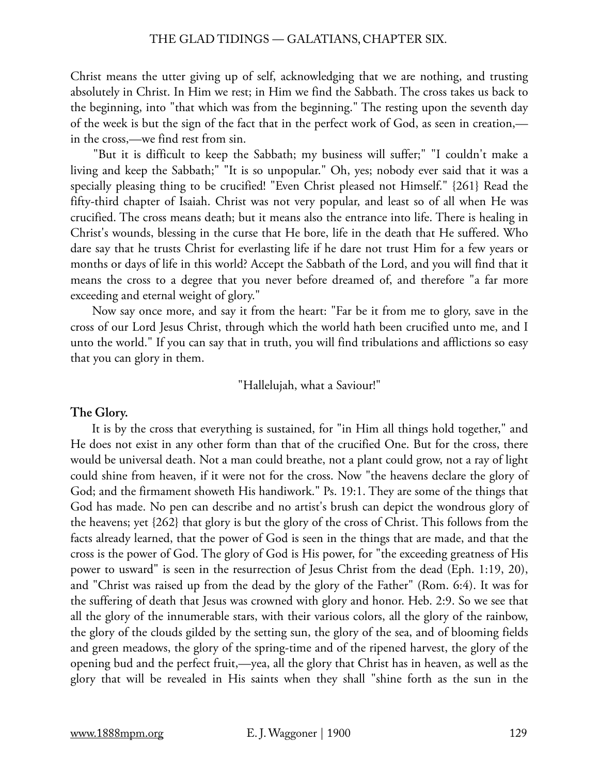Christ means the utter giving up of self, acknowledging that we are nothing, and trusting absolutely in Christ. In Him we rest; in Him we find the Sabbath. The cross takes us back to the beginning, into "that which was from the beginning." The resting upon the seventh day of the week is but the sign of the fact that in the perfect work of God, as seen in creation, in the cross,—we find rest from sin.

 "But it is difficult to keep the Sabbath; my business will suffer;" "I couldn't make a living and keep the Sabbath;" "It is so unpopular." Oh, yes; nobody ever said that it was a specially pleasing thing to be crucified! "Even Christ pleased not Himself." {261} Read the fifty-third chapter of Isaiah. Christ was not very popular, and least so of all when He was crucified. The cross means death; but it means also the entrance into life. There is healing in Christ's wounds, blessing in the curse that He bore, life in the death that He suffered. Who dare say that he trusts Christ for everlasting life if he dare not trust Him for a few years or months or days of life in this world? Accept the Sabbath of the Lord, and you will find that it means the cross to a degree that you never before dreamed of, and therefore "a far more exceeding and eternal weight of glory."

 Now say once more, and say it from the heart: "Far be it from me to glory, save in the cross of our Lord Jesus Christ, through which the world hath been crucified unto me, and I unto the world." If you can say that in truth, you will find tribulations and afflictions so easy that you can glory in them.

"Hallelujah, what a Saviour!"

# **The Glory.**

 It is by the cross that everything is sustained, for "in Him all things hold together," and He does not exist in any other form than that of the crucified One. But for the cross, there would be universal death. Not a man could breathe, not a plant could grow, not a ray of light could shine from heaven, if it were not for the cross. Now "the heavens declare the glory of God; and the firmament showeth His handiwork." Ps. 19:1. They are some of the things that God has made. No pen can describe and no artist's brush can depict the wondrous glory of the heavens; yet {262} that glory is but the glory of the cross of Christ. This follows from the facts already learned, that the power of God is seen in the things that are made, and that the cross is the power of God. The glory of God is His power, for "the exceeding greatness of His power to usward" is seen in the resurrection of Jesus Christ from the dead (Eph. 1:19, 20), and "Christ was raised up from the dead by the glory of the Father" (Rom. 6:4). It was for the suffering of death that Jesus was crowned with glory and honor. Heb. 2:9. So we see that all the glory of the innumerable stars, with their various colors, all the glory of the rainbow, the glory of the clouds gilded by the setting sun, the glory of the sea, and of blooming fields and green meadows, the glory of the spring-time and of the ripened harvest, the glory of the opening bud and the perfect fruit,—yea, all the glory that Christ has in heaven, as well as the glory that will be revealed in His saints when they shall "shine forth as the sun in the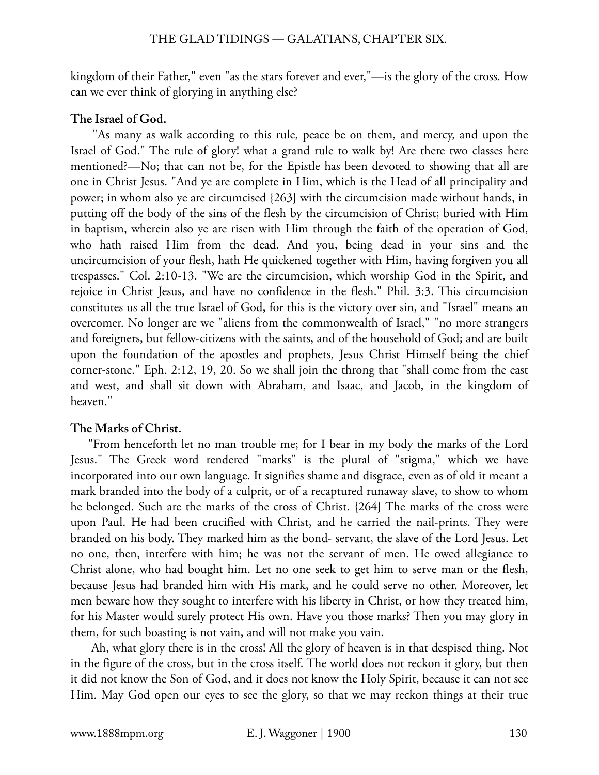kingdom of their Father," even "as the stars forever and ever,"—is the glory of the cross. How can we ever think of glorying in anything else?

# **The Israel of God.**

 "As many as walk according to this rule, peace be on them, and mercy, and upon the Israel of God." The rule of glory! what a grand rule to walk by! Are there two classes here mentioned?—No; that can not be, for the Epistle has been devoted to showing that all are one in Christ Jesus. "And ye are complete in Him, which is the Head of all principality and power; in whom also ye are circumcised {263} with the circumcision made without hands, in putting off the body of the sins of the flesh by the circumcision of Christ; buried with Him in baptism, wherein also ye are risen with Him through the faith of the operation of God, who hath raised Him from the dead. And you, being dead in your sins and the uncircumcision of your flesh, hath He quickened together with Him, having forgiven you all trespasses." Col. 2:10-13. "We are the circumcision, which worship God in the Spirit, and rejoice in Christ Jesus, and have no confidence in the flesh." Phil. 3:3. This circumcision constitutes us all the true Israel of God, for this is the victory over sin, and "Israel" means an overcomer. No longer are we "aliens from the commonwealth of Israel," "no more strangers and foreigners, but fellow-citizens with the saints, and of the household of God; and are built upon the foundation of the apostles and prophets, Jesus Christ Himself being the chief corner-stone." Eph. 2:12, 19, 20. So we shall join the throng that "shall come from the east and west, and shall sit down with Abraham, and Isaac, and Jacob, in the kingdom of heaven."

# **The Marks of Christ.**

"From henceforth let no man trouble me; for I bear in my body the marks of the Lord Jesus." The Greek word rendered "marks" is the plural of "stigma," which we have incorporated into our own language. It signifies shame and disgrace, even as of old it meant a mark branded into the body of a culprit, or of a recaptured runaway slave, to show to whom he belonged. Such are the marks of the cross of Christ. {264} The marks of the cross were upon Paul. He had been crucified with Christ, and he carried the nail-prints. They were branded on his body. They marked him as the bond- servant, the slave of the Lord Jesus. Let no one, then, interfere with him; he was not the servant of men. He owed allegiance to Christ alone, who had bought him. Let no one seek to get him to serve man or the flesh, because Jesus had branded him with His mark, and he could serve no other. Moreover, let men beware how they sought to interfere with his liberty in Christ, or how they treated him, for his Master would surely protect His own. Have you those marks? Then you may glory in them, for such boasting is not vain, and will not make you vain.

 Ah, what glory there is in the cross! All the glory of heaven is in that despised thing. Not in the figure of the cross, but in the cross itself. The world does not reckon it glory, but then it did not know the Son of God, and it does not know the Holy Spirit, because it can not see Him. May God open our eyes to see the glory, so that we may reckon things at their true